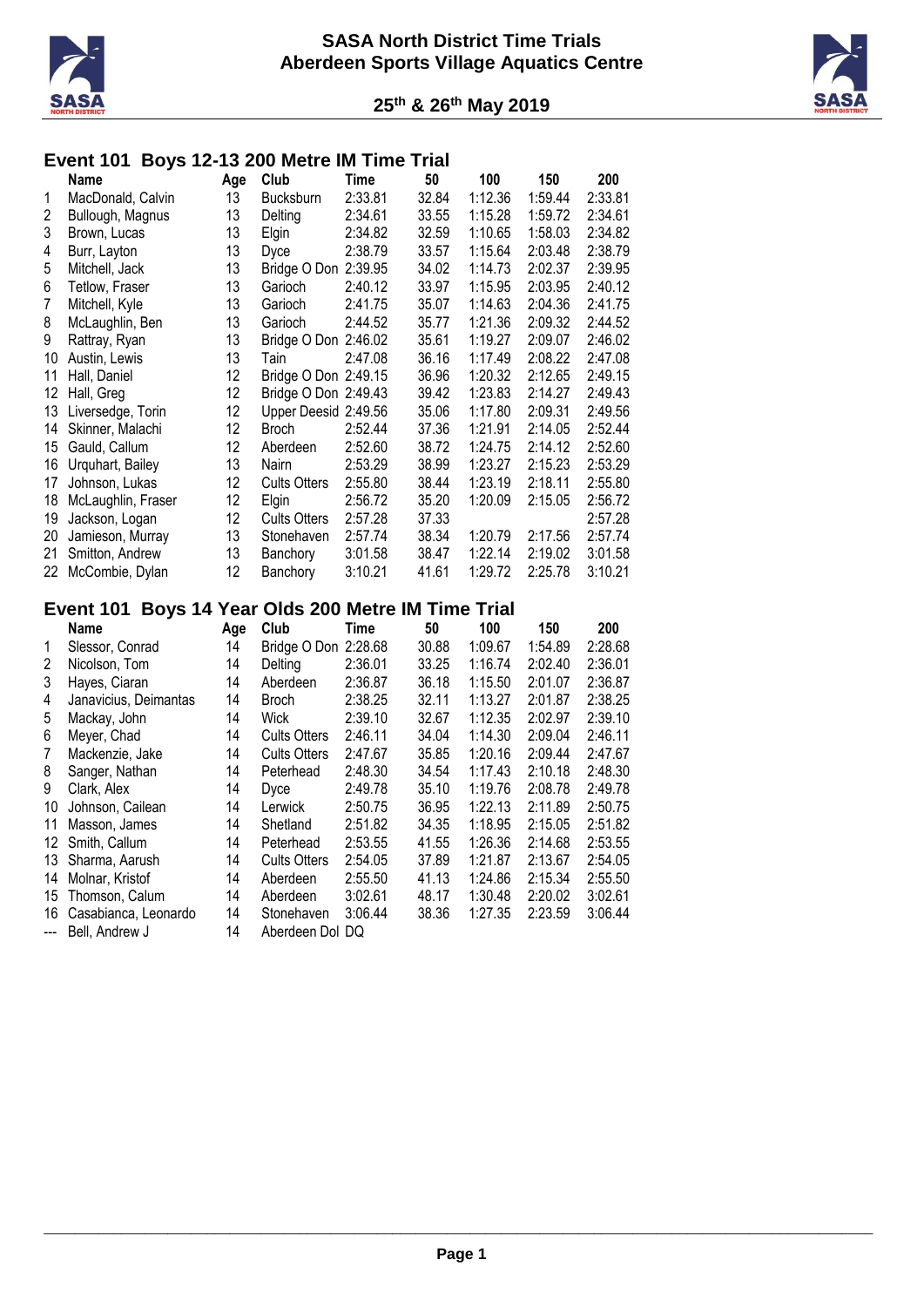



# **Event 101 Boys 12-13 200 Metre IM Time Trial**

|    | Name               | Age | Club                 | Time    | 50    | 100     | 150     | 200     |
|----|--------------------|-----|----------------------|---------|-------|---------|---------|---------|
| 1  | MacDonald, Calvin  | 13  | <b>Bucksburn</b>     | 2:33.81 | 32.84 | 1:12.36 | 1:59.44 | 2:33.81 |
| 2  | Bullough, Magnus   | 13  | Delting              | 2:34.61 | 33.55 | 1:15.28 | 1:59.72 | 2:34.61 |
| 3  | Brown, Lucas       | 13  | Elgin                | 2:34.82 | 32.59 | 1:10.65 | 1:58.03 | 2:34.82 |
| 4  | Burr, Layton       | 13  | Dyce                 | 2:38.79 | 33.57 | 1:15.64 | 2:03.48 | 2:38.79 |
| 5  | Mitchell, Jack     | 13  | Bridge O Don         | 2:39.95 | 34.02 | 1:14.73 | 2:02.37 | 2:39.95 |
| 6  | Tetlow, Fraser     | 13  | Garioch              | 2:40.12 | 33.97 | 1:15.95 | 2:03.95 | 2:40.12 |
| 7  | Mitchell, Kyle     | 13  | Garioch              | 2:41.75 | 35.07 | 1:14.63 | 2:04.36 | 2:41.75 |
| 8  | McLaughlin, Ben    | 13  | Garioch              | 2:44.52 | 35.77 | 1:21.36 | 2:09.32 | 2:44.52 |
| 9  | Rattray, Ryan      | 13  | Bridge O Don 2:46.02 |         | 35.61 | 1:19.27 | 2:09.07 | 2:46.02 |
| 10 | Austin, Lewis      | 13  | Tain                 | 2:47.08 | 36.16 | 1:17.49 | 2:08.22 | 2:47.08 |
| 11 | Hall, Daniel       | 12  | Bridge O Don 2:49.15 |         | 36.96 | 1:20.32 | 2:12.65 | 2:49.15 |
| 12 | Hall, Greg         | 12  | Bridge O Don 2:49.43 |         | 39.42 | 1:23.83 | 2:14.27 | 2:49.43 |
| 13 | Liversedge, Torin  | 12  | Upper Deesid 2:49.56 |         | 35.06 | 1:17.80 | 2:09.31 | 2:49.56 |
| 14 | Skinner, Malachi   | 12  | <b>Broch</b>         | 2:52.44 | 37.36 | 1:21.91 | 2:14.05 | 2:52.44 |
| 15 | Gauld, Callum      | 12  | Aberdeen             | 2:52.60 | 38.72 | 1:24.75 | 2:14.12 | 2:52.60 |
| 16 | Urquhart, Bailey   | 13  | Nairn                | 2:53.29 | 38.99 | 1:23.27 | 2:15.23 | 2:53.29 |
| 17 | Johnson, Lukas     | 12  | <b>Cults Otters</b>  | 2:55.80 | 38.44 | 1:23.19 | 2:18.11 | 2:55.80 |
| 18 | McLaughlin, Fraser | 12  | Elgin                | 2:56.72 | 35.20 | 1:20.09 | 2:15.05 | 2:56.72 |
| 19 | Jackson, Logan     | 12  | <b>Cults Otters</b>  | 2:57.28 | 37.33 |         |         | 2:57.28 |
| 20 | Jamieson, Murray   | 13  | Stonehaven           | 2:57.74 | 38.34 | 1:20.79 | 2:17.56 | 2:57.74 |
| 21 | Smitton, Andrew    | 13  | Banchory             | 3:01.58 | 38.47 | 1:22.14 | 2:19.02 | 3:01.58 |
| 22 | McCombie, Dylan    | 12  | Banchory             | 3:10.21 | 41.61 | 1:29.72 | 2:25.78 | 3:10.21 |

# **Event 101 Boys 14 Year Olds 200 Metre IM Time Trial**

|       | Name                  | Age | Club                | Time    | 50    | 100     | 150     | 200     |
|-------|-----------------------|-----|---------------------|---------|-------|---------|---------|---------|
| 1     | Slessor, Conrad       | 14  | Bridge O Don        | 2:28.68 | 30.88 | 1:09.67 | 1:54.89 | 2:28.68 |
| 2     | Nicolson, Tom         | 14  | Delting             | 2:36.01 | 33.25 | 1:16.74 | 2:02.40 | 2:36.01 |
| 3     | Hayes, Ciaran         | 14  | Aberdeen            | 2:36.87 | 36.18 | 1:15.50 | 2:01.07 | 2:36.87 |
| 4     | Janavicius, Deimantas | 14  | <b>Broch</b>        | 2:38.25 | 32.11 | 1:13.27 | 2:01.87 | 2:38.25 |
| 5     | Mackay, John          | 14  | Wick                | 2:39.10 | 32.67 | 1:12.35 | 2:02.97 | 2:39.10 |
| 6     | Meyer, Chad           | 14  | <b>Cults Otters</b> | 2:46.11 | 34.04 | 1:14.30 | 2:09.04 | 2:46.11 |
| 7     | Mackenzie, Jake       | 14  | <b>Cults Otters</b> | 2:47.67 | 35.85 | 1:20.16 | 2:09.44 | 2:47.67 |
| 8     | Sanger, Nathan        | 14  | Peterhead           | 2:48.30 | 34.54 | 1:17.43 | 2:10.18 | 2:48.30 |
| 9     | Clark, Alex           | 14  | Dvce                | 2:49.78 | 35.10 | 1:19.76 | 2:08.78 | 2:49.78 |
| 10    | Johnson, Cailean      | 14  | Lerwick             | 2:50.75 | 36.95 | 1:22.13 | 2:11.89 | 2:50.75 |
| 11    | Masson, James         | 14  | Shetland            | 2:51.82 | 34.35 | 1:18.95 | 2:15.05 | 2:51.82 |
| 12    | Smith, Callum         | 14  | Peterhead           | 2:53.55 | 41.55 | 1:26.36 | 2:14.68 | 2:53.55 |
| 13    | Sharma, Aarush        | 14  | <b>Cults Otters</b> | 2:54.05 | 37.89 | 1:21.87 | 2:13.67 | 2:54.05 |
| 14    | Molnar, Kristof       | 14  | Aberdeen            | 2:55.50 | 41.13 | 1:24.86 | 2:15.34 | 2:55.50 |
| 15    | Thomson, Calum        | 14  | Aberdeen            | 3:02.61 | 48.17 | 1:30.48 | 2:20.02 | 3:02.61 |
| 16    | Casabianca, Leonardo  | 14  | Stonehaven          | 3:06.44 | 38.36 | 1:27.35 | 2:23.59 | 3:06.44 |
| $---$ | Bell, Andrew J        | 14  | Aberdeen Dol DQ     |         |       |         |         |         |
|       |                       |     |                     |         |       |         |         |         |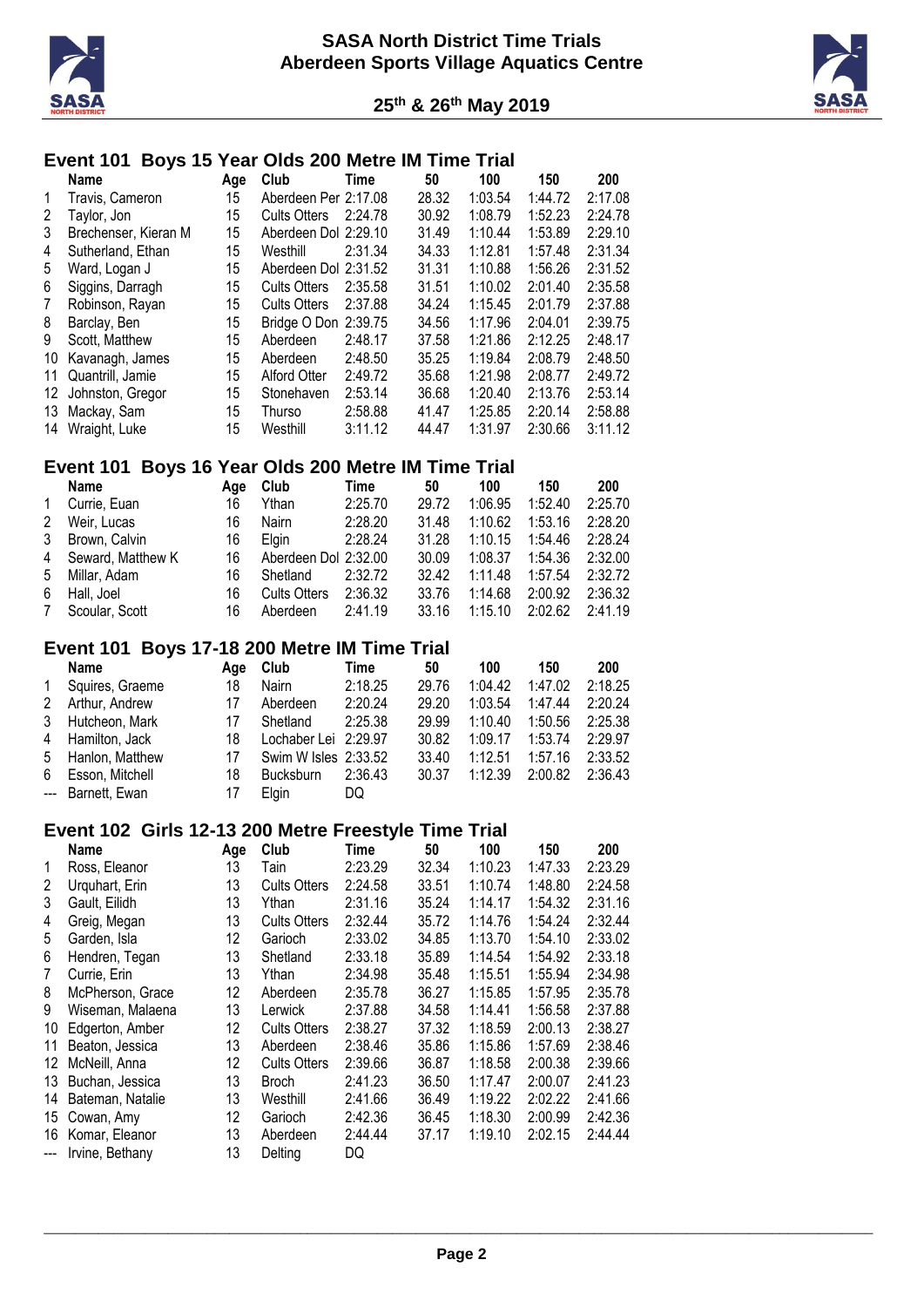



# **Event 101 Boys 15 Year Olds 200 Metre IM Time Trial**

|    | Name                 | Age | Club                 | Time    | 50    | 100     | 150     | 200     |
|----|----------------------|-----|----------------------|---------|-------|---------|---------|---------|
| 1  | Travis, Cameron      | 15  | Aberdeen Per 2:17.08 |         | 28.32 | 1:03.54 | 1:44.72 | 2:17.08 |
| 2  | Taylor, Jon          | 15  | <b>Cults Otters</b>  | 2:24.78 | 30.92 | 1:08.79 | 1:52.23 | 2:24.78 |
| 3  | Brechenser, Kieran M | 15  | Aberdeen Dol 2:29.10 |         | 31.49 | 1:10.44 | 1:53.89 | 2:29.10 |
| 4  | Sutherland, Ethan    | 15  | Westhill             | 2:31.34 | 34.33 | 1:12.81 | 1:57.48 | 2:31.34 |
| 5  | Ward, Logan J        | 15  | Aberdeen Dol 2:31.52 |         | 31.31 | 1:10.88 | 1:56.26 | 2:31.52 |
| 6  | Siggins, Darragh     | 15  | <b>Cults Otters</b>  | 2:35.58 | 31.51 | 1:10.02 | 2:01.40 | 2:35.58 |
| 7  | Robinson, Rayan      | 15  | <b>Cults Otters</b>  | 2:37.88 | 34.24 | 1:15.45 | 2:01.79 | 2:37.88 |
| 8  | Barclay, Ben         | 15  | Bridge O Don 2:39.75 |         | 34.56 | 1:17.96 | 2:04.01 | 2:39.75 |
| 9  | Scott. Matthew       | 15  | Aberdeen             | 2:48.17 | 37.58 | 1:21.86 | 2:12.25 | 2:48.17 |
| 10 | Kavanagh, James      | 15  | Aberdeen             | 2:48.50 | 35.25 | 1:19.84 | 2:08.79 | 2:48.50 |
| 11 | Quantrill, Jamie     | 15  | Alford Otter         | 2:49.72 | 35.68 | 1:21.98 | 2:08.77 | 2:49.72 |
| 12 | Johnston, Gregor     | 15  | Stonehaven           | 2:53.14 | 36.68 | 1:20.40 | 2:13.76 | 2:53.14 |
| 13 | Mackay, Sam          | 15  | Thurso               | 2:58.88 | 41.47 | 1:25.85 | 2:20.14 | 2:58.88 |
| 14 | Wraight, Luke        | 15  | Westhill             | 3:11.12 | 44.47 | 1:31.97 | 2:30.66 | 3:11.12 |

#### **Event 101 Boys 16 Year Olds 200 Metre IM Time Trial**

|                | Name                | Aae | Club                 | Time    | 50    | 100     | 150     | 200     |
|----------------|---------------------|-----|----------------------|---------|-------|---------|---------|---------|
| 1              | Currie, Euan        | 16  | Ythan                | 2:25.70 | 29.72 | 1:06.95 | 1:52.40 | 2:25.70 |
| 2              | Weir, Lucas         | 16  | Nairn                | 2:28.20 | 31.48 | 1:10.62 | 1:53.16 | 2:28.20 |
| 3              | Brown, Calvin       | 16  | <b>Elain</b>         | 2:28.24 | 31.28 | 1:10.15 | 1:54.46 | 2:28.24 |
|                | 4 Seward, Matthew K | 16  | Aberdeen Dol 2:32.00 |         | 30.09 | 1:08.37 | 1:54.36 | 2:32.00 |
| 5              | Millar, Adam        | 16  | Shetland             | 2:32.72 | 32.42 | 1:11.48 | 1:57.54 | 2:32.72 |
| 6.             | Hall, Joel          | 16  | <b>Cults Otters</b>  | 2:36.32 | 33.76 | 1:14.68 | 2:00.92 | 2:36.32 |
| $7\phantom{0}$ | Scoular, Scott      | 16  | Aberdeen             | 2:41.19 | 33.16 | 1:15.10 | 2:02.62 | 2:41.19 |

#### **Event 101 Boys 17-18 200 Metre IM Time Trial**

|   | Name              | Aae | Club                 | Time    | 50    | 100     | 150     | 200     |
|---|-------------------|-----|----------------------|---------|-------|---------|---------|---------|
| 1 | Squires, Graeme   | 18  | Nairn                | 2:18.25 | 29.76 | 1:04.42 | 1:47.02 | 2:18.25 |
| 2 | Arthur, Andrew    | 17  | Aberdeen             | 2:20.24 | 29.20 | 1:03.54 | 1:47.44 | 2:20.24 |
|   | 3 Hutcheon, Mark  | 17  | Shetland             | 2:25.38 | 29.99 | 1:10.40 | 1:50.56 | 2:25.38 |
|   | 4 Hamilton, Jack  | 18  | Lochaber Lei 2:29.97 |         | 30.82 | 1:09.17 | 1:53.74 | 2:29.97 |
|   | 5 Hanlon, Matthew | 17  | Swim W Isles 2:33.52 |         | 33.40 | 1:12.51 | 1:57.16 | 2:33.52 |
|   | 6 Esson, Mitchell | 18  | <b>Bucksburn</b>     | 2:36.43 | 30.37 | 1:12.39 | 2:00.82 | 2:36.43 |
|   | --- Barnett, Ewan | 17  | Elain                | DQ      |       |         |         |         |

#### **Event 102 Girls 12-13 200 Metre Freestyle Time Trial**

|    | <b>Name</b>      | Age | Club                | Time    | 50    | 100     | 150     | 200     |
|----|------------------|-----|---------------------|---------|-------|---------|---------|---------|
| 1  | Ross, Eleanor    | 13  | Tain                | 2:23.29 | 32.34 | 1:10.23 | 1:47.33 | 2:23.29 |
| 2  | Urguhart, Erin   | 13  | <b>Cults Otters</b> | 2:24.58 | 33.51 | 1:10.74 | 1:48.80 | 2:24.58 |
| 3  | Gault, Eilidh    | 13  | Ythan               | 2:31.16 | 35.24 | 1:14.17 | 1:54.32 | 2:31.16 |
| 4  | Greig, Megan     | 13  | <b>Cults Otters</b> | 2:32.44 | 35.72 | 1:14.76 | 1:54.24 | 2:32.44 |
| 5  | Garden, Isla     | 12  | Garioch             | 2:33.02 | 34.85 | 1:13.70 | 1:54.10 | 2:33.02 |
| 6  | Hendren, Tegan   | 13  | Shetland            | 2:33.18 | 35.89 | 1:14.54 | 1:54.92 | 2:33.18 |
| 7  | Currie, Erin     | 13  | Ythan               | 2:34.98 | 35.48 | 1:15.51 | 1:55.94 | 2:34.98 |
| 8  | McPherson, Grace | 12  | Aberdeen            | 2:35.78 | 36.27 | 1:15.85 | 1:57.95 | 2:35.78 |
| 9  | Wiseman, Malaena | 13  | Lerwick             | 2:37.88 | 34.58 | 1:14.41 | 1:56.58 | 2:37.88 |
| 10 | Edgerton, Amber  | 12  | <b>Cults Otters</b> | 2:38.27 | 37.32 | 1:18.59 | 2:00.13 | 2:38.27 |
| 11 | Beaton, Jessica  | 13  | Aberdeen            | 2:38.46 | 35.86 | 1:15.86 | 1:57.69 | 2:38.46 |
| 12 | McNeill, Anna    | 12  | <b>Cults Otters</b> | 2:39.66 | 36.87 | 1:18.58 | 2:00.38 | 2:39.66 |
| 13 | Buchan, Jessica  | 13  | <b>Broch</b>        | 2:41.23 | 36.50 | 1:17.47 | 2:00.07 | 2:41.23 |
| 14 | Bateman, Natalie | 13  | Westhill            | 2:41.66 | 36.49 | 1:19.22 | 2:02.22 | 2:41.66 |
| 15 | Cowan, Amy       | 12  | Garioch             | 2:42.36 | 36.45 | 1:18.30 | 2:00.99 | 2:42.36 |
| 16 | Komar, Eleanor   | 13  | Aberdeen            | 2:44.44 | 37.17 | 1:19.10 | 2:02.15 | 2:44.44 |
|    | Irvine, Bethany  | 13  | Delting             | DQ      |       |         |         |         |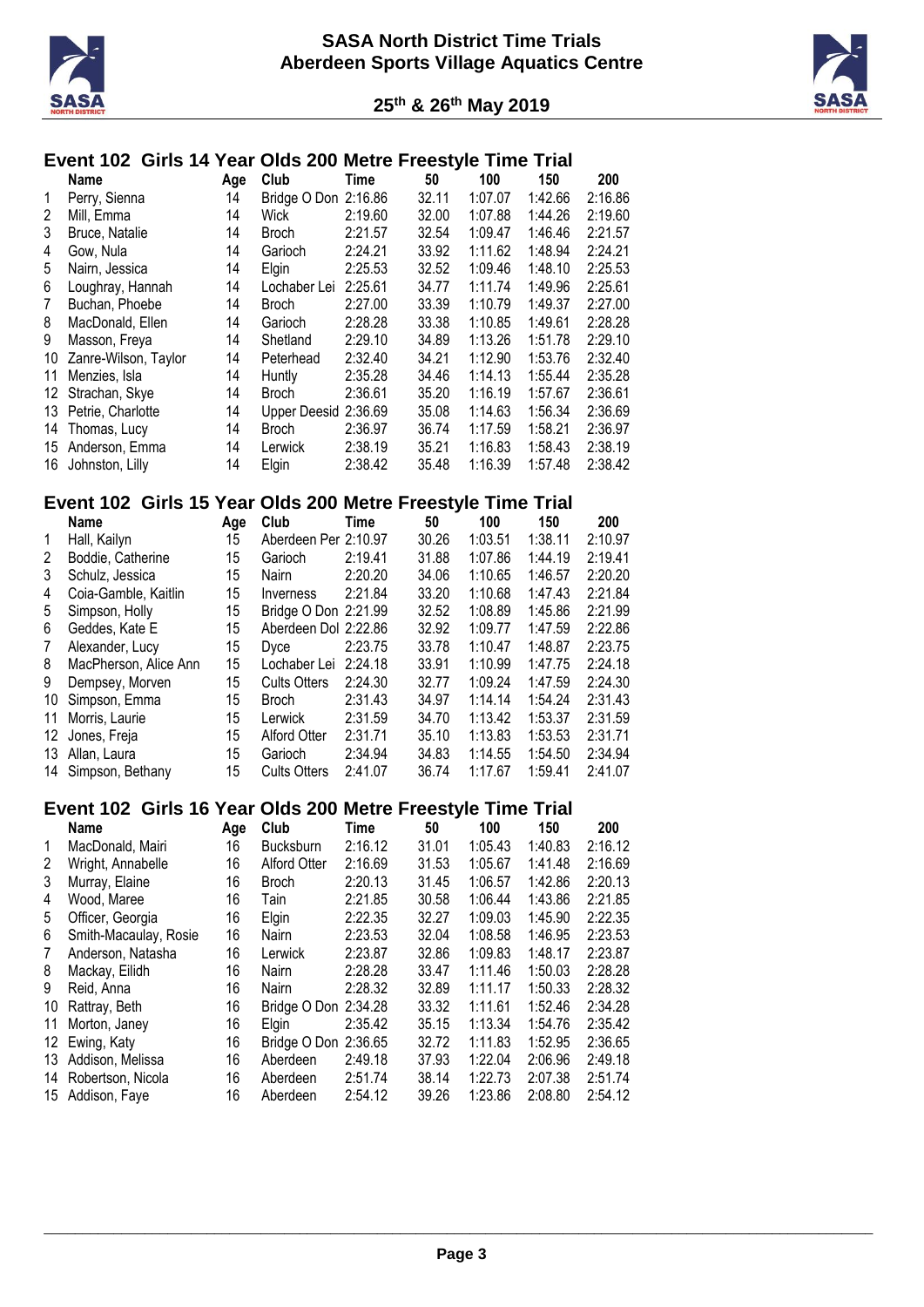



# **Event 102 Girls 14 Year Olds 200 Metre Freestyle Time Trial**

|    | <b>Name</b>          | Age | Club                 | Time    | 50    | 100     | 150     | 200     |
|----|----------------------|-----|----------------------|---------|-------|---------|---------|---------|
| 1  | Perry, Sienna        | 14  | Bridge O Don 2:16.86 |         | 32.11 | 1:07.07 | 1:42.66 | 2:16.86 |
| 2  | Mill. Emma           | 14  | Wick                 | 2:19.60 | 32.00 | 1:07.88 | 1:44.26 | 2:19.60 |
| 3  | Bruce, Natalie       | 14  | Broch                | 2:21.57 | 32.54 | 1:09.47 | 1:46.46 | 2:21.57 |
| 4  | Gow, Nula            | 14  | Garioch              | 2:24.21 | 33.92 | 1:11.62 | 1:48.94 | 2:24.21 |
| 5  | Nairn, Jessica       | 14  | Elgin                | 2:25.53 | 32.52 | 1:09.46 | 1:48.10 | 2:25.53 |
| 6  | Loughray, Hannah     | 14  | Lochaber Lei         | 2:25.61 | 34.77 | 1:11.74 | 1:49.96 | 2:25.61 |
| 7  | Buchan, Phoebe       | 14  | <b>Broch</b>         | 2:27.00 | 33.39 | 1:10.79 | 1:49.37 | 2:27.00 |
| 8  | MacDonald, Ellen     | 14  | Garioch              | 2:28.28 | 33.38 | 1:10.85 | 1:49.61 | 2:28.28 |
| 9  | Masson, Freya        | 14  | Shetland             | 2:29.10 | 34.89 | 1:13.26 | 1:51.78 | 2:29.10 |
| 10 | Zanre-Wilson, Taylor | 14  | Peterhead            | 2:32.40 | 34.21 | 1:12.90 | 1:53.76 | 2:32.40 |
| 11 | Menzies, Isla        | 14  | Huntly               | 2:35.28 | 34.46 | 1:14.13 | 1:55.44 | 2:35.28 |
| 12 | Strachan, Skye       | 14  | Broch                | 2:36.61 | 35.20 | 1:16.19 | 1:57.67 | 2:36.61 |
| 13 | Petrie, Charlotte    | 14  | Upper Deesid 2:36.69 |         | 35.08 | 1:14.63 | 1:56.34 | 2:36.69 |
| 14 | Thomas, Lucy         | 14  | <b>Broch</b>         | 2:36.97 | 36.74 | 1:17.59 | 1:58.21 | 2:36.97 |
| 15 | Anderson, Emma       | 14  | Lerwick              | 2:38.19 | 35.21 | 1:16.83 | 1:58.43 | 2:38.19 |
| 16 | Johnston, Lilly      | 14  | Elgin                | 2:38.42 | 35.48 | 1:16.39 | 1:57.48 | 2:38.42 |

#### **Event 102 Girls 15 Year Olds 200 Metre Freestyle Time Trial**

|                | Name                  | Age | Club                    | Time    | 50    | 100     | 150     | 200     |
|----------------|-----------------------|-----|-------------------------|---------|-------|---------|---------|---------|
| 1              | Hall, Kailyn          | 15  | Aberdeen Per 2:10.97    |         | 30.26 | 1:03.51 | 1:38.11 | 2:10.97 |
| 2              | Boddie, Catherine     | 15  | Garioch                 | 2:19.41 | 31.88 | 1:07.86 | 1:44.19 | 2:19.41 |
| 3              | Schulz, Jessica       | 15  | <b>Nairn</b>            | 2:20.20 | 34.06 | 1:10.65 | 1:46.57 | 2:20.20 |
| 4              | Coia-Gamble, Kaitlin  | 15  | <i><b>Inverness</b></i> | 2:21.84 | 33.20 | 1:10.68 | 1:47.43 | 2:21.84 |
| 5              | Simpson, Holly        | 15  | Bridge O Don 2:21.99    |         | 32.52 | 1:08.89 | 1:45.86 | 2:21.99 |
| 6              | Geddes, Kate E        | 15  | Aberdeen Dol 2:22.86    |         | 32.92 | 1:09.77 | 1:47.59 | 2:22.86 |
| $\overline{7}$ | Alexander, Lucy       | 15  | <b>D</b> vce            | 2:23.75 | 33.78 | 1:10.47 | 1:48.87 | 2:23.75 |
| 8              | MacPherson, Alice Ann | 15  | Lochaber Lei            | 2:24.18 | 33.91 | 1:10.99 | 1:47.75 | 2:24.18 |
| 9              | Dempsey, Morven       | 15  | <b>Cults Otters</b>     | 2:24.30 | 32.77 | 1:09.24 | 1:47.59 | 2:24.30 |
| 10             | Simpson, Emma         | 15  | <b>Broch</b>            | 2:31.43 | 34.97 | 1:14.14 | 1:54.24 | 2:31.43 |
| 11             | Morris, Laurie        | 15  | Lerwick                 | 2:31.59 | 34.70 | 1:13.42 | 1:53.37 | 2:31.59 |
| 12             | Jones, Freja          | 15  | Alford Otter            | 2:31.71 | 35.10 | 1:13.83 | 1:53.53 | 2:31.71 |
| 13             | Allan, Laura          | 15  | Garioch                 | 2:34.94 | 34.83 | 1:14.55 | 1:54.50 | 2:34.94 |
| 14             | Simpson, Bethany      | 15  | <b>Cults Otters</b>     | 2:41.07 | 36.74 | 1:17.67 | 1:59.41 | 2:41.07 |

### **Event 102 Girls 16 Year Olds 200 Metre Freestyle Time Trial**

|    | <b>Name</b>           | Age | Club                | Time    | 50    | 100     | 150     | 200     |
|----|-----------------------|-----|---------------------|---------|-------|---------|---------|---------|
| 1  | MacDonald, Mairi      | 16  | <b>Bucksburn</b>    | 2:16.12 | 31.01 | 1:05.43 | 1:40.83 | 2:16.12 |
| 2  | Wright, Annabelle     | 16  | <b>Alford Otter</b> | 2:16.69 | 31.53 | 1:05.67 | 1:41.48 | 2:16.69 |
| 3  | Murray, Elaine        | 16  | <b>Broch</b>        | 2:20.13 | 31.45 | 1:06.57 | 1:42.86 | 2:20.13 |
| 4  | Wood, Maree           | 16  | Tain                | 2:21.85 | 30.58 | 1:06.44 | 1:43.86 | 2:21.85 |
| 5  | Officer, Georgia      | 16  | Elgin               | 2:22.35 | 32.27 | 1:09.03 | 1:45.90 | 2:22.35 |
| 6  | Smith-Macaulay, Rosie | 16  | Nairn               | 2:23.53 | 32.04 | 1:08.58 | 1:46.95 | 2:23.53 |
| 7  | Anderson, Natasha     | 16  | Lerwick             | 2:23.87 | 32.86 | 1:09.83 | 1:48.17 | 2:23.87 |
| 8  | Mackay, Eilidh        | 16  | Nairn               | 2:28.28 | 33.47 | 1:11.46 | 1:50.03 | 2:28.28 |
| 9  | Reid, Anna            | 16  | Nairn               | 2:28.32 | 32.89 | 1:11.17 | 1:50.33 | 2:28.32 |
| 10 | Rattray, Beth         | 16  | Bridge O Don        | 2:34.28 | 33.32 | 1:11.61 | 1:52.46 | 2:34.28 |
| 11 | Morton, Janey         | 16  | Elgin               | 2:35.42 | 35.15 | 1:13.34 | 1:54.76 | 2:35.42 |
| 12 | Ewing, Katy           | 16  | Bridge O Don        | 2:36.65 | 32.72 | 1:11.83 | 1:52.95 | 2:36.65 |
| 13 | Addison, Melissa      | 16  | Aberdeen            | 2:49.18 | 37.93 | 1:22.04 | 2:06.96 | 2:49.18 |
| 14 | Robertson, Nicola     | 16  | Aberdeen            | 2:51.74 | 38.14 | 1:22.73 | 2:07.38 | 2:51.74 |
| 15 | Addison, Faye         | 16  | Aberdeen            | 2:54.12 | 39.26 | 1:23.86 | 2:08.80 | 2:54.12 |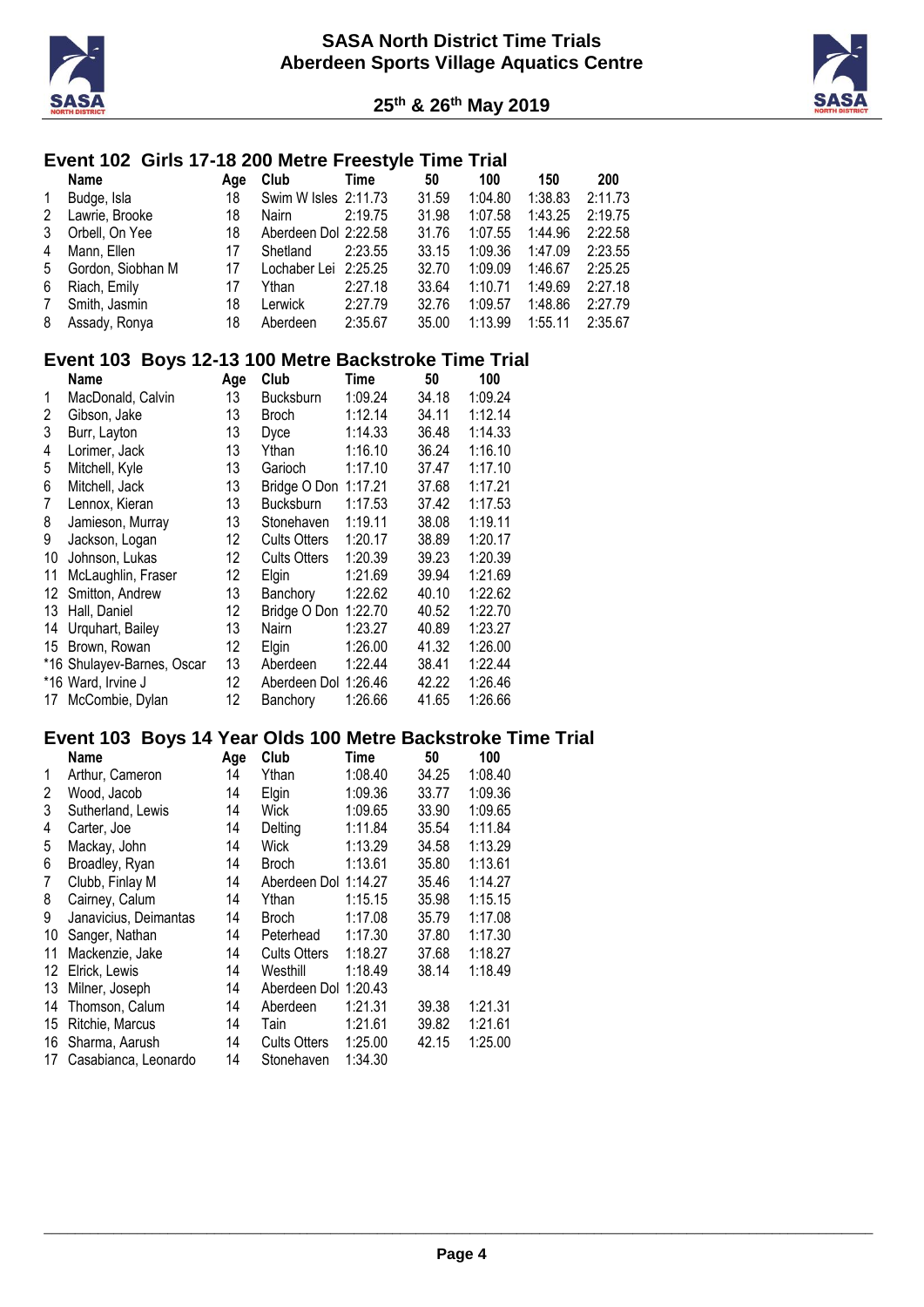



#### **Event 102 Girls 17-18 200 Metre Freestyle Time Trial**

|                | Name              | Age | <b>Club</b>          | Time    | 50    | 100     | 150     | 200     |
|----------------|-------------------|-----|----------------------|---------|-------|---------|---------|---------|
| $\mathbf{1}$   | Budge, Isla       | 18  | Swim W Isles 2:11.73 |         | 31.59 | 1:04.80 | 1:38.83 | 2:11.73 |
| 2              | Lawrie, Brooke    | 18  | Nairn                | 2:19.75 | 31.98 | 1:07.58 | 1:43.25 | 2:19.75 |
| 3              | Orbell, On Yee    | 18  | Aberdeen Dol 2:22.58 |         | 31.76 | 1:07.55 | 1:44.96 | 2:22.58 |
| 4              | Mann, Ellen       | 17  | Shetland             | 2:23.55 | 33.15 | 1:09.36 | 1:47.09 | 2:23.55 |
| 5              | Gordon, Siobhan M | 17  | Lochaber Lei 2:25.25 |         | 32.70 | 1:09.09 | 1:46.67 | 2:25.25 |
| 6              | Riach, Emily      | 17  | Ythan                | 2:27.18 | 33.64 | 1:10.71 | 1:49.69 | 2:27.18 |
| $7\phantom{0}$ | Smith, Jasmin     | 18  | Lerwick              | 2:27.79 | 32.76 | 1:09.57 | 1:48.86 | 2:27.79 |
|                | 8 Assady, Ronya   | 18  | Aberdeen             | 2:35.67 | 35.00 | 1:13.99 | 1:55.11 | 2:35.67 |

#### **Event 103 Boys 12-13 100 Metre Backstroke Time Trial**

|    | <b>Name</b>                | Age | Club                | Time    | 50    | 100     |
|----|----------------------------|-----|---------------------|---------|-------|---------|
| 1  | MacDonald, Calvin          | 13  | <b>Bucksburn</b>    | 1:09.24 | 34.18 | 1:09.24 |
| 2  | Gibson, Jake               | 13  | <b>Broch</b>        | 1:12.14 | 34.11 | 1:12.14 |
| 3  | Burr, Layton               | 13  | Dyce                | 1:14.33 | 36.48 | 1:14.33 |
| 4  | Lorimer, Jack              | 13  | Ythan               | 1:16.10 | 36.24 | 1:16.10 |
| 5  | Mitchell, Kyle             | 13  | Garioch             | 1:17.10 | 37.47 | 1:17.10 |
| 6  | Mitchell, Jack             | 13  | Bridge O Don        | 1:17.21 | 37.68 | 1:17.21 |
| 7  | Lennox, Kieran             | 13  | <b>Bucksburn</b>    | 1:17.53 | 37.42 | 1:17.53 |
| 8  | Jamieson, Murray           | 13  | Stonehaven          | 1:19.11 | 38.08 | 1:19.11 |
| 9  | Jackson, Logan             | 12  | <b>Cults Otters</b> | 1:20.17 | 38.89 | 1:20.17 |
| 10 | Johnson, Lukas             | 12  | <b>Cults Otters</b> | 1:20.39 | 39.23 | 1:20.39 |
| 11 | McLaughlin, Fraser         | 12  | Elgin               | 1:21.69 | 39.94 | 1:21.69 |
| 12 | Smitton, Andrew            | 13  | Banchory            | 1:22.62 | 40.10 | 1:22.62 |
| 13 | Hall, Daniel               | 12  | Bridge O Don        | 1:22.70 | 40.52 | 1:22.70 |
| 14 | Urquhart, Bailey           | 13  | Nairn               | 1:23.27 | 40.89 | 1:23.27 |
| 15 | Brown, Rowan               | 12  | Elgin               | 1:26.00 | 41.32 | 1:26.00 |
|    | *16 Shulayev-Barnes, Oscar | 13  | Aberdeen            | 1:22.44 | 38.41 | 1:22.44 |
|    | *16 Ward, Irvine J         | 12  | Aberdeen Dol        | 1:26.46 | 42.22 | 1:26.46 |
| 17 | McCombie, Dylan            | 12  | Banchory            | 1:26.66 | 41.65 | 1:26.66 |

#### **Event 103 Boys 14 Year Olds 100 Metre Backstroke Time Trial**

|    | <b>Name</b>           | Age | Club                 | Time    | 50    | 100     |
|----|-----------------------|-----|----------------------|---------|-------|---------|
| 1  | Arthur, Cameron       | 14  | Ythan                | 1:08.40 | 34.25 | 1:08.40 |
| 2  | Wood, Jacob           | 14  | Elgin                | 1:09.36 | 33.77 | 1:09.36 |
| 3  | Sutherland, Lewis     | 14  | Wick                 | 1:09.65 | 33.90 | 1:09.65 |
| 4  | Carter, Joe           | 14  | Delting              | 1:11.84 | 35.54 | 1:11.84 |
| 5  | Mackay, John          | 14  | Wick                 | 1:13.29 | 34.58 | 1:13.29 |
| 6  | Broadley, Ryan        | 14  | <b>Broch</b>         | 1:13.61 | 35.80 | 1:13.61 |
| 7  | Clubb, Finlay M       | 14  | Aberdeen Dol 1:14.27 |         | 35.46 | 1:14.27 |
| 8  | Cairney, Calum        | 14  | Ythan                | 1:15.15 | 35.98 | 1:15.15 |
| 9  | Janavicius, Deimantas | 14  | <b>Broch</b>         | 1:17.08 | 35.79 | 1:17.08 |
| 10 | Sanger, Nathan        | 14  | Peterhead            | 1:17.30 | 37.80 | 1:17.30 |
| 11 | Mackenzie, Jake       | 14  | <b>Cults Otters</b>  | 1:18.27 | 37.68 | 1:18.27 |
| 12 | Elrick, Lewis         | 14  | Westhill             | 1:18.49 | 38.14 | 1:18.49 |
| 13 | Milner, Joseph        | 14  | Aberdeen Dol 1:20.43 |         |       |         |
| 14 | Thomson, Calum        | 14  | Aberdeen             | 1:21.31 | 39.38 | 1:21.31 |
| 15 | Ritchie, Marcus       | 14  | Tain                 | 1:21.61 | 39.82 | 1:21.61 |
| 16 | Sharma, Aarush        | 14  | <b>Cults Otters</b>  | 1:25.00 | 42.15 | 1:25.00 |
| 17 | Casabianca, Leonardo  | 14  | Stonehaven           | 1:34.30 |       |         |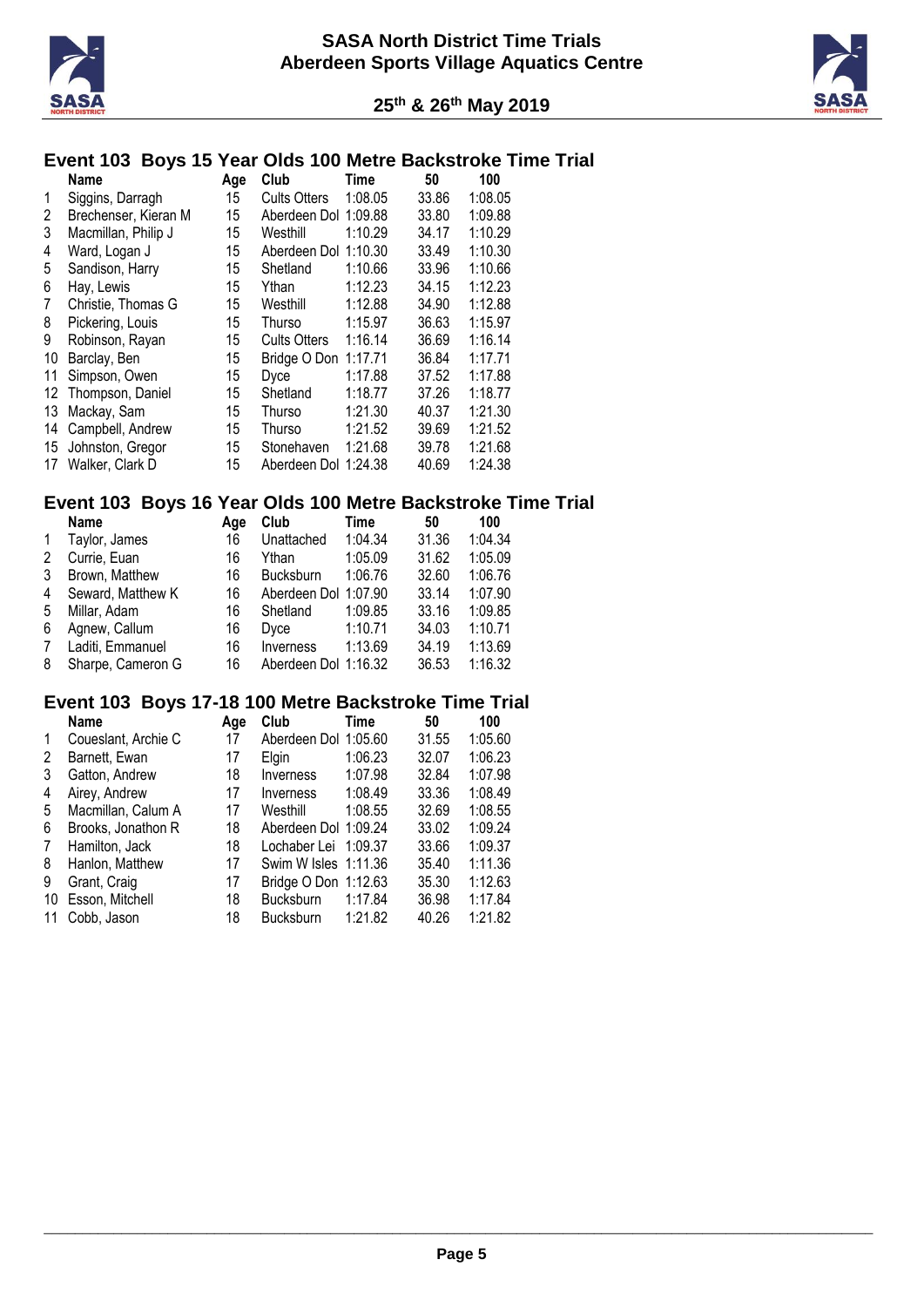



#### **Event 103 Boys 15 Year Olds 100 Metre Backstroke Time Trial**

|    | <b>Name</b>          | Age | Club                 | Time    | 50    | 100     |
|----|----------------------|-----|----------------------|---------|-------|---------|
| 1  | Siggins, Darragh     | 15  | <b>Cults Otters</b>  | 1:08.05 | 33.86 | 1:08.05 |
| 2  | Brechenser, Kieran M | 15  | Aberdeen Dol 1:09.88 |         | 33.80 | 1:09.88 |
| 3  | Macmillan, Philip J  | 15  | Westhill             | 1:10.29 | 34.17 | 1:10.29 |
| 4  | Ward, Logan J        | 15  | Aberdeen Dol 1:10.30 |         | 33.49 | 1:10.30 |
| 5  | Sandison, Harry      | 15  | Shetland             | 1:10.66 | 33.96 | 1:10.66 |
| 6  | Hay, Lewis           | 15  | Ythan                | 1:12.23 | 34.15 | 1:12.23 |
| 7  | Christie, Thomas G   | 15  | Westhill             | 1:12.88 | 34.90 | 1:12.88 |
| 8  | Pickering, Louis     | 15  | <b>Thurso</b>        | 1:15.97 | 36.63 | 1:15.97 |
| 9  | Robinson, Rayan      | 15  | <b>Cults Otters</b>  | 1:16.14 | 36.69 | 1:16.14 |
| 10 | Barclay, Ben         | 15  | Bridge O Don         | 1:17.71 | 36.84 | 1:17.71 |
| 11 | Simpson, Owen        | 15  | <b>Dyce</b>          | 1:17.88 | 37.52 | 1:17.88 |
| 12 | Thompson, Daniel     | 15  | Shetland             | 1:18.77 | 37.26 | 1:18.77 |
| 13 | Mackay, Sam          | 15  | <b>Thurso</b>        | 1:21.30 | 40.37 | 1:21.30 |
| 14 | Campbell, Andrew     | 15  | Thurso               | 1:21.52 | 39.69 | 1:21.52 |
| 15 | Johnston, Gregor     | 15  | Stonehaven           | 1:21.68 | 39.78 | 1:21.68 |
| 17 | Walker, Clark D      | 15  | Aberdeen Dol 1:24.38 |         | 40.69 | 1:24.38 |

# **Event 103 Boys 16 Year Olds 100 Metre Backstroke Time Trial**

|                | Name              | Age | Club                 | Time    | 50    | 100     |
|----------------|-------------------|-----|----------------------|---------|-------|---------|
| $\mathbf{1}$   | Taylor, James     | 16  | Unattached           | 1:04.34 | 31.36 | 1:04.34 |
| 2              | Currie, Euan      | 16  | Ythan                | 1:05.09 | 31.62 | 1:05.09 |
| 3              | Brown, Matthew    | 16  | <b>Bucksburn</b>     | 1:06.76 | 32.60 | 1:06.76 |
| 4              | Seward, Matthew K | 16  | Aberdeen Dol 1:07.90 |         | 33.14 | 1:07.90 |
| 5              | Millar, Adam      | 16  | Shetland             | 1:09.85 | 33.16 | 1:09.85 |
| 6              | Agnew, Callum     | 16  | Dyce                 | 1:10.71 | 34.03 | 1:10.71 |
| $\overline{7}$ | Laditi, Emmanuel  | 16  | <b>Inverness</b>     | 1:13.69 | 34.19 | 1:13.69 |
| 8              | Sharpe, Cameron G | 16  | Aberdeen Dol 1:16.32 |         | 36.53 | 1:16.32 |

# **Event 103 Boys 17-18 100 Metre Backstroke Time Trial**

| Name                | Age | Club             | Time    | 50                                                                                                                   | 100     |
|---------------------|-----|------------------|---------|----------------------------------------------------------------------------------------------------------------------|---------|
| Coueslant, Archie C | 17  |                  |         | 31.55                                                                                                                | 1:05.60 |
| Barnett, Ewan       | 17  | Elgin            | 1:06.23 | 32.07                                                                                                                | 1:06.23 |
| Gatton, Andrew      | 18  | Inverness        | 1:07.98 | 32.84                                                                                                                | 1:07.98 |
| Airey, Andrew       | 17  | <i>Inverness</i> | 1:08.49 | 33.36                                                                                                                | 1:08.49 |
| Macmillan, Calum A  | 17  | Westhill         | 1:08.55 | 32.69                                                                                                                | 1:08.55 |
| Brooks, Jonathon R  | 18  |                  |         | 33.02                                                                                                                | 1:09.24 |
| Hamilton, Jack      | 18  |                  |         | 33.66                                                                                                                | 1:09.37 |
| Hanlon, Matthew     | 17  |                  |         | 35.40                                                                                                                | 1:11.36 |
| Grant, Craig        | 17  |                  |         | 35.30                                                                                                                | 1:12.63 |
| Esson, Mitchell     | 18  | <b>Bucksburn</b> | 1:17.84 | 36.98                                                                                                                | 1:17.84 |
| Cobb, Jason         | 18  | <b>Bucksburn</b> | 1:21.82 | 40.26                                                                                                                | 1:21.82 |
|                     |     |                  |         | Aberdeen Dol 1:05.60<br>Aberdeen Dol 1:09.24<br>Lochaber Lei 1:09.37<br>Swim W Isles 1:11.36<br>Bridge O Don 1:12.63 |         |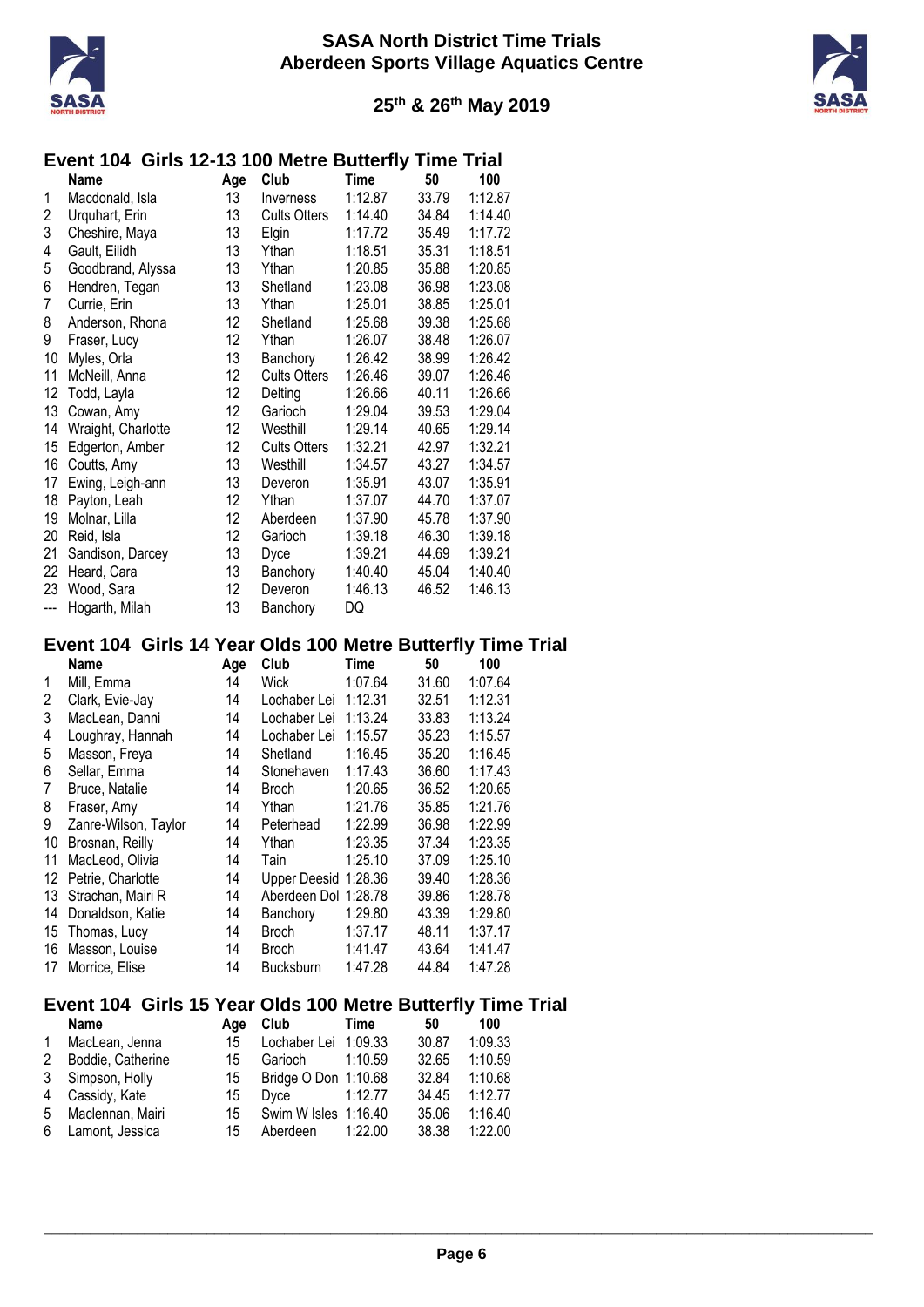



| Event 104 Girls 12-13 100 Metre Butterfly Time Trial |  |  |
|------------------------------------------------------|--|--|
|                                                      |  |  |

|                | Name               | Age | Club                | <b>Time</b> | 50    | 100     |
|----------------|--------------------|-----|---------------------|-------------|-------|---------|
| 1              | Macdonald, Isla    | 13  | Inverness           | 1:12.87     | 33.79 | 1:12.87 |
| $\overline{c}$ | Urquhart, Erin     | 13  | <b>Cults Otters</b> | 1:14.40     | 34.84 | 1:14.40 |
| 3              | Cheshire, Maya     | 13  | Elgin               | 1:17.72     | 35.49 | 1:17.72 |
| 4              | Gault, Eilidh      | 13  | Ythan               | 1:18.51     | 35.31 | 1:18.51 |
| 5              | Goodbrand, Alyssa  | 13  | Ythan               | 1:20.85     | 35.88 | 1:20.85 |
| 6              | Hendren, Tegan     | 13  | Shetland            | 1:23.08     | 36.98 | 1:23.08 |
| 7              | Currie, Erin       | 13  | Ythan               | 1:25.01     | 38.85 | 1:25.01 |
| 8              | Anderson, Rhona    | 12  | Shetland            | 1:25.68     | 39.38 | 1:25.68 |
| 9              | Fraser, Lucy       | 12  | Ythan               | 1:26.07     | 38.48 | 1:26.07 |
| 10             | Myles, Orla        | 13  | Banchory            | 1:26.42     | 38.99 | 1:26.42 |
| 11             | McNeill, Anna      | 12  | <b>Cults Otters</b> | 1:26.46     | 39.07 | 1:26.46 |
| 12             | Todd, Layla        | 12  | Delting             | 1:26.66     | 40.11 | 1:26.66 |
| 13             | Cowan, Amy         | 12  | Garioch             | 1:29.04     | 39.53 | 1:29.04 |
| 14             | Wraight, Charlotte | 12  | Westhill            | 1:29.14     | 40.65 | 1:29.14 |
| 15             | Edgerton, Amber    | 12  | <b>Cults Otters</b> | 1:32.21     | 42.97 | 1:32.21 |
| 16             | Coutts, Amy        | 13  | Westhill            | 1:34.57     | 43.27 | 1:34.57 |
| 17             | Ewing, Leigh-ann   | 13  | Deveron             | 1:35.91     | 43.07 | 1:35.91 |
| 18             | Payton, Leah       | 12  | Ythan               | 1:37.07     | 44.70 | 1:37.07 |
| 19             | Molnar, Lilla      | 12  | Aberdeen            | 1:37.90     | 45.78 | 1:37.90 |
| 20             | Reid, Isla         | 12  | Garioch             | 1:39.18     | 46.30 | 1:39.18 |
| 21             | Sandison, Darcey   | 13  | Dyce                | 1:39.21     | 44.69 | 1:39.21 |
| 22             | Heard, Cara        | 13  | Banchory            | 1:40.40     | 45.04 | 1:40.40 |
| 23             | Wood, Sara         | 12  | Deveron             | 1:46.13     | 46.52 | 1:46.13 |
| ---            | Hogarth, Milah     | 13  | Banchory            | DQ          |       |         |

# **Event 104 Girls 14 Year Olds 100 Metre Butterfly Time Trial**

|    | Name                 | Club<br>Age |                      | Time    | 50    | 100     |
|----|----------------------|-------------|----------------------|---------|-------|---------|
| 1  | Mill. Emma           | 14          | <b>Wick</b>          | 1:07.64 | 31.60 | 1:07.64 |
| 2  | Clark, Evie-Jay      | 14          | Lochaber Lei         | 1:12.31 | 32.51 | 1:12.31 |
| 3  | MacLean, Danni       | 14          | Lochaber Lei         | 1:13.24 | 33.83 | 1:13.24 |
| 4  | Loughray, Hannah     | 14          | Lochaber Lei         | 1:15.57 | 35.23 | 1:15.57 |
| 5  | Masson, Freya        | 14          | Shetland             | 1:16.45 | 35.20 | 1:16.45 |
| 6  | Sellar, Emma         | 14          | Stonehaven           | 1:17.43 | 36.60 | 1:17.43 |
| 7  | Bruce, Natalie       | 14          | <b>Broch</b>         | 1:20.65 | 36.52 | 1:20.65 |
| 8  | Fraser, Amy          | 14          | Ythan                | 1:21.76 | 35.85 | 1:21.76 |
| 9  | Zanre-Wilson, Taylor | 14          | Peterhead            | 1:22.99 | 36.98 | 1:22.99 |
| 10 | Brosnan, Reilly      | 14          | Ythan                | 1:23.35 | 37.34 | 1:23.35 |
| 11 | MacLeod, Olivia      | 14          | Tain                 | 1:25.10 | 37.09 | 1:25.10 |
| 12 | Petrie, Charlotte    | 14          | Upper Deesid 1:28.36 |         | 39.40 | 1:28.36 |
| 13 | Strachan, Mairi R    | 14          | Aberdeen Dol 1:28.78 |         | 39.86 | 1:28.78 |
| 14 | Donaldson, Katie     | 14          | Banchory             | 1:29.80 | 43.39 | 1:29.80 |
| 15 | Thomas, Lucy         | 14          | <b>Broch</b>         | 1:37.17 | 48.11 | 1:37.17 |
| 16 | Masson, Louise       | 14          | <b>Broch</b>         | 1:41.47 | 43.64 | 1:41.47 |
| 17 | Morrice, Elise       | 14          | <b>Bucksburn</b>     | 1:47.28 | 44.84 | 1:47.28 |

# **Event 104 Girls 15 Year Olds 100 Metre Butterfly Time Trial**

|   | <b>Name</b>        | Aae | Club                 | Time    | 50    | 100     |
|---|--------------------|-----|----------------------|---------|-------|---------|
| 1 | MacLean, Jenna     | 15  | Lochaber Lei 1:09.33 |         | 30.87 | 1:09.33 |
| 2 | Boddie, Catherine  | 15  | Garioch              | 1:10.59 | 32.65 | 1:10.59 |
|   | 3 Simpson, Holly   | 15  | Bridge O Don 1:10.68 |         | 32.84 | 1:10.68 |
|   | 4 Cassidy, Kate    | 15  | Dvce                 | 1:12.77 | 34.45 | 1:12.77 |
|   | 5 Maclennan, Mairi | 15  | Swim W Isles 1:16.40 |         | 35.06 | 1:16.40 |
|   | 6 Lamont, Jessica  | 15  | Aberdeen             | 1:22.00 | 38.38 | 1:22.00 |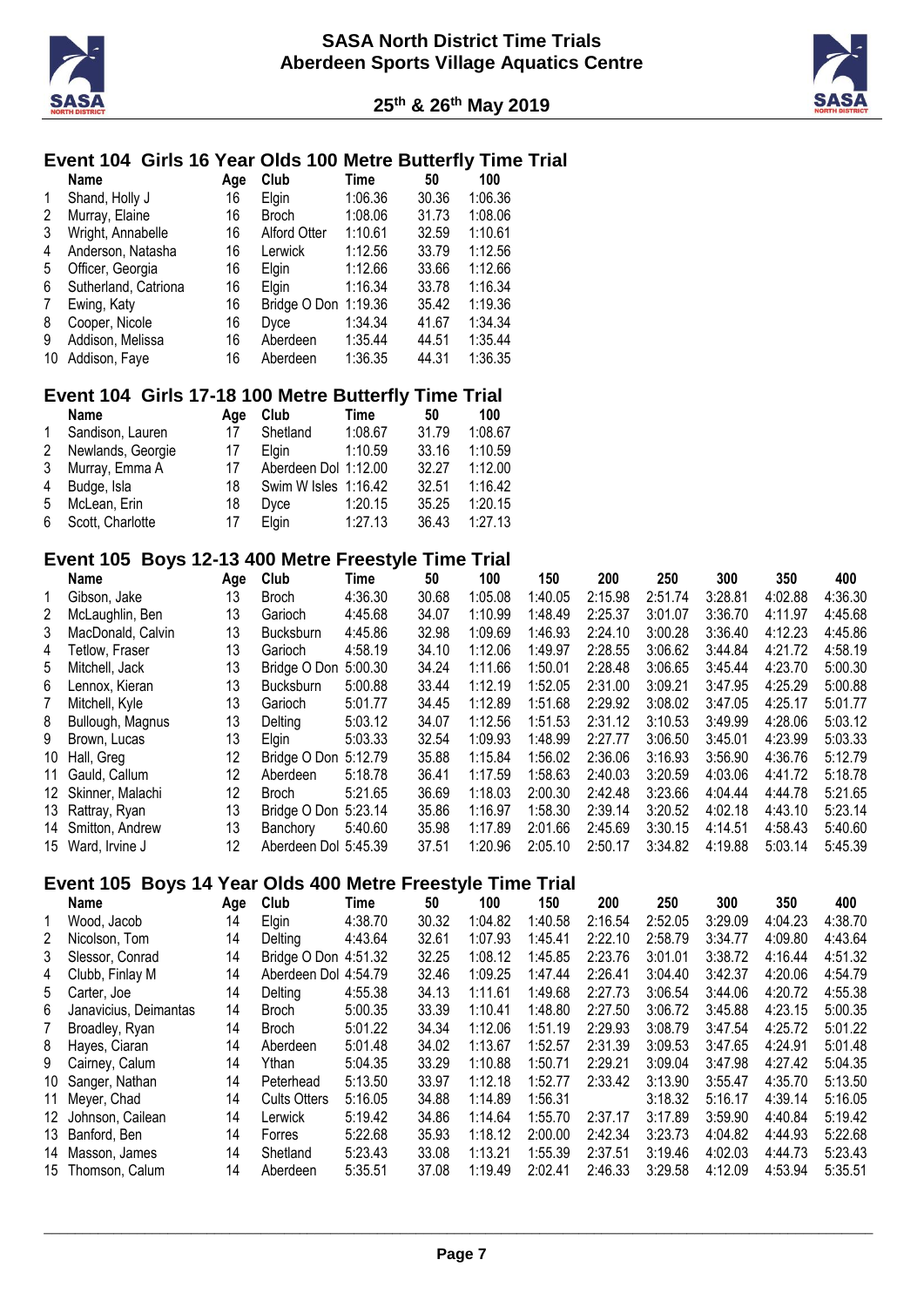



# **Event 104 Girls 16 Year Olds 100 Metre Butterfly Time Trial**

|    | Name                 | Age | Club                 | Time    | 50    | 100     |
|----|----------------------|-----|----------------------|---------|-------|---------|
| 1  | Shand, Holly J       | 16  | Elgin                | 1:06.36 | 30.36 | 1:06.36 |
| 2  | Murray, Elaine       | 16  | <b>Broch</b>         | 1:08.06 | 31.73 | 1:08.06 |
| 3  | Wright, Annabelle    | 16  | <b>Alford Otter</b>  | 1:10.61 | 32.59 | 1:10.61 |
| 4  | Anderson, Natasha    | 16  | Lerwick              | 1:12.56 | 33.79 | 1:12.56 |
| 5  | Officer, Georgia     | 16  | Elgin                | 1:12.66 | 33.66 | 1:12.66 |
| 6  | Sutherland, Catriona | 16  | Elgin                | 1:16.34 | 33.78 | 1:16.34 |
| 7  | Ewing, Katy          | 16  | Bridge O Don 1:19.36 |         | 35.42 | 1:19.36 |
| 8  | Cooper, Nicole       | 16  | <b>Dyce</b>          | 1:34.34 | 41.67 | 1:34.34 |
| 9  | Addison, Melissa     | 16  | Aberdeen             | 1:35.44 | 44.51 | 1:35.44 |
| 10 | Addison, Faye        | 16  | Aberdeen             | 1:36.35 | 44.31 | 1:36.35 |

# **Event 104 Girls 17-18 100 Metre Butterfly Time Trial**

|              | <b>Name</b>        | Aae | Club                 | Time    | 50    | 100     |
|--------------|--------------------|-----|----------------------|---------|-------|---------|
| $\mathbf{1}$ | Sandison, Lauren   | 17  | Shetland             | 1:08.67 | 31.79 | 1:08.67 |
| 2            | Newlands, Georgie  | 17  | Elain                | 1:10.59 | 33.16 | 1:10.59 |
|              | 3 Murray, Emma A   | 17  | Aberdeen Dol 1:12.00 |         | 32.27 | 1:12.00 |
|              | 4 Budge, Isla      | 18  | Swim W Isles 1:16.42 |         | 32.51 | 1:16.42 |
| 5            | McLean, Erin       | 18  | Dvce                 | 1:20.15 | 35.25 | 1:20.15 |
|              | 6 Scott, Charlotte | 17  | Elain                | 1:27.13 | 36.43 | 1:27.13 |

#### **Event 105 Boys 12-13 400 Metre Freestyle Time Trial**

|   | Name                | Age | Club                 | Time    | 50    | 100     | 150     | 200     | 250     | 300     | 350     | 400     |
|---|---------------------|-----|----------------------|---------|-------|---------|---------|---------|---------|---------|---------|---------|
|   | Gibson, Jake        | 13  | <b>Broch</b>         | 4:36.30 | 30.68 | 1:05.08 | 1:40.05 | 2:15.98 | 2:51.74 | 3:28.81 | 4:02.88 | 4:36.30 |
| 2 | McLaughlin, Ben     | 13  | Garioch              | 4:45.68 | 34.07 | 1:10.99 | 1:48.49 | 2:25.37 | 3:01.07 | 3:36.70 | 4:11.97 | 4:45.68 |
| 3 | MacDonald, Calvin   | 13  | <b>Bucksburn</b>     | 4:45.86 | 32.98 | 1:09.69 | 1:46.93 | 2:24.10 | 3:00.28 | 3:36.40 | 4:12.23 | 4:45.86 |
| 4 | Tetlow. Fraser      | 13  | Garioch              | 4:58.19 | 34.10 | 1:12.06 | 1:49.97 | 2:28.55 | 3:06.62 | 3:44.84 | 4:21.72 | 4:58.19 |
| 5 | Mitchell, Jack      | 13  | Bridge O Don         | 5:00.30 | 34.24 | 1:11.66 | 1:50.01 | 2:28.48 | 3:06.65 | 3:45.44 | 4:23.70 | 5:00.30 |
| 6 | Lennox. Kieran      | 13  | <b>Bucksburn</b>     | 5:00.88 | 33.44 | 1:12.19 | 1:52.05 | 2:31.00 | 3:09.21 | 3:47.95 | 4:25.29 | 5:00.88 |
| 7 | Mitchell, Kyle      | 13  | Garioch              | 5:01.77 | 34.45 | 1:12.89 | 1:51.68 | 2:29.92 | 3:08.02 | 3:47.05 | 4:25.17 | 5:01.77 |
| 8 | Bullough, Magnus    | 13  | Delting              | 5:03.12 | 34.07 | 1:12.56 | 1:51.53 | 2:31.12 | 3:10.53 | 3:49.99 | 4:28.06 | 5:03.12 |
| 9 | Brown, Lucas        | 13  | Elgin                | 5:03.33 | 32.54 | 1:09.93 | 1:48.99 | 2:27.77 | 3:06.50 | 3:45.01 | 4:23.99 | 5:03.33 |
|   | 10 Hall, Greg       | 12  | Bridge O Don         | 5:12.79 | 35.88 | 1:15.84 | 1:56.02 | 2:36.06 | 3:16.93 | 3:56.90 | 4:36.76 | 5:12.79 |
|   | 11 Gauld, Callum    | 12  | Aberdeen             | 5:18.78 | 36.41 | 1:17.59 | 1:58.63 | 2:40.03 | 3:20.59 | 4:03.06 | 4:41.72 | 5:18.78 |
|   | 12 Skinner, Malachi | 12  | <b>Broch</b>         | 5:21.65 | 36.69 | 1:18.03 | 2:00.30 | 2:42.48 | 3:23.66 | 4:04.44 | 4:44.78 | 5:21.65 |
|   | 13 Rattray, Ryan    | 13  | Bridge O Don         | 5:23.14 | 35.86 | 1:16.97 | 1:58.30 | 2:39.14 | 3:20.52 | 4:02.18 | 4:43.10 | 5:23.14 |
|   | 14 Smitton, Andrew  | 13  | Banchory             | 5:40.60 | 35.98 | 1:17.89 | 2:01.66 | 2:45.69 | 3:30.15 | 4:14.51 | 4:58.43 | 5:40.60 |
|   | 15 Ward, Irvine J   | 12  | Aberdeen Dol 5:45.39 |         | 37.51 | 1:20.96 | 2:05.10 | 2:50.17 | 3:34.82 | 4:19.88 | 5:03.14 | 5:45.39 |

# **Event 105 Boys 14 Year Olds 400 Metre Freestyle Time Trial**

|   | Name                  | Age | Club                 | Time    | 50    | 100     | 150     | 200     | 250     | 300     | 350     | 400     |
|---|-----------------------|-----|----------------------|---------|-------|---------|---------|---------|---------|---------|---------|---------|
|   | Wood, Jacob           | 14  | Elgin                | 4:38.70 | 30.32 | 1:04.82 | 1:40.58 | 2:16.54 | 2:52.05 | 3:29.09 | 4:04.23 | 4:38.70 |
| 2 | Nicolson, Tom         | 14  | Delting              | 4:43.64 | 32.61 | 1:07.93 | 1:45.41 | 2:22.10 | 2:58.79 | 3:34.77 | 4:09.80 | 4:43.64 |
| 3 | Slessor, Conrad       | 14  | Bridge O Don 4:51.32 |         | 32.25 | 1:08.12 | 1:45.85 | 2:23.76 | 3:01.01 | 3:38.72 | 4:16.44 | 4:51.32 |
| 4 | Clubb, Finlay M       | 14  | Aberdeen Dol 4:54.79 |         | 32.46 | 1:09.25 | 1:47.44 | 2:26.41 | 3:04.40 | 3:42.37 | 4:20.06 | 4:54.79 |
| 5 | Carter, Joe           | 14  | Delting              | 4:55.38 | 34.13 | 1:11.61 | 1:49.68 | 2:27.73 | 3:06.54 | 3:44.06 | 4:20.72 | 4:55.38 |
| 6 | Janavicius, Deimantas | 14  | Broch                | 5:00.35 | 33.39 | 1:10.41 | 1:48.80 | 2:27.50 | 3:06.72 | 3:45.88 | 4:23.15 | 5:00.35 |
| 7 | Broadley, Ryan        | 14  | <b>Broch</b>         | 5:01.22 | 34.34 | 1:12.06 | 1:51.19 | 2:29.93 | 3:08.79 | 3:47.54 | 4:25.72 | 5:01.22 |
| 8 | Hayes, Ciaran         | 14  | Aberdeen             | 5:01.48 | 34.02 | 1:13.67 | 1:52.57 | 2:31.39 | 3:09.53 | 3:47.65 | 4:24.91 | 5:01.48 |
| 9 | Cairney, Calum        | 14  | Ythan                | 5:04.35 | 33.29 | 1:10.88 | 1:50.71 | 2:29.21 | 3:09.04 | 3:47.98 | 4:27.42 | 5:04.35 |
|   | 10 Sanger, Nathan     | 14  | Peterhead            | 5:13.50 | 33.97 | 1:12.18 | 1:52.77 | 2:33.42 | 3:13.90 | 3:55.47 | 4:35.70 | 5:13.50 |
|   | 11 Meyer, Chad        | 14  | <b>Cults Otters</b>  | 5:16.05 | 34.88 | 1:14.89 | 1:56.31 |         | 3:18.32 | 5:16.17 | 4:39.14 | 5:16.05 |
|   | 12 Johnson, Cailean   | 14  | Lerwick              | 5:19.42 | 34.86 | 1:14.64 | 1:55.70 | 2:37.17 | 3:17.89 | 3:59.90 | 4:40.84 | 5:19.42 |
|   | 13 Banford, Ben       | 14  | Forres               | 5:22.68 | 35.93 | 1:18.12 | 2:00.00 | 2:42.34 | 3:23.73 | 4:04.82 | 4:44.93 | 5:22.68 |
|   | 14 Masson, James      | 14  | Shetland             | 5:23.43 | 33.08 | 1:13.21 | 1:55.39 | 2:37.51 | 3:19.46 | 4:02.03 | 4:44.73 | 5:23.43 |
|   | 15 Thomson, Calum     | 14  | Aberdeen             | 5:35.51 | 37.08 | 1:19.49 | 2:02.41 | 2:46.33 | 3:29.58 | 4:12.09 | 4:53.94 | 5:35.51 |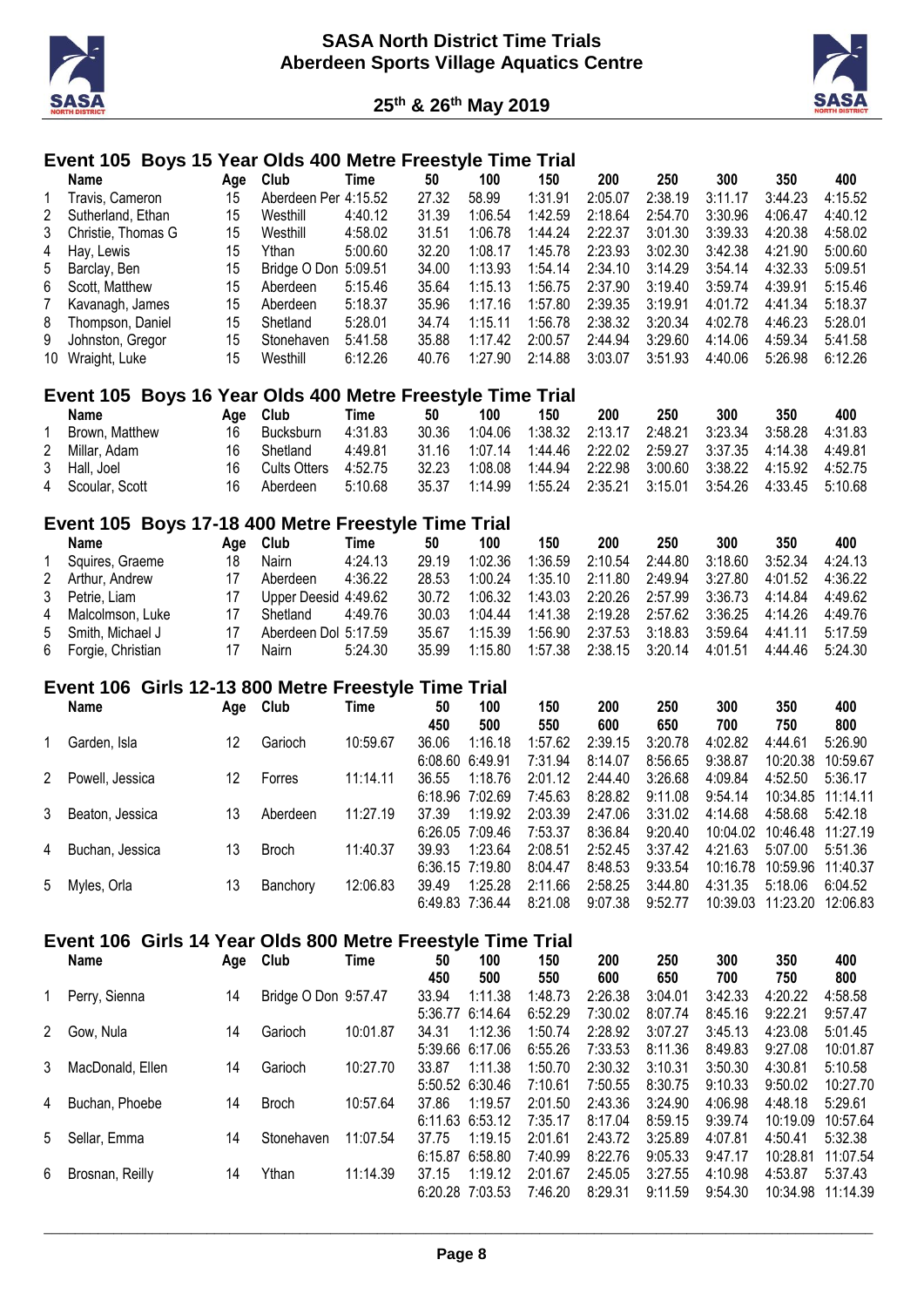



#### **Event 105 Boys 15 Year Olds 400 Metre Freestyle Time Trial**

|           | Name                 | Aae | Club                 | Time    | 50    | 100     | 150     | 200     | 250     | 300     | 350     | 400     |
|-----------|----------------------|-----|----------------------|---------|-------|---------|---------|---------|---------|---------|---------|---------|
| $1 \quad$ | Travis. Cameron      | 15  | Aberdeen Per 4:15.52 |         | 27.32 | 58.99   | 1:31.91 | 2:05.07 | 2:38.19 | 3:11.17 | 3:44.23 | 4:15.52 |
|           | 2 Sutherland, Ethan  | 15  | Westhill             | 4:40.12 | 31.39 | 1:06.54 | 1:42.59 | 2:18.64 | 2:54.70 | 3:30.96 | 4:06.47 | 4:40.12 |
|           | 3 Christie, Thomas G | 15  | Westhill             | 4:58.02 | 31.51 | 1:06.78 | 1:44.24 | 2:22.37 | 3:01.30 | 3:39.33 | 4:20.38 | 4:58.02 |
|           | 4 Hay, Lewis         | 15  | Ythan                | 5:00.60 | 32.20 | 1:08.17 | 1:45.78 | 2:23.93 | 3:02.30 | 3:42.38 | 4:21.90 | 5:00.60 |
|           | 5 Barclay, Ben       | 15  | Bridge O Don 5:09.51 |         | 34.00 | 1:13.93 | 1:54.14 | 2:34.10 | 3:14.29 | 3:54.14 | 4:32.33 | 5:09.51 |
|           | 6 Scott, Matthew     | 15  | Aberdeen             | 5:15.46 | 35.64 | 1:15.13 | 1:56.75 | 2:37.90 | 3:19.40 | 3:59.74 | 4:39.91 | 5:15.46 |
|           | 7 Kavanagh, James    | 15  | Aberdeen             | 5:18.37 | 35.96 | 1:17.16 | 1:57.80 | 2:39.35 | 3:19.91 | 4:01.72 | 4:41.34 | 5:18.37 |
|           | 8 Thompson, Daniel   | 15  | Shetland             | 5:28.01 | 34.74 | 1.1511  | 1:56.78 | 2:38.32 | 3:20.34 | 4:02.78 | 4:46.23 | 5:28.01 |
| 9         | Johnston, Gregor     | 15  | Stonehaven           | 5:41.58 | 35.88 | 1:17.42 | 2:00.57 | 2:44.94 | 3:29.60 | 4:14.06 | 4:59.34 | 5:41.58 |
|           | 10 Wraight, Luke     | 15  | Westhill             | 6:12.26 | 40.76 | 1:27.90 | 2:14.88 | 3:03.07 | 3:51.93 | 4:40.06 | 5:26.98 | 6:12.26 |

#### **Event 105 Boys 16 Year Olds 400 Metre Freestyle Time Trial**

| Name             | Aae | Club         | Time    | 50    | 100     | 150     | 200                       | 250 | 300 | 350                                                           | 400     |
|------------------|-----|--------------|---------|-------|---------|---------|---------------------------|-----|-----|---------------------------------------------------------------|---------|
| Brown, Matthew   | 16  | Bucksburn    | 4:31.83 | 30.36 | 1:04.06 | 1:38.32 | 2:13.17  2:48.21  3:23.34 |     |     | 3:58.28                                                       | 4:31.83 |
| 2 Millar, Adam   | 16  | Shetland     | 4:49.81 |       |         |         |                           |     |     | 31.16 1:07.14 1:44.46 2:22.02 2:59.27 3:37.35 4:14.38 4:49.81 |         |
| 3 Hall, Joel     | 16. | Cults Otters | 4:52.75 | 32.23 | 1:08.08 |         |                           |     |     | 1:44.94  2:22.98  3:00.60  3:38.22  4:15.92  4:52.75          |         |
| 4 Scoular, Scott |     | Aberdeen     | 5:10.68 | 35.37 | 1:14.99 | 1:55.24 |                           |     |     | 2:35.21  3:15.01  3:54.26  4:33.45  5:10.68                   |         |

#### **Event 105 Boys 17-18 400 Metre Freestyle Time Trial**

| Name                | Aae | Club     | Time    | 50                                           |         |         |         |         |                                                          |                                                            |         |
|---------------------|-----|----------|---------|----------------------------------------------|---------|---------|---------|---------|----------------------------------------------------------|------------------------------------------------------------|---------|
|                     |     |          |         |                                              | 100     | 150     | 200     | 250     | 300                                                      | 350                                                        | 400     |
| Squires, Graeme     | 18  | Nairn    | 4:24.13 | 29 19                                        | 1:02.36 | 1:36.59 | 2:10.54 | 2:44.80 | 3:18.60                                                  | 3:52.34                                                    | 4:24.13 |
| 2 Arthur, Andrew    |     | Aberdeen | 4:36.22 | 28.53                                        | 1:00.24 | 1:35.10 | 2:11.80 |         |                                                          | 4:01.52                                                    | 4:36.22 |
| 3 Petrie, Liam      |     |          |         | 30.72                                        | 1:06.32 | 1:43.03 |         |         |                                                          | 4:14.84                                                    | 4:49.62 |
| 4 Malcolmson, Luke  |     | Shetland | 4:49.76 | 30.03                                        | 1:04.44 | 1:41.38 |         |         |                                                          |                                                            | 4:49.76 |
| 5 Smith. Michael J  |     |          |         | 35.67                                        | 1:15.39 | 1:56.90 | 2:37.53 |         |                                                          | 4:41.11                                                    | 5:17.59 |
| 6 Forgie, Christian |     | Nairn    | 5:24.30 | 35.99                                        | 1.15.80 | 1:57.38 |         |         | 4:01.51                                                  | 4:44.46                                                    | 5:24.30 |
|                     |     |          |         | Upper Deesid 4:49.62<br>Aberdeen Dol 5:17.59 |         |         |         |         | 2:49.94<br>2:20.26 2:57.99<br>3:18.83<br>2:38.15 3:20.14 | 3:27.80<br>3:36.73<br>2:19.28  2:57.62  3:36.25<br>3:59.64 | 4:14.26 |

#### **Event 106 Girls 12-13 800 Metre Freestyle Time Trial**

|   | <b>Name</b>     | Age | Club         | Time     | 50<br>450           | 100<br>500 | 150<br>550 | 200<br>600 | 250<br>650 | 300<br>700 | 350<br>750        | 400<br>800 |
|---|-----------------|-----|--------------|----------|---------------------|------------|------------|------------|------------|------------|-------------------|------------|
|   | Garden, Isla    | 12  | Garioch      | 10:59.67 | 36.06               | 1:16.18    | 1:57.62    | 2:39.15    | 3:20.78    | 4:02.82    | 4:44.61           | 5:26.90    |
|   |                 |     |              |          | 6:08.60             | 6:49.91    | 7:31.94    | 8:14.07    | 8:56.65    | 9:38.87    | 10:20.38          | 10:59.67   |
| 2 | Powell, Jessica | 12  | Forres       | 11:14.11 | 36.55               | 1:18.76    | 2:01.12    | 2:44.40    | 3:26.68    | 4:09.84    | 4:52.50           | 5:36.17    |
|   |                 |     |              |          | $6:18.96$ $7:02.69$ |            | 7:45.63    | 8:28.82    | 9:11.08    | 9:54.14    | 10:34.85 11:14.11 |            |
| 3 | Beaton, Jessica | 13  | Aberdeen     | 11:27.19 | 37.39               | 1:19.92    | 2:03.39    | 2:47.06    | 3:31.02    | 4:14.68    | 4:58.68           | 5:42.18    |
|   |                 |     |              |          | $6:26.05$ 7:09.46   |            | 7:53.37    | 8:36.84    | 9:20.40    | 10:04.02   | 10:46.48          | 11:27.19   |
| 4 | Buchan, Jessica | 13  | <b>Broch</b> | 11:40.37 | 39.93               | 1:23.64    | 2:08.51    | 2:52.45    | 3:37.42    | 4:21.63    | 5:07.00           | 5:51.36    |
|   |                 |     |              |          | 6:36.15 7:19.80     |            | 8:04.47    | 8:48.53    | 9:33.54    | 10:16.78   | 10:59.96          | 11:40.37   |
|   | 5 Myles, Orla   | 13  | Banchory     | 12:06.83 | 39.49               | 1:25.28    | 2:11.66    | 2:58.25    | 3:44.80    | 4:31.35    | 5:18.06           | 6:04.52    |
|   |                 |     |              |          | 6:49.83 7:36.44     |            | 8:21.08    | 9:07.38    | 9:52.77    | 10:39.03   | 11:23.20          | 12:06.83   |

#### **Event 106 Girls 14 Year Olds 800 Metre Freestyle Time Trial**

|   | Name             | Age | Club                 | Time     | 50<br>450        | 100<br>500                   | 150<br>550         | 200<br>600         | 250<br>650         | 300<br>700         | 350<br>750          | 400<br>800          |
|---|------------------|-----|----------------------|----------|------------------|------------------------------|--------------------|--------------------|--------------------|--------------------|---------------------|---------------------|
|   | Perry, Sienna    | 14  | Bridge O Don 9:57.47 |          | 33.94<br>5:36.77 | 1:11.38<br>6:14.64           | 1:48.73<br>6:52.29 | 2:26.38<br>7:30.02 | 3:04.01<br>8:07.74 | 3:42.33<br>8:45.16 | 4:20.22<br>9:22.21  | 4:58.58<br>9:57.47  |
| 2 | Gow, Nula        | 14  | Garioch              | 10:01.87 | 34.31            | 1:12.36                      | 1:50.74            | 2:28.92            | 3:07.27            | 3:45.13            | 4:23.08             | 5:01.45             |
| 3 | MacDonald, Ellen | 14  | Garioch              | 10:27.70 | 33.87            | $5:39.66$ 6:17.06<br>1:11.38 | 6:55.26<br>1:50.70 | 7:33.53<br>2:30.32 | 8:11.36<br>3:10.31 | 8:49.83<br>3:50.30 | 9:27.08<br>4:30.81  | 10:01.87<br>5:10.58 |
| 4 | Buchan, Phoebe   | 14  | <b>Broch</b>         | 10:57.64 | 37.86            | 5:50.52 6:30.46<br>1:19.57   | 7:10.61<br>2:01.50 | 7:50.55<br>2:43.36 | 8:30.75<br>3:24.90 | 9:10.33<br>4:06.98 | 9:50.02<br>4:48.18  | 10:27.70<br>5:29.61 |
|   |                  |     |                      |          |                  | 6:11.63 6:53.12              | 7:35.17            | 8:17.04            | 8:59.15            | 9:39.74            | 10:19.09            | 10:57.64            |
| 5 | Sellar, Emma     | 14  | Stonehaven           | 11:07.54 | 37.75<br>6:15.87 | 1:19.15<br>6:58.80           | 2:01.61<br>7:40.99 | 2:43.72<br>8:22.76 | 3:25.89<br>9:05.33 | 4:07.81<br>9:47.17 | 4:50.41<br>10:28.81 | 5:32.38<br>11:07.54 |
| 6 | Brosnan, Reilly  | 14  | Ythan                | 11:14.39 | 37.15            | 1:19.12<br>6:20.28 7:03.53   | 2:01.67<br>7:46.20 | 2:45.05<br>8:29.31 | 3:27.55<br>9:11.59 | 4:10.98<br>9:54.30 | 4:53.87<br>10:34.98 | 5:37.43<br>11:14.39 |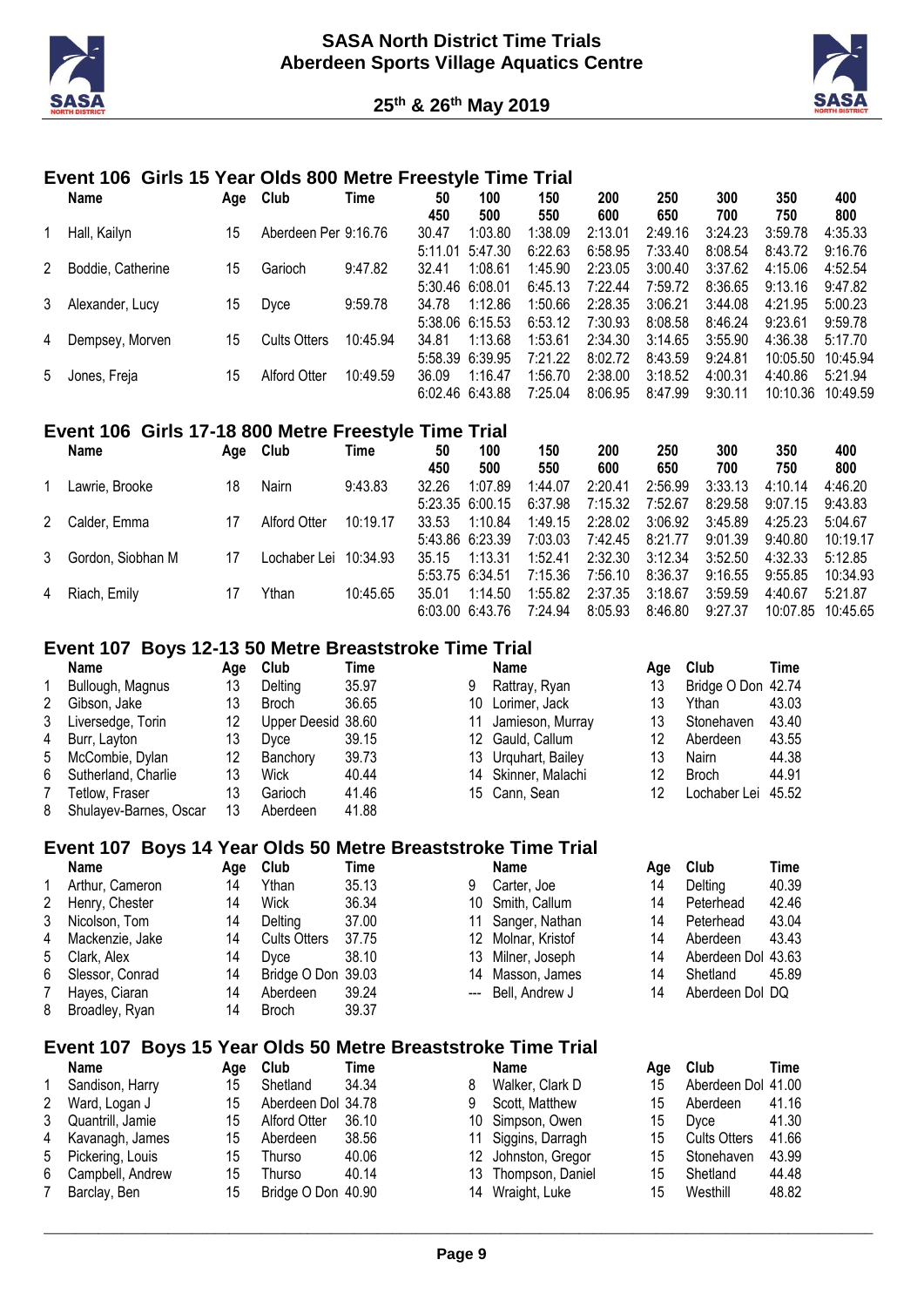



#### **Event 106 Girls 15 Year Olds 800 Metre Freestyle Time Trial**

|   | Name              | Age | Club                 | Time     | 50      | 100             | 150     | 200     | 250     | 300     | 350      | 400      |
|---|-------------------|-----|----------------------|----------|---------|-----------------|---------|---------|---------|---------|----------|----------|
|   |                   |     |                      |          | 450     | 500             | 550     | 600     | 650     | 700     | 750      | 800      |
|   | Hall, Kailyn      | 15  | Aberdeen Per 9:16.76 |          | 30.47   | 1:03.80         | 1:38.09 | 2:13.01 | 2:49.16 | 3:24.23 | 3:59.78  | 4:35.33  |
|   |                   |     |                      |          | 5:11.01 | 5:47.30         | 6:22.63 | 6:58.95 | 7:33.40 | 8:08.54 | 8:43.72  | 9:16.76  |
| 2 | Boddie, Catherine | 15  | Garioch              | 9:47.82  | 32.41   | 1:08.61         | 1:45.90 | 2:23.05 | 3:00.40 | 3:37.62 | 4:15.06  | 4:52.54  |
|   |                   |     |                      |          |         | 5:30.46 6:08.01 | 6:45.13 | 7:22.44 | 7:59.72 | 8:36.65 | 9:13.16  | 9:47.82  |
| 3 | Alexander, Lucy   | 15  | Dyce                 | 9:59.78  | 34.78   | 1:12.86         | 1:50.66 | 2:28.35 | 3:06.21 | 3:44.08 | 4:21.95  | 5:00.23  |
|   |                   |     |                      |          |         | 5:38.06 6:15.53 | 6:53.12 | 7:30.93 | 8:08.58 | 8:46.24 | 9:23.61  | 9:59.78  |
| 4 | Dempsey, Morven   | 15  | <b>Cults Otters</b>  | 10:45.94 | 34.81   | 1:13.68         | 1:53.61 | 2:34.30 | 3:14.65 | 3:55.90 | 4:36.38  | 5:17.70  |
|   |                   |     |                      |          |         | 5:58.39 6:39.95 | 7:21.22 | 8:02.72 | 8:43.59 | 9:24.81 | 10:05.50 | 10:45.94 |
| 5 | Jones, Freja      | 15  | Alford Otter         | 10:49.59 | 36.09   | 1:16.47         | 1:56.70 | 2:38.00 | 3:18.52 | 4:00.31 | 4:40.86  | 5:21.94  |
|   |                   |     |                      |          |         | 6:02.46 6:43.88 | 7:25.04 | 8:06.95 | 8:47.99 | 9:30.11 | 10:10.36 | 10:49.59 |

#### **Event 106 Girls 17-18 800 Metre Freestyle Time Trial**

| <b>Name</b>         | Aqe | Club                  | Time     | 50    | 100               | 150     | 200     | 250     | 300     | 350      | 400      |
|---------------------|-----|-----------------------|----------|-------|-------------------|---------|---------|---------|---------|----------|----------|
|                     |     |                       |          | 450   | 500               | 550     | 600     | 650     | 700     | 750      | 800      |
| Lawrie, Brooke      | 18  | Nairn                 | 9:43.83  | 32.26 | 1:07.89           | 1:44.07 | 2:20.41 | 2:56.99 | 3:33.13 | 4:10.14  | 4:46.20  |
|                     |     |                       |          |       | $5:23.35$ 6:00.15 | 6:37.98 | 7:15.32 | 7:52.67 | 8:29.58 | 9:07.15  | 9:43.83  |
| 2 Calder, Emma      | 17  | Alford Otter          | 10:19.17 | 33.53 | 1:10.84           | 1:49.15 | 2:28.02 | 3:06.92 | 3:45.89 | 4:25.23  | 5:04.67  |
|                     |     |                       |          |       | 5:43.86 6:23.39   | 7:03.03 | 7:42.45 | 8:21.77 | 9:01.39 | 9:40.80  | 10:19.17 |
| 3 Gordon, Siobhan M | 17  | Lochaber Lei 10:34.93 |          | 35.15 | 1:13.31           | 1:52.41 | 2:32.30 | 3:12.34 | 3:52.50 | 4:32.33  | 5:12.85  |
|                     |     |                       |          |       | 5:53.75 6:34.51   | 7:15.36 | 7:56.10 | 8:36.37 | 9:16.55 | 9:55.85  | 10:34.93 |
| 4 Riach, Emily      |     | Ythan                 | 10:45.65 | 35.01 | 1:14.50           | 1:55.82 | 2:37.35 | 3:18.67 | 3:59.59 | 4:40.67  | 5:21.87  |
|                     |     |                       |          |       | 6.03.00 6.43.76   | 7:24.94 | 8:05.93 | 8:46.80 | 9:27.37 | 10:07.85 | 10:45.65 |

#### **Event 107 Boys 12-13 50 Metre Breaststroke Time Trial**

|   | Name                   | Aqe | Club               | Time  |   | <b>Name</b>         | Aae | Club               | Time  |
|---|------------------------|-----|--------------------|-------|---|---------------------|-----|--------------------|-------|
| 1 | Bullough, Magnus       | 13  | Delting            | 35.97 | 9 | Rattray, Ryan       | 13  | Bridge O Don 42.74 |       |
| 2 | Gibson, Jake           | 13  | <b>Broch</b>       | 36.65 |   | 10 Lorimer, Jack    | 13  | Ythan              | 43.03 |
| 3 | Liversedge, Torin      | 12  | Upper Deesid 38.60 |       |   | 11 Jamieson, Murray | 13  | Stonehaven         | 43.40 |
| 4 | Burr, Layton           | 13  | Dvce               | 39.15 |   | 12 Gauld, Callum    | 12  | Aberdeen           | 43.55 |
|   | 5 McCombie, Dylan      | 12  | Banchory           | 39.73 |   | 13 Urguhart, Bailey | 13  | Nairn              | 44.38 |
| 6 | Sutherland, Charlie    | 13  | Wick               | 40.44 |   | 14 Skinner, Malachi | 12  | <b>Broch</b>       | 44.91 |
|   | Tetlow. Fraser         | 13  | Garioch            | 41.46 |   | 15 Cann. Sean       | 12  | Lochaber Lei 45.52 |       |
| 8 | Shulayev-Barnes, Oscar | 13  | Aberdeen           | 41.88 |   |                     |     |                    |       |

#### **Event 107 Boys 14 Year Olds 50 Metre Breaststroke Time Trial**

|              | <b>Name</b>     | Aqe | Club                | Time  |   | Name               | Aae | Club               | Time  |
|--------------|-----------------|-----|---------------------|-------|---|--------------------|-----|--------------------|-------|
| $\mathbf{1}$ | Arthur, Cameron | 14  | Ythan               | 35.13 | 9 | Carter, Joe        | 14  | Delting            | 40.39 |
| 2            | Henry, Chester  | 14  | Wick                | 36.34 |   | 10 Smith, Callum   | 14  | Peterhead          | 42.46 |
| 3            | Nicolson, Tom   | 14  | Deltina             | 37.00 |   | 11 Sanger, Nathan  | 14  | Peterhead          | 43.04 |
| 4            | Mackenzie, Jake | 14  | <b>Cults Otters</b> | 37.75 |   | 12 Molnar, Kristof | 14  | Aberdeen           | 43.43 |
| 5            | Clark, Alex     | 14  | Dvce                | 38.10 |   | 13 Milner, Joseph  | 14  | Aberdeen Dol 43.63 |       |
| 6            | Slessor, Conrad | 14  | Bridge O Don 39.03  |       |   | 14 Masson, James   | 14  | Shetland           | 45.89 |
|              | Hayes, Ciaran   | 14  | Aberdeen            | 39.24 |   | --- Bell. Andrew J | 14  | Aberdeen Dol DQ    |       |
| 8            | Broadley, Ryan  | 14  | <b>Broch</b>        | 39.37 |   |                    |     |                    |       |

#### **Event 107 Boys 15 Year Olds 50 Metre Breaststroke Time Trial**

|                      | <b>Name</b>       | Aae | Club               | Time  |   | Name                | Aae | Club                | Time  |
|----------------------|-------------------|-----|--------------------|-------|---|---------------------|-----|---------------------|-------|
|                      | Sandison, Harry   | 15  | Shetland           | 34.34 | 8 | Walker, Clark D     | 15  | Aberdeen Dol 41.00  |       |
| $\mathbf{2}^{\circ}$ | Ward, Logan J     | 15  | Aberdeen Dol 34.78 |       | 9 | Scott, Matthew      | 15  | Aberdeen            | 41.16 |
| 3                    | Quantrill, Jamie  | 15  | Alford Otter       | 36.10 |   | 10 Simpson, Owen    | 15  | Dyce                | 41.30 |
|                      | 4 Kavanagh, James | 15  | Aberdeen           | 38.56 |   | 11 Siggins, Darragh | 15  | <b>Cults Otters</b> | 41.66 |
| 5                    | Pickering, Louis  | 15  | Thurso             | 40.06 |   | 12 Johnston, Gregor | 15  | Stonehaven          | 43.99 |
| 6                    | Campbell, Andrew  | 15  | Thurso             | 40.14 |   | 13 Thompson, Daniel | 15  | Shetland            | 44.48 |
|                      | Barclay, Ben      | 15  | Bridge O Don 40.90 |       |   | 14 Wraight, Luke    | 15  | Westhill            | 48.82 |
|                      |                   |     |                    |       |   |                     |     |                     |       |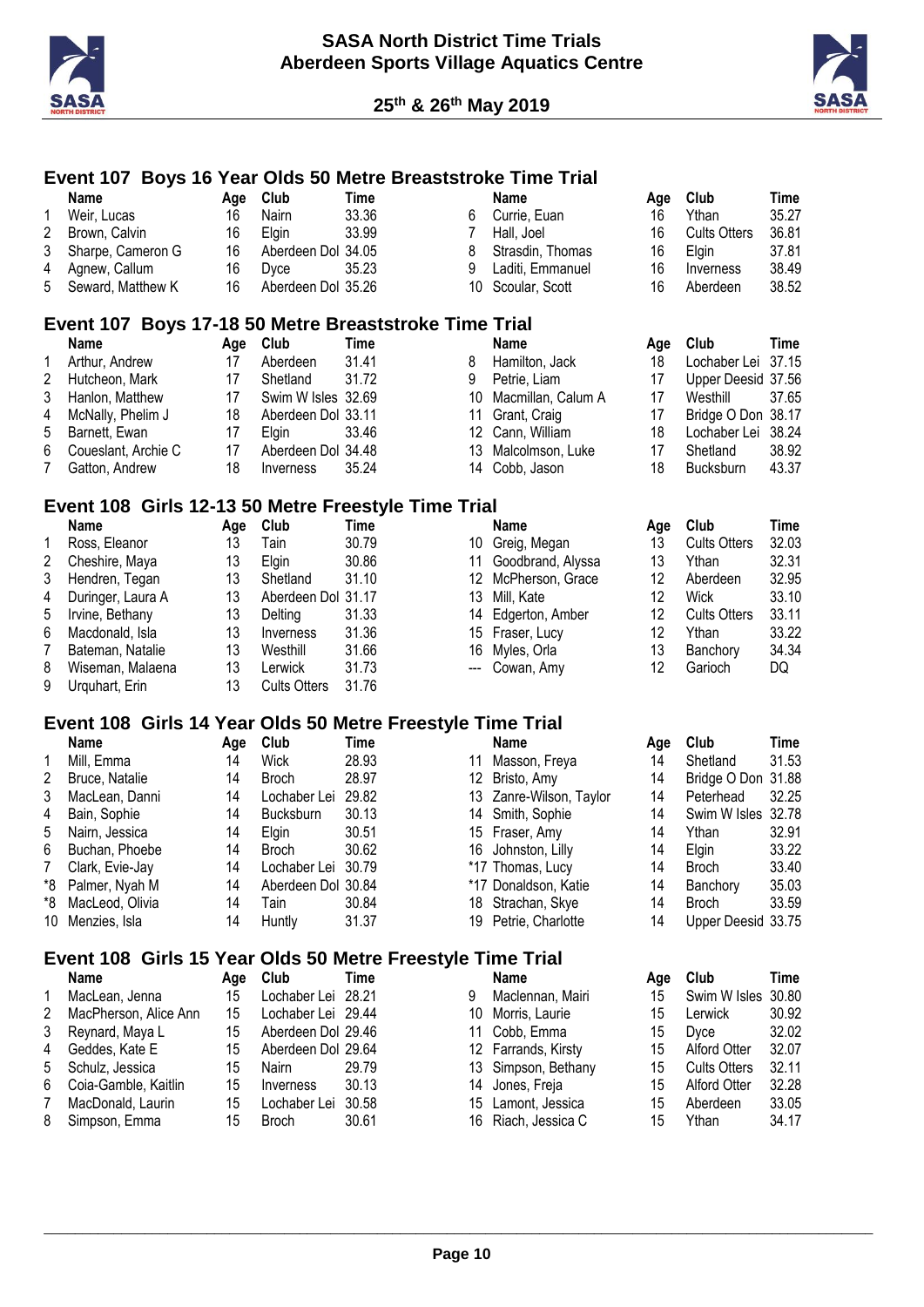



## **Event 107 Boys 16 Year Olds 50 Metre Breaststroke Time Trial**

|                         | <b>Name</b>                                                | Age | Club                | <b>Time</b> |                           | <b>Name</b>             | Age | Club                | <b>Time</b> |
|-------------------------|------------------------------------------------------------|-----|---------------------|-------------|---------------------------|-------------------------|-----|---------------------|-------------|
| 1                       | Weir, Lucas                                                | 16  | Nairn               | 33.36       | 6                         | Currie, Euan            | 16  | Ythan               | 35.27       |
| $\overline{\mathbf{c}}$ | Brown, Calvin                                              | 16  | Elgin               | 33.99       | 7                         | Hall, Joel              | 16  | <b>Cults Otters</b> | 36.81       |
| 3                       | Sharpe, Cameron G                                          | 16  | Aberdeen Dol 34.05  |             | 8                         | Strasdin, Thomas        | 16  | Elgin               | 37.81       |
| 4                       | Agnew, Callum                                              | 16  | Dyce                | 35.23       | 9                         | Laditi, Emmanuel        | 16  | Inverness           | 38.49       |
| 5                       | Seward, Matthew K                                          | 16  | Aberdeen Dol 35.26  |             | 10                        | Scoular, Scott          | 16  | Aberdeen            | 38.52       |
|                         | Event 107 Boys 17-18 50 Metre Breaststroke Time Trial      |     |                     |             |                           |                         |     |                     |             |
|                         | <b>Name</b>                                                | Age | Club                | <b>Time</b> |                           | <b>Name</b>             | Age | Club                | <b>Time</b> |
| 1                       | Arthur, Andrew                                             | 17  | Aberdeen            | 31.41       | 8                         | Hamilton, Jack          | 18  | Lochaber Lei        | 37.15       |
| $\overline{c}$          | Hutcheon, Mark                                             | 17  | Shetland            | 31.72       | 9                         | Petrie, Liam            | 17  | Upper Deesid 37.56  |             |
| 3                       | Hanlon, Matthew                                            | 17  | Swim W Isles 32.69  |             | 10                        | Macmillan, Calum A      | 17  | Westhill            | 37.65       |
| 4                       | McNally, Phelim J                                          | 18  | Aberdeen Dol 33.11  |             | 11                        | Grant, Craig            | 17  | Bridge O Don 38.17  |             |
| 5                       | Barnett, Ewan                                              | 17  | Elgin               | 33.46       | 12 <sup>°</sup>           | Cann, William           | 18  | Lochaber Lei        | 38.24       |
| 6                       | Coueslant, Archie C                                        | 17  | Aberdeen Dol 34.48  |             | 13                        | Malcolmson, Luke        | 17  | Shetland            | 38.92       |
| 7                       | Gatton, Andrew                                             | 18  | Inverness           | 35.24       | 14                        | Cobb, Jason             | 18  | Bucksburn           | 43.37       |
|                         | Event 108 Girls 12-13 50 Metre Freestyle Time Trial        |     |                     |             |                           |                         |     |                     |             |
|                         | <b>Name</b>                                                |     | Age Club            | Time        |                           | <b>Name</b>             | Age | Club                | Time        |
| 1                       | Ross, Eleanor                                              | 13  | Tain                | 30.79       |                           | 10 Greig, Megan         | 13  | <b>Cults Otters</b> | 32.03       |
| $\overline{\mathbf{c}}$ | Cheshire, Maya                                             | 13  | Elgin               | 30.86       |                           | 11 Goodbrand, Alyssa    | 13  | Ythan               | 32.31       |
| 3                       | Hendren, Tegan                                             | 13  | Shetland            | 31.10       |                           | 12 McPherson, Grace     | 12  | Aberdeen            | 32.95       |
| 4                       | Duringer, Laura A                                          | 13  | Aberdeen Dol 31.17  |             | 13                        | Mill, Kate              | 12  | Wick                | 33.10       |
| 5                       | Irvine, Bethany                                            | 13  | Delting             | 31.33       | 14                        | Edgerton, Amber         | 12  | <b>Cults Otters</b> | 33.11       |
| 6                       | Macdonald, Isla                                            | 13  | Inverness           | 31.36       |                           | 15 Fraser, Lucy         | 12  | Ythan               | 33.22       |
| $\overline{7}$          | Bateman, Natalie                                           | 13  | Westhill            | 31.66       | 16                        | Myles, Orla             | 13  | Banchory            | 34.34       |
| 8                       | Wiseman, Malaena                                           | 13  | Lerwick             | 31.73       | $\qquad \qquad -\qquad -$ | Cowan, Amy              | 12  | Garioch             | DQ          |
| 9                       | Urquhart, Erin                                             | 13  | <b>Cults Otters</b> | 31.76       |                           |                         |     |                     |             |
|                         | Event 108 Girls 14 Year Olds 50 Metre Freestyle Time Trial |     |                     |             |                           |                         |     |                     |             |
|                         | <b>Name</b>                                                | Age | Club                | Time        |                           | <b>Name</b>             | Age | Club                | <b>Time</b> |
| 1                       | Mill, Emma                                                 | 14  | <b>Wick</b>         | 28.93       | 11                        | Masson, Freya           | 14  | Shetland            | 31.53       |
| $\overline{2}$          | Bruce, Natalie                                             | 14  | <b>Broch</b>        | 28.97       | 12                        | Bristo, Amy             | 14  | Bridge O Don 31.88  |             |
| 3                       | MacLean, Danni                                             | 14  | Lochaber Lei 29.82  |             |                           | 13 Zanre-Wilson, Taylor | 14  | Peterhead           | 32.25       |
| 4                       | Bain, Sophie                                               | 14  | Bucksburn           | 30.13       | 14                        | Smith, Sophie           | 14  | Swim W Isles 32.78  |             |
| 5                       | Nairn, Jessica                                             | 14  | Elgin               | 30.51       |                           | 15 Fraser, Amy          | 14  | Ythan               | 32.91       |
| 6                       | Buchan, Phoebe                                             | 14  | <b>Broch</b>        | 30.62       |                           | 16 Johnston, Lilly      | 14  | Elgin               | 33.22       |
| 7                       | Clark, Evie-Jay                                            | 14  | Lochaber Lei 30.79  |             |                           | *17 Thomas, Lucy        | 14  | <b>Broch</b>        | 33.40       |
| *8                      | Palmer, Nyah M                                             | 14  | Aberdeen Dol 30.84  |             |                           | *17 Donaldson, Katie    | 14  | Banchory            | 35.03       |
| *8                      | MacLeod, Olivia                                            | 14  | Tain                | 30.84       |                           | 18 Strachan, Skye       | 14  | <b>Broch</b>        | 33.59       |
|                         | 10 Menzies, Isla                                           | 14  | Huntly              | 31.37       |                           | 19 Petrie, Charlotte    | 14  | Upper Deesid 33.75  |             |
|                         | Event 108 Girls 15 Year Olds 50 Metre Freestyle Time Trial |     |                     |             |                           |                         |     |                     |             |
|                         | <b>Name</b>                                                | Age | Club                | <b>Time</b> |                           | <b>Name</b>             | Age | Club                | Time        |
| 1                       | MacLean, Jenna                                             | 15  | Lochaber Lei 28.21  |             | 9                         | Maclennan, Mairi        | 15  | Swim W Isles        | 30.80       |
| $\overline{c}$          | MacPherson, Alice Ann                                      | 15  | Lochaber Lei 29.44  |             |                           | 10 Morris, Laurie       | 15  | Lerwick             | 30.92       |
| 3                       | Reynard, Maya L                                            | 15  | Aberdeen Dol 29.46  |             | 11                        | Cobb, Emma              | 15  | Dyce                | 32.02       |
| 4                       | Geddes, Kate E                                             | 15  | Aberdeen Dol 29.64  |             |                           | 12 Farrands, Kirsty     | 15  | <b>Alford Otter</b> | 32.07       |
| 5                       | Schulz, Jessica                                            | 15  | Nairn               | 29.79       |                           | 13 Simpson, Bethany     | 15  | <b>Cults Otters</b> | 32.11       |
| 6                       | Coia-Gamble, Kaitlin                                       | 15  | Inverness           | 30.13       | 14                        | Jones, Freja            | 15  | Alford Otter        | 32.28       |
| 7                       | MacDonald, Laurin                                          | 15  | Lochaber Lei 30.58  |             |                           | 15 Lamont, Jessica      | 15  | Aberdeen            | 33.05       |
| 8                       | Simpson, Emma                                              | 15  | <b>Broch</b>        | 30.61       |                           | 16 Riach, Jessica C     | 15  | Ythan               | 34.17       |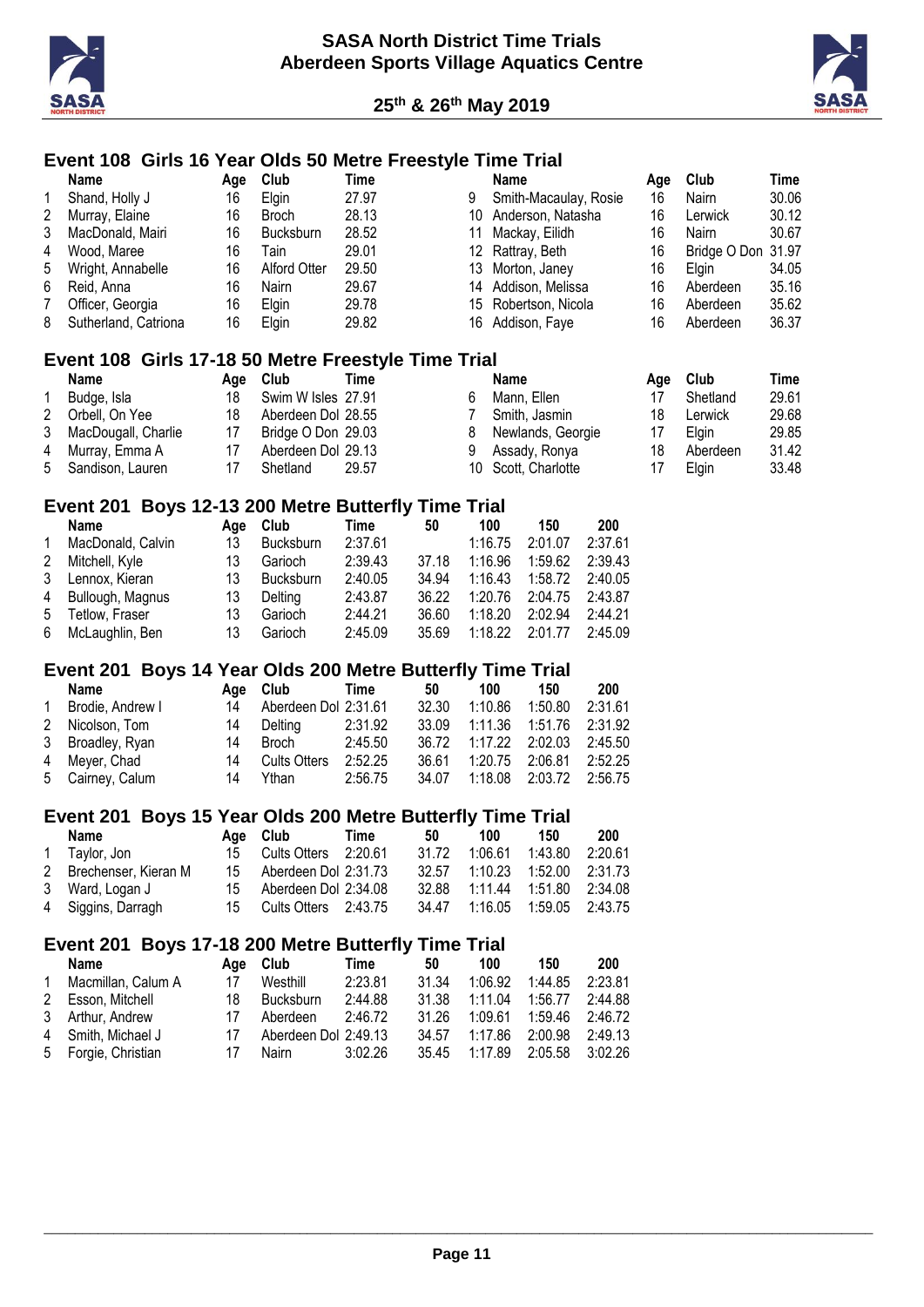



# **Event 108 Girls 16 Year Olds 50 Metre Freestyle Time Trial**

|   | Name                                                | Age | Club               | Time  |    | <b>Name</b>           | Age | Club         | Time  |
|---|-----------------------------------------------------|-----|--------------------|-------|----|-----------------------|-----|--------------|-------|
|   | Shand, Holly J                                      | 16  | Elgin              | 27.97 | 9  | Smith-Macaulay, Rosie | 16  | Nairn        | 30.06 |
| 2 | Murray, Elaine                                      | 16  | <b>Broch</b>       | 28.13 | 10 | Anderson, Natasha     | 16  | Lerwick      | 30.12 |
| 3 | MacDonald, Mairi                                    | 16  | <b>Bucksburn</b>   | 28.52 | 11 | Mackay, Eilidh        | 16  | Nairn        | 30.67 |
| 4 | Wood, Maree                                         | 16  | Tain               | 29.01 | 12 | Rattray, Beth         | 16  | Bridge O Don | 31.97 |
| 5 | Wright, Annabelle                                   | 16  | Alford Otter       | 29.50 | 13 | Morton, Janey         | 16  | Elgin        | 34.05 |
| 6 | Reid, Anna                                          | 16  | <b>Nairn</b>       | 29.67 | 14 | Addison, Melissa      | 16  | Aberdeen     | 35.16 |
| 7 | Officer, Georgia                                    | 16  | Elgin              | 29.78 | 15 | Robertson, Nicola     | 16  | Aberdeen     | 35.62 |
| 8 | Sutherland, Catriona                                | 16  | Elgin              | 29.82 | 16 | Addison, Faye         | 16  | Aberdeen     | 36.37 |
|   | Event 108 Girls 17-18 50 Metre Freestyle Time Trial |     |                    |       |    |                       |     |              |       |
|   | Name                                                | Age | Club               | Time  |    | Name                  | Age | Club         | Time  |
|   | Budge, Isla                                         | 18  | Swim W Isles 27.91 |       | 6  | Mann, Ellen           | 17  | Shetland     | 29.61 |
| 2 | Orbell, On Yee                                      | 18  | Aberdeen Dol 28.55 |       |    | Smith, Jasmin         | 18  | Lerwick      | 29.68 |
| 3 | MacDougall, Charlie                                 | 17  | Bridge O Don 29.03 |       | 8  | Newlands, Georgie     | 17  | Elgin        | 29.85 |
| 4 | Murray, Emma A                                      | 17  | Aberdeen Dol 29.13 |       | 9  | Assady, Ronya         | 18  | Aberdeen     | 31.42 |
| 5 | Sandison, Lauren                                    | 17  | Shetland           | 29.57 | 10 | Scott, Charlotte      | 17  | Elgin        | 33.48 |

## **Event 201 Boys 12-13 200 Metre Butterfly Time Trial**

|   | <b>Name</b>       | Aae | Club             | Time    | 50    | 100     | 150     | 200     |
|---|-------------------|-----|------------------|---------|-------|---------|---------|---------|
| 1 | MacDonald, Calvin | 13  | <b>Bucksburn</b> | 2:37.61 |       | 1:16.75 | 2:01.07 | 2:37.61 |
| 2 | Mitchell, Kyle    | 13  | Garioch          | 2:39.43 | 37.18 | 1:16.96 | 1:59.62 | 2:39.43 |
|   | 3 Lennox, Kieran  | 13  | <b>Bucksburn</b> | 2:40.05 | 34.94 | 1:16.43 | 1:58.72 | 2:40.05 |
| 4 | Bullough, Magnus  | 13  | Delting          | 2:43.87 | 36.22 | 1:20.76 | 2:04.75 | 2:43.87 |
| 5 | Tetlow, Fraser    | 13  | Garioch          | 2:44.21 | 36.60 | 1:18.20 | 2:02.94 | 2:44.21 |
| 6 | McLaughlin, Ben   | 13  | Garioch          | 2:45.09 | 35.69 | 1:18.22 | 2:01.77 | 2:45.09 |

#### **Event 201 Boys 14 Year Olds 200 Metre Butterfly Time Trial**

|              | Name             |    | Age Club             | Time    | 50    | 100                   | 150                       | 200     |
|--------------|------------------|----|----------------------|---------|-------|-----------------------|---------------------------|---------|
| $\mathbf{1}$ | Brodie, Andrew I | 14 | Aberdeen Dol 2:31.61 |         | 32.30 | 1:10.86               | 1:50.80                   | 2:31.61 |
|              | 2 Nicolson, Tom  | 14 | Delting              | 2:31.92 | 33.09 |                       | 1:11.36  1:51.76  2:31.92 |         |
|              | 3 Broadley, Ryan | 14 | Broch                | 2:45.50 |       | 36.72 1:17.22 2:02.03 |                           | 2:45.50 |
|              | 4 Meyer, Chad    | 14 | <b>Cults Otters</b>  | 2:52.25 | 36.61 | 1:20.75 2:06.81       |                           | 2:52.25 |
|              | 5 Cairney, Calum | 14 | Ythan                | 2:56.75 | 34.07 | 1:18.08 2:03.72       |                           | 2:56.75 |

#### **Event 201 Boys 15 Year Olds 200 Metre Butterfly Time Trial**

| Name                   | Age Club                | Time | 50    | 100                           | 150                       | 200 |
|------------------------|-------------------------|------|-------|-------------------------------|---------------------------|-----|
| 1 Tavlor, Jon          | 15 Cults Otters 2:20.61 |      | 31.72 |                               | 1:06.61  1:43.80  2:20.61 |     |
| 2 Brechenser, Kieran M | 15 Aberdeen Dol 2:31.73 |      |       | 32.57 1:10.23 1:52.00 2:31.73 |                           |     |
| 3 Ward, Logan J        | 15 Aberdeen Dol 2:34.08 |      |       | 32.88 1:11.44 1:51.80 2:34.08 |                           |     |
| 4 Siggins, Darragh     | 15 Cults Otters 2:43.75 |      |       | 34.47 1:16.05 1:59.05 2:43.75 |                           |     |

#### **Event 201 Boys 17-18 200 Metre Butterfly Time Trial**

|   | Name                |    | Age Club             | Time    | 50    | 100           | 150             | 200     |
|---|---------------------|----|----------------------|---------|-------|---------------|-----------------|---------|
| 1 | Macmillan, Calum A  | 17 | Westhill             | 2:23.81 | 31 34 | 1:06.92       | 1:44.85         | 2:23.81 |
|   | 2 Esson, Mitchell   | 18 | <b>Bucksburn</b>     | 2:44.88 | 31.38 | 1:11.04       | 1:56.77         | 2:44.88 |
|   | 3 Arthur, Andrew    | 17 | Aberdeen             | 2:46.72 | 31 26 | 1:09.61       | 1:59.46 2:46.72 |         |
|   | 4 Smith, Michael J  | 17 | Aberdeen Dol 2:49.13 |         | 34.57 | 1:17.86       | 2:00.98 2:49.13 |         |
|   | 5 Forgie, Christian | 17 | Nairn                | 3:02.26 |       | 35.45 1:17.89 | 2:05.58 3:02.26 |         |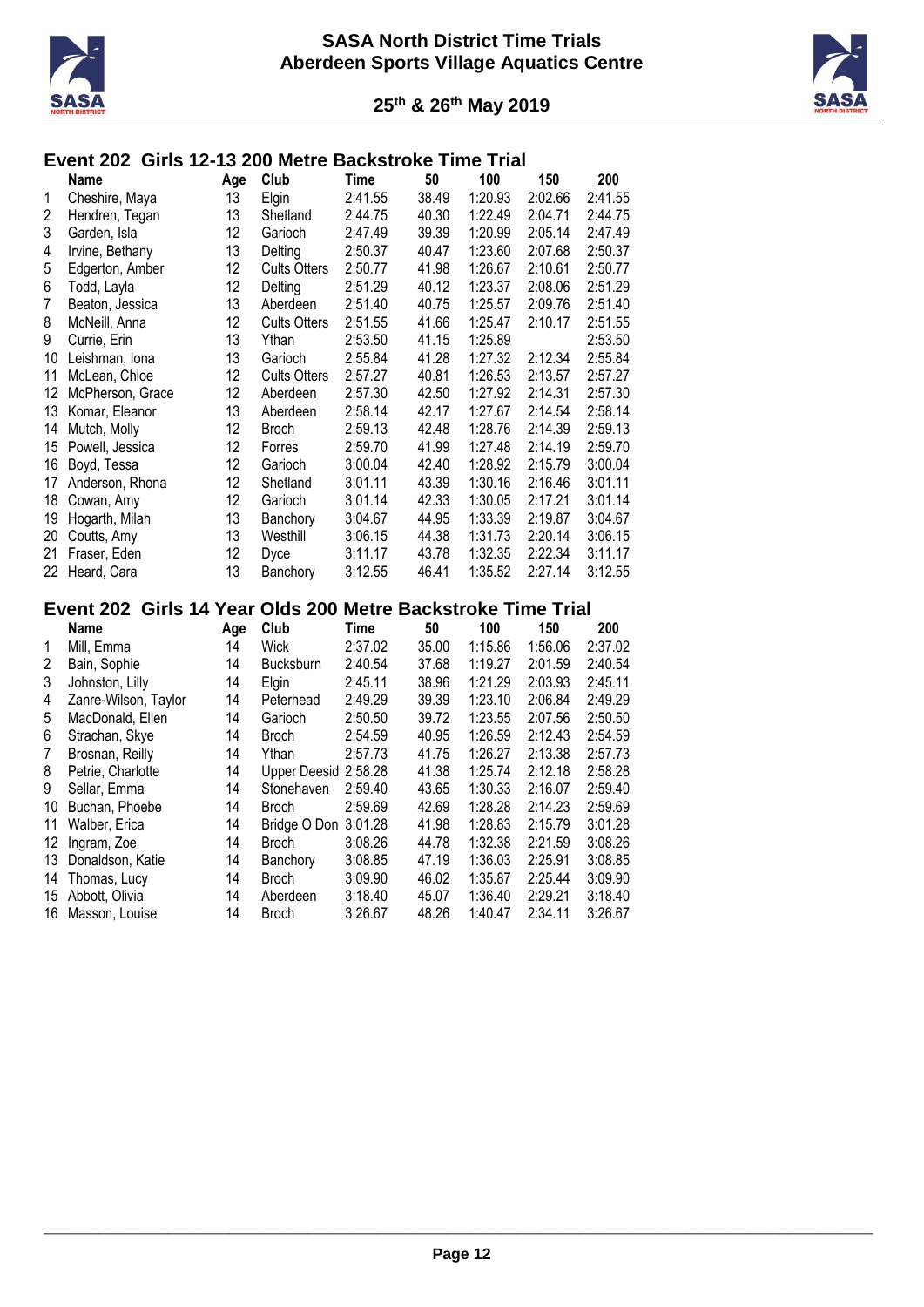



# **Event 202 Girls 12-13 200 Metre Backstroke Time Trial**

|    | Name             | Age | Club                | Time    | 50    | 100     | 150     | 200     |
|----|------------------|-----|---------------------|---------|-------|---------|---------|---------|
| 1  | Cheshire, Maya   | 13  | Elgin               | 2:41.55 | 38.49 | 1:20.93 | 2:02.66 | 2:41.55 |
| 2  | Hendren, Tegan   | 13  | Shetland            | 2:44.75 | 40.30 | 1:22.49 | 2:04.71 | 2:44.75 |
| 3  | Garden, Isla     | 12  | Garioch             | 2:47.49 | 39.39 | 1:20.99 | 2:05.14 | 2:47.49 |
| 4  | Irvine, Bethany  | 13  | Delting             | 2:50.37 | 40.47 | 1:23.60 | 2:07.68 | 2:50.37 |
| 5  | Edgerton, Amber  | 12  | <b>Cults Otters</b> | 2:50.77 | 41.98 | 1:26.67 | 2:10.61 | 2:50.77 |
| 6  | Todd, Layla      | 12  | Delting             | 2:51.29 | 40.12 | 1:23.37 | 2:08.06 | 2:51.29 |
| 7  | Beaton, Jessica  | 13  | Aberdeen            | 2:51.40 | 40.75 | 1:25.57 | 2:09.76 | 2:51.40 |
| 8  | McNeill, Anna    | 12  | <b>Cults Otters</b> | 2:51.55 | 41.66 | 1:25.47 | 2:10.17 | 2:51.55 |
| 9  | Currie, Erin     | 13  | Ythan               | 2:53.50 | 41.15 | 1:25.89 |         | 2:53.50 |
| 10 | Leishman, Iona   | 13  | Garioch             | 2:55.84 | 41.28 | 1:27.32 | 2:12.34 | 2:55.84 |
| 11 | McLean, Chloe    | 12  | <b>Cults Otters</b> | 2:57.27 | 40.81 | 1:26.53 | 2:13.57 | 2:57.27 |
| 12 | McPherson, Grace | 12  | Aberdeen            | 2:57.30 | 42.50 | 1:27.92 | 2:14.31 | 2:57.30 |
| 13 | Komar, Eleanor   | 13  | Aberdeen            | 2:58.14 | 42.17 | 1:27.67 | 2:14.54 | 2:58.14 |
| 14 | Mutch, Molly     | 12  | <b>Broch</b>        | 2:59.13 | 42.48 | 1:28.76 | 2:14.39 | 2:59.13 |
| 15 | Powell, Jessica  | 12  | Forres              | 2:59.70 | 41.99 | 1:27.48 | 2:14.19 | 2:59.70 |
| 16 | Boyd, Tessa      | 12  | Garioch             | 3:00.04 | 42.40 | 1:28.92 | 2:15.79 | 3:00.04 |
| 17 | Anderson, Rhona  | 12  | Shetland            | 3:01.11 | 43.39 | 1:30.16 | 2:16.46 | 3:01.11 |
| 18 | Cowan, Amy       | 12  | Garioch             | 3:01.14 | 42.33 | 1:30.05 | 2:17.21 | 3:01.14 |
| 19 | Hogarth, Milah   | 13  | Banchory            | 3:04.67 | 44.95 | 1:33.39 | 2:19.87 | 3:04.67 |
| 20 | Coutts, Amy      | 13  | Westhill            | 3:06.15 | 44.38 | 1:31.73 | 2:20.14 | 3:06.15 |
| 21 | Fraser, Eden     | 12  | Dyce                | 3:11.17 | 43.78 | 1:32.35 | 2:22.34 | 3:11.17 |
| 22 | Heard, Cara      | 13  | Banchory            | 3:12.55 | 46.41 | 1:35.52 | 2:27.14 | 3:12.55 |
|    |                  |     |                     |         |       |         |         |         |

#### **Event 202 Girls 14 Year Olds 200 Metre Backstroke Time Trial**

|    | <b>Name</b>          | Age | Club                 | Time    | 50    | 100     | 150     | 200     |
|----|----------------------|-----|----------------------|---------|-------|---------|---------|---------|
| 1  | Mill, Emma           | 14  | Wick                 | 2:37.02 | 35.00 | 1:15.86 | 1:56.06 | 2:37.02 |
| 2  | Bain, Sophie         | 14  | <b>Bucksburn</b>     | 2:40.54 | 37.68 | 1:19.27 | 2:01.59 | 2:40.54 |
| 3  | Johnston, Lilly      | 14  | Elgin                | 2:45.11 | 38.96 | 1:21.29 | 2:03.93 | 2:45.11 |
| 4  | Zanre-Wilson, Taylor | 14  | Peterhead            | 2:49.29 | 39.39 | 1:23.10 | 2:06.84 | 2:49.29 |
| 5  | MacDonald, Ellen     | 14  | Garioch              | 2:50.50 | 39.72 | 1:23.55 | 2:07.56 | 2:50.50 |
| 6  | Strachan, Skye       | 14  | Broch                | 2:54.59 | 40.95 | 1:26.59 | 2:12.43 | 2:54.59 |
| 7  | Brosnan, Reilly      | 14  | Ythan                | 2:57.73 | 41.75 | 1:26.27 | 2:13.38 | 2:57.73 |
| 8  | Petrie, Charlotte    | 14  | Upper Deesid 2:58.28 |         | 41.38 | 1:25.74 | 2:12.18 | 2:58.28 |
| 9  | Sellar, Emma         | 14  | Stonehaven           | 2:59.40 | 43.65 | 1:30.33 | 2:16.07 | 2:59.40 |
| 10 | Buchan, Phoebe       | 14  | Broch                | 2:59.69 | 42.69 | 1:28.28 | 2:14.23 | 2:59.69 |
| 11 | Walber, Erica        | 14  | Bridge O Don         | 3:01.28 | 41.98 | 1:28.83 | 2:15.79 | 3:01.28 |
| 12 | Ingram, Zoe          | 14  | <b>Broch</b>         | 3:08.26 | 44.78 | 1:32.38 | 2:21.59 | 3:08.26 |
| 13 | Donaldson, Katie     | 14  | Banchory             | 3:08.85 | 47.19 | 1:36.03 | 2:25.91 | 3:08.85 |
| 14 | Thomas, Lucy         | 14  | Broch                | 3:09.90 | 46.02 | 1:35.87 | 2:25.44 | 3:09.90 |
| 15 | Abbott, Olivia       | 14  | Aberdeen             | 3:18.40 | 45.07 | 1:36.40 | 2:29.21 | 3:18.40 |
| 16 | Masson, Louise       | 14  | <b>Broch</b>         | 3:26.67 | 48.26 | 1:40.47 | 2:34.11 | 3:26.67 |
|    |                      |     |                      |         |       |         |         |         |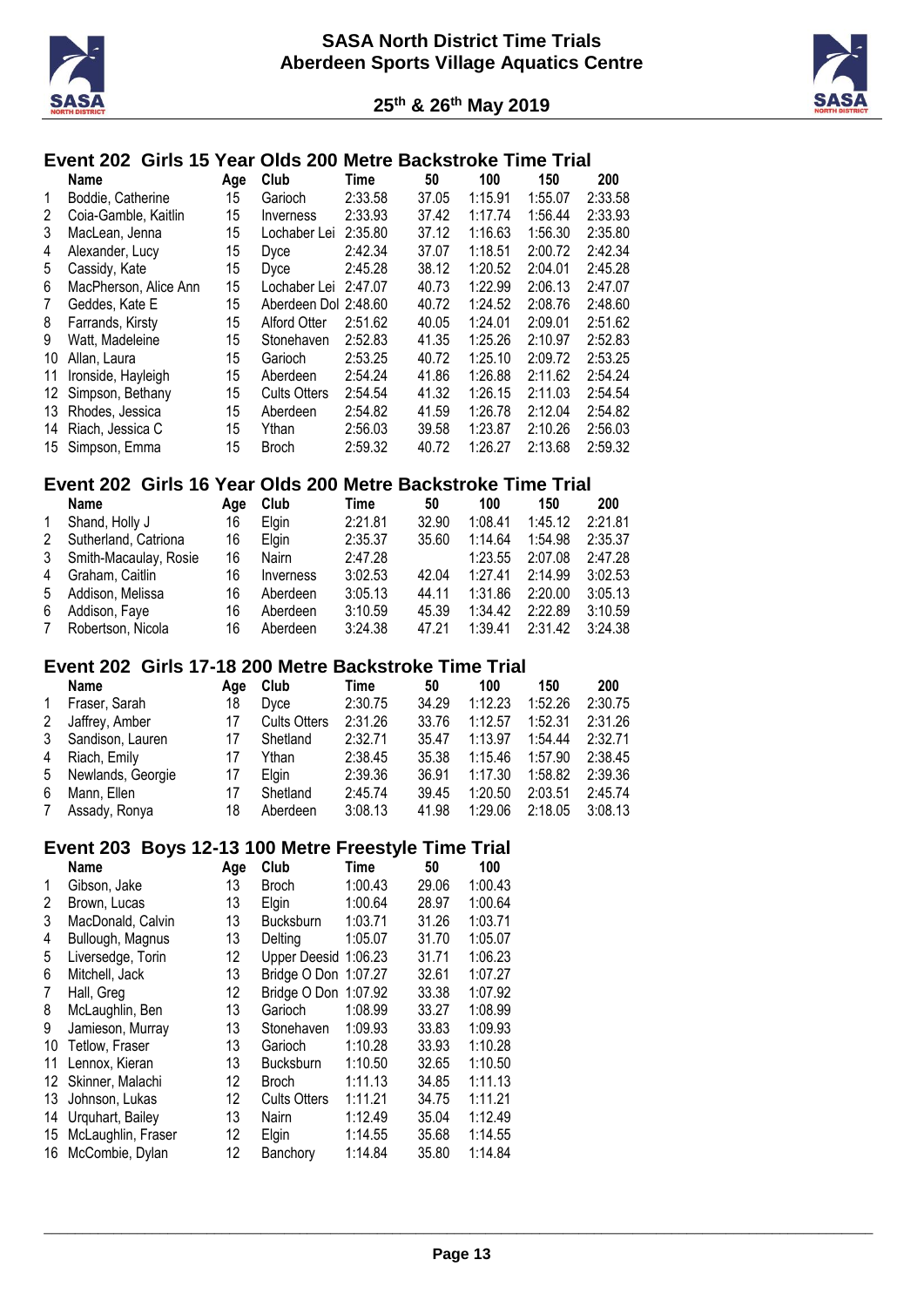



# **Event 202 Girls 15 Year Olds 200 Metre Backstroke Time Trial**

|    | <b>Name</b>           | Age | Club                 | Time    | 50    | 100     | 150     | 200     |
|----|-----------------------|-----|----------------------|---------|-------|---------|---------|---------|
| 1  | Boddie, Catherine     | 15  | Garioch              | 2:33.58 | 37.05 | 1:15.91 | 1:55.07 | 2:33.58 |
| 2  | Coia-Gamble, Kaitlin  | 15  | Inverness            | 2:33.93 | 37.42 | 1:17.74 | 1:56.44 | 2:33.93 |
| 3  | MacLean, Jenna        | 15  | Lochaber Lei         | 2:35.80 | 37.12 | 1:16.63 | 1:56.30 | 2:35.80 |
| 4  | Alexander, Lucy       | 15  | <b>Dyce</b>          | 2:42.34 | 37.07 | 1:18.51 | 2:00.72 | 2:42.34 |
| 5  | Cassidy, Kate         | 15  | Dvce                 | 2:45.28 | 38.12 | 1:20.52 | 2:04.01 | 2:45.28 |
| 6  | MacPherson, Alice Ann | 15  | Lochaber Lei         | 2:47.07 | 40.73 | 1:22.99 | 2:06.13 | 2:47.07 |
| 7  | Geddes, Kate E        | 15  | Aberdeen Dol 2:48.60 |         | 40.72 | 1:24.52 | 2:08.76 | 2:48.60 |
| 8  | Farrands, Kirsty      | 15  | <b>Alford Otter</b>  | 2:51.62 | 40.05 | 1:24.01 | 2:09.01 | 2:51.62 |
| 9  | Watt, Madeleine       | 15  | Stonehaven           | 2:52.83 | 41.35 | 1:25.26 | 2:10.97 | 2:52.83 |
| 10 | Allan, Laura          | 15  | Garioch              | 2:53.25 | 40.72 | 1:25.10 | 2:09.72 | 2:53.25 |
| 11 | Ironside, Hayleigh    | 15  | Aberdeen             | 2:54.24 | 41.86 | 1:26.88 | 2:11.62 | 2:54.24 |
| 12 | Simpson, Bethany      | 15  | <b>Cults Otters</b>  | 2:54.54 | 41.32 | 1:26.15 | 2:11.03 | 2:54.54 |
| 13 | Rhodes, Jessica       | 15  | Aberdeen             | 2:54.82 | 41.59 | 1:26.78 | 2:12.04 | 2:54.82 |
| 14 | Riach, Jessica C      | 15  | Ythan                | 2:56.03 | 39.58 | 1:23.87 | 2:10.26 | 2:56.03 |
| 15 | Simpson, Emma         | 15  | <b>Broch</b>         | 2:59.32 | 40.72 | 1:26.27 | 2:13.68 | 2:59.32 |

# **Event 202 Girls 16 Year Olds 200 Metre Backstroke Time Trial**

|              | <b>Name</b>           | Aae | Club         | Time    | 50    | 100     | 150     | 200     |
|--------------|-----------------------|-----|--------------|---------|-------|---------|---------|---------|
| $\mathbf{1}$ | Shand, Holly J        | 16  | <b>Elain</b> | 2:21.81 | 32.90 | 1:08.41 | 1:45.12 | 2:21.81 |
| 2            | Sutherland, Catriona  | 16  | <b>Elain</b> | 2:35.37 | 35.60 | 1:14.64 | 1:54.98 | 2:35.37 |
| 3            | Smith-Macaulay, Rosie | 16  | Nairn        | 2:47.28 |       | 1:23.55 | 2:07.08 | 2:47.28 |
| 4            | Graham, Caitlin       | 16  | Inverness    | 3:02.53 | 42.04 | 1:27.41 | 2:14.99 | 3:02.53 |
| 5            | Addison, Melissa      | 16  | Aberdeen     | 3:05.13 | 44.11 | 1:31.86 | 2:20.00 | 3:05.13 |
| 6            | Addison, Faye         | 16  | Aberdeen     | 3:10.59 | 45.39 | 1:34.42 | 2:22.89 | 3:10.59 |
| 7            | Robertson, Nicola     | 16  | Aberdeen     | 3:24.38 | 47.21 | 1:39.41 | 2:31.42 | 3:24.38 |

#### **Event 202 Girls 17-18 200 Metre Backstroke Time Trial**

|    | <b>Name</b>       | Age | Club                | Time    | 50    | 100     | 150     | 200     |
|----|-------------------|-----|---------------------|---------|-------|---------|---------|---------|
| 1  | Fraser, Sarah     | 18  | Dyce                | 2:30.75 | 34.29 | 1:12.23 | 1:52.26 | 2:30.75 |
| 2  | Jaffrey, Amber    | 17  | <b>Cults Otters</b> | 2:31.26 | 33.76 | 1:12.57 | 1:52.31 | 2:31.26 |
| 3  | Sandison, Lauren  | 17  | Shetland            | 2:32.71 | 35.47 | 1:13.97 | 1:54.44 | 2:32.71 |
|    | 4 Riach, Emily    | 17  | Ythan               | 2:38.45 | 35.38 | 1:15.46 | 1:57.90 | 2:38.45 |
| 5  | Newlands, Georgie | 17  | <b>Elain</b>        | 2:39.36 | 36.91 | 1:17.30 | 1:58.82 | 2:39.36 |
| 6. | Mann, Ellen       | 17  | Shetland            | 2:45.74 | 39.45 | 1:20.50 | 2:03.51 | 2:45.74 |
| 7  | Assady, Ronya     | 18  | Aberdeen            | 3:08.13 | 41.98 | 1:29.06 | 2:18.05 | 3:08.13 |

#### **Event 203 Boys 12-13 100 Metre Freestyle Time Trial**

|    | <b>Name</b>        | Age | Club                 | Time    | 50    | 100     |
|----|--------------------|-----|----------------------|---------|-------|---------|
|    |                    |     |                      |         |       | 1:00.43 |
| 1  | Gibson, Jake       | 13  | Broch                | 1:00.43 | 29.06 |         |
| 2  | Brown, Lucas       | 13  | Elgin                | 1:00.64 | 28.97 | 1:00.64 |
| 3  | MacDonald, Calvin  | 13  | <b>Bucksburn</b>     | 1:03.71 | 31.26 | 1:03.71 |
| 4  | Bullough, Magnus   | 13  | Delting              | 1:05.07 | 31.70 | 1:05.07 |
| 5  | Liversedge, Torin  | 12  | Upper Deesid 1:06.23 |         | 31.71 | 1:06.23 |
| 6  | Mitchell, Jack     | 13  | Bridge O Don 1:07.27 |         | 32.61 | 1:07.27 |
| 7  | Hall, Greg         | 12  | Bridge O Don 1:07.92 |         | 33.38 | 1:07.92 |
| 8  | McLaughlin, Ben    | 13  | Garioch              | 1:08.99 | 33.27 | 1:08.99 |
| 9  | Jamieson, Murray   | 13  | Stonehaven           | 1:09.93 | 33.83 | 1:09.93 |
| 10 | Tetlow, Fraser     | 13  | Garioch              | 1:10.28 | 33.93 | 1:10.28 |
| 11 | Lennox, Kieran     | 13  | <b>Bucksburn</b>     | 1:10.50 | 32.65 | 1:10.50 |
| 12 | Skinner, Malachi   | 12  | <b>Broch</b>         | 1:11.13 | 34.85 | 1:11.13 |
| 13 | Johnson, Lukas     | 12  | <b>Cults Otters</b>  | 1:11.21 | 34.75 | 1:11.21 |
| 14 | Urquhart, Bailey   | 13  | Nairn                | 1:12.49 | 35.04 | 1:12.49 |
| 15 | McLaughlin, Fraser | 12  | Elgin                | 1:14.55 | 35.68 | 1:14.55 |
| 16 | McCombie, Dylan    | 12  | Banchory             | 1:14.84 | 35.80 | 1:14.84 |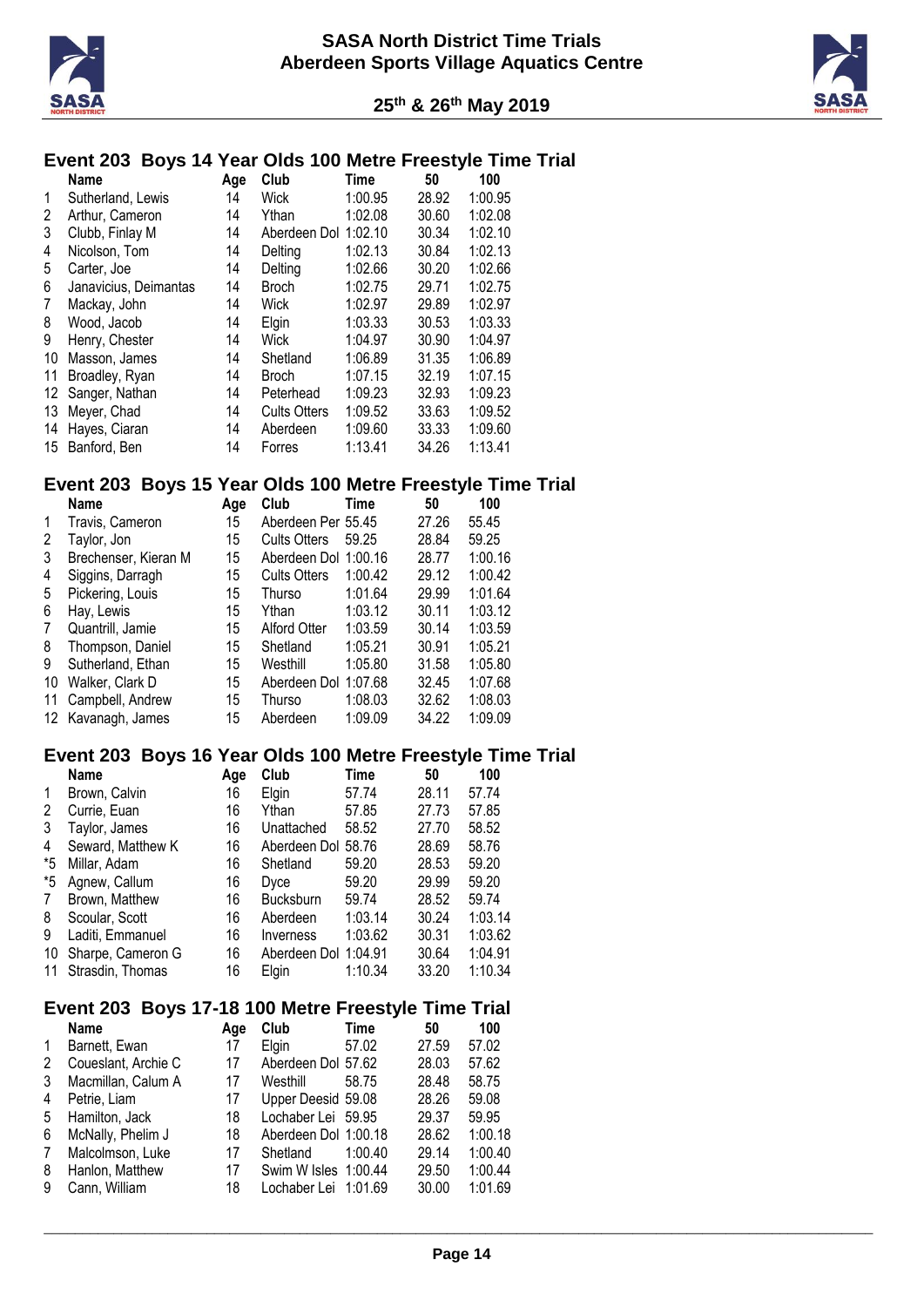



#### **Event 203 Boys 14 Year Olds 100 Metre Freestyle Time Trial**

|    | Name                  | Age | Club                 | <b>Time</b> | 50    | 100     |
|----|-----------------------|-----|----------------------|-------------|-------|---------|
| 1  | Sutherland, Lewis     | 14  | Wick                 | 1:00.95     | 28.92 | 1:00.95 |
| 2  | Arthur, Cameron       | 14  | Ythan                | 1:02.08     | 30.60 | 1:02.08 |
| 3  | Clubb, Finlay M       | 14  | Aberdeen Dol 1:02.10 |             | 30.34 | 1:02.10 |
| 4  | Nicolson, Tom         | 14  | Delting              | 1:02.13     | 30.84 | 1:02.13 |
| 5  | Carter, Joe           | 14  | Delting              | 1:02.66     | 30.20 | 1:02.66 |
| 6  | Janavicius, Deimantas | 14  | <b>Broch</b>         | 1:02.75     | 29.71 | 1:02.75 |
| 7  | Mackay, John          | 14  | Wick                 | 1:02.97     | 29.89 | 1:02.97 |
| 8  | Wood, Jacob           | 14  | Elgin                | 1:03.33     | 30.53 | 1:03.33 |
| 9  | Henry, Chester        | 14  | Wick                 | 1:04.97     | 30.90 | 1:04.97 |
| 10 | Masson, James         | 14  | Shetland             | 1:06.89     | 31.35 | 1:06.89 |
| 11 | Broadley, Ryan        | 14  | <b>Broch</b>         | 1:07.15     | 32.19 | 1:07.15 |
| 12 | Sanger, Nathan        | 14  | Peterhead            | 1:09.23     | 32.93 | 1:09.23 |
| 13 | Meyer, Chad           | 14  | <b>Cults Otters</b>  | 1:09.52     | 33.63 | 1:09.52 |
| 14 | Hayes, Ciaran         | 14  | Aberdeen             | 1:09.60     | 33.33 | 1:09.60 |
| 15 | Banford, Ben          | 14  | Forres               | 1:13.41     | 34.26 | 1:13.41 |

# **Event 203 Boys 15 Year Olds 100 Metre Freestyle Time Trial**

|    | Name                 | Age | Club                 | <b>Time</b> | 50    | 100     |
|----|----------------------|-----|----------------------|-------------|-------|---------|
| 1  | Travis, Cameron      | 15  | Aberdeen Per 55.45   |             | 27.26 | 55.45   |
| 2  | Taylor, Jon          | 15  | <b>Cults Otters</b>  | 59.25       | 28.84 | 59.25   |
| 3  | Brechenser, Kieran M | 15  | Aberdeen Dol 1:00.16 |             | 28.77 | 1:00.16 |
| 4  | Siggins, Darragh     | 15  | <b>Cults Otters</b>  | 1:00.42     | 29.12 | 1:00.42 |
| 5  | Pickering, Louis     | 15  | Thurso               | 1:01.64     | 29.99 | 1:01.64 |
| 6  | Hay, Lewis           | 15  | Ythan                | 1:03.12     | 30.11 | 1:03.12 |
| 7  | Quantrill, Jamie     | 15  | Alford Otter         | 1:03.59     | 30.14 | 1:03.59 |
| 8  | Thompson, Daniel     | 15  | Shetland             | 1:05.21     | 30.91 | 1:05.21 |
| 9  | Sutherland, Ethan    | 15  | Westhill             | 1:05.80     | 31.58 | 1:05.80 |
| 10 | Walker, Clark D      | 15  | Aberdeen Dol 1:07.68 |             | 32.45 | 1:07.68 |
| 11 | Campbell, Andrew     | 15  | Thurso               | 1:08.03     | 32.62 | 1:08.03 |
|    | 12 Kavanagh, James   | 15  | Aberdeen             | 1:09.09     | 34.22 | 1:09.09 |

#### **Event 203 Boys 16 Year Olds 100 Metre Freestyle Time Trial**

|                | Name                                                | Age | Club                 | Time    | 50    | 100     |
|----------------|-----------------------------------------------------|-----|----------------------|---------|-------|---------|
| 1              | Brown, Calvin                                       | 16  | Elgin                | 57.74   | 28.11 | 57.74   |
| 2              | Currie, Euan                                        | 16  | Ythan                | 57.85   | 27.73 | 57.85   |
| 3              | Taylor, James                                       | 16  | Unattached           | 58.52   | 27.70 | 58.52   |
| 4              | Seward, Matthew K                                   | 16  | Aberdeen Dol 58.76   |         | 28.69 | 58.76   |
| *5             | Millar, Adam                                        | 16  | Shetland             | 59.20   | 28.53 | 59.20   |
| *5             | Agnew, Callum                                       | 16  | Dyce                 | 59.20   | 29.99 | 59.20   |
| $\overline{7}$ | Brown, Matthew                                      | 16  | <b>Bucksburn</b>     | 59.74   | 28.52 | 59.74   |
| 8              | Scoular, Scott                                      | 16  | Aberdeen             | 1:03.14 | 30.24 | 1:03.14 |
| 9              | Laditi, Emmanuel                                    | 16  | Inverness            | 1:03.62 | 30.31 | 1:03.62 |
| 10             | Sharpe, Cameron G                                   | 16  | Aberdeen Dol 1:04.91 |         | 30.64 | 1:04.91 |
| 11             | Strasdin, Thomas                                    | 16  | <b>Elgin</b>         | 1:10.34 | 33.20 | 1:10.34 |
|                | Event 203 Boys 17-18 100 Metre Freestyle Time Trial |     |                      |         |       |         |

|             | Name                | Age | Club                 | Time    | 50    | 100     |
|-------------|---------------------|-----|----------------------|---------|-------|---------|
| $\mathbf 1$ | Barnett, Ewan       | 17  | Elgin                | 57.02   | 27.59 | 57.02   |
| 2           | Coueslant, Archie C | 17  | Aberdeen Dol 57.62   |         | 28.03 | 57.62   |
| 3           | Macmillan, Calum A  | 17  | Westhill             | 58.75   | 28.48 | 58.75   |
| 4           | Petrie, Liam        | 17  | Upper Deesid 59.08   |         | 28.26 | 59.08   |
| 5           | Hamilton, Jack      | 18  | Lochaber Lei 59.95   |         | 29.37 | 59.95   |
| 6           | McNally, Phelim J   | 18  | Aberdeen Dol 1:00.18 |         | 28.62 | 1:00.18 |
| 7           | Malcolmson, Luke    | 17  | Shetland             | 1:00.40 | 29.14 | 1:00.40 |
| 8           | Hanlon, Matthew     | 17  | Swim W Isles 1:00.44 |         | 29.50 | 1:00.44 |
| 9           | Cann, William       | 18  | Lochaber Lei 1:01.69 |         | 30.00 | 1:01.69 |
|             |                     |     |                      |         |       |         |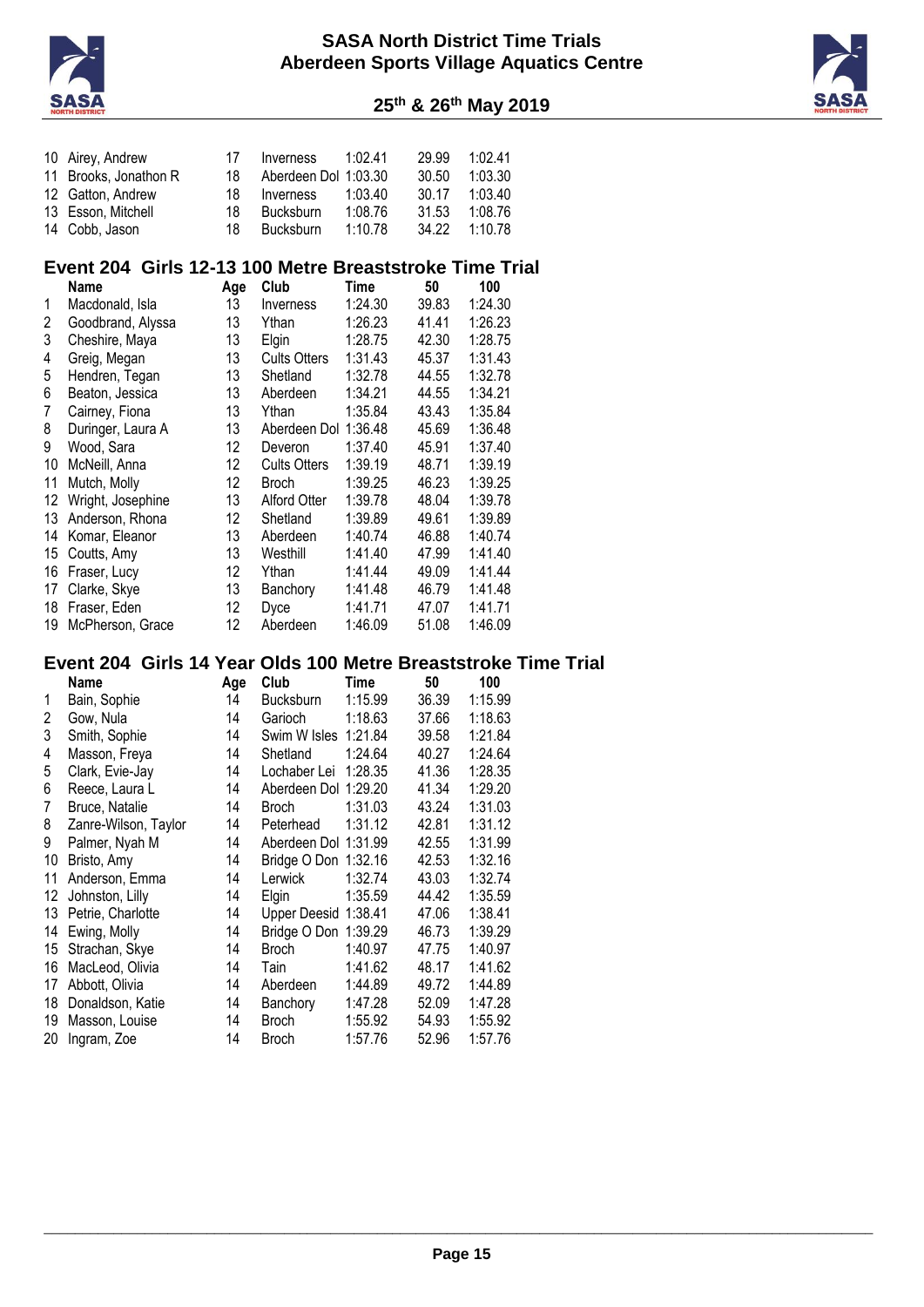



|    | 11 Brooks, Jonathon R                                          | 18  | Aberdeen Dol 1:03.30 |             | 30.50 | 1:03.30 |  |
|----|----------------------------------------------------------------|-----|----------------------|-------------|-------|---------|--|
|    | 12 Gatton, Andrew                                              | 18  | Inverness            | 1:03.40     | 30.17 | 1:03.40 |  |
|    | 13 Esson, Mitchell                                             | 18  | <b>Bucksburn</b>     | 1:08.76     | 31.53 | 1:08.76 |  |
|    | 14 Cobb, Jason                                                 | 18  | Bucksburn            | 1:10.78     | 34.22 | 1:10.78 |  |
|    |                                                                |     |                      |             |       |         |  |
|    | Event 204 Girls 12-13 100 Metre Breaststroke Time Trial        |     |                      |             |       |         |  |
|    | Name                                                           | Age | Club                 | Time        | 50    | 100     |  |
| 1  | Macdonald, Isla                                                | 13  | Inverness            | 1:24.30     | 39.83 | 1:24.30 |  |
| 2  | Goodbrand, Alyssa                                              | 13  | Ythan                | 1:26.23     | 41.41 | 1:26.23 |  |
| 3  | Cheshire, Maya                                                 | 13  | Elgin                | 1:28.75     | 42.30 | 1:28.75 |  |
| 4  | Greig, Megan                                                   | 13  | <b>Cults Otters</b>  | 1:31.43     | 45.37 | 1:31.43 |  |
| 5  | Hendren, Tegan                                                 | 13  | Shetland             | 1:32.78     | 44.55 | 1:32.78 |  |
| 6  |                                                                |     |                      | 1:34.21     | 44.55 | 1:34.21 |  |
| 7  | Beaton, Jessica                                                | 13  | Aberdeen             |             |       |         |  |
|    | Cairney, Fiona                                                 | 13  | Ythan                | 1:35.84     | 43.43 | 1:35.84 |  |
| 8  | Duringer, Laura A                                              | 13  | Aberdeen Dol 1:36.48 |             | 45.69 | 1:36.48 |  |
| 9  | Wood, Sara                                                     | 12  | Deveron              | 1:37.40     | 45.91 | 1:37.40 |  |
| 10 | McNeill, Anna                                                  | 12  | <b>Cults Otters</b>  | 1:39.19     | 48.71 | 1:39.19 |  |
| 11 | Mutch, Molly                                                   | 12  | <b>Broch</b>         | 1:39.25     | 46.23 | 1:39.25 |  |
|    | 12 Wright, Josephine                                           | 13  | Alford Otter         | 1:39.78     | 48.04 | 1:39.78 |  |
|    | 13 Anderson, Rhona                                             | 12  | Shetland             | 1:39.89     | 49.61 | 1:39.89 |  |
|    | 14 Komar, Eleanor                                              | 13  | Aberdeen             | 1:40.74     | 46.88 | 1:40.74 |  |
|    | 15 Coutts, Amy                                                 | 13  | Westhill             | 1:41.40     | 47.99 | 1:41.40 |  |
|    | 16 Fraser, Lucy                                                | 12  | Ythan                | 1:41.44     | 49.09 | 1:41.44 |  |
|    | 17 Clarke, Skye                                                | 13  | Banchory             | 1:41.48     | 46.79 | 1:41.48 |  |
|    | 18 Fraser, Eden                                                | 12  | Dyce                 | 1:41.71     | 47.07 | 1:41.71 |  |
|    | 19 McPherson, Grace                                            | 12  | Aberdeen             | 1:46.09     | 51.08 | 1:46.09 |  |
|    |                                                                |     |                      |             |       |         |  |
|    | Event 204 Girls 14 Year Olds 100 Metre Breaststroke Time Trial |     |                      |             |       |         |  |
|    | Name                                                           | Age | Club                 | <b>Time</b> | 50    | 100     |  |
| 1  | Bain, Sophie                                                   | 14  | <b>Bucksburn</b>     | 1:15.99     | 36.39 | 1:15.99 |  |
| 2  | Gow, Nula                                                      | 14  | Garioch              | 1:18.63     | 37.66 | 1:18.63 |  |
| 3  | Smith, Sophie                                                  | 14  | Swim W Isles 1:21.84 |             | 39.58 | 1:21.84 |  |
| 4  | Masson, Freya                                                  | 14  | Shetland             | 1:24.64     | 40.27 | 1:24.64 |  |
| 5  | Clark, Evie-Jay                                                | 14  | Lochaber Lei 1:28.35 |             | 41.36 | 1:28.35 |  |
|    |                                                                |     | Aberdeen Dol 1:29.20 |             | 41.34 | 1:29.20 |  |
|    |                                                                |     |                      |             |       |         |  |
| 6  | Reece, Laura L                                                 | 14  |                      |             |       |         |  |
| 7  | Bruce, Natalie                                                 | 14  | <b>Broch</b>         | 1:31.03     | 43.24 | 1:31.03 |  |
| 8  | Zanre-Wilson, Taylor                                           | 14  | Peterhead            | 1:31.12     | 42.81 | 1:31.12 |  |
| 9  | Palmer, Nyah M                                                 | 14  | Aberdeen Dol 1:31.99 |             | 42.55 | 1:31.99 |  |
|    | 10 Bristo, Amy                                                 | 14  | Bridge O Don 1:32.16 |             | 42.53 | 1:32.16 |  |
|    | 11 Anderson, Emma                                              | 14  | Lerwick              | 1:32.74     | 43.03 | 1:32.74 |  |
|    | 12 Johnston, Lilly                                             | 14  | Elgin                | 1:35.59     | 44.42 | 1:35.59 |  |
|    | 13 Petrie, Charlotte                                           | 14  | Upper Deesid 1:38.41 |             | 47.06 | 1:38.41 |  |
|    | 14 Ewing, Molly                                                | 14  | Bridge O Don 1:39.29 |             | 46.73 | 1:39.29 |  |
|    | 15 Strachan, Skye                                              | 14  | <b>Broch</b>         | 1:40.97     | 47.75 | 1:40.97 |  |
|    | 16 MacLeod, Olivia                                             | 14  | Tain                 | 1:41.62     | 48.17 | 1:41.62 |  |
|    | 17 Abbott, Olivia                                              | 14  | Aberdeen             | 1:44.89     | 49.72 | 1:44.89 |  |
|    | 18 Donaldson, Katie                                            | 14  | Banchory             | 1:47.28     | 52.09 | 1:47.28 |  |
|    | 19 Masson, Louise                                              | 14  | <b>Broch</b>         | 1:55.92     | 54.93 | 1:55.92 |  |
|    | 20 Ingram, Zoe                                                 | 14  | <b>Broch</b>         | 1:57.76     | 52.96 | 1:57.76 |  |
|    |                                                                |     |                      |             |       |         |  |
|    |                                                                |     |                      |             |       |         |  |
|    |                                                                |     |                      |             |       |         |  |
|    |                                                                |     |                      |             |       |         |  |
|    |                                                                |     |                      |             |       |         |  |
|    |                                                                |     |                      |             |       |         |  |
|    |                                                                |     |                      |             |       |         |  |
|    |                                                                |     |                      |             |       |         |  |
|    |                                                                |     |                      |             |       |         |  |
|    |                                                                |     |                      |             |       |         |  |

Airey, Andrew 17 Inverness 1:02.41 29.99 1:02.41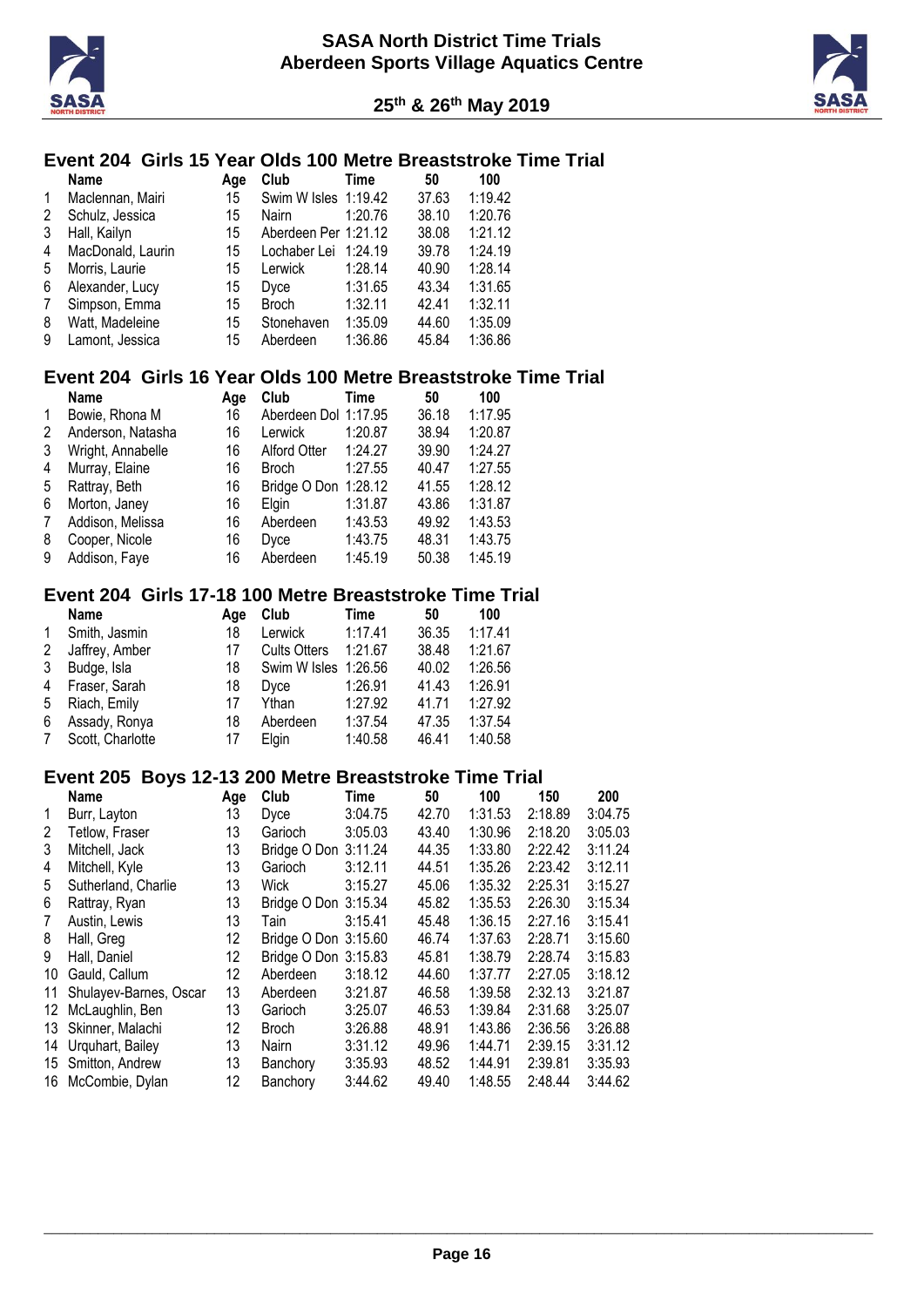



#### **Event 204 Girls 15 Year Olds 100 Metre Breaststroke Time Trial**

|   | <b>Name</b>       | Age | Club                 | Time    | 50    | 100     |
|---|-------------------|-----|----------------------|---------|-------|---------|
| 1 | Maclennan, Mairi  | 15  | Swim W Isles 1:19.42 |         | 37.63 | 1:19.42 |
| 2 | Schulz, Jessica   | 15  | Nairn                | 1:20.76 | 38.10 | 1:20.76 |
| 3 | Hall, Kailyn      | 15  | Aberdeen Per 1:21.12 |         | 38.08 | 1:21.12 |
| 4 | MacDonald, Laurin | 15  | Lochaber Lei 1:24.19 |         | 39.78 | 1:24.19 |
| 5 | Morris, Laurie    | 15  | Lerwick              | 1:28.14 | 40.90 | 1:28.14 |
| 6 | Alexander, Lucy   | 15  | Dyce                 | 1:31.65 | 43.34 | 1:31.65 |
| 7 | Simpson, Emma     | 15  | <b>Broch</b>         | 1:32.11 | 42.41 | 1:32.11 |
| 8 | Watt, Madeleine   | 15  | Stonehaven           | 1:35.09 | 44.60 | 1:35.09 |
| 9 | Lamont, Jessica   | 15  | Aberdeen             | 1:36.86 | 45.84 | 1:36.86 |

#### **Event 204 Girls 16 Year Olds 100 Metre Breaststroke Time Trial**

|   | <b>Name</b>       | Age | Club                 | Time    | 50    | 100     |
|---|-------------------|-----|----------------------|---------|-------|---------|
| 1 | Bowie, Rhona M    | 16  | Aberdeen Dol 1:17.95 |         | 36.18 | 1:17.95 |
| 2 | Anderson, Natasha | 16  | Lerwick              | 1:20.87 | 38.94 | 1:20.87 |
| 3 | Wright, Annabelle | 16  | Alford Otter         | 1:24.27 | 39.90 | 1:24.27 |
| 4 | Murray, Elaine    | 16  | <b>Broch</b>         | 1:27.55 | 40.47 | 1:27.55 |
| 5 | Rattray, Beth     | 16  | Bridge O Don 1:28.12 |         | 41.55 | 1:28.12 |
| 6 | Morton, Janey     | 16  | Elain                | 1:31.87 | 43.86 | 1:31.87 |
| 7 | Addison, Melissa  | 16  | Aberdeen             | 1:43.53 | 49.92 | 1:43.53 |
| 8 | Cooper, Nicole    | 16  | Dyce                 | 1:43.75 | 48.31 | 1:43.75 |
| 9 | Addison, Faye     | 16  | Aberdeen             | 1:45.19 | 50.38 | 1:45.19 |

#### **Event 204 Girls 17-18 100 Metre Breaststroke Time Trial**

|              | <b>Name</b>      | Aae | Club                 | Time    | 50    | 100     |
|--------------|------------------|-----|----------------------|---------|-------|---------|
| $\mathbf{1}$ | Smith, Jasmin    | 18  | Lerwick              | 1:17.41 | 36.35 | 1:17.41 |
| 2            | Jaffrey, Amber   | 17  | <b>Cults Otters</b>  | 1:21.67 | 38.48 | 1:21.67 |
| 3            | Budge, Isla      | 18  | Swim W Isles 1:26.56 |         | 40.02 | 1:26.56 |
| 4            | Fraser, Sarah    | 18  | Dvce                 | 1:26.91 | 41.43 | 1:26.91 |
| 5            | Riach, Emily     | 17  | Ythan                | 1:27.92 | 41.71 | 1:27.92 |
| 6            | Assady, Ronya    | 18  | Aberdeen             | 1:37.54 | 47.35 | 1:37.54 |
| 7            | Scott, Charlotte | 17  | Elain                | 1:40.58 | 46.41 | 1:40.58 |

#### **Event 205 Boys 12-13 200 Metre Breaststroke Time Trial**

|    | <b>Name</b>            | Age | Club                 | Time    | 50    | 100     | 150     | 200     |
|----|------------------------|-----|----------------------|---------|-------|---------|---------|---------|
| 1  | Burr, Layton           | 13  | Dyce                 | 3:04.75 | 42.70 | 1:31.53 | 2:18.89 | 3:04.75 |
| 2  | Tetlow. Fraser         | 13  | Garioch              | 3:05.03 | 43.40 | 1:30.96 | 2:18.20 | 3:05.03 |
| 3  | Mitchell, Jack         | 13  | Bridge O Don 3:11.24 |         | 44.35 | 1:33.80 | 2:22.42 | 3:11.24 |
| 4  | Mitchell, Kyle         | 13  | Garioch              | 3:12.11 | 44.51 | 1:35.26 | 2:23.42 | 3:12.11 |
| 5  | Sutherland, Charlie    | 13  | Wick                 | 3:15.27 | 45.06 | 1:35.32 | 2:25.31 | 3:15.27 |
| 6  | Rattray, Ryan          | 13  | Bridge O Don 3:15.34 |         | 45.82 | 1:35.53 | 2:26.30 | 3:15.34 |
| 7  | Austin, Lewis          | 13  | Tain                 | 3:15.41 | 45.48 | 1:36.15 | 2:27.16 | 3:15.41 |
| 8  | Hall, Greg             | 12  | Bridge O Don 3:15.60 |         | 46.74 | 1:37.63 | 2:28.71 | 3:15.60 |
| 9  | Hall, Daniel           | 12  | Bridge O Don 3:15.83 |         | 45.81 | 1:38.79 | 2:28.74 | 3:15.83 |
| 10 | Gauld, Callum          | 12  | Aberdeen             | 3:18.12 | 44.60 | 1:37.77 | 2:27.05 | 3:18.12 |
| 11 | Shulayev-Barnes, Oscar | 13  | Aberdeen             | 3:21.87 | 46.58 | 1:39.58 | 2:32.13 | 3:21.87 |
| 12 | McLaughlin, Ben        | 13  | Garioch              | 3:25.07 | 46.53 | 1:39.84 | 2:31.68 | 3:25.07 |
| 13 | Skinner, Malachi       | 12  | <b>Broch</b>         | 3:26.88 | 48.91 | 1:43.86 | 2:36.56 | 3:26.88 |
| 14 | Urquhart, Bailey       | 13  | <b>Nairn</b>         | 3:31.12 | 49.96 | 1:44.71 | 2:39.15 | 3:31.12 |
| 15 | Smitton, Andrew        | 13  | Banchory             | 3:35.93 | 48.52 | 1:44.91 | 2:39.81 | 3:35.93 |
| 16 | McCombie, Dylan        | 12  | Banchory             | 3:44.62 | 49.40 | 1:48.55 | 2:48.44 | 3:44.62 |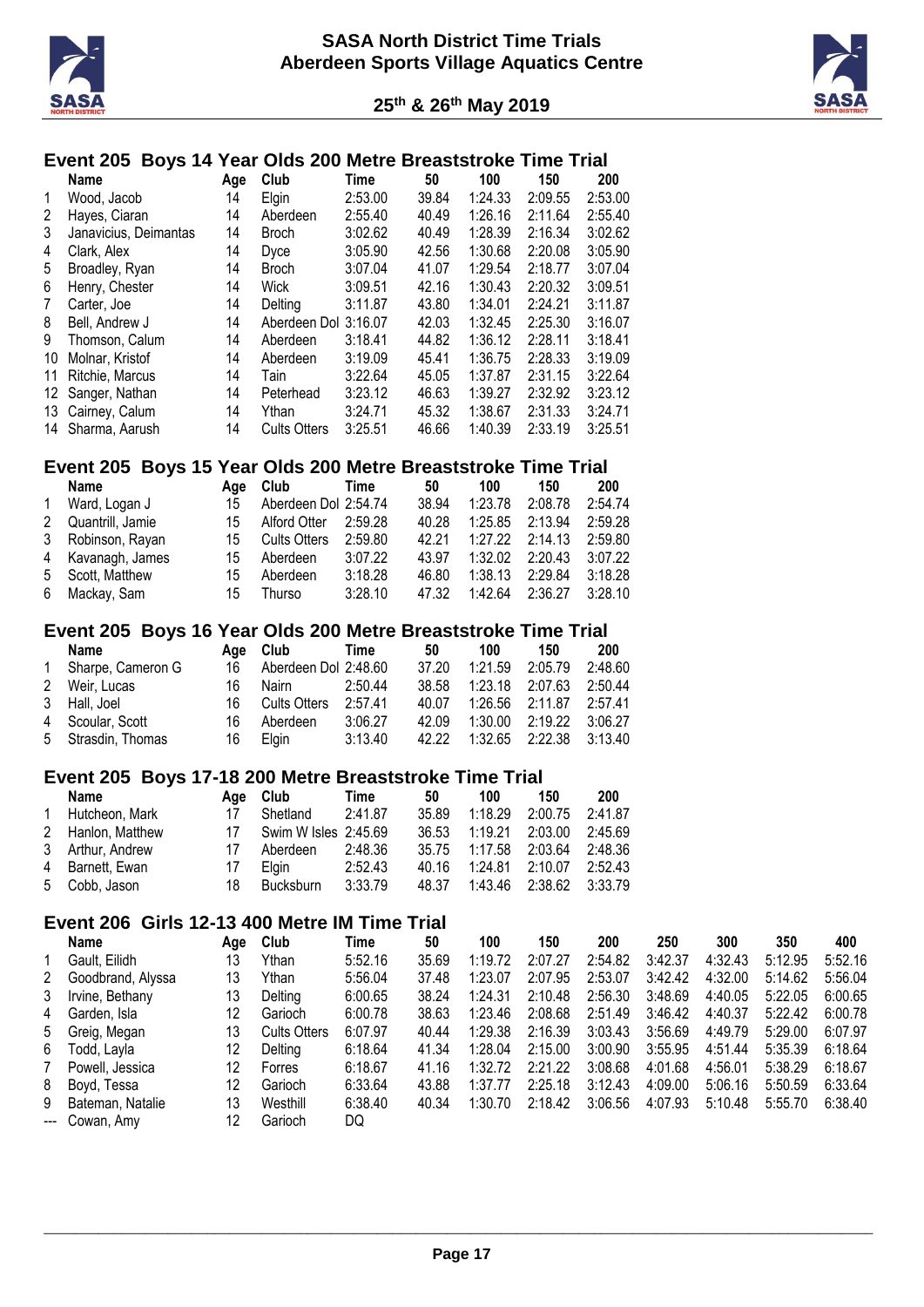



# **Event 205 Boys 14 Year Olds 200 Metre Breaststroke Time Trial**

|                | Name                                                          | Age | Club                 | Time        | 50    | 100     | 150     | 200     |         |         |         |         |
|----------------|---------------------------------------------------------------|-----|----------------------|-------------|-------|---------|---------|---------|---------|---------|---------|---------|
| 1              | Wood, Jacob                                                   | 14  | Elgin                | 2:53.00     | 39.84 | 1:24.33 | 2:09.55 | 2:53.00 |         |         |         |         |
| $\overline{c}$ | Hayes, Ciaran                                                 | 14  | Aberdeen             | 2:55.40     | 40.49 | 1:26.16 | 2:11.64 | 2:55.40 |         |         |         |         |
| 3              | Janavicius, Deimantas                                         | 14  | <b>Broch</b>         | 3:02.62     | 40.49 | 1:28.39 | 2:16.34 | 3:02.62 |         |         |         |         |
| 4              | Clark, Alex                                                   | 14  | Dyce                 | 3:05.90     | 42.56 | 1:30.68 | 2:20.08 | 3:05.90 |         |         |         |         |
| 5              | Broadley, Ryan                                                | 14  | <b>Broch</b>         | 3:07.04     | 41.07 | 1:29.54 | 2:18.77 | 3:07.04 |         |         |         |         |
| 6              | Henry, Chester                                                | 14  | Wick                 | 3:09.51     | 42.16 | 1:30.43 | 2:20.32 | 3:09.51 |         |         |         |         |
| $\overline{7}$ | Carter, Joe                                                   | 14  | Delting              | 3:11.87     | 43.80 | 1:34.01 | 2:24.21 | 3:11.87 |         |         |         |         |
| 8              | Bell, Andrew J                                                | 14  | Aberdeen Dol 3:16.07 |             | 42.03 | 1:32.45 | 2:25.30 | 3:16.07 |         |         |         |         |
| 9              | Thomson, Calum                                                | 14  | Aberdeen             | 3:18.41     | 44.82 | 1:36.12 | 2:28.11 | 3:18.41 |         |         |         |         |
|                | 10 Molnar, Kristof                                            | 14  | Aberdeen             | 3:19.09     | 45.41 | 1:36.75 | 2:28.33 | 3:19.09 |         |         |         |         |
|                | 11 Ritchie, Marcus                                            | 14  | Tain                 | 3:22.64     | 45.05 | 1:37.87 | 2:31.15 | 3:22.64 |         |         |         |         |
|                | 12 Sanger, Nathan                                             | 14  | Peterhead            | 3:23.12     | 46.63 | 1:39.27 | 2:32.92 | 3:23.12 |         |         |         |         |
|                | 13 Cairney, Calum                                             | 14  | Ythan                | 3:24.71     | 45.32 | 1:38.67 | 2:31.33 | 3:24.71 |         |         |         |         |
|                | 14 Sharma, Aarush                                             | 14  | <b>Cults Otters</b>  | 3:25.51     | 46.66 | 1:40.39 | 2:33.19 | 3:25.51 |         |         |         |         |
|                | Event 205 Boys 15 Year Olds 200 Metre Breaststroke Time Trial |     |                      |             |       |         |         |         |         |         |         |         |
|                | <b>Name</b>                                                   | Age | Club                 | Time        | 50    | 100     | 150     | 200     |         |         |         |         |
| 1              | Ward, Logan J                                                 | 15  | Aberdeen Dol 2:54.74 |             | 38.94 | 1:23.78 | 2:08.78 | 2:54.74 |         |         |         |         |
| $\overline{c}$ | Quantrill, Jamie                                              | 15  | Alford Otter         | 2:59.28     | 40.28 | 1:25.85 | 2:13.94 | 2:59.28 |         |         |         |         |
| 3              | Robinson, Rayan                                               | 15  | <b>Cults Otters</b>  | 2:59.80     | 42.21 | 1:27.22 | 2:14.13 | 2:59.80 |         |         |         |         |
| 4              | Kavanagh, James                                               | 15  | Aberdeen             | 3:07.22     | 43.97 | 1:32.02 | 2:20.43 | 3:07.22 |         |         |         |         |
| 5              | Scott, Matthew                                                | 15  | Aberdeen             | 3:18.28     | 46.80 | 1:38.13 | 2:29.84 | 3:18.28 |         |         |         |         |
| 6              | Mackay, Sam                                                   | 15  | Thurso               | 3:28.10     | 47.32 | 1:42.64 | 2:36.27 | 3:28.10 |         |         |         |         |
|                | Event 205 Boys 16 Year Olds 200 Metre Breaststroke Time Trial |     |                      |             |       |         |         |         |         |         |         |         |
|                | Name                                                          | Age | Club                 | Time        | 50    | 100     | 150     | 200     |         |         |         |         |
| 1              | Sharpe, Cameron G                                             | 16  | Aberdeen Dol 2:48.60 |             | 37.20 | 1:21.59 | 2:05.79 | 2:48.60 |         |         |         |         |
| 2              | Weir, Lucas                                                   | 16  | Nairn                | 2:50.44     | 38.58 | 1:23.18 | 2:07.63 | 2:50.44 |         |         |         |         |
| 3              | Hall, Joel                                                    | 16  | <b>Cults Otters</b>  | 2:57.41     | 40.07 | 1:26.56 | 2:11.87 | 2:57.41 |         |         |         |         |
| 4              | Scoular, Scott                                                | 16  | Aberdeen             | 3:06.27     | 42.09 | 1:30.00 | 2:19.22 | 3:06.27 |         |         |         |         |
| 5              | Strasdin, Thomas                                              | 16  | Elgin                | 3:13.40     | 42.22 | 1:32.65 | 2:22.38 | 3:13.40 |         |         |         |         |
|                | Event 205 Boys 17-18 200 Metre Breaststroke Time Trial        |     |                      |             |       |         |         |         |         |         |         |         |
|                | Name                                                          | Age | Club                 | <b>Time</b> | 50    | 100     | 150     | 200     |         |         |         |         |
| 1              | Hutcheon, Mark                                                | 17  | Shetland             | 2:41.87     | 35.89 | 1:18.29 | 2:00.75 | 2:41.87 |         |         |         |         |
| 2              | Hanlon, Matthew                                               | 17  | Swim W Isles 2:45.69 |             | 36.53 | 1:19.21 | 2:03.00 | 2:45.69 |         |         |         |         |
| 3              | Arthur, Andrew                                                | 17  | Aberdeen             | 2:48.36     | 35.75 | 1:17.58 | 2:03.64 | 2:48.36 |         |         |         |         |
| 4              | Barnett, Ewan                                                 | 17  | Elgin                | 2:52.43     | 40.16 | 1:24.81 | 2:10.07 | 2:52.43 |         |         |         |         |
| 5              | Cobb, Jason                                                   | 18  | Bucksburn            | 3:33.79     | 48.37 | 1:43.46 | 2:38.62 | 3:33.79 |         |         |         |         |
|                | Event 206 Girls 12-13 400 Metre IM Time Trial                 |     |                      |             |       |         |         |         |         |         |         |         |
|                | Name                                                          | Age | Club                 | Time        | 50    | 100     | 150     | 200     | 250     | 300     | 350     | 400     |
| 1              | Gault, Eilidh                                                 | 13  | Ythan                | 5:52.16     | 35.69 | 1:19.72 | 2:07.27 | 2:54.82 | 3:42.37 | 4:32.43 | 5:12.95 | 5:52.16 |
| $\overline{c}$ | Goodbrand, Alyssa                                             | 13  | Ythan                | 5:56.04     | 37.48 | 1:23.07 | 2:07.95 | 2:53.07 | 3:42.42 | 4:32.00 | 5:14.62 | 5:56.04 |
| 3              | Irvine, Bethany                                               | 13  | Delting              | 6:00.65     | 38.24 | 1:24.31 | 2:10.48 | 2:56.30 | 3:48.69 | 4:40.05 | 5:22.05 | 6:00.65 |
| 4              | Garden, Isla                                                  | 12  | Garioch              | 6:00.78     | 38.63 | 1:23.46 | 2:08.68 | 2:51.49 | 3:46.42 | 4:40.37 | 5:22.42 | 6:00.78 |
| 5              | Greig, Megan                                                  | 13  | <b>Cults Otters</b>  | 6:07.97     | 40.44 | 1:29.38 | 2:16.39 | 3:03.43 | 3:56.69 | 4:49.79 | 5:29.00 | 6:07.97 |
| 6              | Todd, Layla                                                   | 12  | Delting              | 6:18.64     | 41.34 | 1:28.04 | 2:15.00 | 3:00.90 | 3:55.95 | 4:51.44 | 5:35.39 | 6:18.64 |
| $\overline{7}$ | Powell, Jessica                                               | 12  | Forres               | 6:18.67     | 41.16 | 1:32.72 | 2:21.22 | 3:08.68 | 4:01.68 | 4:56.01 | 5:38.29 | 6:18.67 |
| 8              | Boyd, Tessa                                                   | 12  | Garioch              | 6:33.64     | 43.88 | 1:37.77 | 2:25.18 | 3:12.43 | 4:09.00 | 5:06.16 | 5:50.59 | 6:33.64 |
| 9              | Bateman, Natalie                                              | 13  | Westhill             | 6:38.40     | 40.34 | 1:30.70 | 2:18.42 | 3:06.56 | 4:07.93 | 5:10.48 | 5:55.70 | 6:38.40 |

--- Cowan, Amy 12 Garioch DQ

\_\_\_\_\_\_\_\_\_\_\_\_\_\_\_\_\_\_\_\_\_\_\_\_\_\_\_\_\_\_\_\_\_\_\_\_\_\_\_\_\_\_\_\_\_\_\_\_\_\_\_\_\_\_\_\_\_\_\_\_\_\_\_\_\_\_\_\_\_\_\_\_\_\_\_\_\_\_\_\_\_\_\_\_\_\_\_\_\_\_\_\_\_\_\_\_\_\_\_\_\_\_\_\_\_\_\_ **Page 17**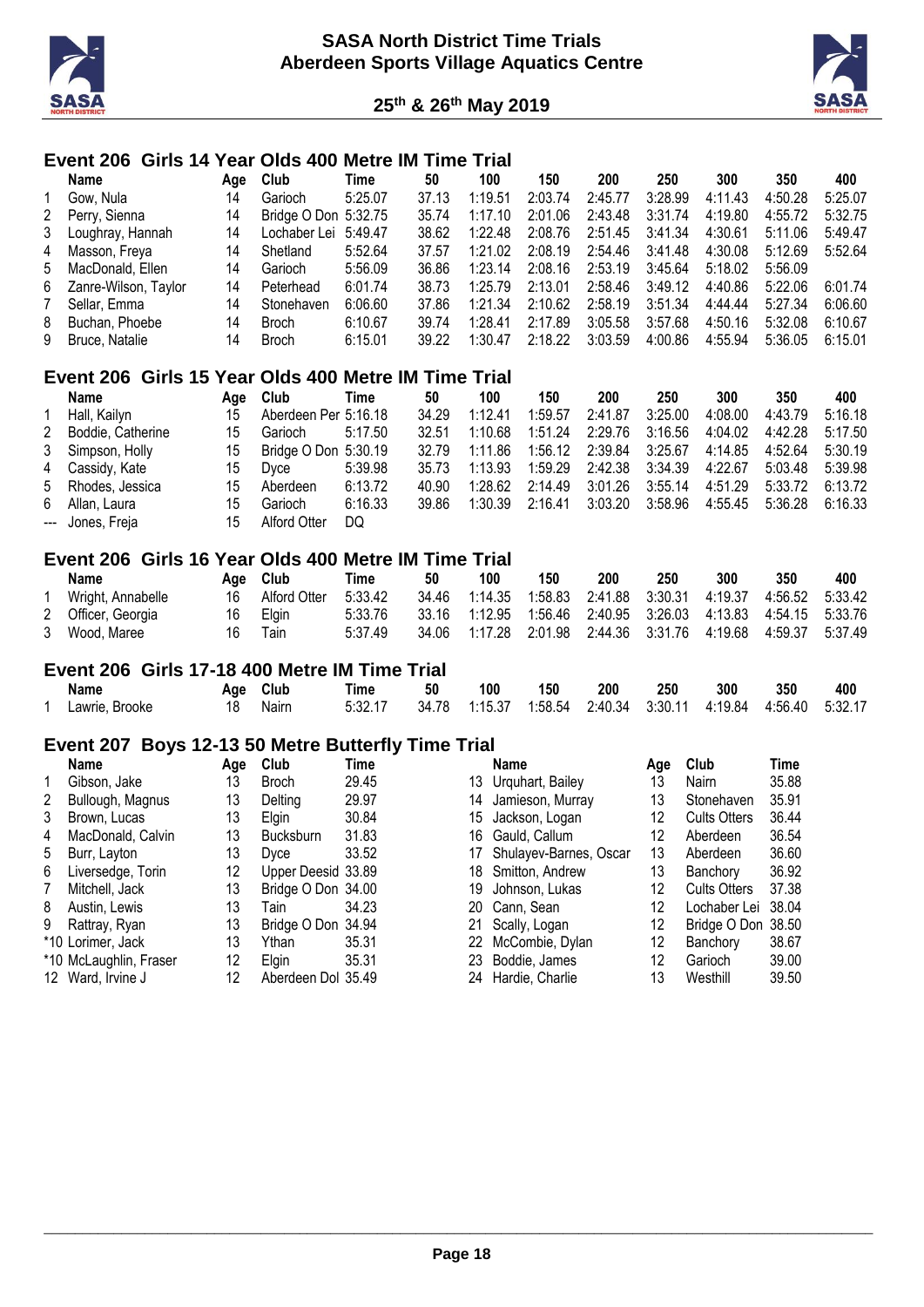



# **Event 206 Girls 14 Year Olds 400 Metre IM Time Trial**

|   | Name                   | Aae | Club                 | Time    | 50    | 100     | 150     | 200     | 250     | 300     | 350     | 400     |
|---|------------------------|-----|----------------------|---------|-------|---------|---------|---------|---------|---------|---------|---------|
|   | Gow. Nula              | 14  | Garioch              | 5:25.07 | 37.13 | 1:19.51 | 2:03.74 | 2:45.77 | 3:28.99 | 4:11.43 | 4:50.28 | 5:25.07 |
|   | 2 Perry, Sienna        | 14  | Bridge O Don 5:32.75 |         | 35.74 | 1:17.10 | 2:01.06 | 2:43.48 | 3:31.74 | 4:19.80 | 4:55.72 | 5:32.75 |
|   | 3 Loughray, Hannah     | 14  | Lochaber Lei 5:49.47 |         | 38.62 | 1:22.48 | 2:08.76 | 2:51.45 | 3:41.34 | 4:30.61 | 5:11.06 | 5:49.47 |
| 4 | Masson, Freya          | 14  | Shetland             | 5:52.64 | 37.57 | 1:21.02 | 2:08.19 | 2:54.46 | 3:41.48 | 4:30.08 | 5:12.69 | 5:52.64 |
|   | 5 MacDonald, Ellen     | 14  | Garioch              | 5:56.09 | 36.86 | 1:23.14 | 2:08.16 | 2:53.19 | 3:45.64 | 5:18.02 | 5:56.09 |         |
|   | 6 Zanre-Wilson, Taylor | 14  | Peterhead            | 6:01.74 | 38.73 | 1:25.79 | 2:13.01 | 2:58.46 | 3:49.12 | 4:40.86 | 5:22.06 | 6:01.74 |
| 7 | Sellar, Emma           | 14  | Stonehaven           | 6:06.60 | 37.86 | 1:21.34 | 2:10.62 | 2:58.19 | 3:51.34 | 4:44:44 | 5:27.34 | 6:06.60 |
| 8 | Buchan, Phoebe         | 14  | Broch                | 6:10.67 | 39.74 | 1:28.41 | 2:17.89 | 3:05.58 | 3:57.68 | 4:50.16 | 5:32.08 | 6:10.67 |
|   | 9 Bruce, Natalie       | 14  | <b>Broch</b>         | 6:15.01 | 39.22 | 1:30.47 | 2:18.22 | 3:03.59 | 4:00.86 | 4:55.94 | 5:36.05 | 6:15.01 |
|   |                        |     |                      |         |       |         |         |         |         |         |         |         |

#### **Event 206 Girls 15 Year Olds 400 Metre IM Time Trial**

|   | Name              | Aae | Club                 | Time    | 50    | 100     | 150     | 200             | 250     | 300     | 350     | 400     |
|---|-------------------|-----|----------------------|---------|-------|---------|---------|-----------------|---------|---------|---------|---------|
|   | Hall, Kailyn      | 15  | Aberdeen Per 5:16.18 |         | 34.29 | 1:12.41 | 1:59.57 | 2:41.87         | 3:25.00 | 4:08.00 | 4:43.79 | 5:16.18 |
| 2 | Boddie, Catherine | 15  | Garioch              | 5:17.50 | 32.51 | 1:10.68 | 1:51.24 | 2:29.76         | 3:16.56 | 4:04.02 | 4:42.28 | 5:17.50 |
|   | 3 Simpson, Holly  | 15  | Bridge O Don 5:30.19 |         | 32.79 | 1:11.86 | 1:56.12 | 2:39.84         | 3:25.67 | 4:14.85 | 4:52.64 | 5:30.19 |
|   | 4 Cassidy, Kate   | 15  | Dvce                 | 5:39.98 | 35.73 | 1:13.93 | 1:59.29 | 2:42.38 3:34.39 |         | 4:22.67 | 5:03.48 | 5:39.98 |
|   | 5 Rhodes, Jessica | 15  | Aberdeen             | 6:13.72 | 40.90 | 1:28.62 | 2:14.49 | 3:01.26         | 3:55.14 | 4:51.29 | 5:33.72 | 6:13.72 |
| 6 | Allan, Laura      | 15  | Garioch              | 6:16.33 | 39.86 | 1:30.39 | 2:16.41 | 3:03.20         | 3:58.96 | 4:55.45 | 5:36.28 | 6:16.33 |
|   | --- Jones, Freja  | 15  | Alford Otter         | DQ      |       |         |         |                 |         |         |         |         |

#### **Event 206 Girls 16 Year Olds 400 Metre IM Time Trial**

| Name               | Aae | Club         | Time    | 50    | 100                                                                  | 150 | 200 | 250 | 300 | 350                                                           | 400 |
|--------------------|-----|--------------|---------|-------|----------------------------------------------------------------------|-----|-----|-----|-----|---------------------------------------------------------------|-----|
| Wright, Annabelle  | 16  | Alford Otter | 5:33.42 |       | 34.46  1:14.35  1:58.83  2:41.88  3:30.31  4:19.37  4:56.52  5:33.42 |     |     |     |     |                                                               |     |
| 2 Officer, Georgia | 16  | Elain        | 5:33.76 |       | 33.16  1:12.95  1:56.46  2:40.95  3:26.03  4:13.83  4:54.15  5:33.76 |     |     |     |     |                                                               |     |
| 3 Wood, Maree      | 16  | Tain         | 5.37.49 | 34.06 |                                                                      |     |     |     |     | 1:17.28  2:01.98  2:44.36  3:31.76  4:19.68  4:59.37  5:37.49 |     |

#### **Event 206 Girls 17-18 400 Metre IM Time Trial**

| Name           | Age | Club  | Time    | 50 | 100                                                                  | 150 | 200 | 250 | 300 | 350 | 400 |
|----------------|-----|-------|---------|----|----------------------------------------------------------------------|-----|-----|-----|-----|-----|-----|
| Lawrie, Brooke |     | Nairn | 5:32.17 |    | 34.78  1:15.37  1:58.54  2:40.34  3:30.11  4:19.84  4:56.40  5:32.17 |     |     |     |     |     |     |

# **Event 207 Boys 12-13 50 Metre Butterfly Time Trial**

|   | <b>Name</b>            | Age | Club               | Time  |     | Name                   | Age | Club                | Time  |
|---|------------------------|-----|--------------------|-------|-----|------------------------|-----|---------------------|-------|
| 1 | Gibson, Jake           | 13  | <b>Broch</b>       | 29.45 | 13. | Urquhart, Bailey       | 13  | Nairn               | 35.88 |
| 2 | Bullough, Magnus       | 13  | Delting            | 29.97 | 14  | Jamieson, Murray       | 13  | Stonehaven          | 35.91 |
| 3 | Brown, Lucas           | 13  | <b>Elain</b>       | 30.84 | 15  | Jackson, Logan         | 12  | <b>Cults Otters</b> | 36.44 |
| 4 | MacDonald, Calvin      | 13  | <b>Bucksburn</b>   | 31.83 | 16  | Gauld, Callum          | 12  | Aberdeen            | 36.54 |
| 5 | Burr, Layton           | 13  | Dvce               | 33.52 | 17  | Shulayev-Barnes, Oscar | 13  | Aberdeen            | 36.60 |
| 6 | Liversedge, Torin      | 12  | Upper Deesid 33.89 |       | 18  | Smitton, Andrew        | 13  | Banchory            | 36.92 |
|   | Mitchell, Jack         | 13  | Bridge O Don 34.00 |       | 19  | Johnson, Lukas         | 12  | <b>Cults Otters</b> | 37.38 |
| 8 | Austin, Lewis          | 13  | Tain               | 34.23 |     | 20 Cann, Sean          | 12  | Lochaber Lei        | 38.04 |
| 9 | Rattray, Ryan          | 13  | Bridge O Don 34.94 |       | 21  | Scally, Logan          | 12  | Bridge O Don 38.50  |       |
|   | *10 Lorimer, Jack      | 13  | Ythan              | 35.31 | 22  | McCombie, Dylan        | 12  | Banchory            | 38.67 |
|   | *10 McLaughlin, Fraser | 12  | <b>Elain</b>       | 35.31 |     | 23 Boddie, James       | 12  | Garioch             | 39.00 |
|   | 12 Ward, Irvine J      | 12  | Aberdeen Dol 35.49 |       | 24  | Hardie, Charlie        | 13  | Westhill            | 39.50 |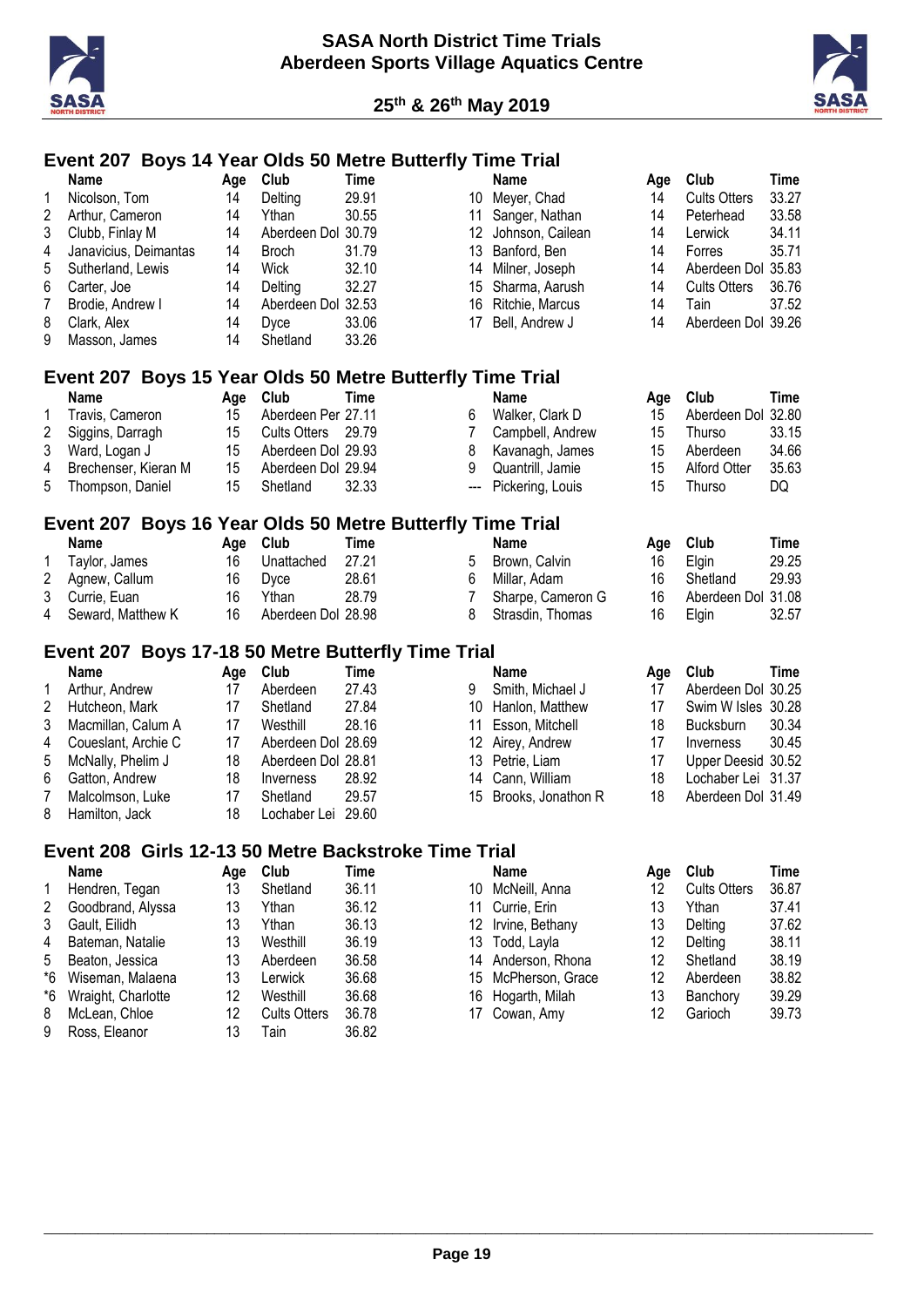

9 Ross, Eleanor



#### **Event 207 Boys 14 Year Olds 50 Metre Butterfly Time Trial**

| 1<br>2<br>3<br>4<br>5<br>6<br>7<br>8<br>9   | <b>Name</b><br>Nicolson, Tom<br>Arthur, Cameron<br>Clubb, Finlay M<br>Janavicius, Deimantas<br>Sutherland, Lewis<br>Carter, Joe<br>Brodie, Andrew I<br>Clark, Alex<br>Masson, James | Age<br>14<br>14<br>14<br>14<br>14<br>14<br>14<br>14<br>14 | Club<br>Delting<br>Ythan<br>Aberdeen Dol 30.79<br><b>Broch</b><br>Wick<br>Delting<br>Aberdeen Dol 32.53<br>Dyce<br>Shetland         | Time<br>29.91<br>30.55<br>31.79<br>32.10<br>32.27<br>33.06<br>33.26                          | 11<br>15<br>16<br>17                         | <b>Name</b><br>10 Meyer, Chad<br>Sanger, Nathan<br>12 Johnson, Cailean<br>13 Banford, Ben<br>14 Milner, Joseph<br>Sharma, Aarush<br>Ritchie, Marcus<br>Bell, Andrew J | Age<br>14<br>14<br>14<br>14<br>14<br>14<br>14<br>14 | Club<br><b>Cults Otters</b><br>Peterhead<br>Lerwick<br>Forres<br>Aberdeen Dol 35.83<br><b>Cults Otters</b><br>Tain<br>Aberdeen Dol 39.26     | <b>Time</b><br>33.27<br>33.58<br>34.11<br>35.71<br>36.76<br>37.52                   |
|---------------------------------------------|-------------------------------------------------------------------------------------------------------------------------------------------------------------------------------------|-----------------------------------------------------------|-------------------------------------------------------------------------------------------------------------------------------------|----------------------------------------------------------------------------------------------|----------------------------------------------|-----------------------------------------------------------------------------------------------------------------------------------------------------------------------|-----------------------------------------------------|----------------------------------------------------------------------------------------------------------------------------------------------|-------------------------------------------------------------------------------------|
|                                             | Event 207 Boys 15 Year Olds 50 Metre Butterfly Time Trial<br><b>Name</b>                                                                                                            | Age                                                       | Club                                                                                                                                | <b>Time</b>                                                                                  |                                              | <b>Name</b>                                                                                                                                                           | Age                                                 | Club                                                                                                                                         | <b>Time</b>                                                                         |
| 1<br>$\overline{2}$<br>3<br>4<br>5          | Travis, Cameron<br>Siggins, Darragh<br>Ward, Logan J<br>Brechenser, Kieran M<br>Thompson, Daniel                                                                                    | 15<br>15<br>15<br>15<br>15                                | Aberdeen Per 27.11<br><b>Cults Otters</b><br>Aberdeen Dol 29.93<br>Aberdeen Dol 29.94<br>Shetland                                   | 29.79<br>32.33                                                                               | 6<br>7<br>8<br>9<br>---                      | Walker, Clark D<br>Campbell, Andrew<br>Kavanagh, James<br>Quantrill, Jamie<br>Pickering, Louis                                                                        | 15<br>15<br>15<br>15<br>15                          | Aberdeen Dol 32.80<br>Thurso<br>Aberdeen<br><b>Alford Otter</b><br>Thurso                                                                    | 33.15<br>34.66<br>35.63<br>DQ                                                       |
|                                             | Event 207 Boys 16 Year Olds 50 Metre Butterfly Time Trial                                                                                                                           |                                                           |                                                                                                                                     |                                                                                              |                                              |                                                                                                                                                                       |                                                     |                                                                                                                                              |                                                                                     |
| 1<br>2<br>3<br>4                            | <b>Name</b><br>Taylor, James<br>Agnew, Callum<br>Currie, Euan<br>Seward, Matthew K                                                                                                  | Age<br>16<br>16<br>16<br>16                               | Club<br>Unattached<br>Dyce<br>Ythan<br>Aberdeen Dol 28.98                                                                           | <b>Time</b><br>27.21<br>28.61<br>28.79                                                       | 5<br>6<br>$\overline{7}$<br>8                | <b>Name</b><br>Brown, Calvin<br>Millar, Adam<br>Sharpe, Cameron G<br>Strasdin, Thomas                                                                                 | Age<br>16<br>16<br>16<br>16                         | Club<br>Elgin<br>Shetland<br>Aberdeen Dol 31.08<br>Elgin                                                                                     | <b>Time</b><br>29.25<br>29.93<br>32.57                                              |
|                                             | Event 207 Boys 17-18 50 Metre Butterfly Time Trial                                                                                                                                  |                                                           |                                                                                                                                     |                                                                                              |                                              |                                                                                                                                                                       |                                                     |                                                                                                                                              |                                                                                     |
| 1<br>2<br>3<br>4<br>5<br>6<br>7<br>8        | <b>Name</b><br>Arthur, Andrew<br>Hutcheon, Mark<br>Macmillan, Calum A<br>Coueslant, Archie C<br>McNally, Phelim J<br>Gatton, Andrew<br>Malcolmson, Luke<br>Hamilton, Jack           | Age<br>17<br>17<br>17<br>17<br>18<br>18<br>17<br>18       | Club<br>Aberdeen<br>Shetland<br>Westhill<br>Aberdeen Dol 28.69<br>Aberdeen Dol 28.81<br>Inverness<br>Shetland<br>Lochaber Lei 29.60 | <b>Time</b><br>27.43<br>27.84<br>28.16<br>28.92<br>29.57                                     | 9<br>11<br>13<br>14<br>15                    | <b>Name</b><br>Smith, Michael J<br>10 Hanlon, Matthew<br>Esson, Mitchell<br>12 Airey, Andrew<br>Petrie, Liam<br>Cann, William<br>Brooks, Jonathon R                   | Age<br>17<br>17<br>18<br>17<br>17<br>18<br>18       | Club<br>Aberdeen Dol 30.25<br>Swim W Isles 30.28<br>Bucksburn<br>Inverness<br>Upper Deesid 30.52<br>Lochaber Lei 31.37<br>Aberdeen Dol 31.49 | <b>Time</b><br>30.34<br>30.45                                                       |
|                                             | Event 208 Girls 12-13 50 Metre Backstroke Time Trial                                                                                                                                |                                                           |                                                                                                                                     |                                                                                              |                                              |                                                                                                                                                                       |                                                     |                                                                                                                                              |                                                                                     |
| 1<br>2<br>3<br>4<br>5<br>*6<br>*6<br>8<br>9 | Name<br>Hendren, Tegan<br>Goodbrand, Alyssa<br>Gault, Eilidh<br>Bateman, Natalie<br>Beaton, Jessica<br>Wiseman, Malaena<br>Wraight, Charlotte<br>McLean, Chloe<br>Ross, Eleanor     | Age<br>13<br>13<br>13<br>13<br>13<br>13<br>12<br>12<br>13 | Club<br>Shetland<br>Ythan<br>Ythan<br>Westhill<br>Aberdeen<br>Lerwick<br>Westhill<br><b>Cults Otters</b><br>Tain                    | <b>Time</b><br>36.11<br>36.12<br>36.13<br>36.19<br>36.58<br>36.68<br>36.68<br>36.78<br>36.82 | 10<br>11<br>12<br>13<br>14<br>15<br>16<br>17 | Name<br>McNeill, Anna<br>Currie, Erin<br>Irvine, Bethany<br>Todd, Layla<br>Anderson, Rhona<br>McPherson, Grace<br>Hogarth, Milah<br>Cowan, Amy                        | Age<br>12<br>13<br>13<br>12<br>12<br>12<br>13<br>12 | Club<br><b>Cults Otters</b><br>Ythan<br>Delting<br>Delting<br>Shetland<br>Aberdeen<br>Banchory<br>Garioch                                    | <b>Time</b><br>36.87<br>37.41<br>37.62<br>38.11<br>38.19<br>38.82<br>39.29<br>39.73 |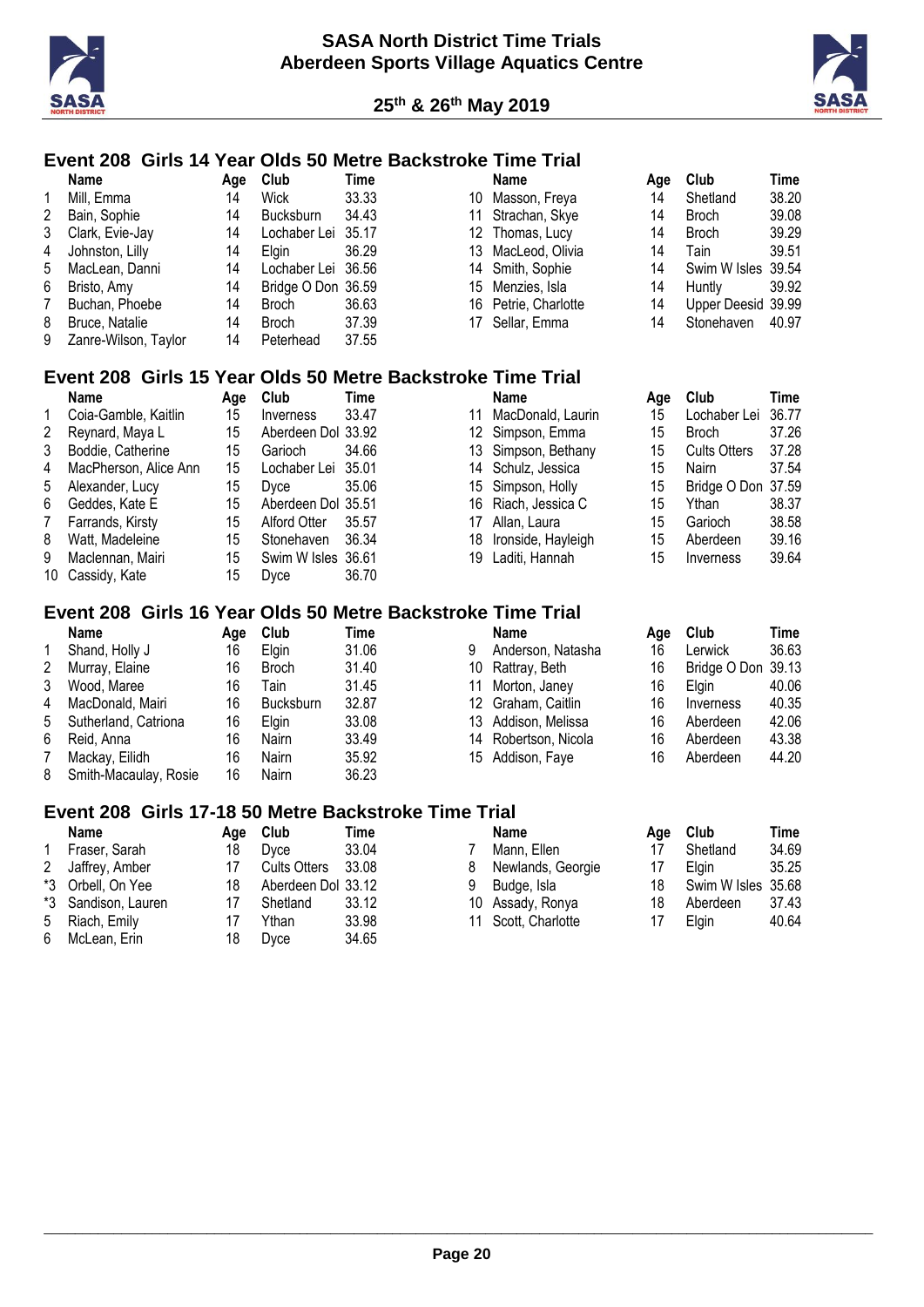



# **Event 208 Girls 14 Year Olds 50 Metre Backstroke Time Trial**

|   | Name                   | Aae | <b>Club</b>        | Time  | Name                 | Aae | Club               | Time  |
|---|------------------------|-----|--------------------|-------|----------------------|-----|--------------------|-------|
| 1 | Mill, Emma             | 14  | <b>Wick</b>        | 33.33 | 10 Masson, Freya     | 14  | Shetland           | 38.20 |
|   | 2 Bain, Sophie         | 14  | <b>Bucksburn</b>   | 34.43 | 11 Strachan, Skye    | 14  | Broch              | 39.08 |
|   | 3 Clark, Evie-Jay      | 14  | Lochaber Lei 35.17 |       | 12 Thomas, Lucy      | 14  | Broch              | 39.29 |
|   | 4 Johnston, Lilly      | 14  | <b>Elain</b>       | 36.29 | 13 MacLeod, Olivia   | 14  | Tain               | 39.5' |
|   | 5 MacLean, Danni       | 14  | Lochaber Lei 36.56 |       | 14 Smith, Sophie     | 14  | Swim W Isles 39.54 |       |
|   | 6 Bristo, Amy          | 14  | Bridge O Don 36.59 |       | 15 Menzies, Isla     | 14  | Huntly             | 39.92 |
| 7 | Buchan, Phoebe         | 14  | Broch              | 36.63 | 16 Petrie, Charlotte | 14  | Upper Deesid 39.99 |       |
|   | 8 Bruce, Natalie       | 14  | <b>Broch</b>       | 37.39 | 17 Sellar, Emma      | 14  | Stonehaven         | 40.97 |
|   | 9 Zanre-Wilson, Taylor | 14  | Peterhead          | 37.55 |                      |     |                    |       |

| ck               | 33.33 |
|------------------|-------|
| cksburn          | 34.43 |
| chaber Lei       | 35.17 |
| ηin              | 36.29 |
| chaber Lei 36.56 |       |
| dge O Don 36.59  |       |
| วch              | 36.63 |
| och              | 37.39 |
|                  |       |

| <b>Name</b>          | Age | Club               | Time  |
|----------------------|-----|--------------------|-------|
| 10 Masson, Freya     | 14  | Shetland           | 38.20 |
| 11 Strachan, Skye    | 14  | <b>Broch</b>       | 39.08 |
| 12 Thomas, Lucy      | 14  | <b>Broch</b>       | 39.29 |
| 13 MacLeod, Olivia   | 14  | Tain               | 39.51 |
| 14 Smith, Sophie     | 14  | Swim W Isles 39.54 |       |
| 15 Menzies, Isla     | 14  | Huntly             | 39.92 |
| 16 Petrie, Charlotte | 14  | Upper Deesid 39.99 |       |
| 17 Coller Emmo       | 11  | $Chophayon$ $AD07$ |       |

#### **Event 208 Girls 15 Year Olds 50 Metre Backstroke Time Trial**

|    | Name                  | Age | Club               | Time  |    | Name                | Aae | Club                | Time  |
|----|-----------------------|-----|--------------------|-------|----|---------------------|-----|---------------------|-------|
|    | Coia-Gamble, Kaitlin  | 15  | Inverness          | 33.47 | 11 | MacDonald, Laurin   | 15  | Lochaber Lei        | 36.77 |
|    | Reynard, Maya L       | 15  | Aberdeen Dol 33.92 |       |    | 12 Simpson, Emma    | 15  | <b>Broch</b>        | 37.26 |
|    | Boddie, Catherine     | 15  | Garioch            | 34.66 |    | 13 Simpson, Bethany | 15  | <b>Cults Otters</b> | 37.28 |
| 4  | MacPherson, Alice Ann | 15  | Lochaber Lei 35.01 |       |    | 14 Schulz, Jessica  | 15  | Nairn               | 37.54 |
| 5  | Alexander, Lucy       | 15  | Dyce               | 35.06 |    | 15 Simpson, Holly   | 15  | Bridge O Don 37.59  |       |
| 6. | Geddes, Kate E        | 15  | Aberdeen Dol 35.51 |       |    | 16 Riach, Jessica C | 15  | Ythan               | 38.37 |
|    | Farrands, Kirsty      | 15  | Alford Otter       | 35.57 | 17 | Allan. Laura        | 15  | Garioch             | 38.58 |
| 8  | Watt. Madeleine       | 15  | Stonehaven         | 36.34 | 18 | Ironside, Hayleigh  | 15  | Aberdeen            | 39.16 |
| 9  | Maclennan, Mairi      | 15  | Swim W Isles 36.61 |       |    | 19 Laditi, Hannah   | 15  | Inverness           | 39.64 |
|    | 10 Cassidy, Kate      | 15  | Dvce               | 36.70 |    |                     |     |                     |       |

# **Event 208 Girls 16 Year Olds 50 Metre Backstroke Time Trial**

|              | Name                    | Aae | Club             | Time  |   | Name                 | Aae | Club               | Time  |
|--------------|-------------------------|-----|------------------|-------|---|----------------------|-----|--------------------|-------|
|              | Shand, Holly J          | 16  | Elgin            | 31.06 | 9 | Anderson, Natasha    | 16  | Lerwick            | 36.63 |
| $\mathbf{2}$ | Murray, Elaine          | 16  | Broch            | 31.40 |   | 10 Rattray, Beth     | 16  | Bridge O Don 39.13 |       |
| 3            | Wood, Maree             | 16  | Tain             | 31.45 |   | 11 Morton, Janey     | 16  | Elain              | 40.06 |
|              | 4 MacDonald, Mairi      | 16  | <b>Bucksburn</b> | 32.87 |   | 12 Graham, Caitlin   | 16  | Inverness          | 40.35 |
|              | 5 Sutherland, Catriona  | 16  | Elain            | 33.08 |   | 13 Addison, Melissa  | 16  | Aberdeen           | 42.06 |
| 6            | Reid, Anna              | 16  | Nairn            | 33.49 |   | 14 Robertson, Nicola | 16  | Aberdeen           | 43.38 |
|              | Mackay, Eilidh          | 16  | Nairn            | 35.92 |   | 15 Addison, Faye     | 16  | Aberdeen           | 44.20 |
|              | 8 Smith-Macaulay, Rosie | 16  | Nairn            | 36.23 |   |                      |     |                    |       |

#### **Event 208 Girls 17-18 50 Metre Backstroke Time Trial**

|   | <b>Name</b>         | Aae | Club               | Time  |   | <b>Name</b>         | Aae | Club               | Time  |
|---|---------------------|-----|--------------------|-------|---|---------------------|-----|--------------------|-------|
|   | Fraser, Sarah       | 18  | Dyce               | 33.04 |   | Mann, Ellen         |     | Shetland           | 34.69 |
|   | 2 Jaffrey, Amber    |     | Cults Otters       | 33.08 | 8 | Newlands, Georgie   | 17  | <b>Elgin</b>       | 35.25 |
|   | *3 Orbell, On Yee   | 18  | Aberdeen Dol 33.12 |       | 9 | Budge, Isla         |     | Swim W Isles 35.68 |       |
|   | *3 Sandison, Lauren |     | Shetland           | 33.12 |   | 10 Assady, Ronya    | 18  | Aberdeen           | 37.43 |
| 5 | Riach, Emily        |     | Ythan              | 33.98 |   | 11 Scott, Charlotte |     | Elain              | 40.64 |
|   | 6 McLean, Erin      | 18  | Dyce               | 34.65 |   |                     |     |                    |       |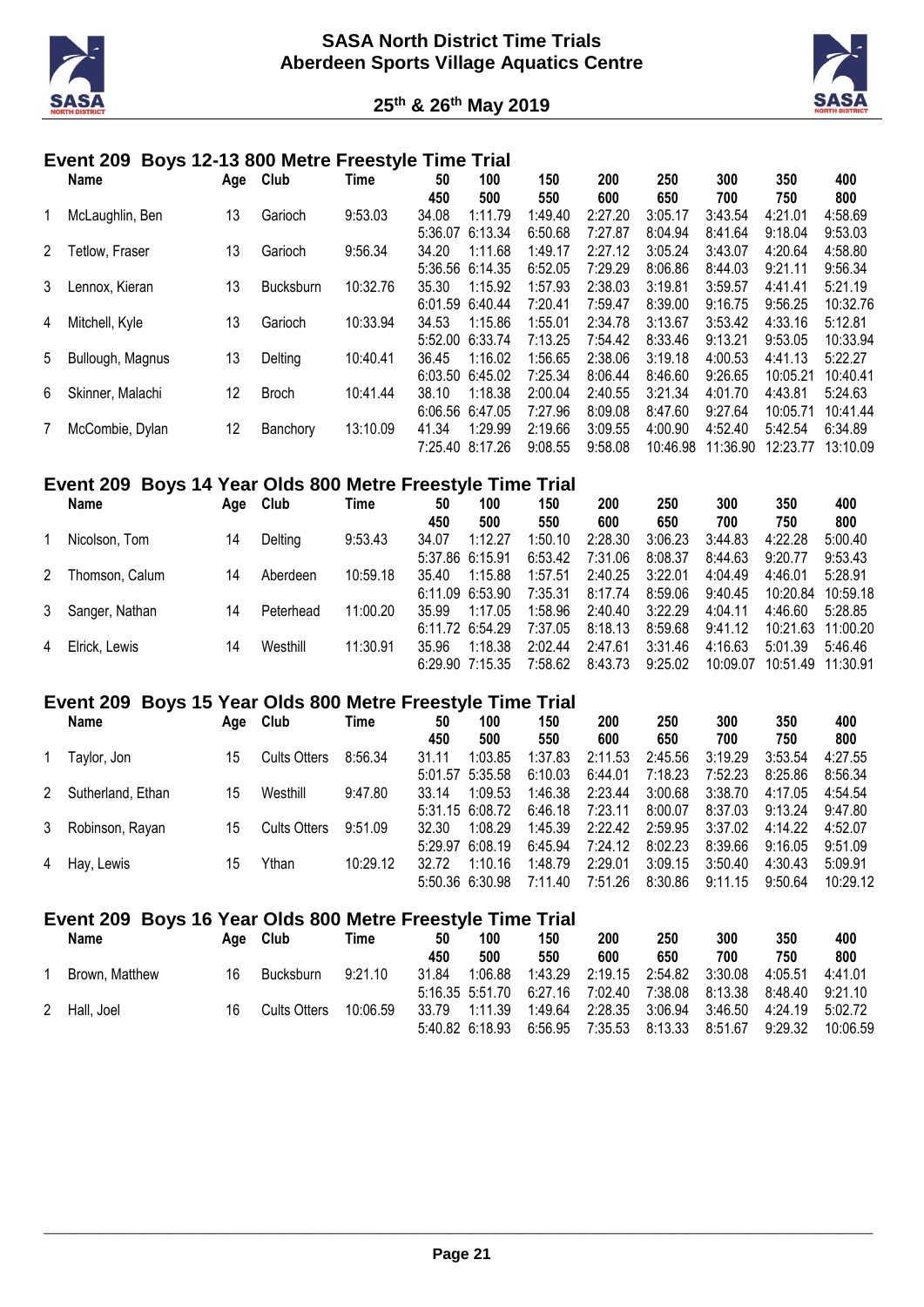



#### **Event 209 Boys 12-13 800 Metre Freestyle Time Trial**

|   | Name             |     | Club             | Time     | 50      | 100             | 150     | 200     | 250      | 300      | 350      | 400      |
|---|------------------|-----|------------------|----------|---------|-----------------|---------|---------|----------|----------|----------|----------|
|   |                  | Age |                  |          | 450     | 500             | 550     | 600     | 650      | 700      | 750      | 800      |
|   | McLaughlin, Ben  | 13  | Garioch          | 9:53.03  | 34.08   | 1:11.79         | 1:49.40 | 2:27.20 | 3:05.17  | 3:43.54  | 4:21.01  | 4:58.69  |
|   |                  |     |                  |          | 5:36.07 | 6:13.34         | 6:50.68 | 7:27.87 | 8:04.94  | 8:41.64  | 9:18.04  | 9:53.03  |
| 2 | Tetlow, Fraser   | 13  | Garioch          | 9:56.34  | 34.20   | 1:11.68         | 1:49.17 | 2:27.12 | 3:05.24  | 3:43.07  | 4:20.64  | 4:58.80  |
|   |                  |     |                  |          | 5:36.56 | 6:14.35         | 6:52.05 | 7:29.29 | 8:06.86  | 8:44.03  | 9:21.11  | 9:56.34  |
| 3 | Lennox, Kieran   | 13  | <b>Bucksburn</b> | 10:32.76 | 35.30   | 1:15.92         | 1:57.93 | 2:38.03 | 3:19.81  | 3:59.57  | 4:41.41  | 5:21.19  |
|   |                  |     |                  |          | 6:01.59 | 6:40.44         | 7:20.41 | 7:59.47 | 8:39.00  | 9:16.75  | 9:56.25  | 10:32.76 |
| 4 | Mitchell, Kyle   | 13  | Garioch          | 10:33.94 | 34.53   | 1:15.86         | 1:55.01 | 2:34.78 | 3:13.67  | 3:53.42  | 4:33.16  | 5:12.81  |
|   |                  |     |                  |          | 5:52.00 | 6:33.74         | 7:13.25 | 7:54.42 | 8:33.46  | 9:13.21  | 9:53.05  | 10:33.94 |
| 5 | Bullough, Magnus | 13  | Delting          | 10:40.41 | 36.45   | 1:16.02         | 1:56.65 | 2:38.06 | 3:19.18  | 4:00.53  | 4:41.13  | 5:22.27  |
|   |                  |     |                  |          | 6:03.50 | 6:45.02         | 7:25.34 | 8:06.44 | 8:46.60  | 9:26.65  | 10:05.21 | 10:40.41 |
| 6 | Skinner, Malachi | 12  | <b>Broch</b>     | 10:41.44 | 38.10   | 1:18.38         | 2:00.04 | 2:40.55 | 3:21.34  | 4:01.70  | 4:43.81  | 5:24.63  |
|   |                  |     |                  |          |         | 6:06.56 6:47.05 | 7:27.96 | 8:09.08 | 8:47.60  | 9:27.64  | 10:05.71 | 10:41.44 |
|   | McCombie, Dylan  | 12  | Banchory         | 13:10.09 | 41.34   | 1:29.99         | 2:19.66 | 3:09.55 | 4:00.90  | 4:52.40  | 5:42.54  | 6:34.89  |
|   |                  |     |                  |          | 7:25.40 | 8:17.26         | 9:08.55 | 9:58.08 | 10:46.98 | 11:36.90 | 12:23.77 | 13:10.09 |

#### **Event 209 Boys 14 Year Olds 800 Metre Freestyle Time Trial**

|   | <b>Name</b>      | Aqe | Club      | Time     | 50    | 100                 | 150     | 200     | 250     | 300      | 350               | 400      |
|---|------------------|-----|-----------|----------|-------|---------------------|---------|---------|---------|----------|-------------------|----------|
|   |                  |     |           |          | 450   | 500                 | 550     | 600     | 650     | 700      | 750               | 800      |
|   | Nicolson, Tom    | 14  | Delting   | 9:53.43  | 34.07 | 1:12.27             | 1:50.10 | 2:28.30 | 3:06.23 | 3:44.83  | 4:22.28           | 5:00.40  |
|   |                  |     |           |          |       | 5:37.86 6:15.91     | 6:53.42 | 7:31.06 | 8:08.37 | 8:44.63  | 9:20.77           | 9:53.43  |
| 2 | Thomson, Calum   | 14  | Aberdeen  | 10:59.18 | 35.40 | 1:15.88             | 1:57.51 | 2:40.25 | 3:22.01 | 4:04.49  | 4:46.01           | 5:28.91  |
|   |                  |     |           |          |       | $6:11.09$ $6:53.90$ | 7:35.31 | 8:17.74 | 8:59.06 | 9:40.45  | 10:20.84          | 10:59.18 |
|   | 3 Sanger, Nathan | 14  | Peterhead | 11:00.20 | 35.99 | 1:17.05             | 1:58.96 | 2:40.40 | 3:22.29 | 4:04.11  | 4:46.60           | 5:28.85  |
|   |                  |     |           |          |       | 6:11.72 6:54.29     | 7:37.05 | 8:18.13 | 8:59.68 | 9:41.12  | 10:21.63 11:00.20 |          |
| 4 | Elrick, Lewis    | 14  | Westhill  | 11:30.91 | 35.96 | 1:18.38             | 2:02.44 | 2:47.61 | 3:31.46 | 4:16.63  | 5:01.39           | 5:46.46  |
|   |                  |     |           |          |       | $6:29.90$ 7:15.35   | 7:58.62 | 8:43.73 | 9:25.02 | 10:09.07 | 10:51.49 11:30.91 |          |

#### **Event 209 Boys 15 Year Olds 800 Metre Freestyle Time Trial**

| Name                | Age | Club                | Time     | 50    | 100               | 150     | 200     | 250     | 300     | 350     | 400      |
|---------------------|-----|---------------------|----------|-------|-------------------|---------|---------|---------|---------|---------|----------|
|                     |     |                     |          | 450   | 500               | 550     | 600     | 650     | 700     | 750     | 800      |
| Taylor, Jon         | 15  | <b>Cults Otters</b> | 8:56.34  | 31.11 | 1:03.85           | 1:37.83 | 2:11.53 | 2:45.56 | 3:19.29 | 3:53.54 | 4:27.55  |
|                     |     |                     |          |       | 5:01.57 5:35.58   | 6:10.03 | 6:44.01 | 7:18.23 | 7:52.23 | 8:25.86 | 8:56.34  |
| 2 Sutherland, Ethan | 15  | Westhill            | 9:47.80  | 33.14 | 1:09.53           | 1:46.38 | 2:23.44 | 3:00.68 | 3:38.70 | 4:17.05 | 4:54.54  |
|                     |     |                     |          |       | 5:31.15 6:08.72   | 6:46.18 | 7:23.11 | 8:00.07 | 8:37.03 | 9:13.24 | 9:47.80  |
| 3 Robinson, Rayan   | 15  | <b>Cults Otters</b> | 9:51.09  | 32.30 | 1:08.29           | 1:45.39 | 2:22.42 | 2:59.95 | 3:37.02 | 4:14.22 | 4:52.07  |
|                     |     |                     |          |       | $5:29.97$ 6:08.19 | 6:45.94 | 7:24.12 | 8:02.23 | 8:39.66 | 9:16.05 | 9:51.09  |
| 4 Hay, Lewis        | 15  | Ythan               | 10:29.12 | 32.72 | 1:10.16           | 1:48.79 | 2:29.01 | 3:09.15 | 3:50.40 | 4:30.43 | 5:09.91  |
|                     |     |                     |          |       | 5:50.36 6:30.98   | 7:11.40 | 7:51.26 | 8:30.86 | 9:11.15 | 9:50.64 | 10:29.12 |

# **Event 209 Boys 16 Year Olds 800 Metre Freestyle Time Trial**

| Name           | Aae | Club             | Time     | 50    | 100             | 150                             | 200             | 250     | 300                       | 350     | 400      |
|----------------|-----|------------------|----------|-------|-----------------|---------------------------------|-----------------|---------|---------------------------|---------|----------|
|                |     |                  |          | 450   | 500             | 550                             | 600             | 650     | 700                       | 750     | 800      |
| Brown, Matthew | 16  | <b>Bucksburn</b> | 9:21.10  | 31.84 | 1:06.88         | 1:43.29                         | 2:19.15         | 2:54.82 | 3:30.08                   | 4:05.51 | 4:41.01  |
|                |     |                  |          |       |                 | 5:16.35 5:51.70 6:27.16 7:02.40 |                 |         | 7:38.08  8:13.38  8:48.40 |         | 9:21.10  |
| 2 Hall, Joel   | 16  | Cults Otters     | 10:06.59 | 33.79 | 1:11.39         |                                 | 1:49.64 2:28.35 | 3:06.94 | 3:46.50                   | 4:24.19 | 5:02.72  |
|                |     |                  |          |       | 5:40.82 6:18.93 | 6:56.95                         | 7:35.53         | 8:13.33 | 8:51.67                   | 9:29.32 | 10:06.59 |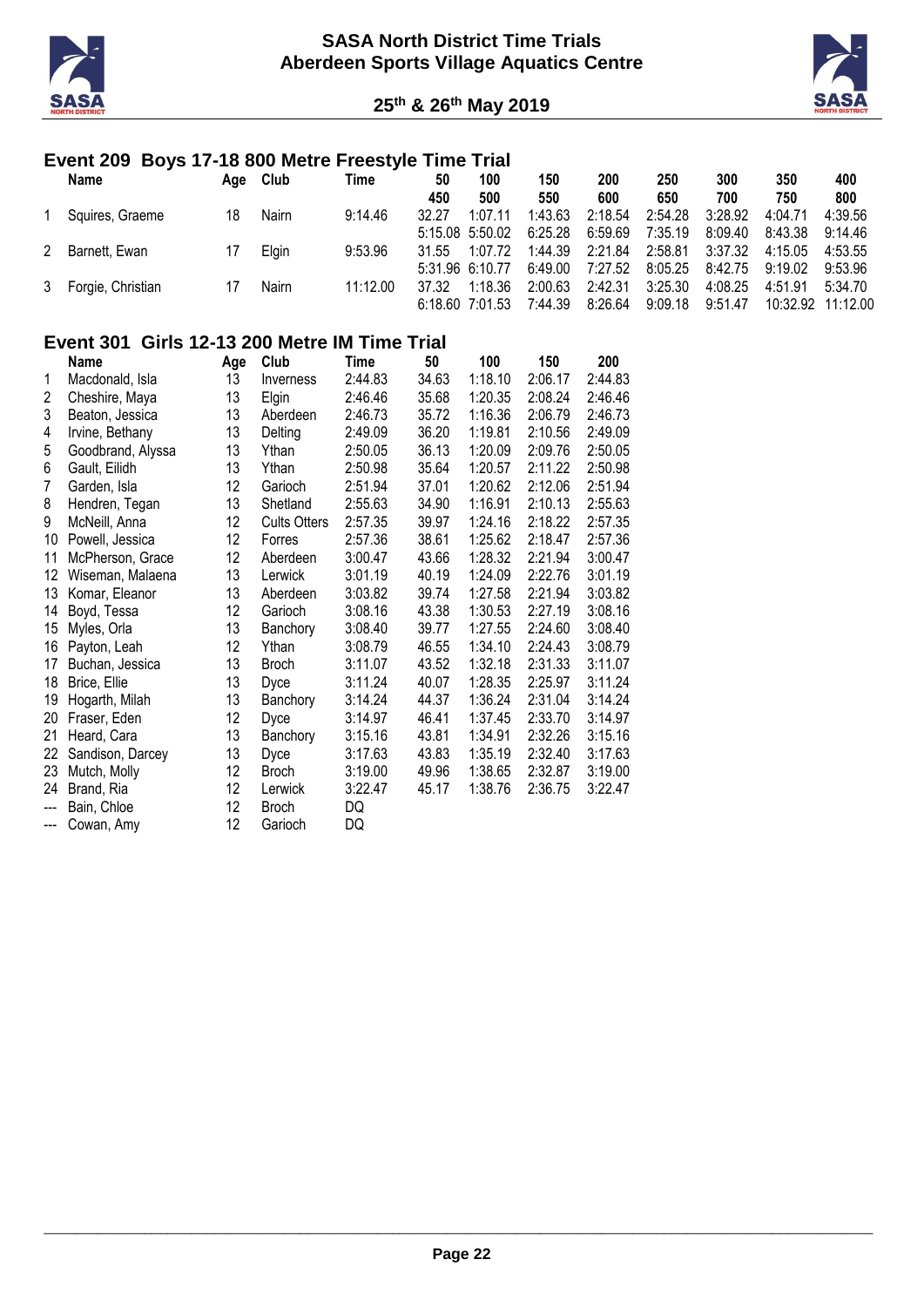



# **Event 209 Boys 17-18 800 Metre Freestyle Time Trial**

| <b>Name</b>         | Age | Club  | Time     | 50    | 100                 | 150     | 200     | 250     | 300     | 350               | 400     |
|---------------------|-----|-------|----------|-------|---------------------|---------|---------|---------|---------|-------------------|---------|
|                     |     |       |          | 450   | 500                 | 550     | 600     | 650     | 700     | 750               | 800     |
| Squires, Graeme     | 18  | Nairn | 9:14.46  | 32.27 | 1:07.11             | 1:43.63 | 2:18.54 | 2:54.28 | 3:28.92 | 4:04.71           | 4:39.56 |
|                     |     |       |          |       | $5:15.08$ $5:50.02$ | 6:25.28 | 6:59.69 | 7:35.19 | 8:09.40 | 8:43.38           | 9:14.46 |
| 2 Barnett, Ewan     |     | Elgin | 9:53.96  | 31.55 | 1:07.72             | 1:44.39 | 2:21.84 | 2:58.81 | 3:37.32 | 4:15.05           | 4:53.55 |
|                     |     |       |          |       | 5:31.96 6:10.77     | 6:49.00 | 7:27.52 | 8:05.25 | 8:42.75 | 9:19.02           | 9:53.96 |
| 3 Forgie, Christian |     | Nairn | 11:12.00 | 37.32 | 1:18.36             | 2:00.63 | 2:42.31 | 3:25.30 | 4:08.25 | 4:51.91           | 5:34.70 |
|                     |     |       |          |       | $6:18.60$ 7:01.53   | 7:44.39 | 8:26.64 | 9:09.18 | 9:51.47 | 10:32.92 11:12.00 |         |

# **Event 301 Girls 12-13 200 Metre IM Time Trial**

|                | Name              | Age | Club                | Time    | 50    | 100     | 150     | 200     |
|----------------|-------------------|-----|---------------------|---------|-------|---------|---------|---------|
| 1              | Macdonald, Isla   | 13  | Inverness           | 2:44.83 | 34.63 | 1:18.10 | 2:06.17 | 2:44.83 |
| 2              | Cheshire, Maya    | 13  | Elgin               | 2:46.46 | 35.68 | 1:20.35 | 2:08.24 | 2:46.46 |
| 3              | Beaton, Jessica   | 13  | Aberdeen            | 2:46.73 | 35.72 | 1:16.36 | 2:06.79 | 2:46.73 |
| 4              | Irvine, Bethany   | 13  | Delting             | 2:49.09 | 36.20 | 1:19.81 | 2:10.56 | 2:49.09 |
| 5              | Goodbrand, Alyssa | 13  | Ythan               | 2:50.05 | 36.13 | 1:20.09 | 2:09.76 | 2:50.05 |
| 6              | Gault, Eilidh     | 13  | Ythan               | 2:50.98 | 35.64 | 1:20.57 | 2:11.22 | 2:50.98 |
| $\overline{7}$ | Garden, Isla      | 12  | Garioch             | 2:51.94 | 37.01 | 1:20.62 | 2:12.06 | 2:51.94 |
| 8              | Hendren, Tegan    | 13  | Shetland            | 2:55.63 | 34.90 | 1:16.91 | 2:10.13 | 2:55.63 |
| 9              | McNeill, Anna     | 12  | <b>Cults Otters</b> | 2:57.35 | 39.97 | 1:24.16 | 2:18.22 | 2:57.35 |
| 10             | Powell, Jessica   | 12  | Forres              | 2:57.36 | 38.61 | 1:25.62 | 2:18.47 | 2:57.36 |
| 11             | McPherson, Grace  | 12  | Aberdeen            | 3:00.47 | 43.66 | 1:28.32 | 2:21.94 | 3:00.47 |
| 12             | Wiseman, Malaena  | 13  | Lerwick             | 3:01.19 | 40.19 | 1:24.09 | 2:22.76 | 3:01.19 |
| 13             | Komar, Eleanor    | 13  | Aberdeen            | 3:03.82 | 39.74 | 1:27.58 | 2:21.94 | 3:03.82 |
| 14             | Boyd, Tessa       | 12  | Garioch             | 3:08.16 | 43.38 | 1:30.53 | 2:27.19 | 3:08.16 |
| 15             | Myles, Orla       | 13  | Banchory            | 3:08.40 | 39.77 | 1:27.55 | 2:24.60 | 3:08.40 |
| 16             | Payton, Leah      | 12  | Ythan               | 3:08.79 | 46.55 | 1:34.10 | 2:24.43 | 3:08.79 |
| 17             | Buchan, Jessica   | 13  | <b>Broch</b>        | 3:11.07 | 43.52 | 1:32.18 | 2:31.33 | 3:11.07 |
| 18             | Brice, Ellie      | 13  | Dyce                | 3:11.24 | 40.07 | 1:28.35 | 2:25.97 | 3:11.24 |
| 19             | Hogarth, Milah    | 13  | Banchory            | 3:14.24 | 44.37 | 1:36.24 | 2:31.04 | 3:14.24 |
| 20             | Fraser, Eden      | 12  | Dyce                | 3:14.97 | 46.41 | 1:37.45 | 2:33.70 | 3:14.97 |
| 21             | Heard, Cara       | 13  | Banchory            | 3:15.16 | 43.81 | 1:34.91 | 2:32.26 | 3:15.16 |
| 22             | Sandison, Darcey  | 13  | Dyce                | 3:17.63 | 43.83 | 1:35.19 | 2:32.40 | 3:17.63 |
| 23             | Mutch, Molly      | 12  | <b>Broch</b>        | 3:19.00 | 49.96 | 1:38.65 | 2:32.87 | 3:19.00 |
| 24             | Brand, Ria        | 12  | Lerwick             | 3:22.47 | 45.17 | 1:38.76 | 2:36.75 | 3:22.47 |
| $\overline{a}$ | Bain, Chloe       | 12  | <b>Broch</b>        | DQ      |       |         |         |         |
| $--$           | Cowan, Amy        | 12  | Garioch             | DQ      |       |         |         |         |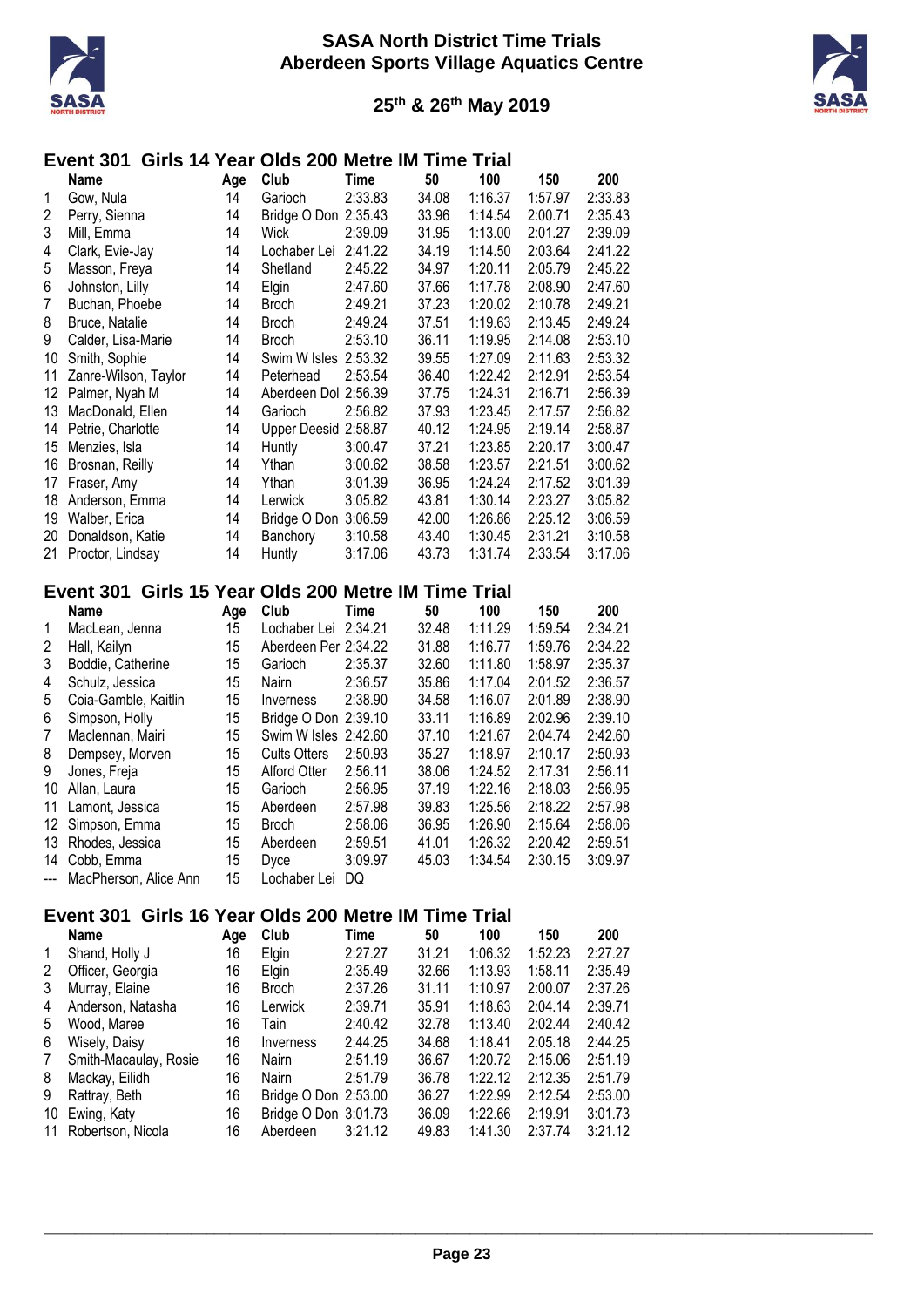



# **Event 301 Girls 14 Year Olds 200 Metre IM Time Trial**

|    | Name                 | Age | Club                 | Time    | 50    | 100     | 150     | 200     |
|----|----------------------|-----|----------------------|---------|-------|---------|---------|---------|
| 1  | Gow, Nula            | 14  | Garioch              | 2:33.83 | 34.08 | 1:16.37 | 1:57.97 | 2:33.83 |
| 2  | Perry, Sienna        | 14  | Bridge O Don         | 2:35.43 | 33.96 | 1:14.54 | 2:00.71 | 2:35.43 |
| 3  | Mill, Emma           | 14  | Wick                 | 2:39.09 | 31.95 | 1:13.00 | 2:01.27 | 2:39.09 |
| 4  | Clark, Evie-Jay      | 14  | Lochaber Lei         | 2:41.22 | 34.19 | 1:14.50 | 2:03.64 | 2:41.22 |
| 5  | Masson, Freya        | 14  | Shetland             | 2:45.22 | 34.97 | 1:20.11 | 2:05.79 | 2:45.22 |
| 6  | Johnston, Lilly      | 14  | Elgin                | 2:47.60 | 37.66 | 1:17.78 | 2:08.90 | 2:47.60 |
| 7  | Buchan, Phoebe       | 14  | <b>Broch</b>         | 2:49.21 | 37.23 | 1:20.02 | 2:10.78 | 2:49.21 |
| 8  | Bruce, Natalie       | 14  | Broch                | 2:49.24 | 37.51 | 1:19.63 | 2:13.45 | 2:49.24 |
| 9  | Calder, Lisa-Marie   | 14  | Broch                | 2:53.10 | 36.11 | 1:19.95 | 2:14.08 | 2:53.10 |
| 10 | Smith, Sophie        | 14  | Swim W Isles 2:53.32 |         | 39.55 | 1:27.09 | 2:11.63 | 2:53.32 |
| 11 | Zanre-Wilson, Taylor | 14  | Peterhead            | 2:53.54 | 36.40 | 1:22.42 | 2:12.91 | 2:53.54 |
| 12 | Palmer, Nyah M       | 14  | Aberdeen Dol 2:56.39 |         | 37.75 | 1:24.31 | 2:16.71 | 2:56.39 |
| 13 | MacDonald, Ellen     | 14  | Garioch              | 2:56.82 | 37.93 | 1:23.45 | 2:17.57 | 2:56.82 |
| 14 | Petrie, Charlotte    | 14  | Upper Deesid 2:58.87 |         | 40.12 | 1:24.95 | 2:19.14 | 2:58.87 |
| 15 | Menzies, Isla        | 14  | Huntly               | 3:00.47 | 37.21 | 1:23.85 | 2:20.17 | 3:00.47 |
| 16 | Brosnan, Reilly      | 14  | Ythan                | 3:00.62 | 38.58 | 1:23.57 | 2:21.51 | 3:00.62 |
| 17 | Fraser, Amy          | 14  | Ythan                | 3:01.39 | 36.95 | 1:24.24 | 2:17.52 | 3:01.39 |
| 18 | Anderson, Emma       | 14  | Lerwick              | 3:05.82 | 43.81 | 1:30.14 | 2:23.27 | 3:05.82 |
| 19 | Walber, Erica        | 14  | Bridge O Don         | 3:06.59 | 42.00 | 1:26.86 | 2:25.12 | 3:06.59 |
| 20 | Donaldson, Katie     | 14  | Banchory             | 3:10.58 | 43.40 | 1:30.45 | 2:31.21 | 3:10.58 |
| 21 | Proctor, Lindsay     | 14  | Huntly               | 3:17.06 | 43.73 | 1:31.74 | 2:33.54 | 3:17.06 |

### **Event 301 Girls 15 Year Olds 200 Metre IM Time Trial**

|                | <b>Name</b>               | Age | Club                 | Time    | 50    | 100     | 150     | 200     |
|----------------|---------------------------|-----|----------------------|---------|-------|---------|---------|---------|
| 1              | MacLean, Jenna            | 15  | Lochaber Lei 2:34.21 |         | 32.48 | 1:11.29 | 1:59.54 | 2:34.21 |
| 2              | Hall, Kailyn              | 15  | Aberdeen Per 2:34.22 |         | 31.88 | 1:16.77 | 1:59.76 | 2:34.22 |
| 3              | Boddie, Catherine         | 15  | Garioch              | 2:35.37 | 32.60 | 1:11.80 | 1:58.97 | 2:35.37 |
| 4              | Schulz, Jessica           | 15  | <b>Nairn</b>         | 2:36.57 | 35.86 | 1:17.04 | 2:01.52 | 2:36.57 |
| 5              | Coia-Gamble, Kaitlin      | 15  | Inverness            | 2:38.90 | 34.58 | 1:16.07 | 2:01.89 | 2:38.90 |
| 6              | Simpson, Holly            | 15  | Bridge O Don 2:39.10 |         | 33.11 | 1:16.89 | 2:02.96 | 2:39.10 |
| $\overline{7}$ | Maclennan, Mairi          | 15  | Swim W Isles 2:42.60 |         | 37.10 | 1:21.67 | 2:04.74 | 2:42.60 |
| 8              | Dempsey, Morven           | 15  | <b>Cults Otters</b>  | 2:50.93 | 35.27 | 1:18.97 | 2:10.17 | 2:50.93 |
| 9              | Jones, Freja              | 15  | <b>Alford Otter</b>  | 2:56.11 | 38.06 | 1:24.52 | 2:17.31 | 2:56.11 |
| 10             | Allan, Laura              | 15  | Garioch              | 2:56.95 | 37.19 | 1:22.16 | 2:18.03 | 2:56.95 |
| 11             | Lamont, Jessica           | 15  | Aberdeen             | 2:57.98 | 39.83 | 1:25.56 | 2:18.22 | 2:57.98 |
| 12             | Simpson, Emma             | 15  | <b>Broch</b>         | 2:58.06 | 36.95 | 1:26.90 | 2:15.64 | 2:58.06 |
| 13             | Rhodes, Jessica           | 15  | Aberdeen             | 2:59.51 | 41.01 | 1:26.32 | 2:20.42 | 2:59.51 |
| 14             | Cobb, Emma                | 15  | <b>Dyce</b>          | 3:09.97 | 45.03 | 1:34.54 | 2:30.15 | 3:09.97 |
|                | --- MacPherson, Alice Ann | 15  | Lochaber Lei         | DQ      |       |         |         |         |

# **Event 301 Girls 16 Year Olds 200 Metre IM Time Trial**

| Age                                                                                                                                                                                                                         | Club         | Time    | 50                                           | 100     | 150     | 200     |
|-----------------------------------------------------------------------------------------------------------------------------------------------------------------------------------------------------------------------------|--------------|---------|----------------------------------------------|---------|---------|---------|
| 16                                                                                                                                                                                                                          | Elgin        | 2:27.27 | 31.21                                        | 1:06.32 | 1:52.23 | 2:27.27 |
| 16                                                                                                                                                                                                                          | Elgin        | 2:35.49 | 32.66                                        | 1:13.93 | 1:58.11 | 2:35.49 |
| 16                                                                                                                                                                                                                          | <b>Broch</b> | 2:37.26 | 31.11                                        | 1:10.97 | 2:00.07 | 2:37.26 |
| 16                                                                                                                                                                                                                          | Lerwick      | 2:39.71 | 35.91                                        | 1:18.63 | 2:04.14 | 2:39.71 |
| 16                                                                                                                                                                                                                          | Tain         | 2:40.42 | 32.78                                        | 1:13.40 | 2:02.44 | 2:40.42 |
| 16                                                                                                                                                                                                                          | Inverness    | 2:44.25 | 34.68                                        | 1:18.41 | 2:05.18 | 2:44.25 |
| 16                                                                                                                                                                                                                          | Nairn        | 2:51.19 | 36.67                                        | 1:20.72 | 2:15.06 | 2:51.19 |
| 16                                                                                                                                                                                                                          | Nairn        | 2:51.79 | 36.78                                        | 1:22.12 | 2:12.35 | 2:51.79 |
| 16                                                                                                                                                                                                                          |              |         | 36.27                                        | 1:22.99 | 2:12.54 | 2:53.00 |
| 16                                                                                                                                                                                                                          |              |         | 36.09                                        | 1:22.66 | 2:19.91 | 3:01.73 |
| 16                                                                                                                                                                                                                          | Aberdeen     | 3:21.12 | 49.83                                        | 1:41.30 | 2:37.74 | 3:21.12 |
| <b>Name</b><br>Shand, Holly J<br>Officer, Georgia<br>Murray, Elaine<br>Anderson, Natasha<br>Wood, Maree<br>Wisely, Daisy<br>Smith-Macaulay, Rosie<br>Mackay, Eilidh<br>Rattray, Beth<br>Ewing, Katy<br>11 Robertson, Nicola |              |         | Bridge O Don 2:53.00<br>Bridge O Don 3:01.73 |         |         |         |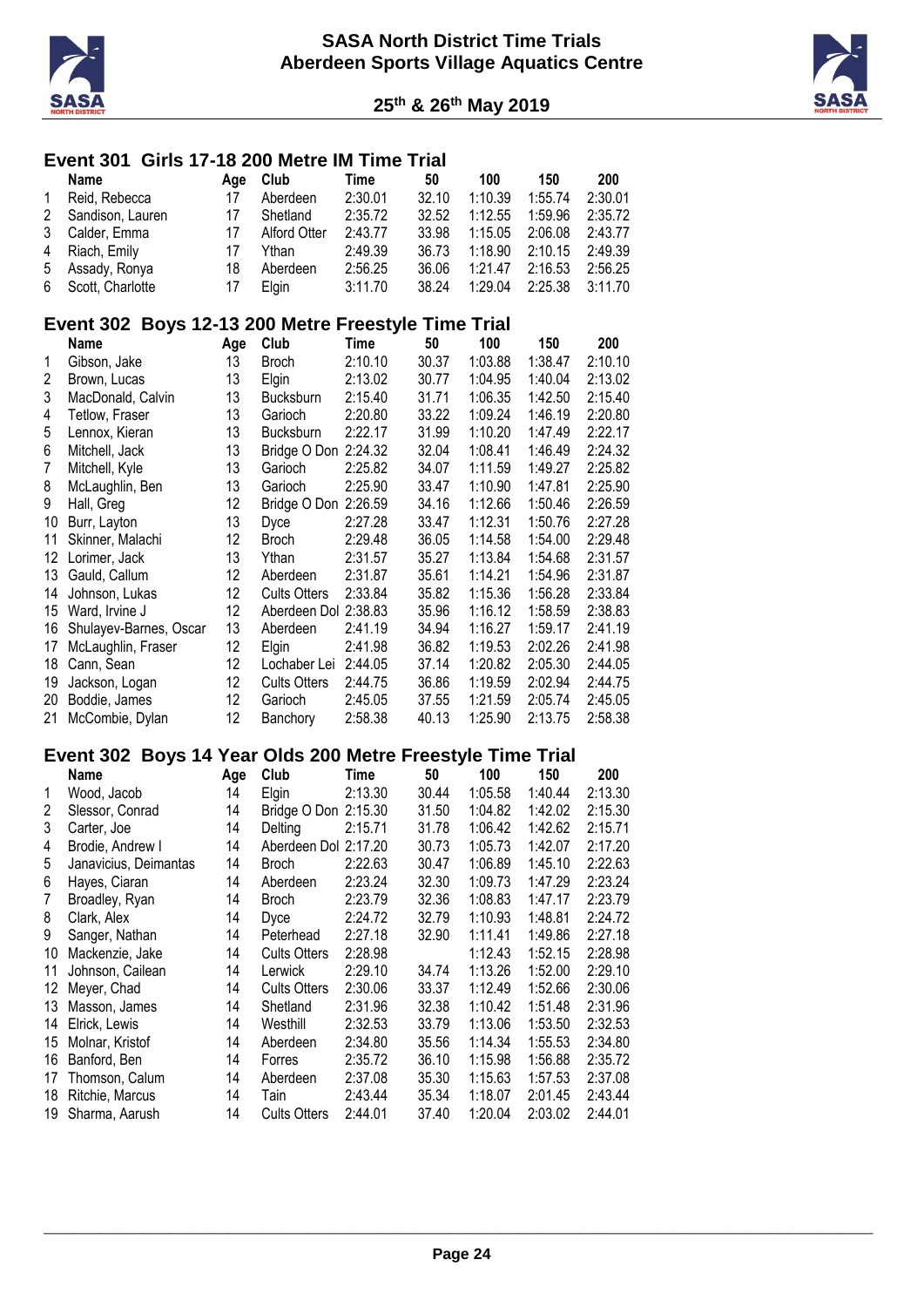



#### **Event 301 Girls 17-18 200 Metre IM Time Trial**

|        | Name               | Aae | Club         | Time    | 50    | 100     | 150     | 200     |
|--------|--------------------|-----|--------------|---------|-------|---------|---------|---------|
| 1      | Reid, Rebecca      | 17  | Aberdeen     | 2:30.01 | 32.10 | 1:10.39 | 1:55.74 | 2:30.01 |
| $^{2}$ | Sandison, Lauren   | 17  | Shetland     | 2:35.72 | 32.52 | 1:12.55 | 1:59.96 | 2:35.72 |
| 3      | Calder, Emma       | 17  | Alford Otter | 2:43.77 | 33.98 | 1:15.05 | 2:06.08 | 2:43.77 |
| 4      | Riach, Emily       | 17  | Ythan        | 2:49.39 | 36.73 | 1:18.90 | 2:10.15 | 2:49.39 |
| 5      | Assady, Ronya      | 18  | Aberdeen     | 2:56.25 | 36.06 | 1:21.47 | 2:16.53 | 2:56.25 |
|        | 6 Scott, Charlotte | 17  | Elain        | 3:11.70 | 38.24 | 1:29.04 | 2:25.38 | 3:11.70 |
|        |                    |     |              |         |       |         |         |         |

#### **Event 302 Boys 12-13 200 Metre Freestyle Time Trial**

|    | Name                   | Age | Club                 | Time    | 50    | 100     | 150     | 200     |
|----|------------------------|-----|----------------------|---------|-------|---------|---------|---------|
| 1  | Gibson, Jake           | 13  | <b>Broch</b>         | 2:10.10 | 30.37 | 1:03.88 | 1:38.47 | 2:10.10 |
| 2  | Brown, Lucas           | 13  | Elgin                | 2:13.02 | 30.77 | 1:04.95 | 1:40.04 | 2:13.02 |
| 3  | MacDonald, Calvin      | 13  | <b>Bucksburn</b>     | 2:15.40 | 31.71 | 1:06.35 | 1:42.50 | 2:15.40 |
| 4  | Tetlow, Fraser         | 13  | Garioch              | 2:20.80 | 33.22 | 1:09.24 | 1:46.19 | 2:20.80 |
| 5  | Lennox, Kieran         | 13  | <b>Bucksburn</b>     | 2:22.17 | 31.99 | 1:10.20 | 1:47.49 | 2:22.17 |
| 6  | Mitchell, Jack         | 13  | Bridge O Don         | 2:24.32 | 32.04 | 1:08.41 | 1:46.49 | 2:24.32 |
| 7  | Mitchell, Kyle         | 13  | Garioch              | 2:25.82 | 34.07 | 1:11.59 | 1:49.27 | 2:25.82 |
| 8  | McLaughlin, Ben        | 13  | Garioch              | 2:25.90 | 33.47 | 1:10.90 | 1:47.81 | 2:25.90 |
| 9  | Hall, Greg             | 12  | Bridge O Don         | 2:26.59 | 34.16 | 1:12.66 | 1:50.46 | 2:26.59 |
| 10 | Burr, Layton           | 13  | Dyce                 | 2:27.28 | 33.47 | 1:12.31 | 1:50.76 | 2:27.28 |
| 11 | Skinner, Malachi       | 12  | <b>Broch</b>         | 2:29.48 | 36.05 | 1:14.58 | 1:54.00 | 2:29.48 |
| 12 | Lorimer, Jack          | 13  | Ythan                | 2:31.57 | 35.27 | 1:13.84 | 1:54.68 | 2:31.57 |
| 13 | Gauld, Callum          | 12  | Aberdeen             | 2:31.87 | 35.61 | 1:14.21 | 1:54.96 | 2:31.87 |
| 14 | Johnson, Lukas         | 12  | <b>Cults Otters</b>  | 2:33.84 | 35.82 | 1:15.36 | 1:56.28 | 2:33.84 |
| 15 | Ward, Irvine J         | 12  | Aberdeen Dol 2:38.83 |         | 35.96 | 1:16.12 | 1:58.59 | 2:38.83 |
| 16 | Shulayev-Barnes, Oscar | 13  | Aberdeen             | 2:41.19 | 34.94 | 1:16.27 | 1:59.17 | 2:41.19 |
| 17 | McLaughlin, Fraser     | 12  | <b>Elgin</b>         | 2:41.98 | 36.82 | 1:19.53 | 2:02.26 | 2:41.98 |
| 18 | Cann, Sean             | 12  | Lochaber Lei         | 2:44.05 | 37.14 | 1:20.82 | 2:05.30 | 2:44.05 |
| 19 | Jackson, Logan         | 12  | <b>Cults Otters</b>  | 2:44.75 | 36.86 | 1:19.59 | 2:02.94 | 2:44.75 |
| 20 | Boddie, James          | 12  | Garioch              | 2:45.05 | 37.55 | 1:21.59 | 2:05.74 | 2:45.05 |
| 21 | McCombie, Dylan        | 12  | Banchory             | 2:58.38 | 40.13 | 1:25.90 | 2:13.75 | 2:58.38 |

#### **Event 302 Boys 14 Year Olds 200 Metre Freestyle Time Trial**

|    | Name                  | Age | Club                | Time    | 50    | 100     | 150     | 200     |
|----|-----------------------|-----|---------------------|---------|-------|---------|---------|---------|
| 1  | Wood, Jacob           | 14  | Elgin               | 2:13.30 | 30.44 | 1:05.58 | 1:40.44 | 2:13.30 |
| 2  | Slessor, Conrad       | 14  | Bridge O Don        | 2:15.30 | 31.50 | 1:04.82 | 1:42.02 | 2:15.30 |
| 3  | Carter, Joe           | 14  | Delting             | 2:15.71 | 31.78 | 1:06.42 | 1:42.62 | 2:15.71 |
| 4  | Brodie, Andrew I      | 14  | Aberdeen Dol        | 2:17.20 | 30.73 | 1:05.73 | 1:42.07 | 2:17.20 |
| 5  | Janavicius, Deimantas | 14  | <b>Broch</b>        | 2:22.63 | 30.47 | 1:06.89 | 1:45.10 | 2:22.63 |
| 6  | Hayes, Ciaran         | 14  | Aberdeen            | 2:23.24 | 32.30 | 1:09.73 | 1:47.29 | 2:23.24 |
| 7  | Broadley, Ryan        | 14  | <b>Broch</b>        | 2:23.79 | 32.36 | 1:08.83 | 1:47.17 | 2:23.79 |
| 8  | Clark, Alex           | 14  | <b>Dyce</b>         | 2:24.72 | 32.79 | 1:10.93 | 1:48.81 | 2:24.72 |
| 9  | Sanger, Nathan        | 14  | Peterhead           | 2:27.18 | 32.90 | 1:11.41 | 1:49.86 | 2:27.18 |
| 10 | Mackenzie, Jake       | 14  | <b>Cults Otters</b> | 2:28.98 |       | 1:12.43 | 1:52.15 | 2:28.98 |
| 11 | Johnson, Cailean      | 14  | Lerwick             | 2:29.10 | 34.74 | 1:13.26 | 1:52.00 | 2:29.10 |
| 12 | Meyer, Chad           | 14  | <b>Cults Otters</b> | 2:30.06 | 33.37 | 1:12.49 | 1:52.66 | 2:30.06 |
| 13 | Masson, James         | 14  | Shetland            | 2:31.96 | 32.38 | 1:10.42 | 1:51.48 | 2:31.96 |
| 14 | Elrick, Lewis         | 14  | Westhill            | 2:32.53 | 33.79 | 1:13.06 | 1:53.50 | 2:32.53 |
| 15 | Molnar, Kristof       | 14  | Aberdeen            | 2:34.80 | 35.56 | 1:14.34 | 1:55.53 | 2:34.80 |
| 16 | Banford, Ben          | 14  | Forres              | 2:35.72 | 36.10 | 1:15.98 | 1:56.88 | 2:35.72 |
| 17 | Thomson, Calum        | 14  | Aberdeen            | 2:37.08 | 35.30 | 1:15.63 | 1:57.53 | 2:37.08 |
| 18 | Ritchie, Marcus       | 14  | Tain                | 2:43.44 | 35.34 | 1:18.07 | 2:01.45 | 2:43.44 |
| 19 | Sharma, Aarush        | 14  | <b>Cults Otters</b> | 2:44.01 | 37.40 | 1:20.04 | 2:03.02 | 2:44.01 |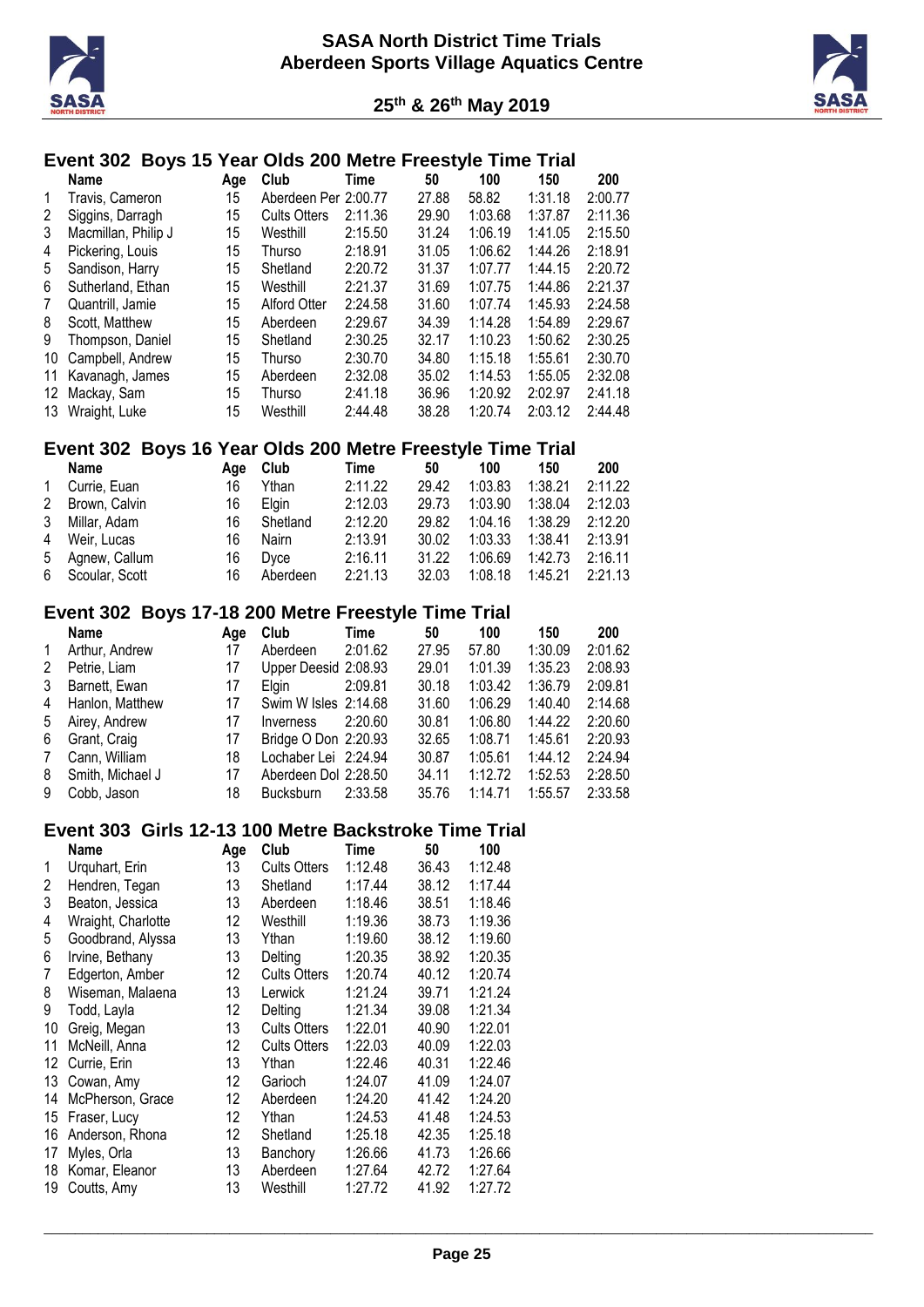



# **Event 302 Boys 15 Year Olds 200 Metre Freestyle Time Trial**

|    | <b>Name</b>         | Age | Club                 | Time    | 50    | 100     | 150     | 200     |
|----|---------------------|-----|----------------------|---------|-------|---------|---------|---------|
| 1  | Travis, Cameron     | 15  | Aberdeen Per 2:00.77 |         | 27.88 | 58.82   | 1:31.18 | 2:00.77 |
| 2  | Siggins, Darragh    | 15  | <b>Cults Otters</b>  | 2:11.36 | 29.90 | 1:03.68 | 1:37.87 | 2:11.36 |
| 3  | Macmillan, Philip J | 15  | Westhill             | 2:15.50 | 31.24 | 1:06.19 | 1:41.05 | 2:15.50 |
| 4  | Pickering, Louis    | 15  | Thurso               | 2:18.91 | 31.05 | 1:06.62 | 1:44.26 | 2:18.91 |
| 5  | Sandison, Harry     | 15  | Shetland             | 2:20.72 | 31.37 | 1:07.77 | 1:44.15 | 2:20.72 |
| 6  | Sutherland, Ethan   | 15  | Westhill             | 2:21.37 | 31.69 | 1:07.75 | 1:44.86 | 2:21.37 |
| 7  | Quantrill, Jamie    | 15  | Alford Otter         | 2:24.58 | 31.60 | 1:07.74 | 1:45.93 | 2:24.58 |
| 8  | Scott, Matthew      | 15  | Aberdeen             | 2:29.67 | 34.39 | 1:14.28 | 1:54.89 | 2:29.67 |
| 9  | Thompson, Daniel    | 15  | Shetland             | 2:30.25 | 32.17 | 1:10.23 | 1:50.62 | 2:30.25 |
| 10 | Campbell, Andrew    | 15  | Thurso               | 2:30.70 | 34.80 | 1:15.18 | 1:55.61 | 2:30.70 |
| 11 | Kavanagh, James     | 15  | Aberdeen             | 2:32.08 | 35.02 | 1:14.53 | 1:55.05 | 2:32.08 |
| 12 | Mackay, Sam         | 15  | Thurso               | 2:41.18 | 36.96 | 1:20.92 | 2:02.97 | 2:41.18 |
| 13 | Wraight, Luke       | 15  | Westhill             | 2:44.48 | 38.28 | 1:20.74 | 2:03.12 | 2:44.48 |

### **Event 302 Boys 16 Year Olds 200 Metre Freestyle Time Trial**

|              | Name             | Aae | Club     | Time    | 50    | 100     | 150     | 200     |
|--------------|------------------|-----|----------|---------|-------|---------|---------|---------|
| $\mathbf{1}$ | Currie, Euan     | 16  | Ythan    | 2:11.22 | 29.42 | 1:03.83 | 1:38.21 | 2:11.22 |
|              | 2 Brown, Calvin  | 16  | Elain    | 2:12.03 | 29.73 | 1:03.90 | 1:38.04 | 2:12.03 |
|              | 3 Millar, Adam   | 16  | Shetland | 2:12.20 | 29.82 | 1:04.16 | 1:38.29 | 2:12.20 |
|              | 4 Weir, Lucas    | 16  | Nairn    | 2:13.91 | 30.02 | 1:03.33 | 1:38.41 | 2:13.91 |
|              | 5 Agnew, Callum  | 16  | Dyce     | 2:16.11 | 31.22 | 1:06.69 | 1:42.73 | 2:16.11 |
|              | 6 Scoular, Scott | 16  | Aberdeen | 2:21.13 | 32.03 | 1:08.18 | 1:45.21 | 2:21.13 |
|              |                  |     |          |         |       |         |         |         |

# **Event 302 Boys 17-18 200 Metre Freestyle Time Trial**

| Name             | Age                    | Club             | Time    | 50                                                                                                                              | 100     | 150     | 200     |
|------------------|------------------------|------------------|---------|---------------------------------------------------------------------------------------------------------------------------------|---------|---------|---------|
| Arthur, Andrew   | 17                     | Aberdeen         | 2:01.62 | 27.95                                                                                                                           | 57.80   | 1:30.09 | 2:01.62 |
| Petrie, Liam     | 17                     |                  |         | 29.01                                                                                                                           | 1:01.39 | 1:35.23 | 2:08.93 |
| Barnett, Ewan    | 17                     | Elain            |         | 30.18                                                                                                                           | 1:03.42 | 1:36.79 | 2:09.81 |
|                  | 17                     |                  |         | 31.60                                                                                                                           | 1:06.29 | 1:40.40 | 2:14.68 |
| Airey, Andrew    | 17                     | <i>Inverness</i> | 2:20.60 | 30.81                                                                                                                           | 1:06.80 | 1:44.22 | 2:20.60 |
| Grant, Craig     | 17                     |                  |         | 32.65                                                                                                                           | 1:08.71 | 1:45.61 | 2:20.93 |
| Cann, William    | 18                     |                  |         | 30.87                                                                                                                           | 1:05.61 | 1:44.12 | 2:24.94 |
| Smith, Michael J | 17                     |                  |         | 34.11                                                                                                                           | 1:12.72 | 1:52.53 | 2:28.50 |
| Cobb, Jason      | 18                     | <b>Bucksburn</b> | 2:33.58 | 35.76                                                                                                                           | 1:14.71 | 1:55.57 | 2:33.58 |
|                  | 4 Hanlon, Matthew<br>5 |                  |         | Upper Deesid 2:08.93<br>2:09.81<br>Swim W Isles 2:14.68<br>Bridge O Don 2:20.93<br>Lochaber Lei 2:24.94<br>Aberdeen Dol 2:28.50 |         |         |         |

# **Event 303 Girls 12-13 100 Metre Backstroke Time Trial**

|    | <b>Name</b>        | Age | Club                | Time    | 50    | 100     |
|----|--------------------|-----|---------------------|---------|-------|---------|
| 1  | Urquhart, Erin     | 13  | <b>Cults Otters</b> | 1:12.48 | 36.43 | 1:12.48 |
| 2  | Hendren, Tegan     | 13  | Shetland            | 1:17.44 | 38.12 | 1:17.44 |
| 3  | Beaton, Jessica    | 13  | Aberdeen            | 1:18.46 | 38.51 | 1:18.46 |
| 4  | Wraight, Charlotte | 12  | Westhill            | 1:19.36 | 38.73 | 1:19.36 |
| 5  | Goodbrand, Alyssa  | 13  | Ythan               | 1:19.60 | 38.12 | 1:19.60 |
| 6  | Irvine, Bethany    | 13  | Delting             | 1:20.35 | 38.92 | 1:20.35 |
| 7  | Edgerton, Amber    | 12  | <b>Cults Otters</b> | 1:20.74 | 40.12 | 1:20.74 |
| 8  | Wiseman, Malaena   | 13  | Lerwick             | 1:21.24 | 39.71 | 1:21.24 |
| 9  | Todd, Layla        | 12  | Delting             | 1:21.34 | 39.08 | 1:21.34 |
| 10 | Greig, Megan       | 13  | <b>Cults Otters</b> | 1:22.01 | 40.90 | 1:22.01 |
| 11 | McNeill, Anna      | 12  | <b>Cults Otters</b> | 1:22.03 | 40.09 | 1:22.03 |
| 12 | Currie, Erin       | 13  | Ythan               | 1:22.46 | 40.31 | 1:22.46 |
| 13 | Cowan, Amy         | 12  | Garioch             | 1:24.07 | 41.09 | 1:24.07 |
| 14 | McPherson, Grace   | 12  | Aberdeen            | 1:24.20 | 41.42 | 1:24.20 |
| 15 | Fraser, Lucy       | 12  | Ythan               | 1:24.53 | 41.48 | 1:24.53 |
| 16 | Anderson, Rhona    | 12  | Shetland            | 1:25.18 | 42.35 | 1:25.18 |
| 17 | Myles, Orla        | 13  | Banchory            | 1:26.66 | 41.73 | 1:26.66 |
| 18 | Komar, Eleanor     | 13  | Aberdeen            | 1:27.64 | 42.72 | 1:27.64 |
| 19 | Coutts, Amy        | 13  | Westhill            | 1:27.72 | 41.92 | 1:27.72 |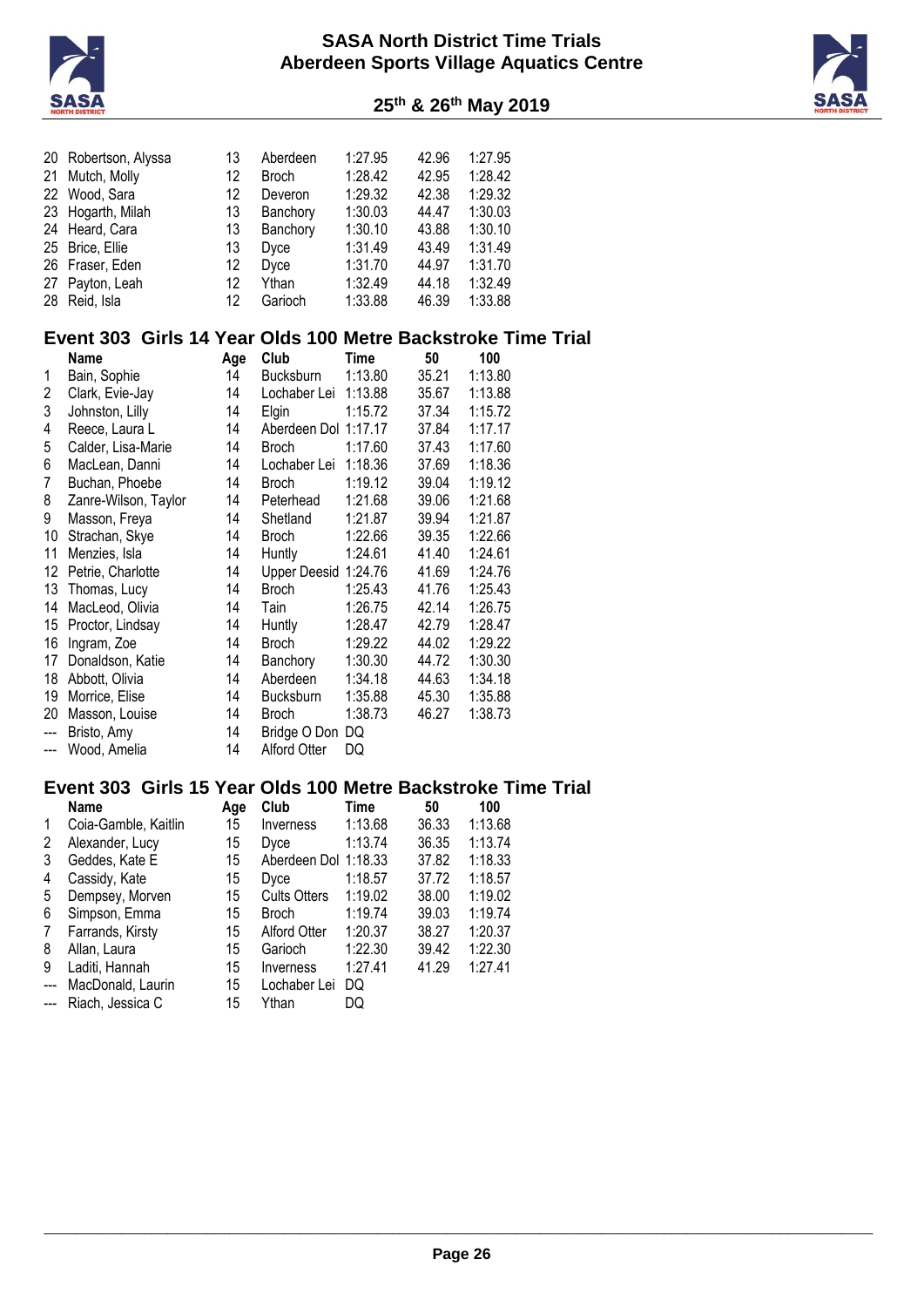



| 25 <sup>th</sup> & 26 <sup>th</sup> May 2019 |  |  |  |  |  |
|----------------------------------------------|--|--|--|--|--|
|----------------------------------------------|--|--|--|--|--|

|        | 20 Robertson, Alyssa                                         | 13  | Aberdeen                             | 1:27.95     | 42.96 | 1:27.95 |  |
|--------|--------------------------------------------------------------|-----|--------------------------------------|-------------|-------|---------|--|
| 21     | Mutch, Molly                                                 | 12  | <b>Broch</b>                         | 1:28.42     | 42.95 | 1:28.42 |  |
|        | 22 Wood, Sara                                                | 12  | Deveron                              | 1:29.32     | 42.38 | 1:29.32 |  |
| 23     | Hogarth, Milah                                               | 13  | Banchory                             | 1:30.03     | 44.47 | 1:30.03 |  |
| 24     | Heard, Cara                                                  | 13  | Banchory                             | 1:30.10     | 43.88 | 1:30.10 |  |
|        | 25 Brice, Ellie                                              | 13  | Dyce                                 | 1:31.49     | 43.49 | 1:31.49 |  |
|        | 26 Fraser, Eden                                              | 12  | Dyce                                 | 1:31.70     | 44.97 | 1:31.70 |  |
|        | 27 Payton, Leah                                              | 12  | Ythan                                | 1:32.49     | 44.18 | 1:32.49 |  |
|        | 28 Reid, Isla                                                | 12  | Garioch                              | 1:33.88     | 46.39 | 1:33.88 |  |
|        |                                                              |     |                                      |             |       |         |  |
|        | Event 303 Girls 14 Year Olds 100 Metre Backstroke Time Trial |     |                                      |             |       |         |  |
|        | <b>Name</b>                                                  | Age | Club                                 | <b>Time</b> | 50    | 100     |  |
| 1      | Bain, Sophie                                                 | 14  | <b>Bucksburn</b>                     | 1:13.80     | 35.21 | 1:13.80 |  |
| 2      | Clark, Evie-Jay                                              | 14  | Lochaber Lei 1:13.88                 |             | 35.67 | 1:13.88 |  |
| 3      | Johnston, Lilly                                              | 14  | Elgin                                | 1:15.72     | 37.34 | 1:15.72 |  |
| 4      | Reece, Laura L                                               | 14  | Aberdeen Dol 1:17.17                 |             | 37.84 | 1:17.17 |  |
|        |                                                              | 14  |                                      | 1:17.60     | 37.43 | 1:17.60 |  |
| 5<br>6 | Calder, Lisa-Marie<br>MacLean, Danni                         | 14  | <b>Broch</b><br>Lochaber Lei 1:18.36 |             | 37.69 | 1:18.36 |  |
|        |                                                              |     |                                      |             |       |         |  |
| 7      | Buchan, Phoebe                                               | 14  | <b>Broch</b>                         | 1:19.12     | 39.04 | 1:19.12 |  |
| 8      | Zanre-Wilson, Taylor                                         | 14  | Peterhead                            | 1:21.68     | 39.06 | 1:21.68 |  |
| 9      | Masson, Freya                                                | 14  | Shetland                             | 1:21.87     | 39.94 | 1:21.87 |  |
| 10     | Strachan, Skye                                               | 14  | <b>Broch</b>                         | 1:22.66     | 39.35 | 1:22.66 |  |
| 11     | Menzies, Isla                                                | 14  | Huntly                               | 1:24.61     | 41.40 | 1:24.61 |  |
|        | 12 Petrie, Charlotte                                         | 14  | Upper Deesid 1:24.76                 |             | 41.69 | 1:24.76 |  |
|        | 13 Thomas, Lucy                                              | 14  | <b>Broch</b>                         | 1:25.43     | 41.76 | 1:25.43 |  |
|        | 14 MacLeod, Olivia                                           | 14  | Tain                                 | 1:26.75     | 42.14 | 1:26.75 |  |
|        | 15 Proctor, Lindsay                                          | 14  | Huntly                               | 1:28.47     | 42.79 | 1:28.47 |  |
|        | 16 Ingram, Zoe                                               | 14  | <b>Broch</b>                         | 1:29.22     | 44.02 | 1:29.22 |  |
|        | 17 Donaldson, Katie                                          | 14  | Banchory                             | 1:30.30     | 44.72 | 1:30.30 |  |
|        | 18 Abbott, Olivia                                            | 14  | Aberdeen                             | 1:34.18     | 44.63 | 1:34.18 |  |
|        | 19 Morrice, Elise                                            | 14  | <b>Bucksburn</b>                     | 1:35.88     | 45.30 | 1:35.88 |  |
| 20     | Masson, Louise                                               | 14  | <b>Broch</b>                         | 1:38.73     | 46.27 | 1:38.73 |  |
| ---    | Bristo, Amy                                                  | 14  | Bridge O Don DQ                      |             |       |         |  |
| ---    | Wood, Amelia                                                 | 14  | <b>Alford Otter</b>                  | DQ          |       |         |  |
|        |                                                              |     |                                      |             |       |         |  |
|        | Event 303 Girls 15 Year Olds 100 Metre Backstroke Time Trial |     |                                      |             |       |         |  |
|        | <b>Name</b>                                                  | Age | Club                                 | <b>Time</b> | 50    | 100     |  |
| 1      | Coia-Gamble, Kaitlin                                         | 15  | Inverness                            | 1:13.68     | 36.33 | 1:13.68 |  |
| 2      | Alexander, Lucy                                              | 15  | Dyce                                 | 1:13.74     | 36.35 | 1:13.74 |  |
| 3      | Geddes, Kate E                                               | 15  | Aberdeen Dol 1:18.33                 |             | 37.82 | 1:18.33 |  |
| 4      | Cassidy, Kate                                                | 15  | Dyce                                 | 1:18.57     | 37.72 | 1:18.57 |  |
| 5      | Dempsey, Morven                                              | 15  | <b>Cults Otters</b>                  | 1:19.02     | 38.00 | 1:19.02 |  |
| 6      | Simpson, Emma                                                | 15  | <b>Broch</b>                         | 1:19.74     | 39.03 | 1:19.74 |  |
| 7      | Farrands, Kirsty                                             | 15  | Alford Otter                         | 1:20.37     | 38.27 | 1:20.37 |  |
| 8      | Allan, Laura                                                 | 15  | Garioch                              | 1:22.30     | 39.42 | 1:22.30 |  |
| 9      | Laditi, Hannah                                               | 15  | Inverness                            | 1:27.41     | 41.29 | 1:27.41 |  |
| ---    | MacDonald, Laurin                                            | 15  | Lochaber Lei                         | DQ          |       |         |  |
| ---    | Riach, Jessica C                                             | 15  | Ythan                                | DQ          |       |         |  |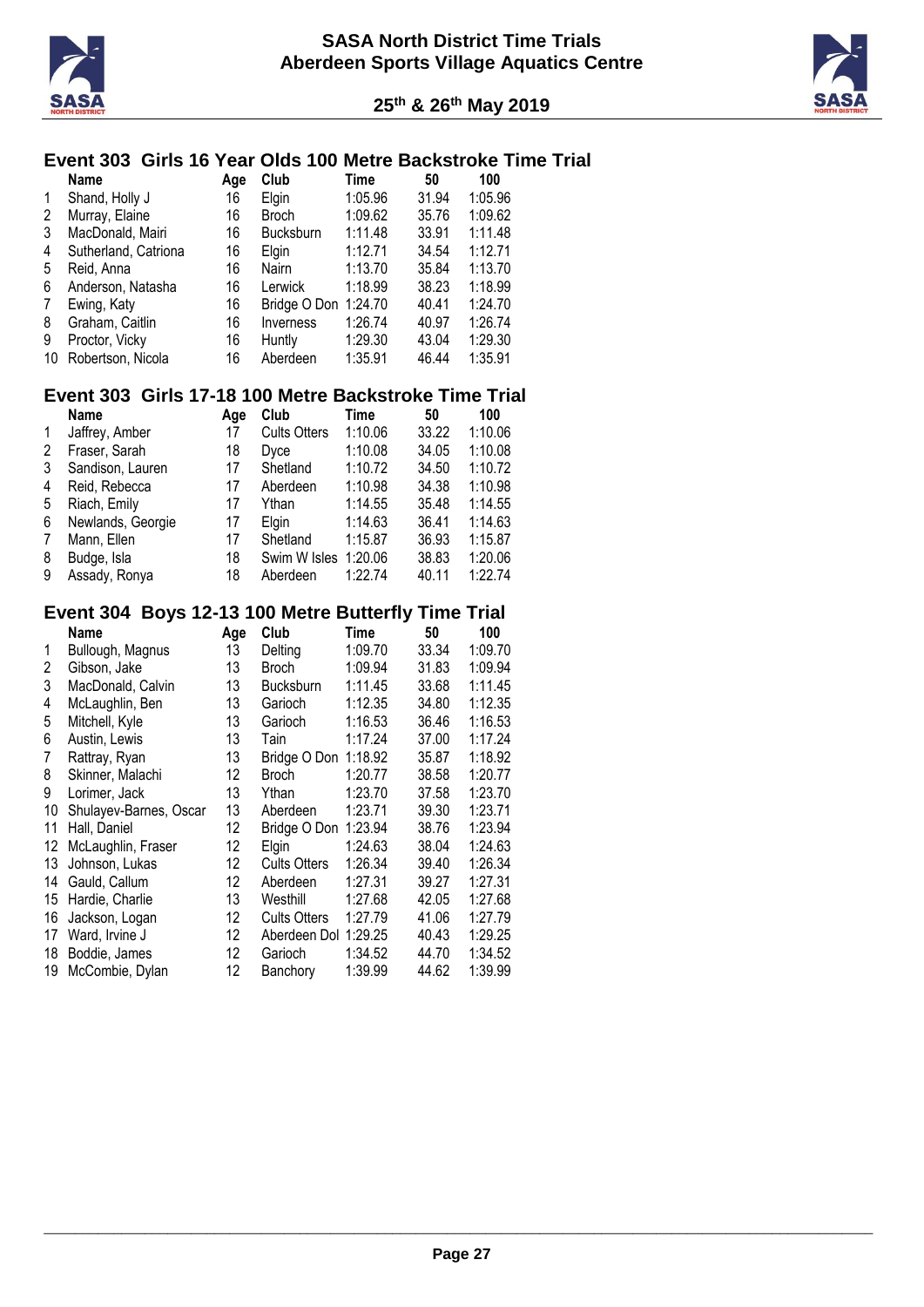



# **Event 303 Girls 16 Year Olds 100 Metre Backstroke Time Trial**

|    | <b>Name</b>          | Age | Club                 | Time    | 50    | 100     |
|----|----------------------|-----|----------------------|---------|-------|---------|
| 1  | Shand, Holly J       | 16  | Elgin                | 1:05.96 | 31.94 | 1:05.96 |
| 2  | Murray, Elaine       | 16  | <b>Broch</b>         | 1:09.62 | 35.76 | 1:09.62 |
| 3  | MacDonald, Mairi     | 16  | <b>Bucksburn</b>     | 1:11.48 | 33.91 | 1:11.48 |
| 4  | Sutherland, Catriona | 16  | Elgin                | 1:12.71 | 34.54 | 1:12.71 |
| 5  | Reid, Anna           | 16  | Nairn                | 1:13.70 | 35.84 | 1:13.70 |
| 6  | Anderson, Natasha    | 16  | Lerwick              | 1:18.99 | 38.23 | 1:18.99 |
| 7  | Ewing, Katy          | 16  | Bridge O Don 1:24.70 |         | 40.41 | 1:24.70 |
| 8  | Graham, Caitlin      | 16  | Inverness            | 1:26.74 | 40.97 | 1:26.74 |
| 9  | Proctor, Vicky       | 16  | Huntly               | 1:29.30 | 43.04 | 1:29.30 |
| 10 | Robertson, Nicola    | 16  | Aberdeen             | 1:35.91 | 46.44 | 1:35.91 |

# **Event 303 Girls 17-18 100 Metre Backstroke Time Trial**

|              | Name              | Aae | Club                 | Time    | 50    | 100     |
|--------------|-------------------|-----|----------------------|---------|-------|---------|
| $\mathbf{1}$ | Jaffrey, Amber    | 17  | <b>Cults Otters</b>  | 1:10.06 | 33.22 | 1:10.06 |
| 2            | Fraser, Sarah     | 18  | Dvce                 | 1:10.08 | 34.05 | 1:10.08 |
| 3            | Sandison, Lauren  | 17  | Shetland             | 1:10.72 | 34.50 | 1:10.72 |
| 4            | Reid, Rebecca     | 17  | Aberdeen             | 1:10.98 | 34.38 | 1:10.98 |
| 5            | Riach, Emily      | 17  | Ythan                | 1:14.55 | 35.48 | 1:14.55 |
| 6            | Newlands, Georgie | 17  | Elgin                | 1:14.63 | 36.41 | 1:14.63 |
| 7            | Mann, Ellen       | 17  | Shetland             | 1:15.87 | 36.93 | 1:15.87 |
| 8            | Budge, Isla       | 18  | Swim W Isles 1:20.06 |         | 38.83 | 1:20.06 |
| 9            | Assady, Ronya     | 18  | Aberdeen             | 1:22.74 | 40.11 | 1:22.74 |

# **Event 304 Boys 12-13 100 Metre Butterfly Time Trial**

|    | <b>Name</b>            | Age | Club                 | Time    | 50    | 100     |
|----|------------------------|-----|----------------------|---------|-------|---------|
| 1  | Bullough, Magnus       | 13  | Delting              | 1:09.70 | 33.34 | 1:09.70 |
| 2  | Gibson, Jake           | 13  | <b>Broch</b>         | 1:09.94 | 31.83 | 1:09.94 |
| 3  | MacDonald, Calvin      | 13  | Bucksburn            | 1:11.45 | 33.68 | 1:11.45 |
| 4  | McLaughlin, Ben        | 13  | Garioch              | 1:12.35 | 34.80 | 1:12.35 |
| 5  | Mitchell, Kyle         | 13  | Garioch              | 1:16.53 | 36.46 | 1:16.53 |
| 6  | Austin, Lewis          | 13  | Tain                 | 1:17.24 | 37.00 | 1:17.24 |
| 7  | Rattray, Ryan          | 13  | Bridge O Don         | 1:18.92 | 35.87 | 1:18.92 |
| 8  | Skinner, Malachi       | 12  | <b>Broch</b>         | 1:20.77 | 38.58 | 1:20.77 |
| 9  | Lorimer, Jack          | 13  | Ythan                | 1:23.70 | 37.58 | 1:23.70 |
| 10 | Shulayev-Barnes, Oscar | 13  | Aberdeen             | 1:23.71 | 39.30 | 1:23.71 |
| 11 | Hall, Daniel           | 12  | Bridge O Don         | 1:23.94 | 38.76 | 1:23.94 |
| 12 | McLaughlin, Fraser     | 12  | Elgin                | 1:24.63 | 38.04 | 1:24.63 |
| 13 | Johnson, Lukas         | 12  | <b>Cults Otters</b>  | 1:26.34 | 39.40 | 1:26.34 |
| 14 | Gauld, Callum          | 12  | Aberdeen             | 1:27.31 | 39.27 | 1:27.31 |
| 15 | Hardie, Charlie        | 13  | Westhill             | 1:27.68 | 42.05 | 1:27.68 |
| 16 | Jackson, Logan         | 12  | <b>Cults Otters</b>  | 1:27.79 | 41.06 | 1:27.79 |
| 17 | Ward, Irvine J         | 12  | Aberdeen Dol 1:29.25 |         | 40.43 | 1:29.25 |
| 18 | Boddie, James          | 12  | Garioch              | 1:34.52 | 44.70 | 1:34.52 |
| 19 | McCombie, Dylan        | 12  | Banchory             | 1:39.99 | 44.62 | 1:39.99 |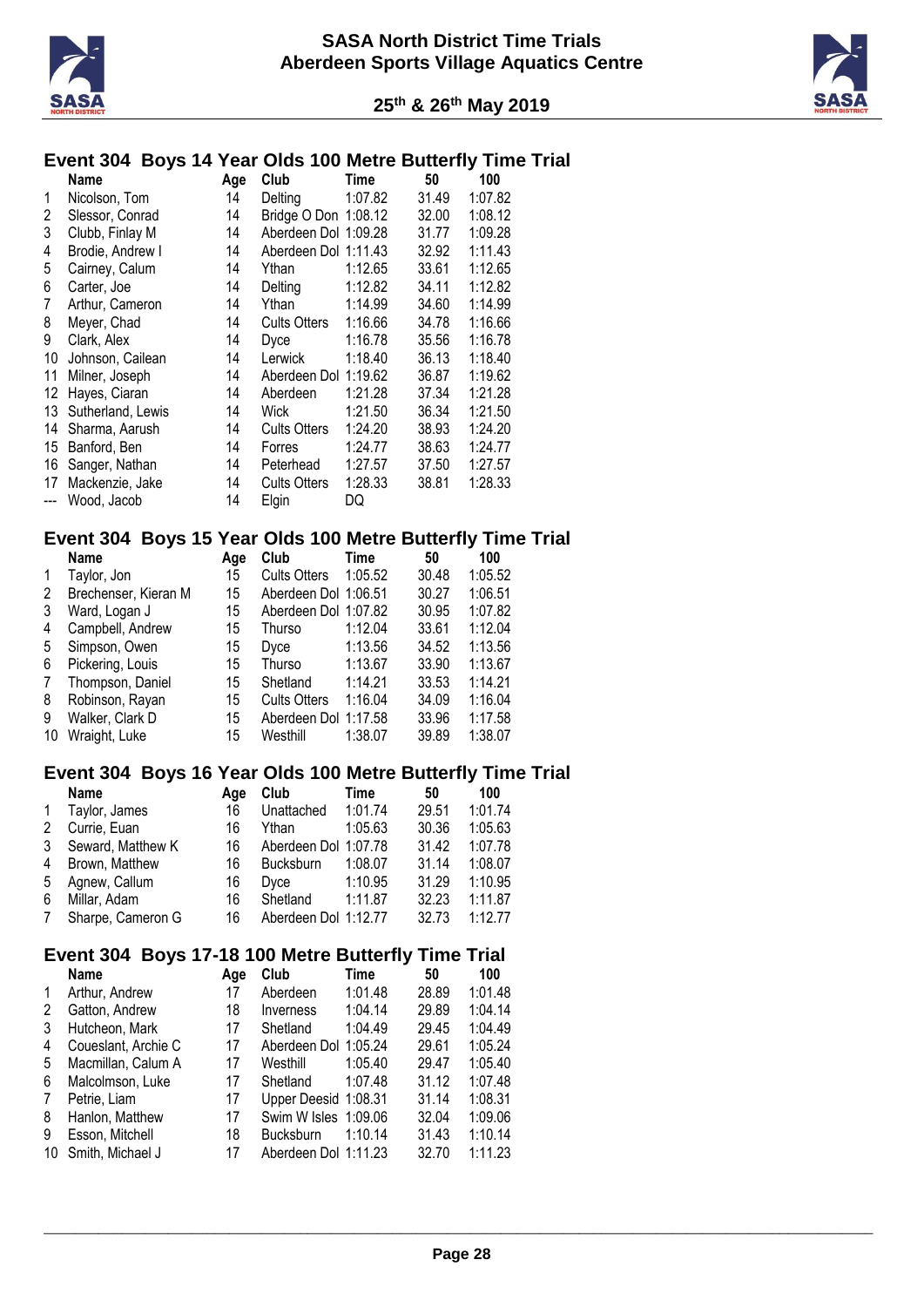



# **Event 304 Boys 14 Year Olds 100 Metre Butterfly Time Trial**

|                         | Event 304 Boys 14 rear Olds Too Metre Butterily Time Trial |          |                                   |             |                |                    |  |
|-------------------------|------------------------------------------------------------|----------|-----------------------------------|-------------|----------------|--------------------|--|
|                         | Name                                                       | Age      | Club                              | Time        | 50             | 100                |  |
| 1                       | Nicolson, Tom                                              | 14       | Delting                           | 1:07.82     | 31.49          | 1:07.82            |  |
| $\overline{\mathbf{c}}$ | Slessor, Conrad                                            | 14       | Bridge O Don 1:08.12              |             | 32.00          | 1:08.12            |  |
| 3                       | Clubb, Finlay M                                            | 14       | Aberdeen Dol 1:09.28              |             | 31.77          | 1:09.28            |  |
| 4                       | Brodie, Andrew I                                           | 14       | Aberdeen Dol 1:11.43              |             | 32.92          | 1:11.43            |  |
| 5                       | Cairney, Calum                                             | 14       | Ythan                             | 1:12.65     | 33.61          | 1:12.65            |  |
| 6                       | Carter, Joe                                                | 14       | Delting                           | 1:12.82     | 34.11          | 1:12.82            |  |
| 7                       | Arthur, Cameron                                            | 14       | Ythan                             | 1:14.99     | 34.60          | 1:14.99            |  |
| 8                       | Meyer, Chad                                                | 14       | <b>Cults Otters</b>               | 1:16.66     | 34.78          | 1:16.66            |  |
| 9                       | Clark, Alex                                                | 14       | Dyce                              | 1:16.78     | 35.56          | 1:16.78            |  |
| 10                      | Johnson, Cailean                                           | 14       | Lerwick                           | 1:18.40     | 36.13          | 1:18.40            |  |
| 11                      | Milner, Joseph                                             | 14       | Aberdeen Dol 1:19.62              |             | 36.87          | 1:19.62            |  |
| 12                      | Hayes, Ciaran                                              | 14       | Aberdeen                          | 1:21.28     | 37.34          | 1:21.28            |  |
| 13                      | Sutherland, Lewis                                          | 14       | <b>Wick</b>                       | 1:21.50     | 36.34          | 1:21.50            |  |
| 14                      | Sharma, Aarush                                             | 14       | <b>Cults Otters</b>               | 1:24.20     | 38.93          | 1:24.20            |  |
|                         | 15 Banford, Ben                                            | 14       |                                   |             |                |                    |  |
|                         |                                                            |          | Forres                            | 1:24.77     | 38.63          | 1:24.77            |  |
|                         | 16 Sanger, Nathan                                          | 14       | Peterhead                         | 1:27.57     | 37.50          | 1:27.57            |  |
| 17                      | Mackenzie, Jake                                            | 14       | <b>Cults Otters</b>               | 1:28.33     | 38.81          | 1:28.33            |  |
| ---                     | Wood, Jacob                                                | 14       | Elgin                             | DQ          |                |                    |  |
|                         | Event 304 Boys 15 Year Olds 100 Metre Butterfly Time Trial |          |                                   |             |                |                    |  |
|                         | <b>Name</b>                                                | Age      | Club                              | <b>Time</b> | 50             | 100                |  |
| 1                       | Taylor, Jon                                                | 15       | <b>Cults Otters</b>               | 1:05.52     | 30.48          | 1:05.52            |  |
| 2                       | Brechenser, Kieran M                                       | 15       | Aberdeen Dol 1:06.51              |             | 30.27          | 1:06.51            |  |
| 3                       | Ward, Logan J                                              | 15       | Aberdeen Dol 1:07.82              |             | 30.95          | 1:07.82            |  |
| 4                       | Campbell, Andrew                                           | 15       | <b>Thurso</b>                     | 1:12.04     | 33.61          | 1:12.04            |  |
| 5                       | Simpson, Owen                                              | 15       | Dyce                              | 1:13.56     | 34.52          | 1:13.56            |  |
| 6                       | Pickering, Louis                                           | 15       | <b>Thurso</b>                     | 1:13.67     | 33.90          | 1:13.67            |  |
| 7                       | Thompson, Daniel                                           | 15       | Shetland                          | 1:14.21     | 33.53          | 1:14.21            |  |
| 8                       | Robinson, Rayan                                            | 15       | <b>Cults Otters</b>               | 1:16.04     | 34.09          | 1:16.04            |  |
| 9                       | Walker, Clark D                                            | 15       | Aberdeen Dol 1:17.58              |             | 33.96          | 1:17.58            |  |
| 10                      | Wraight, Luke                                              | 15       | Westhill                          | 1:38.07     | 39.89          | 1:38.07            |  |
|                         |                                                            |          |                                   |             |                |                    |  |
|                         | Event 304 Boys 16 Year Olds 100 Metre Butterfly Time Trial |          |                                   |             |                |                    |  |
|                         | <b>Name</b>                                                | Age      | Club                              | Time        | 50             | 100                |  |
| 1                       | Taylor, James                                              | 16       | Unattached                        | 1:01.74     | 29.51          | 1:01.74            |  |
| $\overline{2}$          | Currie, Euan                                               | 16       | Ythan                             | 1:05.63     | 30.36          | 1:05.63            |  |
| 3                       | Seward, Matthew K                                          | 16       | Aberdeen Dol 1:07.78              |             | 31.42          | 1:07.78            |  |
| 4                       | Brown, Matthew                                             | 16       | Bucksburn                         | 1:08.07     | 31.14          | 1:08.07            |  |
| 5                       | Agnew, Callum                                              | 16       | Dyce                              | 1:10.95     | 31.29          | 1:10.95            |  |
| 6                       | Millar, Adam                                               | 16       | Shetland                          | 1:11.87     | 32.23          | 1:11.87            |  |
| 7                       | Sharpe, Cameron G                                          | 16       | Aberdeen Dol 1:12.77              |             | 32.73          | 1:12.77            |  |
|                         | Event 304 Boys 17-18 100 Metre Butterfly Time Trial        |          |                                   |             |                |                    |  |
|                         | <b>Name</b>                                                | Age      | Club                              | Time        | 50             | 100                |  |
| 1                       | Arthur, Andrew                                             | 17       | Aberdeen                          | 1:01.48     | 28.89          | 1:01.48            |  |
| 2                       | Gatton, Andrew                                             | 18       | Inverness                         | 1:04.14     | 29.89          | 1:04.14            |  |
| 3                       | Hutcheon, Mark                                             | 17       | Shetland                          |             | 29.45          | 1:04.49            |  |
|                         |                                                            |          |                                   | 1:04.49     |                |                    |  |
| 4                       | Coueslant, Archie C                                        | 17       | Aberdeen Dol 1:05.24              |             | 29.61          | 1:05.24            |  |
| 5                       | Macmillan, Calum A                                         | 17       | Westhill                          | 1:05.40     | 29.47          | 1:05.40            |  |
| 6                       | Malcolmson, Luke                                           | 17       | Shetland                          | 1:07.48     | 31.12          | 1:07.48            |  |
| 7                       | Petrie, Liam                                               | 17       | Upper Deesid 1:08.31              |             | 31.14          | 1:08.31            |  |
| 8                       | Hanlon, Matthew                                            | 17       | Swim W Isles 1:09.06              |             | 32.04          | 1:09.06            |  |
| 9                       | Esson, Mitchell                                            |          |                                   |             |                |                    |  |
| 10                      | Smith, Michael J                                           | 18<br>17 | Bucksburn<br>Aberdeen Dol 1:11.23 | 1:10.14     | 31.43<br>32.70 | 1:10.14<br>1:11.23 |  |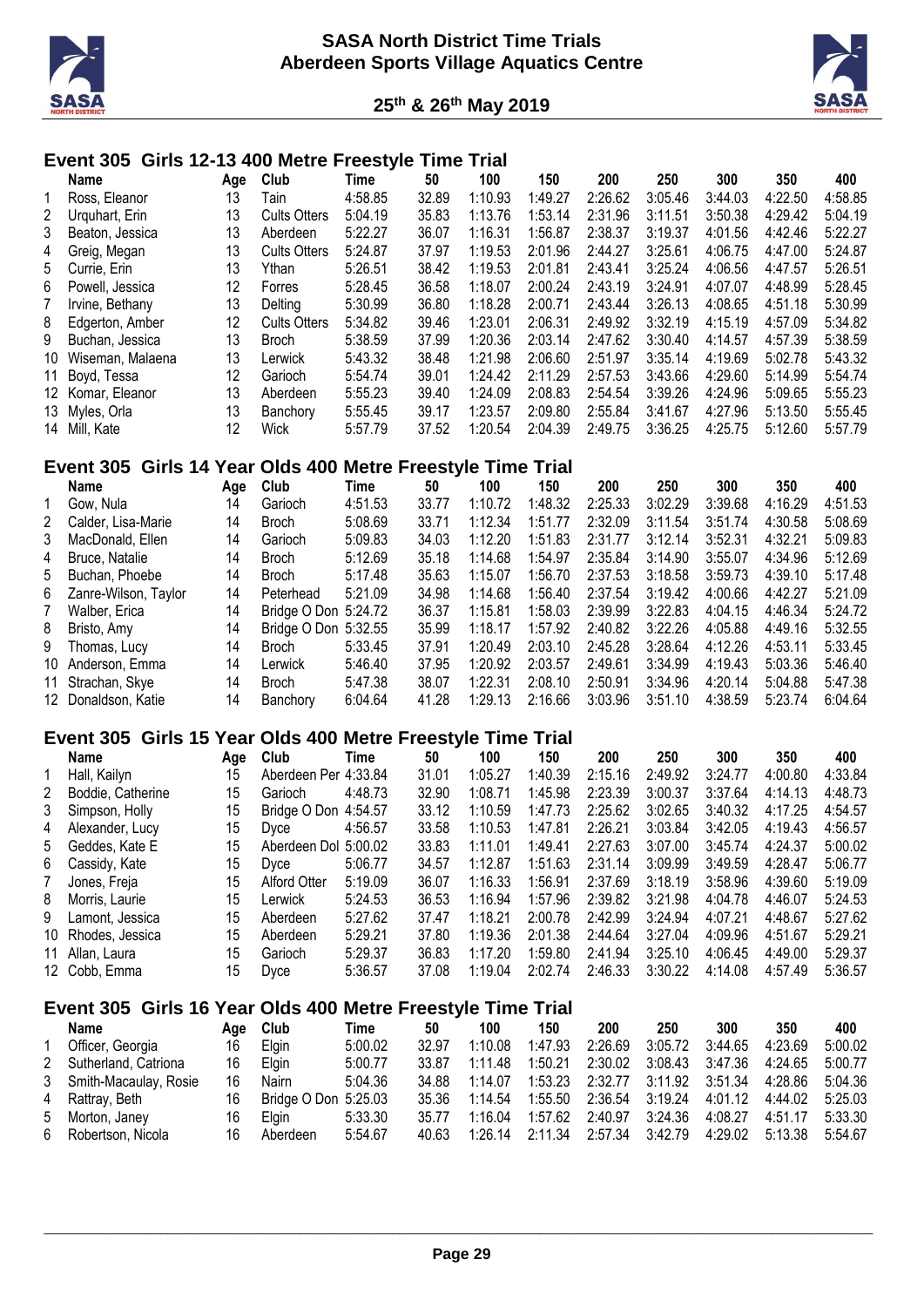



# **Event 305 Girls 12-13 400 Metre Freestyle Time Trial**

|                 | Name                                                        | Age | Club                 | Time        | 50    | 100     | 150     | 200     | 250     | 300     | 350     | 400     |
|-----------------|-------------------------------------------------------------|-----|----------------------|-------------|-------|---------|---------|---------|---------|---------|---------|---------|
| 1               | Ross, Eleanor                                               | 13  | Tain                 | 4:58.85     | 32.89 | 1:10.93 | 1:49.27 | 2:26.62 | 3:05.46 | 3:44.03 | 4:22.50 | 4:58.85 |
| 2               | Urquhart, Erin                                              | 13  | <b>Cults Otters</b>  | 5:04.19     | 35.83 | 1:13.76 | 1:53.14 | 2:31.96 | 3:11.51 | 3:50.38 | 4:29.42 | 5:04.19 |
| 3               | Beaton, Jessica                                             | 13  | Aberdeen             | 5:22.27     | 36.07 | 1:16.31 | 1:56.87 | 2:38.37 | 3:19.37 | 4:01.56 | 4:42.46 | 5:22.27 |
| 4               | Greig, Megan                                                | 13  | <b>Cults Otters</b>  | 5:24.87     | 37.97 | 1:19.53 | 2:01.96 | 2:44.27 | 3:25.61 | 4:06.75 | 4:47.00 | 5:24.87 |
| 5               | Currie, Erin                                                | 13  | Ythan                | 5:26.51     | 38.42 | 1:19.53 | 2:01.81 | 2:43.41 | 3:25.24 | 4:06.56 | 4:47.57 | 5:26.51 |
| 6               | Powell, Jessica                                             | 12  | Forres               | 5:28.45     | 36.58 | 1:18.07 | 2:00.24 | 2:43.19 | 3:24.91 | 4:07.07 | 4:48.99 | 5:28.45 |
| $\overline{7}$  | Irvine, Bethany                                             | 13  | Delting              | 5:30.99     | 36.80 | 1:18.28 | 2:00.71 | 2:43.44 | 3:26.13 | 4:08.65 | 4:51.18 | 5:30.99 |
| 8               | Edgerton, Amber                                             | 12  | <b>Cults Otters</b>  | 5:34.82     | 39.46 | 1:23.01 | 2:06.31 | 2:49.92 | 3:32.19 | 4:15.19 | 4:57.09 | 5:34.82 |
| 9               | Buchan, Jessica                                             | 13  | <b>Broch</b>         | 5:38.59     | 37.99 | 1:20.36 | 2:03.14 | 2:47.62 | 3:30.40 | 4:14.57 | 4:57.39 | 5:38.59 |
| 10              | Wiseman, Malaena                                            | 13  | Lerwick              | 5:43.32     | 38.48 | 1:21.98 | 2:06.60 | 2:51.97 | 3:35.14 | 4:19.69 | 5:02.78 | 5:43.32 |
| 11              | Boyd, Tessa                                                 | 12  | Garioch              | 5:54.74     | 39.01 | 1:24.42 | 2:11.29 | 2:57.53 | 3:43.66 | 4:29.60 | 5:14.99 | 5:54.74 |
| 12              | Komar, Eleanor                                              | 13  | Aberdeen             | 5:55.23     | 39.40 | 1:24.09 | 2:08.83 | 2:54.54 | 3:39.26 | 4:24.96 | 5:09.65 | 5:55.23 |
| 13              | Myles, Orla                                                 | 13  | Banchory             | 5:55.45     | 39.17 | 1:23.57 | 2:09.80 | 2:55.84 | 3:41.67 | 4:27.96 | 5:13.50 | 5:55.45 |
| 14              | Mill, Kate                                                  | 12  | Wick                 | 5:57.79     | 37.52 | 1:20.54 | 2:04.39 | 2:49.75 | 3:36.25 | 4:25.75 | 5:12.60 | 5:57.79 |
|                 | Event 305 Girls 14 Year Olds 400 Metre Freestyle Time Trial |     |                      |             |       |         |         |         |         |         |         |         |
|                 |                                                             |     |                      |             |       |         |         |         |         |         |         |         |
|                 | Name                                                        | Age | Club                 | Time        | 50    | 100     | 150     | 200     | 250     | 300     | 350     | 400     |
| 1               | Gow, Nula                                                   | 14  | Garioch              | 4:51.53     | 33.77 | 1:10.72 | 1:48.32 | 2:25.33 | 3:02.29 | 3:39.68 | 4:16.29 | 4:51.53 |
| 2               | Calder, Lisa-Marie                                          | 14  | <b>Broch</b>         | 5:08.69     | 33.71 | 1:12.34 | 1:51.77 | 2:32.09 | 3:11.54 | 3:51.74 | 4:30.58 | 5:08.69 |
| 3               | MacDonald, Ellen                                            | 14  | Garioch              | 5:09.83     | 34.03 | 1:12.20 | 1:51.83 | 2:31.77 | 3:12.14 | 3:52.31 | 4:32.21 | 5:09.83 |
| 4               | Bruce, Natalie                                              | 14  | <b>Broch</b>         | 5:12.69     | 35.18 | 1:14.68 | 1:54.97 | 2:35.84 | 3:14.90 | 3:55.07 | 4:34.96 | 5:12.69 |
| 5               | Buchan, Phoebe                                              | 14  | <b>Broch</b>         | 5:17.48     | 35.63 | 1:15.07 | 1:56.70 | 2:37.53 | 3:18.58 | 3:59.73 | 4:39.10 | 5:17.48 |
| $6\phantom{1}6$ | Zanre-Wilson, Taylor                                        | 14  | Peterhead            | 5:21.09     | 34.98 | 1:14.68 | 1:56.40 | 2:37.54 | 3:19.42 | 4:00.66 | 4:42.27 | 5:21.09 |
| $\overline{7}$  | Walber, Erica                                               | 14  | Bridge O Don 5:24.72 |             | 36.37 | 1:15.81 | 1:58.03 | 2:39.99 | 3:22.83 | 4:04.15 | 4:46.34 | 5:24.72 |
| 8               | Bristo, Amy                                                 | 14  | Bridge O Don 5:32.55 |             | 35.99 | 1:18.17 | 1:57.92 | 2:40.82 | 3:22.26 | 4:05.88 | 4:49.16 | 5:32.55 |
| 9               | Thomas, Lucy                                                | 14  | <b>Broch</b>         | 5:33.45     | 37.91 | 1:20.49 | 2:03.10 | 2:45.28 | 3:28.64 | 4:12.26 | 4:53.11 | 5:33.45 |
| 10              | Anderson, Emma                                              | 14  | Lerwick              | 5:46.40     | 37.95 | 1:20.92 | 2:03.57 | 2:49.61 | 3:34.99 | 4:19.43 | 5:03.36 | 5:46.40 |
| 11              | Strachan, Skye                                              | 14  | <b>Broch</b>         | 5:47.38     | 38.07 | 1:22.31 | 2:08.10 | 2:50.91 | 3:34.96 | 4:20.14 | 5:04.88 | 5:47.38 |
| 12              | Donaldson, Katie                                            | 14  | Banchory             | 6:04.64     | 41.28 | 1:29.13 | 2:16.66 | 3:03.96 | 3:51.10 | 4:38.59 | 5:23.74 | 6:04.64 |
|                 | Event 305 Girls 15 Year Olds 400 Metre Freestyle Time Trial |     |                      |             |       |         |         |         |         |         |         |         |
|                 | <b>Name</b>                                                 | Age | Club                 | <b>Time</b> | 50    | 100     | 150     | 200     | 250     | 300     | 350     | 400     |
| 1               | Hall, Kailyn                                                | 15  | Aberdeen Per 4:33.84 |             | 31.01 | 1:05.27 | 1:40.39 | 2:15.16 | 2:49.92 | 3:24.77 | 4:00.80 | 4:33.84 |
| 2               | Boddie, Catherine                                           | 15  | Garioch              | 4:48.73     | 32.90 | 1:08.71 | 1:45.98 | 2:23.39 | 3:00.37 | 3:37.64 | 4:14.13 | 4:48.73 |
| 3               | Simpson, Holly                                              | 15  | Bridge O Don 4:54.57 |             | 33.12 | 1:10.59 | 1:47.73 | 2:25.62 | 3:02.65 | 3:40.32 | 4:17.25 | 4:54.57 |
| 4               | Alexander, Lucy                                             | 15  | Dyce                 | 4:56.57     | 33.58 | 1:10.53 | 1:47.81 | 2:26.21 | 3:03.84 | 3:42.05 | 4:19.43 | 4:56.57 |
| 5               | Geddes, Kate E                                              | 15  | Aberdeen Dol 5:00.02 |             | 33.83 | 1:11.01 | 1:49.41 | 2:27.63 | 3:07.00 | 3:45.74 | 4:24.37 | 5:00.02 |
| 6               | Cassidy, Kate                                               | 15  | Dyce                 | 5:06.77     | 34.57 | 1:12.87 | 1:51.63 | 2:31.14 | 3:09.99 | 3:49.59 | 4:28.47 | 5:06.77 |
| 7               | Jones, Freja                                                | 15  | Alford Otter         | 5:19.09     | 36.07 | 1:16.33 | 1:56.91 | 2:37.69 | 3:18.19 | 3:58.96 | 4:39.60 | 5:19.09 |
| 8               | Morris, Laurie                                              | 15  | Lerwick              | 5:24.53     | 36.53 | 1:16.94 | 1:57.96 | 2:39.82 | 3:21.98 | 4:04.78 | 4:46.07 | 5:24.53 |
| 9               | Lamont, Jessica                                             | 15  | Aberdeen             | 5:27.62     | 37.47 | 1:18.21 | 2:00.78 | 2:42.99 | 3:24.94 | 4:07.21 | 4:48.67 | 5:27.62 |
|                 | 10 Rhodes, Jessica                                          | 15  | Aberdeen             | 5:29.21     | 37.80 | 1:19.36 | 2:01.38 | 2:44.64 | 3:27.04 | 4:09.96 | 4:51.67 | 5:29.21 |
|                 | Allan, Laura                                                | 15  |                      |             | 36.83 | 1:17.20 | 1:59.80 | 2:41.94 | 3:25.10 | 4:06.45 | 4:49.00 | 5:29.37 |
| 11              |                                                             |     | Garioch              | 5:29.37     |       |         |         |         |         |         |         |         |
|                 | 12 Cobb, Emma                                               | 15  | Dyce                 | 5:36.57     | 37.08 | 1:19.04 | 2:02.74 | 2:46.33 | 3:30.22 | 4:14.08 | 4:57.49 | 5:36.57 |
|                 | Event 305 Girls 16 Year Olds 400 Metre Freestyle Time Trial |     |                      |             |       |         |         |         |         |         |         |         |
|                 | Name                                                        | Age | Club                 | <b>Time</b> | 50    | 100     | 150     | 200     | 250     | 300     | 350     | 400     |
| 1               | Officer, Georgia                                            | 16  | Elgin                | 5:00.02     | 32.97 | 1:10.08 | 1:47.93 | 2:26.69 | 3:05.72 | 3:44.65 | 4:23.69 | 5:00.02 |
| 2               | Sutherland, Catriona                                        | 16  | Elgin                | 5:00.77     | 33.87 | 1:11.48 | 1:50.21 | 2:30.02 | 3:08.43 | 3:47.36 | 4:24.65 | 5:00.77 |
| 3               | Smith-Macaulay, Rosie                                       | 16  | Nairn                | 5:04.36     | 34.88 | 1:14.07 | 1:53.23 | 2:32.77 | 3:11.92 | 3:51.34 | 4:28.86 | 5:04.36 |
| 4               | Rattray, Beth                                               | 16  | Bridge O Don 5:25.03 |             | 35.36 | 1:14.54 | 1:55.50 | 2:36.54 | 3:19.24 | 4:01.12 | 4:44.02 | 5:25.03 |
| 5               | Morton, Janey                                               | 16  | Elgin                | 5:33.30     | 35.77 | 1:16.04 | 1:57.62 | 2:40.97 | 3:24.36 | 4:08.27 | 4:51.17 | 5:33.30 |
| 6               | Robertson, Nicola                                           | 16  | Aberdeen             | 5:54.67     | 40.63 | 1:26.14 | 2:11.34 | 2:57.34 | 3:42.79 | 4:29.02 | 5:13.38 | 5:54.67 |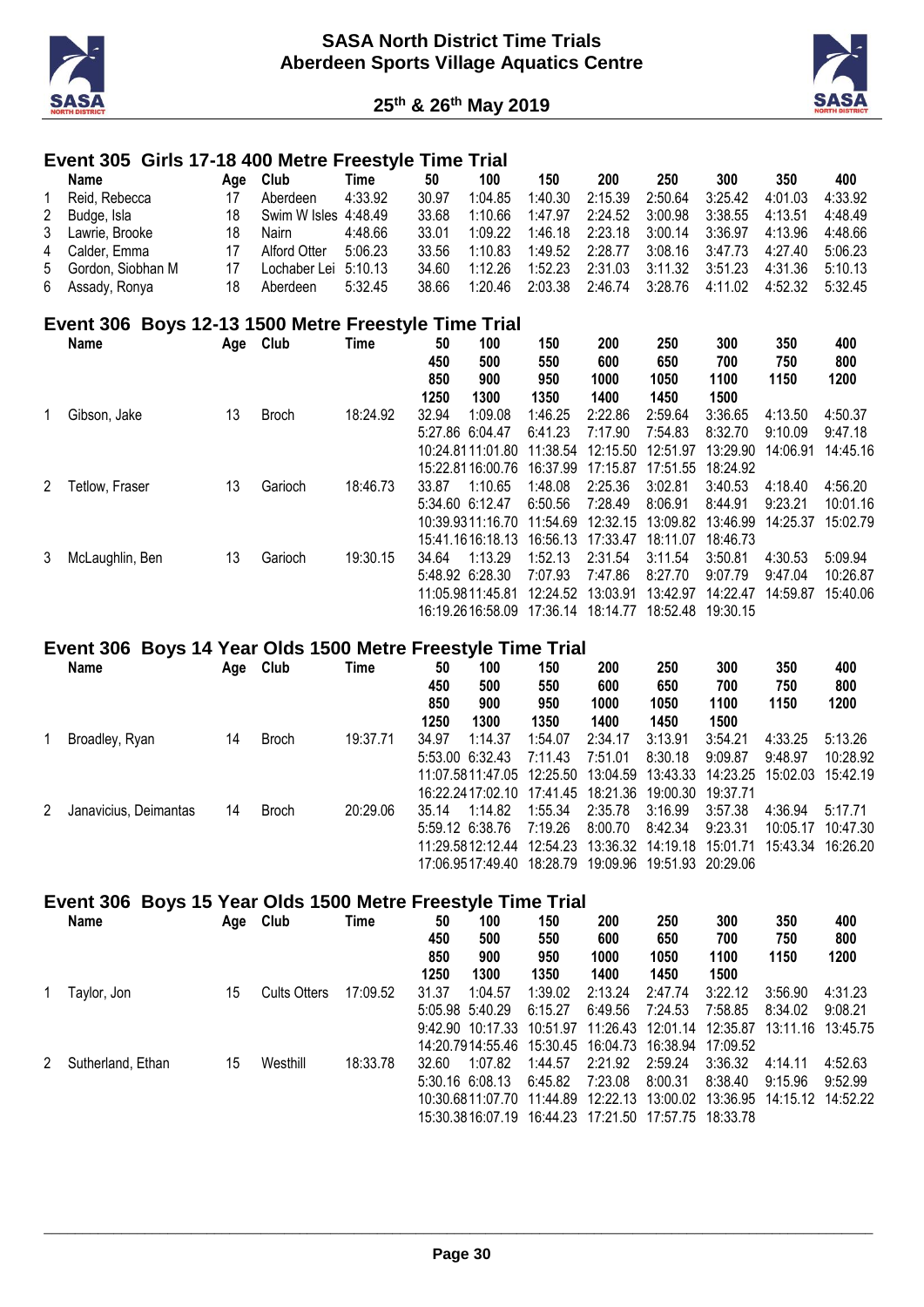



#### **Event 305 Girls 17-18 400 Metre Freestyle Time Trial**

| Name                | Aae | <b>Club</b>          | Time    | 50    | 100     | 150     | 200     | 250             | 300                 | 350     | 400     |
|---------------------|-----|----------------------|---------|-------|---------|---------|---------|-----------------|---------------------|---------|---------|
| Reid, Rebecca       |     | Aberdeen             | 4:33.92 | 30.97 | 1:04.85 | 1:40.30 | 2:15.39 | 2:50.64         | 3:25.42             | 4:01.03 | 4:33.92 |
| 2 Budge, Isla       | 18  | Swim W Isles 4:48.49 |         | 33.68 | 1:10.66 | 1:47.97 |         | 2:24.52 3:00.98 | 3:38.55             | 4:13.51 | 4:48.49 |
| 3 Lawrie, Brooke    | 18  | Nairn                | 4:48.66 | 33.01 | 1:09.22 | 1:46.18 | 2:23.18 | 3:00.14         | 3:36.97             | 4:13.96 | 4:48.66 |
| 4 Calder, Emma      |     | Alford Otter         | 5:06.23 | 33.56 | 1:10.83 | 1:49.52 | 2:28.77 |                 | $3:08.16$ $3:47.73$ | 4:27.40 | 5:06.23 |
| 5 Gordon, Siobhan M |     | Lochaber Lei 5:10.13 |         | 34.60 | 1.12.26 | 1:52.23 | 2:31.03 | 3:11.32         | 3:51.23             | 4:31.36 | 5:10.13 |
| 6 Assady, Ronya     | 18  | Aberdeen             | 5:32.45 | 38.66 | 1:20.46 | 2:03.38 | 2:46.74 | 3:28.76         | 4:11.02             | 4:52.32 | 5:32.45 |

#### **Event 306 Boys 12-13 1500 Metre Freestyle Time Trial**

|                      | Name            | Age | Club         | Time     | 50<br>450<br>850<br>1250 | 100<br>500<br>900<br>1300                                                                | 150<br>550<br>950<br>1350                              | 200<br>600<br>1000<br>1400                             | 250<br>650<br>1050<br>1450                             | 300<br>700<br>1100<br>1500                             | 350<br>750<br>1150             | 400<br>800<br>1200              |
|----------------------|-----------------|-----|--------------|----------|--------------------------|------------------------------------------------------------------------------------------|--------------------------------------------------------|--------------------------------------------------------|--------------------------------------------------------|--------------------------------------------------------|--------------------------------|---------------------------------|
|                      | Gibson, Jake    | 13  | <b>Broch</b> | 18:24.92 | 32.94                    | 1:09.08<br>5:27.86 6:04.47<br>10:24 8111:01.80                                           | 1:46.25<br>6:41.23<br>11:38.54                         | 2:22.86<br>7:17.90<br>12:15.50                         | 2:59.64<br>7:54.83<br>12:51.97                         | 3:36.65<br>8:32.70<br>13:29.90                         | 4:13.50<br>9:10.09<br>14:06.91 | 4:50.37<br>9:47.18<br>14:45.16  |
| $\mathbf{2}^{\circ}$ | Tetlow, Fraser  | 13  | Garioch      | 18:46.73 | 33.87                    | 15:22.8116:00.76<br>1:10.65<br>$5:34.60$ 6:12.47<br>10:39.9311:16.70<br>15:41.1616:18.13 | 16:37.99<br>1:48.08<br>6:50.56<br>11:54.69<br>16:56.13 | 17:15.87<br>2:25.36<br>7:28.49<br>12:32.15<br>17:33.47 | 17:51.55<br>3:02.81<br>8:06.91<br>13:09.82<br>18:11.07 | 18:24.92<br>3:40.53<br>8:44.91<br>13:46.99<br>18:46.73 | 4:18.40<br>9:23.21<br>14:25.37 | 4:56.20<br>10:01.16<br>15:02.79 |
| 3                    | McLaughlin, Ben | 13  | Garioch      | 19:30.15 | 34.64                    | 1:13.29<br>5:48.92 6:28.30<br>11:05:9811:45.81<br>16:19.2616:58.09                       | 1:52.13<br>7:07.93<br>12:24.52<br>17:36.14             | 2:31.54<br>7:47.86<br>13:03.91<br>18:14.77             | 3:11.54<br>8:27.70<br>13:42.97<br>18:52.48             | 3:50.81<br>9:07.79<br>14:22.47<br>19:30.15             | 4:30.53<br>9:47.04<br>14:59.87 | 5:09.94<br>10:26.87<br>15:40.06 |

#### **Event 306 Boys 14 Year Olds 1500 Metre Freestyle Time Trial**

|   | Name                  | Age | Club         | Time     | 50<br>450<br>850 | 100<br>500<br>900                           | 150<br>550<br>950 | 200<br>600<br>1000 | 250<br>650<br>1050         | 300<br>700<br>1100 | 350<br>750<br>1150 | 400<br>800<br>1200 |
|---|-----------------------|-----|--------------|----------|------------------|---------------------------------------------|-------------------|--------------------|----------------------------|--------------------|--------------------|--------------------|
|   |                       |     |              |          | 1250             | 1300                                        | 1350              | 1400               | 1450                       | 1500               |                    |                    |
|   | Broadley, Ryan        | 14  | <b>Broch</b> | 19:37.71 | 34.97            | 1:14.37                                     | 1:54.07           | 2:34.17            | 3:13.91                    | 3:54.21            | 4:33.25            | 5:13.26            |
|   |                       |     |              |          |                  | 5:53.00 6:32.43                             | 7:11.43           | 7:51.01            | 8:30.18                    | 9:09.87            | 9:48.97            | 10:28.92           |
|   |                       |     |              |          |                  | 11:07:5811:47:05 12:25:50                   |                   |                    |                            |                    |                    | 15:42 19           |
|   |                       |     |              |          |                  | 16:22.2417:02.10 17:41.45 18:21.36 19:00.30 |                   |                    |                            | 19:37.71           |                    |                    |
| 2 | Janavicius, Deimantas | 14  | <b>Broch</b> | 20:29.06 | 35.14            | 1:14.82                                     | 1:55.34           | 2:35.78            | 3:16.99                    | 3:57.38            | 4:36.94            | 5:17.71            |
|   |                       |     |              |          |                  | 5:59.12 6:38.76                             | 7:19.26           | 8:00.70            | 8:42.34                    | 9:23.31            | 10:05.17           | 10:47.30           |
|   |                       |     |              |          |                  |                                             |                   |                    |                            |                    | 15:43.34 16:26.20  |                    |
|   |                       |     |              |          |                  | 17:06.9517:49.40                            | 18:28.79          |                    | 19:09.96 19:51.93 20:29.06 |                    |                    |                    |

#### **Event 306 Boys 15 Year Olds 1500 Metre Freestyle Time Trial**

|   | Name              | Age | Club                | Time     | 50<br>450   | 100<br>500        | 150<br>550                           | 200<br>600   | 250<br>650        | 300<br>700        | 350<br>750        | 400<br>800 |
|---|-------------------|-----|---------------------|----------|-------------|-------------------|--------------------------------------|--------------|-------------------|-------------------|-------------------|------------|
|   |                   |     |                     |          | 850<br>1250 | 900<br>1300       | 950<br>1350                          | 1000<br>1400 | 1050<br>1450      | 1100<br>1500      | 1150              | 1200       |
|   | Tavlor, Jon       | 15  | <b>Cults Otters</b> | 17:09.52 | 31.37       | 1:04.57           | 1:39.02                              | 2:13.24      | 2:47.74           | 3:22.12           | 3:56.90           | 4:31.23    |
|   |                   |     |                     |          |             | 5:05.98 5:40.29   | 6:15.27                              | 6:49.56      | 7:24.53           | 7:58.85           | 8:34.02           | 9:08.21    |
|   |                   |     |                     |          |             | 9:42.90 10:17.33  | 10:51.97                             | 11:26.43     |                   | 12:01.14 12:35.87 | 13:11.16 13:45.75 |            |
|   |                   |     |                     |          |             |                   | 14:20.7914:55.46  15:30.45  16:04.73 |              | 16:38.94          | 17:09.52          |                   |            |
| 2 | Sutherland, Ethan | 15  | Westhill            | 18:33.78 | 32.60       | 1:07.82           | 1:44.57                              | 2:21.92      | 2:59.24           | 3:36.32           | 4:14.11           | 4:52.63    |
|   |                   |     |                     |          |             | $5:30.16$ 6:08.13 | 6:45.82                              | 7:23.08      | 8:00.31           | 8:38.40           | 9:15.96           | 9:52.99    |
|   |                   |     |                     |          |             |                   | 10:30.6811:07.70 11:44.89            |              |                   |                   |                   |            |
|   |                   |     |                     |          |             |                   | 15:30.3816:07.19 16:44.23            | 17:21.50     | 17:57.75 18:33.78 |                   |                   |            |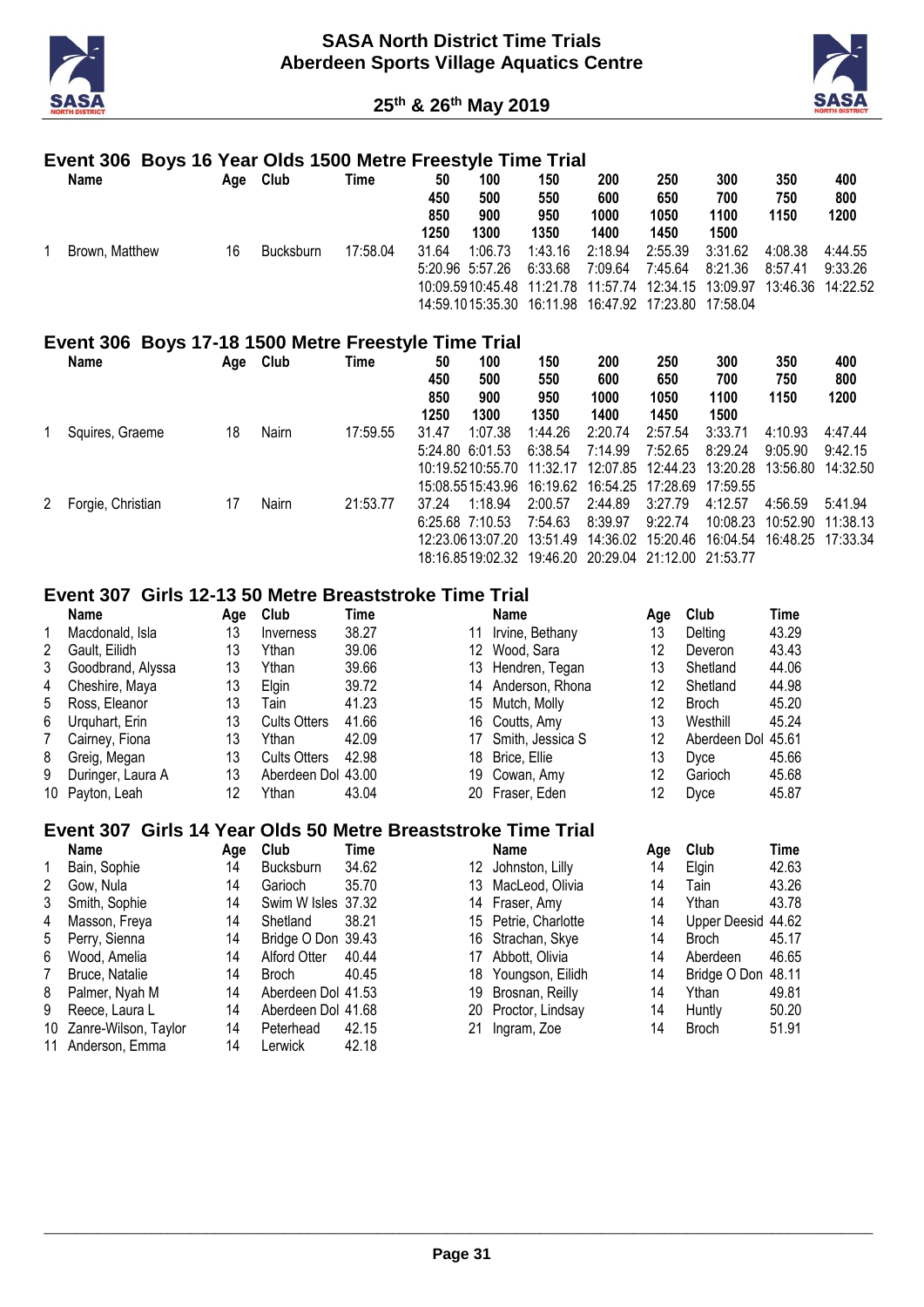



#### **Event 306 Boys 16 Year Olds 1500 Metre Freestyle Time Trial**

| Name           | Age | Club      | Time     | 50<br>450<br>850<br>1250 | 100<br>500<br>900<br>1300  | 150<br>550<br>950<br>1350                                                                                                                  | 200<br>600<br>1000<br>1400 | 250<br>650<br>1050<br>1450 | 300<br>700<br>1100<br>1500 | 350<br>750<br>1150                      | 400<br>800<br>1200 |
|----------------|-----|-----------|----------|--------------------------|----------------------------|--------------------------------------------------------------------------------------------------------------------------------------------|----------------------------|----------------------------|----------------------------|-----------------------------------------|--------------------|
| Brown, Matthew | 16  | Bucksburn | 17:58.04 | 31.64                    | 1:06.73<br>5:20.96 5:57.26 | 1:43.16<br>6:33.68<br>10:09.5910:45.48  11:21.78  11:57.74  12:34.15  13:09.97<br>14:59.1015:35.30  16:11.98  16:47.92  17:23.80  17:58.04 | 2:18.94<br>7:09.64         | 2:55.39<br>7:45.64         | 3:31.62<br>8:21.36         | 4:08.38<br>8:57.41<br>13:46.36 14:22.52 | 4:44.55<br>9:33.26 |

#### **Event 306 Boys 17-18 1500 Metre Freestyle Time Trial**

|   | Name              | Age | Club  | Time     | 50<br>450<br>850 | 100<br>500<br>900          | 150<br>550<br>950 | 200<br>600<br>1000 | 250<br>650<br>1050                  | 300<br>700<br>1100 | 350<br>750<br>1150         | 400<br>800<br>1200 |
|---|-------------------|-----|-------|----------|------------------|----------------------------|-------------------|--------------------|-------------------------------------|--------------------|----------------------------|--------------------|
|   |                   |     |       |          | 1250             | 1300                       | 1350              | 1400               | 1450                                | 1500               |                            |                    |
|   | Squires, Graeme   | 18  | Nairn | 17:59.55 | 31.47            | 1:07.38                    | 1:44.26           | 2:20.74            | 2:57.54                             | 3:33.71            | 4:10.93                    | 4:47.44            |
|   |                   |     |       |          |                  | 5:24.80 6:01.53            | 6:38.54           | 7:14.99            | 7:52.65                             | 8:29.24            | 9:05.90                    | 9:42.15            |
|   |                   |     |       |          |                  | 10:19.5210:55.70           | 11:32.17          |                    | 12:07.85 12:44.23                   | 13:20.28           | 13:56.80                   | 14:32.50           |
|   |                   |     |       |          |                  | 15:08.5515:43.96  16:19.62 |                   | 16:54.25 17:28.69  |                                     | 17:59.55           |                            |                    |
| 2 | Forgie, Christian | 17  | Nairn | 21:53.77 | 37.24            | 1:18.94                    | 2:00.57           | 2:44.89            | 3:27.79                             | 4:12.57            | 4:56.59                    | 5:41.94            |
|   |                   |     |       |          |                  | $6:25.68$ 7:10.53          | 7:54.63           | 8:39.97            | 9:22.74                             | 10:08.23           | 10:52.90                   | 11:38.13           |
|   |                   |     |       |          |                  | 12:23.0613.07.20           | 13:51.49          |                    | 14:36.02 15:20.46                   |                    | 16:04.54 16:48.25 17:33.34 |                    |
|   |                   |     |       |          |                  | 18:16.8519:02.32           |                   |                    | 19:46.20 20:29.04 21:12.00 21:53.77 |                    |                            |                    |

#### **Event 307 Girls 12-13 50 Metre Breaststroke Time Trial**

|   | <b>Name</b>       | Age | Club                | Time  |     | Name             | Aae | Club               | Time  |
|---|-------------------|-----|---------------------|-------|-----|------------------|-----|--------------------|-------|
|   | Macdonald, Isla   | 13  | Inverness           | 38.27 | 11  | Irvine, Bethany  | 13  | Delting            | 43.29 |
| 2 | Gault. Eilidh     | 13  | Ythan               | 39.06 | 12  | Wood, Sara       | 12  | Deveron            | 43.43 |
| 3 | Goodbrand, Alyssa | 13  | Ythan               | 39.66 | 13. | Hendren, Tegan   | 13  | Shetland           | 44.06 |
| 4 | Cheshire, Maya    | 13  | <b>Elain</b>        | 39.72 | 14  | Anderson, Rhona  | 12  | Shetland           | 44.98 |
| 5 | Ross, Eleanor     | 13  | Tain                | 41.23 | 15  | Mutch, Molly     | 12  | Broch              | 45.20 |
| 6 | Urguhart, Erin    | 13  | <b>Cults Otters</b> | 41.66 |     | 16 Coutts, Amy   | 13  | Westhill           | 45.24 |
|   | Cairney, Fiona    | 13  | Ythan               | 42.09 | 17  | Smith, Jessica S | 12  | Aberdeen Dol 45.61 |       |
| 8 | Greig, Megan      | 13  | <b>Cults Otters</b> | 42.98 | 18  | Brice, Ellie     | 13  | Dyce               | 45.66 |
| 9 | Duringer, Laura A | 13  | Aberdeen Dol 43.00  |       | 19. | Cowan, Amy       | 12  | Garioch            | 45.68 |
|   | 10 Payton, Leah   | 12  | Ythan               | 43.04 |     | 20 Fraser, Eden  | 12  | Dyce               | 45.87 |

# **Event 307 Girls 14 Year Olds 50 Metre Breaststroke Time Trial**

|                | <b>Name</b>             | Aae | Club               | Time  |    | <b>Name</b>          | Aae | Club               | Time  |
|----------------|-------------------------|-----|--------------------|-------|----|----------------------|-----|--------------------|-------|
| $\mathbf{1}$   | Bain, Sophie            | 14  | <b>Bucksburn</b>   | 34.62 |    | 12 Johnston, Lilly   | 14  | <b>Elain</b>       | 42.63 |
| 2              | Gow. Nula               | 14  | Garioch            | 35.70 | 13 | MacLeod, Olivia      | 14  | Tain               | 43.26 |
| 3              | Smith, Sophie           | 14  | Swim W Isles 37.32 |       |    | 14 Fraser, Amy       | 14  | Ythan              | 43.78 |
| 4              | Masson, Freya           | 14  | Shetland           | 38.21 |    | 15 Petrie, Charlotte | 14  | Upper Deesid 44.62 |       |
| 5              | Perry, Sienna           | 14  | Bridge O Don 39.43 |       |    | 16 Strachan, Skye    | 14  | <b>Broch</b>       | 45.17 |
| 6              | Wood, Amelia            | 14  | Alford Otter       | 40.44 | 17 | Abbott, Olivia       | 14  | Aberdeen           | 46.65 |
| $\overline{7}$ | Bruce, Natalie          | 14  | <b>Broch</b>       | 40.45 | 18 | Youngson, Eilidh     | 14  | Bridge O Don 48.11 |       |
| 8              | Palmer, Nyah M          | 14  | Aberdeen Dol 41.53 |       | 19 | Brosnan, Reilly      | 14  | Ythan              | 49.81 |
| 9              | Reece, Laura L          | 14  | Aberdeen Dol 41.68 |       |    | 20 Proctor, Lindsay  | 14  | Huntly             | 50.20 |
|                | 10 Zanre-Wilson, Taylor | 14  | Peterhead          | 42.15 | 21 | Ingram, Zoe          | 14  | <b>Broch</b>       | 51.91 |
|                | 11 Anderson, Emma       | 14  | Lerwick            | 42.18 |    |                      |     |                    |       |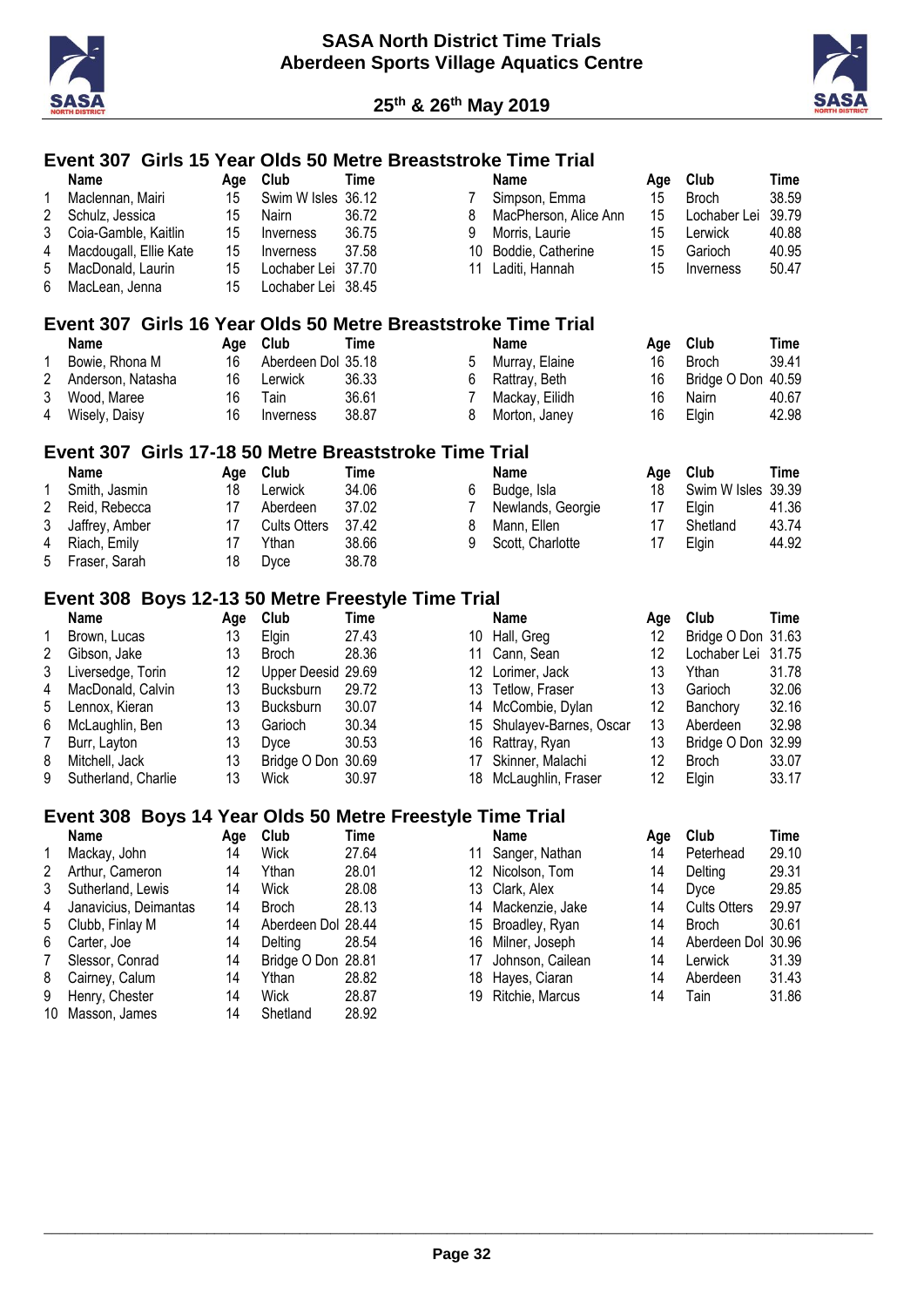



# **Event 307 Girls 15 Year Olds 50 Metre Breaststroke Time Trial**

|    | <b>Name</b>                                                   | Age | Club                | <b>Time</b> |    | <b>Name</b>            | Age             | Club                | <b>Time</b> |
|----|---------------------------------------------------------------|-----|---------------------|-------------|----|------------------------|-----------------|---------------------|-------------|
| 1  | Maclennan, Mairi                                              | 15  | Swim W Isles 36.12  |             | 7  | Simpson, Emma          | 15              | <b>Broch</b>        | 38.59       |
| 2  | Schulz, Jessica                                               | 15  | Nairn               | 36.72       | 8  | MacPherson, Alice Ann  | 15              | Lochaber Lei        | 39.79       |
| 3  | Coia-Gamble, Kaitlin                                          | 15  | Inverness           | 36.75       | 9  | Morris, Laurie         | 15              | Lerwick             | 40.88       |
| 4  | Macdougall, Ellie Kate                                        | 15  | Inverness           | 37.58       | 10 | Boddie, Catherine      | 15              | Garioch             | 40.95       |
| 5  | MacDonald, Laurin                                             | 15  | Lochaber Lei 37.70  |             | 11 | Laditi, Hannah         | 15              | Inverness           | 50.47       |
| 6  | MacLean, Jenna                                                | 15  | Lochaber Lei 38.45  |             |    |                        |                 |                     |             |
|    |                                                               |     |                     |             |    |                        |                 |                     |             |
|    | Event 307 Girls 16 Year Olds 50 Metre Breaststroke Time Trial |     |                     |             |    |                        |                 |                     |             |
|    | <b>Name</b>                                                   | Age | Club                | <b>Time</b> |    | <b>Name</b>            | Age             | Club                | <b>Time</b> |
| 1  | Bowie, Rhona M                                                | 16  | Aberdeen Dol 35.18  |             | 5  | Murray, Elaine         | 16              | <b>Broch</b>        | 39.41       |
| 2  | Anderson, Natasha                                             | 16  | Lerwick             | 36.33       | 6  | Rattray, Beth          | 16              | Bridge O Don 40.59  |             |
| 3  | Wood, Maree                                                   | 16  | Tain                | 36.61       | 7  | Mackay, Eilidh         | 16              | Nairn               | 40.67       |
| 4  | Wisely, Daisy                                                 | 16  | Inverness           | 38.87       | 8  | Morton, Janey          | 16              | Elgin               | 42.98       |
|    |                                                               |     |                     |             |    |                        |                 |                     |             |
|    | Event 307 Girls 17-18 50 Metre Breaststroke Time Trial        |     |                     |             |    |                        |                 |                     |             |
|    | Name                                                          | Age | Club                | <b>Time</b> |    | <b>Name</b>            | Age             | Club                | <b>Time</b> |
| 1  | Smith, Jasmin                                                 | 18  | Lerwick             | 34.06       | 6  | Budge, Isla            | 18              | Swim W Isles 39.39  |             |
| 2  | Reid, Rebecca                                                 | 17  | Aberdeen            | 37.02       | 7  | Newlands, Georgie      | 17              | Elgin               | 41.36       |
| 3  | Jaffrey, Amber                                                | 17  | <b>Cults Otters</b> | 37.42       | 8  | Mann, Ellen            | 17              | Shetland            | 43.74       |
| 4  | Riach, Emily                                                  | 17  | Ythan               | 38.66       | 9  | Scott, Charlotte       | 17              | Elgin               | 44.92       |
| 5  | Fraser, Sarah                                                 | 18  | Dyce                | 38.78       |    |                        |                 |                     |             |
|    |                                                               |     |                     |             |    |                        |                 |                     |             |
|    | Event 308 Boys 12-13 50 Metre Freestyle Time Trial            |     |                     |             |    |                        |                 |                     |             |
|    | <b>Name</b>                                                   | Age | Club                | <b>Time</b> |    | <b>Name</b>            | Age             | Club                | <b>Time</b> |
| 1  | Brown, Lucas                                                  | 13  | Elgin               | 27.43       |    | 10 Hall, Greg          | 12 <sup>°</sup> | Bridge O Don 31.63  |             |
| 2  | Gibson, Jake                                                  | 13  | <b>Broch</b>        | 28.36       | 11 | Cann, Sean             | 12              | Lochaber Lei        | 31.75       |
| 3  | Liversedge, Torin                                             | 12  | Upper Deesid 29.69  |             | 12 | Lorimer, Jack          | 13              | Ythan               | 31.78       |
| 4  | MacDonald, Calvin                                             | 13  | Bucksburn           | 29.72       | 13 | Tetlow, Fraser         | 13              | Garioch             | 32.06       |
| 5  | Lennox, Kieran                                                | 13  | Bucksburn           | 30.07       | 14 | McCombie, Dylan        | 12              | Banchory            | 32.16       |
| 6  | McLaughlin, Ben                                               | 13  | Garioch             | 30.34       | 15 | Shulayev-Barnes, Oscar | 13              | Aberdeen            | 32.98       |
| 7  | Burr, Layton                                                  | 13  | Dyce                | 30.53       | 16 | Rattray, Ryan          | 13              | Bridge O Don 32.99  |             |
| 8  | Mitchell, Jack                                                | 13  | Bridge O Don 30.69  |             |    | Skinner, Malachi       | 12              | <b>Broch</b>        | 33.07       |
| 9  |                                                               | 13  |                     |             | 17 |                        | 12              |                     |             |
|    | Sutherland, Charlie                                           |     | Wick                | 30.97       | 18 | McLaughlin, Fraser     |                 | Elgin               | 33.17       |
|    | Event 308 Boys 14 Year Olds 50 Metre Freestyle Time Trial     |     |                     |             |    |                        |                 |                     |             |
|    | Name                                                          | Age | Club                | <b>Time</b> |    | <b>Name</b>            | Age             | Club                | <b>Time</b> |
|    | Mackay, John                                                  | 14  | Wick                | 27.64       | 11 | Sanger, Nathan         | 14              | Peterhead           | 29.10       |
| 2  | Arthur, Cameron                                               | 14  | Ythan               | 28.01       |    | 12 Nicolson, Tom       | 14              | Delting             | 29.31       |
| 3  | Sutherland, Lewis                                             | 14  | Wick                | 28.08       | 13 | Clark, Alex            | 14              | Dyce                | 29.85       |
| 4  | Janavicius, Deimantas                                         | 14  | <b>Broch</b>        | 28.13       | 14 | Mackenzie, Jake        | 14              | <b>Cults Otters</b> | 29.97       |
|    |                                                               |     |                     |             |    |                        |                 |                     |             |
| 5  | Clubb, Finlay M                                               | 14  | Aberdeen Dol 28.44  |             | 15 | Broadley, Ryan         | 14              | <b>Broch</b>        | 30.61       |
| 6  | Carter, Joe                                                   | 14  | Delting             | 28.54       | 16 | Milner, Joseph         | 14              | Aberdeen Dol 30.96  |             |
| 7  | Slessor, Conrad                                               | 14  | Bridge O Don 28.81  |             | 17 | Johnson, Cailean       | 14              | Lerwick             | 31.39       |
| 8  | Cairney, Calum                                                | 14  | Ythan               | 28.82       | 18 | Hayes, Ciaran          | 14              | Aberdeen            | 31.43       |
| 9  | Henry, Chester                                                | 14  | Wick                | 28.87       | 19 | Ritchie, Marcus        | 14              | Tain                | 31.86       |
| 10 | Masson, James                                                 | 14  | Shetland            | 28.92       |    |                        |                 |                     |             |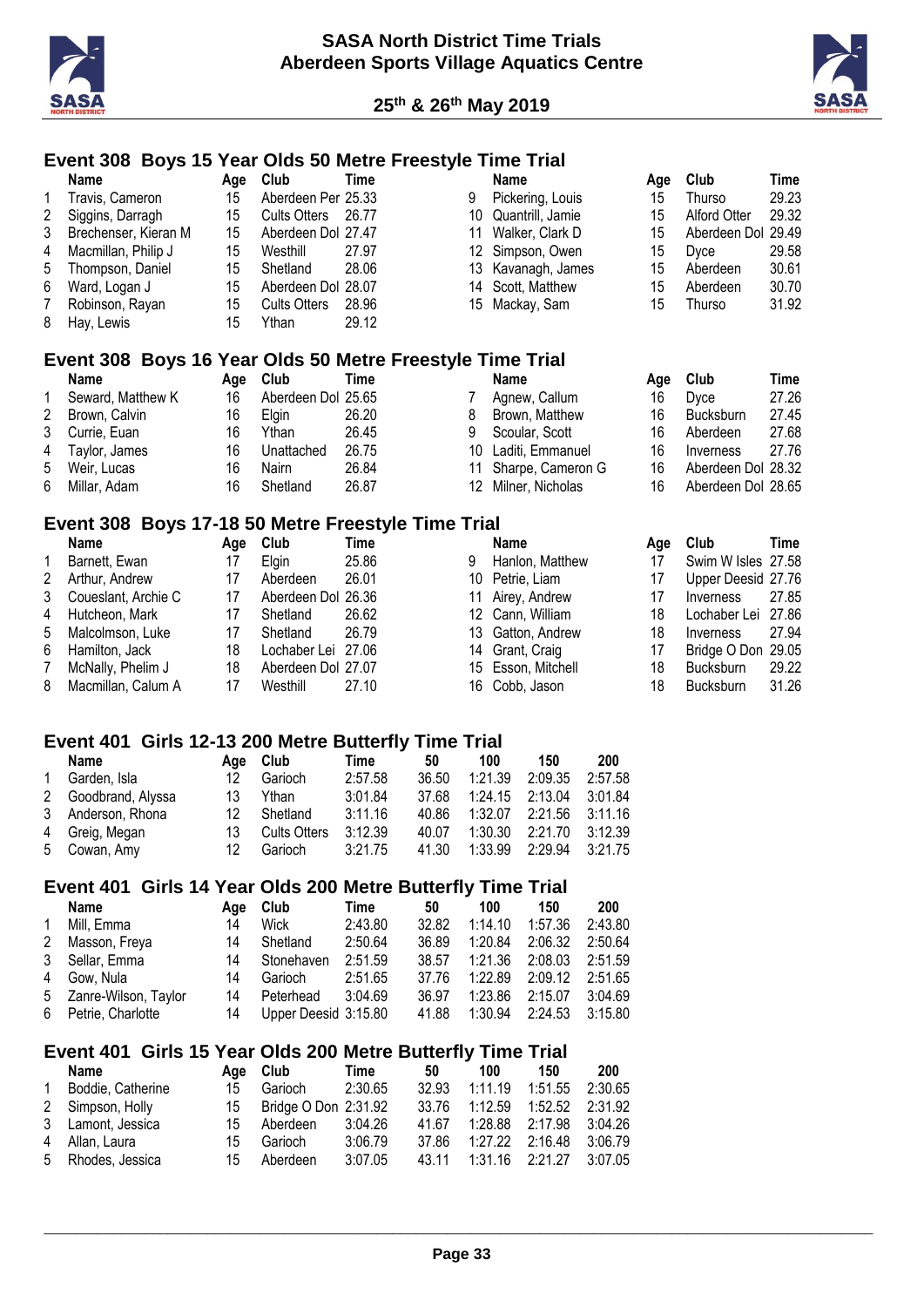



#### **Event 308 Boys 15 Year Olds 50 Metre Freestyle Time Trial**

|   | Name                                                      | Age | Club                | Time        |    | <b>Name</b>       | Age | Club                | Time  |
|---|-----------------------------------------------------------|-----|---------------------|-------------|----|-------------------|-----|---------------------|-------|
| 1 | Travis, Cameron                                           | 15  | Aberdeen Per 25.33  |             | 9  | Pickering, Louis  | 15  | Thurso              | 29.23 |
| 2 | Siggins, Darragh                                          | 15  | <b>Cults Otters</b> | 26.77       | 10 | Quantrill, Jamie  | 15  | <b>Alford Otter</b> | 29.32 |
| 3 | Brechenser, Kieran M                                      | 15  | Aberdeen Dol 27.47  |             | 11 | Walker, Clark D   | 15  | Aberdeen Dol        | 29.49 |
| 4 | Macmillan, Philip J                                       | 15  | Westhill            | 27.97       | 12 | Simpson, Owen     | 15  | Dyce                | 29.58 |
| 5 | Thompson, Daniel                                          | 15  | Shetland            | 28.06       | 13 | Kavanagh, James   | 15  | Aberdeen            | 30.61 |
| 6 | Ward, Logan J                                             | 15  | Aberdeen Dol 28.07  |             | 14 | Scott, Matthew    | 15  | Aberdeen            | 30.70 |
|   | Robinson, Rayan                                           | 15  | <b>Cults Otters</b> | 28.96       | 15 | Mackay, Sam       | 15  | Thurso              | 31.92 |
| 8 | Hay, Lewis                                                | 15  | Ythan               | 29.12       |    |                   |     |                     |       |
|   | Event 308 Boys 16 Year Olds 50 Metre Freestyle Time Trial |     |                     |             |    |                   |     |                     |       |
|   | Name                                                      | Age | Club                | Time        |    | <b>Name</b>       | Age | Club                | Time  |
|   | Seward, Matthew K                                         | 16  | Aberdeen Dol 25.65  |             | 7  | Agnew, Callum     | 16  | Dyce                | 27.26 |
| 2 | Brown, Calvin                                             | 16  | Elgin               | 26.20       | 8  | Brown, Matthew    | 16  | <b>Bucksburn</b>    | 27.45 |
| 3 | Currie, Euan                                              | 16  | Ythan               | 26.45       | 9  | Scoular, Scott    | 16  | Aberdeen            | 27.68 |
| 4 | Taylor, James                                             | 16  | Unattached          | 26.75       | 10 | Laditi, Emmanuel  | 16  | Inverness           | 27.76 |
| 5 | Weir, Lucas                                               | 16  | Nairn               | 26.84       | 11 | Sharpe, Cameron G | 16  | Aberdeen Dol 28.32  |       |
| 6 | Millar, Adam                                              | 16  | Shetland            | 26.87       | 12 | Milner, Nicholas  | 16  | Aberdeen Dol 28.65  |       |
|   | Event 308 Boys 17-18 50 Metre Freestyle Time Trial        |     |                     |             |    |                   |     |                     |       |
|   | Name                                                      | Age | Club                | <b>Time</b> |    | <b>Name</b>       | Age | Club                | Time  |
|   | Barnett, Ewan                                             | 17  | Elgin               | 25.86       | 9  | Hanlon, Matthew   | 17  | Swim W Isles 27.58  |       |
| 2 | Arthur, Andrew                                            | 17  | Aberdeen            | 26.01       | 10 | Petrie, Liam      | 17  | Upper Deesid 27.76  |       |
| 3 | Coueslant, Archie C                                       | 17  | Aberdeen Dol        | 26.36       | 11 | Airey, Andrew     | 17  | Inverness           | 27.85 |
| 4 | Hutcheon, Mark                                            | 17  | Shetland            | 26.62       | 12 | Cann, William     | 18  | Lochaber Lei        | 27.86 |
| 5 | Malcolmson, Luke                                          | 17  | Shetland            | 26.79       | 13 | Gatton, Andrew    | 18  | Inverness           | 27.94 |
| 6 | Hamilton, Jack                                            | 18  | Lochaber Lei        | 27.06       | 14 | Grant, Craig      | 17  | Bridge O Don 29.05  |       |
|   | McNally, Phelim J                                         | 18  | Aberdeen Dol 27.07  |             | 15 | Esson, Mitchell   | 18  | Bucksburn           | 29.22 |
| 8 | Macmillan, Calum A                                        | 17  | Westhill            | 27.10       | 16 | Cobb, Jason       | 18  | Bucksburn           | 31.26 |

Cobb, Jason 18 Bucksburn 31.26

#### **Event 401 Girls 12-13 200 Metre Butterfly Time Trial**

8 Macmillan, Calum A 17 Westhill 27.10

|                | Name                | Aae | Club                | Time    | 50    | 100     | 150                           | 200     |
|----------------|---------------------|-----|---------------------|---------|-------|---------|-------------------------------|---------|
| $\overline{1}$ | Garden, Isla        | 12  | Garioch             | 2:57.58 | 36.50 | 1:21.39 | 2:09.35                       | 2:57.58 |
|                | 2 Goodbrand, Alyssa | 13  | Ythan               | 3:01.84 | 37.68 |         | $1:24.15$ $2:13.04$           | 3:01.84 |
|                | 3 Anderson, Rhona   | 12  | Shetland            | 3:11.16 | 40.86 |         | $1:32.07$ $2:21.56$ $3:11.16$ |         |
|                | 4 Greig, Megan      | 13  | <b>Cults Otters</b> | 3:12.39 | 40.07 |         | $1:30.30$ $2:21.70$           | 3:12.39 |
|                | 5 Cowan, Amy        | 12  | Garioch             | 3:21.75 | 41.30 | 1:33.99 | 2:29.94                       | 3:21.75 |

#### **Event 401 Girls 14 Year Olds 200 Metre Butterfly Time Trial**

|              | Name                   | Aae | Club                 | Time    | 50    | 100                 | 150     | 200     |
|--------------|------------------------|-----|----------------------|---------|-------|---------------------|---------|---------|
| $\mathbf{1}$ | Mill, Emma             | 14  | Wick                 | 2:43.80 | 32.82 | 1:14.10             | 1:57.36 | 2:43.80 |
| 2            | Masson, Freya          | 14  | Shetland             | 2:50.64 | 36.89 | 1:20.84             | 2:06.32 | 2:50.64 |
|              | 3 Sellar, Emma         | 14  | Stonehaven           | 2:51.59 | 38.57 | 1:21.36             | 2:08.03 | 2:51.59 |
|              | 4 Gow. Nula            | 14  | Garioch              | 2:51.65 | 37.76 | 1:22.89             | 2:09.12 | 2:51.65 |
|              | 5 Zanre-Wilson, Taylor | 14  | Peterhead            | 3:04.69 | 36.97 | $1:23.86$ $2:15.07$ |         | 3:04.69 |
|              | 6 Petrie, Charlotte    | 14  | Upper Deesid 3:15.80 |         | 41.88 | 1:30.94             | 2:24.53 | 3:15.80 |

#### **Event 401 Girls 15 Year Olds 200 Metre Butterfly Time Trial**

|              | Name              |     | Age Club             | Time    | 50    | 100                 | 150     | 200     |
|--------------|-------------------|-----|----------------------|---------|-------|---------------------|---------|---------|
| $\mathbf{1}$ | Boddie, Catherine | 15  | Garioch              | 2:30.65 | 32.93 | 1:11.19             | 1:51.55 | 2:30.65 |
|              | 2 Simpson, Holly  | 15  | Bridge O Don 2:31.92 |         | 33.76 | 1:12.59             | 1:52.52 | 2:31.92 |
|              | 3 Lamont, Jessica | 15  | Aberdeen             | 3:04.26 | 41.67 | 1:28.88 2:17.98     |         | 3:04.26 |
|              | 4 Allan, Laura    | 15. | Garioch              | 3:06.79 | 37.86 | $1:27.22$ $2:16.48$ |         | 3:06.79 |
|              | 5 Rhodes, Jessica | 15  | Aberdeen             | 3:07.05 | 43.11 | $1:31.16$ $2:21.27$ |         | 3:07.05 |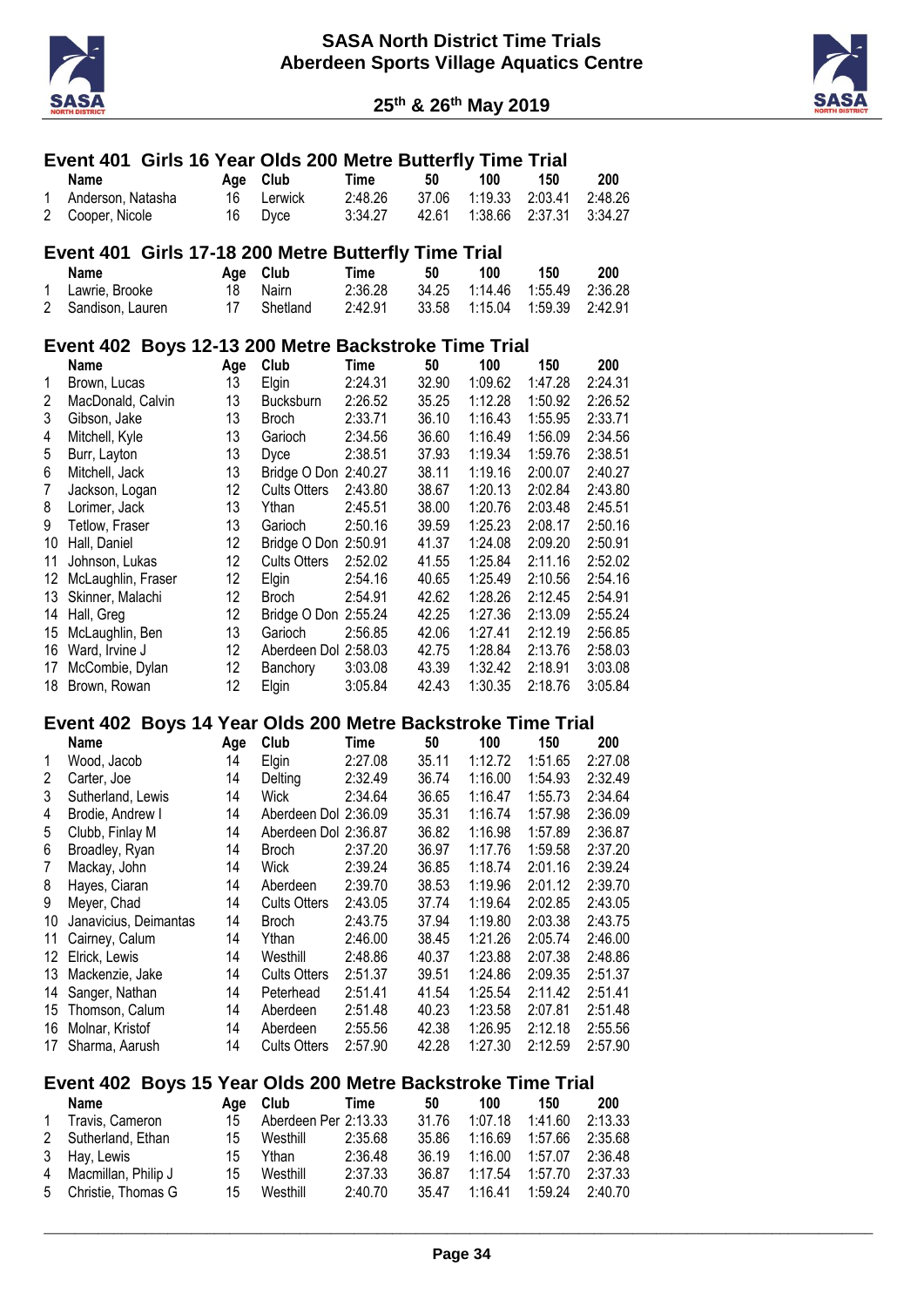



|                |                                      |  |          | Event 401 Girls 16 Year Olds 200 Metre Butterfly Time Trial |                    |                |                    |         |                    |                    |
|----------------|--------------------------------------|--|----------|-------------------------------------------------------------|--------------------|----------------|--------------------|---------|--------------------|--------------------|
|                | <b>Name</b>                          |  | Age      | Club                                                        | <b>Time</b>        | 50             | 100                |         | 150                | 200                |
| 1              | Anderson, Natasha                    |  | 16       | Lerwick                                                     | 2:48.26            | 37.06          |                    | 1:19.33 | 2:03.41            | 2:48.26            |
| 2              | Cooper, Nicole                       |  | 16       | Dyce                                                        | 3:34.27            | 42.61          | 1:38.66            |         | 2:37.31            | 3:34.27            |
|                |                                      |  |          | Event 401 Girls 17-18 200 Metre Butterfly Time Trial        |                    |                |                    |         |                    |                    |
|                | <b>Name</b>                          |  | Age      | Club                                                        | <b>Time</b>        | 50             | 100                |         | 150                | 200                |
| 1              | Lawrie, Brooke                       |  | 18       | Nairn                                                       | 2:36.28            | 34.25          | 1:14.46            |         | 1:55.49            | 2:36.28            |
| 2              | Sandison, Lauren                     |  | 17       | Shetland                                                    | 2:42.91            | 33.58          | 1:15.04            |         | 1:59.39            | 2:42.91            |
|                |                                      |  |          | Event 402 Boys 12-13 200 Metre Backstroke Time Trial        |                    |                |                    |         |                    |                    |
|                | <b>Name</b>                          |  | Age      | Club                                                        | <b>Time</b>        | 50             | 100                |         | 150                | 200                |
| 1              | Brown, Lucas                         |  | 13       | Elgin                                                       | 2:24.31            | 32.90          |                    | 1:09.62 | 1:47.28            | 2:24.31            |
| 2              | MacDonald, Calvin                    |  | 13       | <b>Bucksburn</b>                                            | 2:26.52            | 35.25          |                    | 1:12.28 | 1:50.92            | 2:26.52            |
| 3              | Gibson, Jake                         |  | 13       | <b>Broch</b>                                                | 2:33.71            | 36.10          |                    | 1:16.43 | 1:55.95            | 2:33.71            |
| 4              | Mitchell, Kyle                       |  | 13       | Garioch                                                     | 2:34.56            | 36.60          |                    | 1:16.49 | 1:56.09            | 2:34.56            |
| 5              | Burr, Layton                         |  | 13       | Dyce                                                        | 2:38.51            | 37.93          |                    | 1:19.34 | 1:59.76            | 2:38.51            |
| 6              | Mitchell, Jack                       |  | 13       | Bridge O Don 2:40.27                                        |                    | 38.11          | 1:19.16            |         | 2:00.07            | 2:40.27            |
| $\overline{7}$ | Jackson, Logan                       |  | 12       | <b>Cults Otters</b>                                         | 2:43.80            | 38.67          | 1:20.13            |         | 2:02.84            | 2:43.80            |
| 8              | Lorimer, Jack                        |  | 13       | Ythan                                                       | 2:45.51            | 38.00          | 1:20.76            |         | 2:03.48            | 2:45.51            |
| 9              | Tetlow, Fraser                       |  | 13       | Garioch                                                     | 2:50.16            | 39.59          |                    | 1:25.23 | 2:08.17            | 2:50.16            |
| 10             | Hall, Daniel                         |  | 12       | Bridge O Don 2:50.91                                        |                    | 41.37          | 1:24.08            |         | 2:09.20            | 2:50.91            |
| 11             | Johnson, Lukas                       |  | 12       | <b>Cults Otters</b>                                         | 2:52.02            | 41.55          | 1:25.84            |         | 2:11.16            | 2:52.02            |
| 12             | McLaughlin, Fraser                   |  | 12       | Elgin                                                       | 2:54.16            | 40.65          | 1:25.49            |         | 2:10.56            | 2:54.16            |
| 13             | Skinner, Malachi                     |  | 12       | <b>Broch</b>                                                | 2:54.91            | 42.62          | 1:28.26            |         | 2:12.45            | 2:54.91            |
| 14             | Hall, Greg                           |  | 12       | Bridge O Don 2:55.24                                        |                    | 42.25          | 1:27.36            |         | 2:13.09            | 2:55.24            |
| 15             | McLaughlin, Ben                      |  | 13       | Garioch                                                     | 2:56.85            | 42.06          | 1:27.41            |         | 2:12.19            | 2:56.85            |
| 16             | Ward, Irvine J                       |  | 12       | Aberdeen Dol 2:58.03                                        |                    | 42.75          |                    | 1:28.84 | 2:13.76            | 2:58.03            |
| 17             | McCombie, Dylan                      |  | 12       | Banchory                                                    | 3:03.08            | 43.39          |                    | 1:32.42 | 2:18.91            | 3:03.08            |
| 18             | Brown, Rowan                         |  | 12       | Elgin                                                       | 3:05.84            | 42.43          | 1:30.35            |         | 2:18.76            | 3:05.84            |
|                |                                      |  |          | Event 402 Boys 14 Year Olds 200 Metre Backstroke Time Trial |                    |                |                    |         |                    |                    |
|                | <b>Name</b>                          |  | Age      | Club                                                        | <b>Time</b>        | 50             | 100                |         | 150                | 200                |
| 1              | Wood, Jacob                          |  | 14       | Elgin                                                       | 2:27.08            | 35.11          | 1:12.72            |         | 1:51.65            | 2:27.08            |
| $\overline{c}$ | Carter, Joe                          |  | 14       | Delting                                                     | 2:32.49            | 36.74          | 1:16.00            |         | 1:54.93            | 2:32.49            |
| 3              | Sutherland, Lewis                    |  | 14       | Wick                                                        | 2:34.64            | 36.65          | 1:16.47            |         | 1:55.73            | 2:34.64            |
| 4              | Brodie, Andrew I                     |  | 14       | Aberdeen Dol 2:36.09                                        |                    | 35.31          | 1:16.74            |         | 1:57.98            | 2:36.09            |
| 5              | Clubb, Finlay M                      |  | 14       | Aberdeen Dol 2:36.87                                        |                    | 36.82          | 1:16.98            |         | 1:57.89            | 2:36.87            |
| 6              | Broadley, Ryan                       |  | 14       | <b>Broch</b>                                                | 2:37.20            | 36.97          | 1:17.76            |         | 1:59.58            | 2:37.20            |
| 7              | Mackay, John                         |  | 14       | Wick                                                        | 2:39.24            | 36.85          | 1:18.74            |         | 2:01.16            | 2:39.24            |
| 8              | Hayes, Ciaran                        |  | 14       | Aberdeen                                                    | 2:39.70            | 38.53          | 1:19.96            |         | 2:01.12            | 2:39.70            |
| 9              | Meyer, Chad                          |  | 14       | <b>Cults Otters</b>                                         | 2:43.05            | 37.74          | 1:19.64            |         | 2:02.85            | 2:43.05            |
| 10             | Janavicius, Deimantas                |  | 14       | <b>Broch</b>                                                | 2:43.75            | 37.94          | 1:19.80            |         | 2:03.38            | 2:43.75            |
| 11             | Cairney, Calum                       |  | 14       | Ythan                                                       | 2:46.00            | 38.45          | 1:21.26            |         | 2:05.74            | 2:46.00            |
|                | 12 Elrick, Lewis                     |  | 14       | Westhill                                                    | 2:48.86            | 40.37          | 1:23.88            |         | 2:07.38            | 2:48.86            |
| 13             | Mackenzie, Jake                      |  | 14       | <b>Cults Otters</b>                                         | 2:51.37            | 39.51          |                    | 1:24.86 | 2:09.35            | 2:51.37            |
| 14             | Sanger, Nathan                       |  | 14       | Peterhead                                                   | 2:51.41            | 41.54          |                    | 1:25.54 | 2:11.42            | 2:51.41            |
| 15             | Thomson, Calum                       |  | 14       | Aberdeen                                                    | 2:51.48            | 40.23          |                    | 1:23.58 | 2:07.81            | 2:51.48            |
| 17             | 16 Molnar, Kristof<br>Sharma, Aarush |  | 14<br>14 | Aberdeen<br><b>Cults Otters</b>                             | 2:55.56<br>2:57.90 | 42.38<br>42.28 | 1:26.95<br>1:27.30 |         | 2:12.18<br>2:12.59 | 2:55.56<br>2:57.90 |
|                |                                      |  |          |                                                             |                    |                |                    |         |                    |                    |
|                |                                      |  |          | Event 402 Boys 15 Year Olds 200 Metre Backstroke Time Trial |                    |                |                    |         |                    |                    |
|                | <b>Name</b>                          |  | Age      | Club                                                        | <b>Time</b>        | 50             | 100                |         | 150                | 200                |
| 1              | Travis, Cameron                      |  | 15       | Aberdeen Per 2:13.33                                        |                    | 31.76          | 1:07.18            |         | 1:41.60            | 2:13.33            |
| 2              | Sutherland, Ethan                    |  | 15       | Westhill                                                    | 2:35.68            | 35.86          | 1:16.69            |         | 1:57.66            | 2:35.68            |
| 3              | Hay, Lewis                           |  | 15       | Ythan                                                       | 2:36.48            | 36.19          | 1:16.00            |         | 1:57.07            | 2:36.48            |
| 4              | Macmillan, Philip J                  |  | 15       | Westhill                                                    | 2:37.33            | 36.87          |                    | 1:17.54 | 1:57.70            | 2:37.33            |
| 5              | Christie, Thomas G                   |  | 15       | Westhill                                                    | 2:40.70            | 35.47          | 1:16.41            |         | 1:59.24            | 2:40.70            |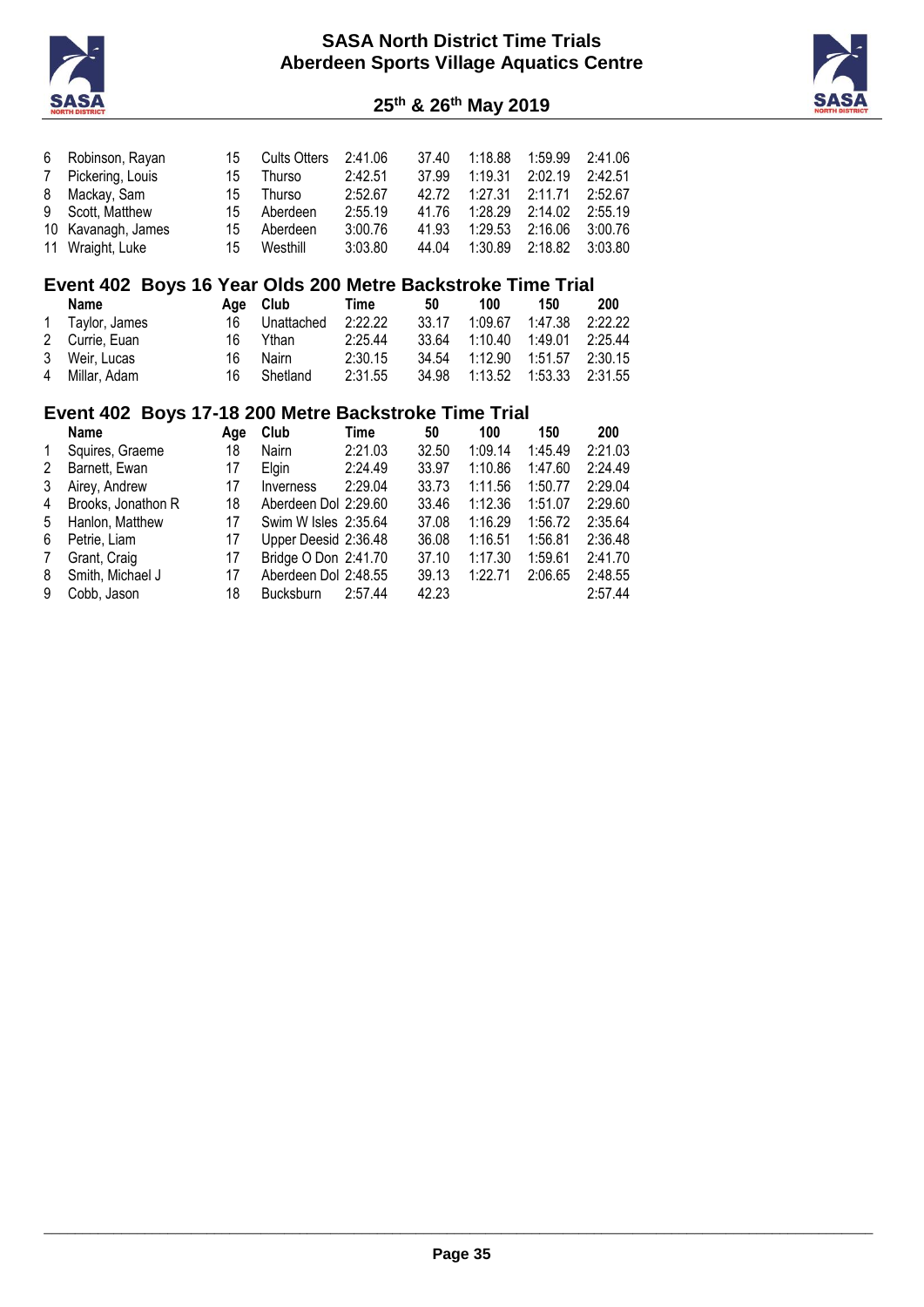

**th & 26th May 2019**



|                | 6 Robinson, Rayan  | 15 | <b>Cults Otters</b> | 2:41.06 | 37.40 | 1:18.88 | 1:59.99 | 2:41.06 |
|----------------|--------------------|----|---------------------|---------|-------|---------|---------|---------|
| $7\phantom{0}$ | Pickering, Louis   | 15 | Thurso              | 2:42.51 | 37.99 | 1:19.31 | 2:02.19 | 2:42.51 |
| 8              | Mackay, Sam        | 15 | Thurso              | 2:52.67 | 42 72 | 1:27.31 | 2:11.71 | 2:52.67 |
|                | 9 Scott, Matthew   | 15 | Aberdeen            | 2:55.19 | 41.76 | 1:28.29 | 2:14.02 | 2:55.19 |
|                | 10 Kavanagh, James | 15 | Aberdeen            | 3:00.76 | 41.93 | 1:29.53 | 2:16.06 | 3:00.76 |
|                | 11 Wraight, Luke   | 15 | Westhill            | 3:03.80 | 44.04 | 1:30.89 | 2:18.82 | 3:03.80 |

# **Event 402 Boys 16 Year Olds 200 Metre Backstroke Time Trial**

| Name            |     | Age Club   | Time    | 50    | 100                     | 150     | 200     |
|-----------------|-----|------------|---------|-------|-------------------------|---------|---------|
| 1 Taylor, James | 16  | Unattached | 2:22.22 | 33.17 | 1:09.67                 | 1:47.38 | 2:22.22 |
| 2 Currie, Euan  | 16. | Ythan      | 2:25.44 | 33.64 | 1:10.40 1:49.01         |         | 2:25.44 |
| 3 Weir, Lucas   | 16  | Nairn      | 2:30.15 | 34.54 | 1:12.90  1:51.57        |         | 2:30.15 |
| 4 Millar, Adam  | 16  | Shetland   | 2:31.55 |       | 34.98  1:13.52  1:53.33 |         | 2:31.55 |

## **Event 402 Boys 17-18 200 Metre Backstroke Time Trial**

|   | <b>Name</b>        | Aae | <b>Club</b>          | Time    | 50    | 100     | 150     | 200     |
|---|--------------------|-----|----------------------|---------|-------|---------|---------|---------|
| 1 | Squires, Graeme    | 18  | <b>Nairn</b>         | 2:21.03 | 32.50 | 1:09.14 | 1:45.49 | 2:21.03 |
| 2 | Barnett, Ewan      | 17  | Elgin                | 2:24.49 | 33.97 | 1:10.86 | 1:47.60 | 2:24.49 |
| 3 | Airey, Andrew      | 17  | Inverness            | 2:29.04 | 33.73 | 1:11.56 | 1:50.77 | 2:29.04 |
| 4 | Brooks, Jonathon R | 18  | Aberdeen Dol 2:29.60 |         | 33.46 | 1:12.36 | 1:51.07 | 2:29.60 |
| 5 | Hanlon, Matthew    | 17  | Swim W Isles 2:35.64 |         | 37.08 | 1:16.29 | 1:56.72 | 2:35.64 |
| 6 | Petrie, Liam       | 17  | Upper Deesid 2:36.48 |         | 36.08 | 1:16.51 | 1:56.81 | 2:36.48 |
| 7 | Grant, Craig       | 17  | Bridge O Don 2:41.70 |         | 37.10 | 1:17.30 | 1:59.61 | 2:41.70 |
| 8 | Smith, Michael J   | 17  | Aberdeen Dol 2:48.55 |         | 39.13 | 1:22.71 | 2:06.65 | 2:48.55 |
| 9 | Cobb, Jason        | 18  | <b>Bucksburn</b>     | 2:57.44 | 42.23 |         |         | 2:57.44 |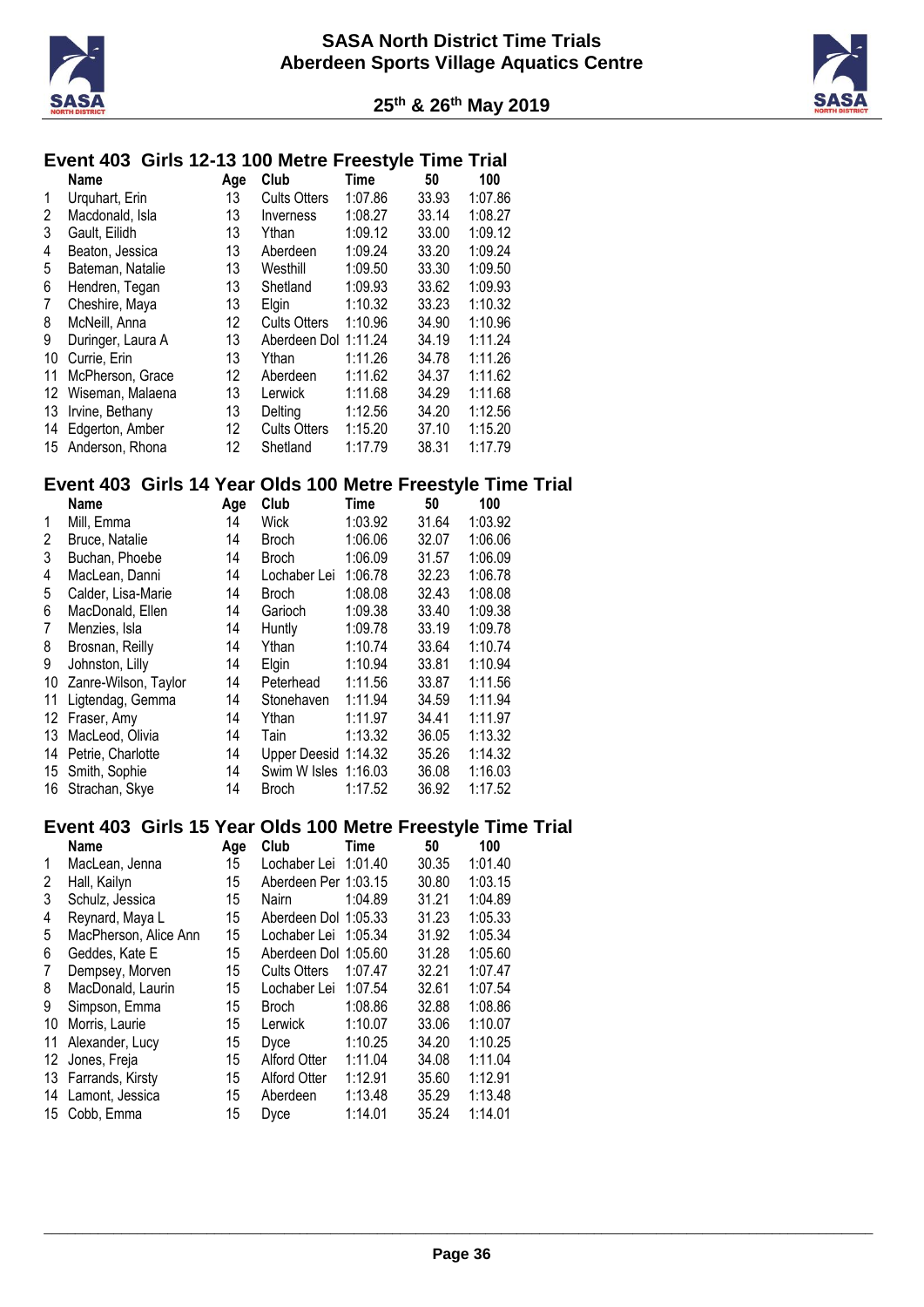



# **Event 403 Girls 12-13 100 Metre Freestyle Time Trial**

|    | <b>Name</b>       | Age | Club                | Time    | 50    | 100     |
|----|-------------------|-----|---------------------|---------|-------|---------|
| 1  | Urguhart, Erin    | 13  | <b>Cults Otters</b> | 1:07.86 | 33.93 | 1:07.86 |
| 2  | Macdonald, Isla   | 13  | Inverness           | 1:08.27 | 33.14 | 1:08.27 |
| 3  | Gault. Eilidh     | 13  | Ythan               | 1:09.12 | 33.00 | 1:09.12 |
| 4  | Beaton, Jessica   | 13  | Aberdeen            | 1:09.24 | 33.20 | 1:09.24 |
| 5  | Bateman, Natalie  | 13  | Westhill            | 1:09.50 | 33.30 | 1:09.50 |
| 6  | Hendren, Tegan    | 13  | Shetland            | 1:09.93 | 33.62 | 1:09.93 |
| 7  | Cheshire, Maya    | 13  | Elgin               | 1:10.32 | 33.23 | 1:10.32 |
| 8  | McNeill, Anna     | 12  | <b>Cults Otters</b> | 1:10.96 | 34.90 | 1:10.96 |
| 9  | Duringer, Laura A | 13  | Aberdeen Dol        | 1:11.24 | 34.19 | 1:11.24 |
| 10 | Currie, Erin      | 13  | Ythan               | 1:11.26 | 34.78 | 1:11.26 |
| 11 | McPherson, Grace  | 12  | Aberdeen            | 1:11.62 | 34.37 | 1:11.62 |
| 12 | Wiseman, Malaena  | 13  | Lerwick             | 1:11.68 | 34.29 | 1:11.68 |
| 13 | Irvine, Bethany   | 13  | Delting             | 1:12.56 | 34.20 | 1:12.56 |
| 14 | Edgerton, Amber   | 12  | <b>Cults Otters</b> | 1:15.20 | 37.10 | 1:15.20 |
| 15 | Anderson, Rhona   | 12  | Shetland            | 1:17.79 | 38.31 | 1:17.79 |

# **Event 403 Girls 14 Year Olds 100 Metre Freestyle Time Trial**

|    | Name                 | Age | Club                 | Time    | 50    | 100     |
|----|----------------------|-----|----------------------|---------|-------|---------|
| 1  | Mill. Emma           | 14  | Wick                 | 1:03.92 | 31.64 | 1:03.92 |
| 2  | Bruce, Natalie       | 14  | <b>Broch</b>         | 1:06.06 | 32.07 | 1:06.06 |
| 3  | Buchan, Phoebe       | 14  | <b>Broch</b>         | 1:06.09 | 31.57 | 1:06.09 |
| 4  | MacLean, Danni       | 14  | Lochaber Lei         | 1:06.78 | 32.23 | 1:06.78 |
| 5  | Calder, Lisa-Marie   | 14  | <b>Broch</b>         | 1:08.08 | 32.43 | 1:08.08 |
| 6  | MacDonald, Ellen     | 14  | Garioch              | 1:09.38 | 33.40 | 1:09.38 |
| 7  | Menzies, Isla        | 14  | Huntly               | 1:09.78 | 33.19 | 1:09.78 |
| 8  | Brosnan, Reilly      | 14  | Ythan                | 1:10.74 | 33.64 | 1:10.74 |
| 9  | Johnston, Lilly      | 14  | Elgin                | 1:10.94 | 33.81 | 1:10.94 |
| 10 | Zanre-Wilson, Taylor | 14  | Peterhead            | 1:11.56 | 33.87 | 1:11.56 |
| 11 | Ligtendag, Gemma     | 14  | Stonehaven           | 1:11.94 | 34.59 | 1:11.94 |
| 12 | Fraser, Amy          | 14  | Ythan                | 1:11.97 | 34.41 | 1:11.97 |
| 13 | MacLeod, Olivia      | 14  | Tain                 | 1:13.32 | 36.05 | 1:13.32 |
| 14 | Petrie, Charlotte    | 14  | Upper Deesid 1:14.32 |         | 35.26 | 1:14.32 |
| 15 | Smith, Sophie        | 14  | Swim W Isles 1:16.03 |         | 36.08 | 1:16.03 |
| 16 | Strachan, Skye       | 14  | <b>Broch</b>         | 1:17.52 | 36.92 | 1:17.52 |

# **Event 403 Girls 15 Year Olds 100 Metre Freestyle Time Trial**

|    | <b>Name</b>           | Age | Club                 | Time    | 50    | 100     |
|----|-----------------------|-----|----------------------|---------|-------|---------|
| 1  | MacLean, Jenna        | 15  | Lochaber Lei         | 1:01.40 | 30.35 | 1:01.40 |
| 2  | Hall, Kailyn          | 15  | Aberdeen Per 1:03.15 |         | 30.80 | 1:03.15 |
| 3  | Schulz, Jessica       | 15  | <b>Nairn</b>         | 1:04.89 | 31.21 | 1:04.89 |
| 4  | Reynard, Maya L       | 15  | Aberdeen Dol 1:05.33 |         | 31.23 | 1:05.33 |
| 5  | MacPherson, Alice Ann | 15  | Lochaber Lei 1:05.34 |         | 31.92 | 1:05.34 |
| 6  | Geddes, Kate E        | 15  | Aberdeen Dol 1:05.60 |         | 31.28 | 1:05.60 |
| 7  | Dempsey, Morven       | 15  | <b>Cults Otters</b>  | 1:07.47 | 32.21 | 1:07.47 |
| 8  | MacDonald, Laurin     | 15  | Lochaber Lei         | 1:07.54 | 32.61 | 1:07.54 |
| 9  | Simpson, Emma         | 15  | <b>Broch</b>         | 1:08.86 | 32.88 | 1:08.86 |
| 10 | Morris, Laurie        | 15  | Lerwick              | 1:10.07 | 33.06 | 1:10.07 |
| 11 | Alexander, Lucy       | 15  | Dyce                 | 1:10.25 | 34.20 | 1:10.25 |
| 12 | Jones, Freja          | 15  | Alford Otter         | 1:11.04 | 34.08 | 1:11.04 |
| 13 | Farrands, Kirsty      | 15  | <b>Alford Otter</b>  | 1:12.91 | 35.60 | 1:12.91 |
| 14 | Lamont, Jessica       | 15  | Aberdeen             | 1:13.48 | 35.29 | 1:13.48 |
| 15 | Cobb, Emma            | 15  | Dyce                 | 1:14.01 | 35.24 | 1:14.01 |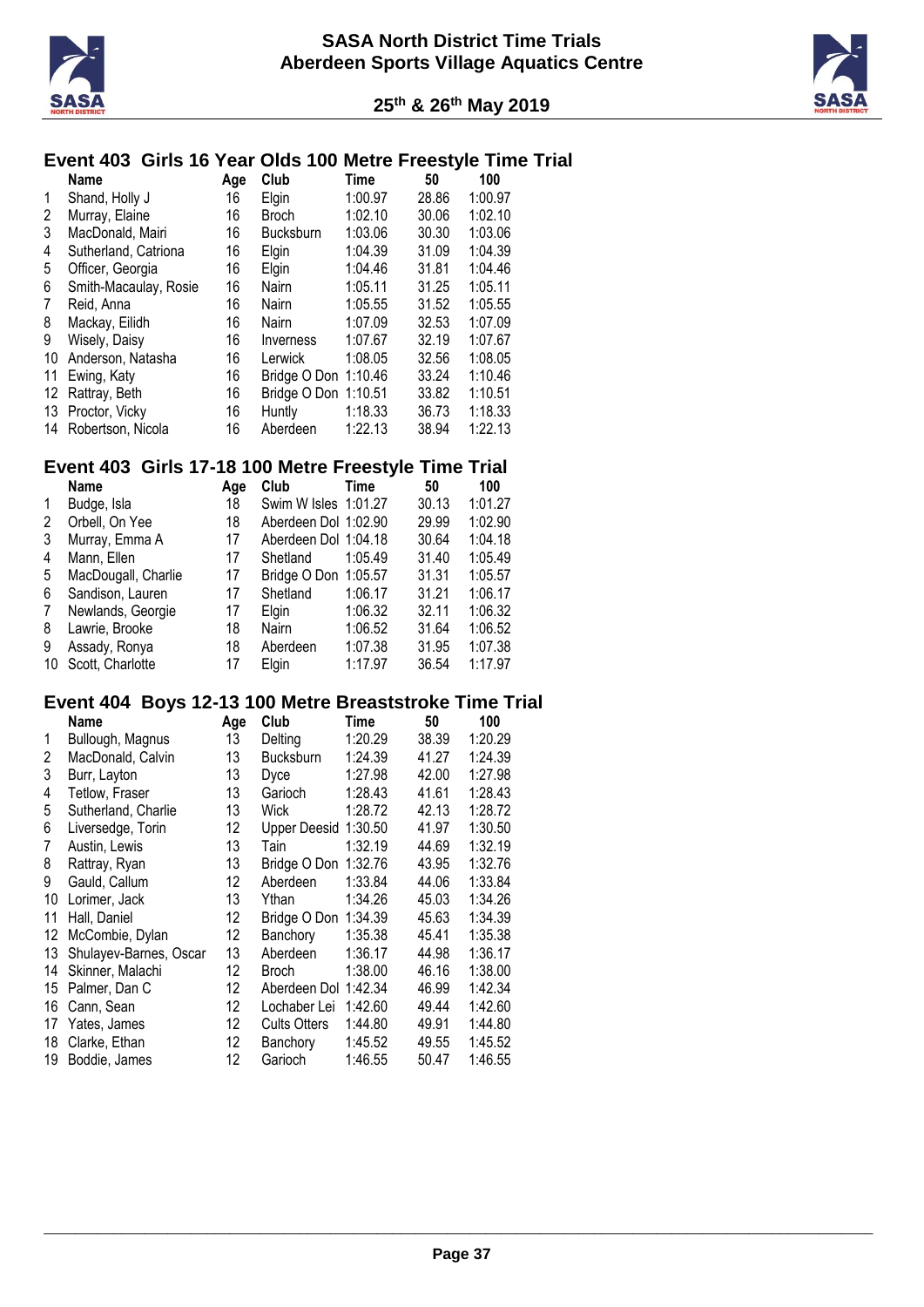



# **Event 403 Girls 16 Year Olds 100 Metre Freestyle Time Trial**

|    | <b>Name</b>           | Age | Club                 | Time    | 50    | 100     |
|----|-----------------------|-----|----------------------|---------|-------|---------|
| 1  | Shand, Holly J        | 16  | Elgin                | 1:00.97 | 28.86 | 1:00.97 |
| 2  | Murray, Elaine        | 16  | <b>Broch</b>         | 1:02.10 | 30.06 | 1:02.10 |
| 3  | MacDonald, Mairi      | 16  | <b>Bucksburn</b>     | 1:03.06 | 30.30 | 1:03.06 |
| 4  | Sutherland, Catriona  | 16  | Elgin                | 1:04.39 | 31.09 | 1:04.39 |
| 5  | Officer, Georgia      | 16  | Elgin                | 1:04.46 | 31.81 | 1:04.46 |
| 6  | Smith-Macaulay, Rosie | 16  | Nairn                | 1:05.11 | 31.25 | 1:05.11 |
| 7  | Reid, Anna            | 16  | Nairn                | 1:05.55 | 31.52 | 1:05.55 |
| 8  | Mackay, Eilidh        | 16  | Nairn                | 1:07.09 | 32.53 | 1:07.09 |
| 9  | Wisely, Daisy         | 16  | Inverness            | 1:07.67 | 32.19 | 1:07.67 |
| 10 | Anderson, Natasha     | 16  | Lerwick              | 1:08.05 | 32.56 | 1:08.05 |
| 11 | Ewing, Katy           | 16  | Bridge O Don 1:10.46 |         | 33.24 | 1:10.46 |
| 12 | Rattray, Beth         | 16  | Bridge O Don 1:10.51 |         | 33.82 | 1:10.51 |
| 13 | Proctor, Vicky        | 16  | Huntly               | 1:18.33 | 36.73 | 1:18.33 |
| 14 | Robertson, Nicola     | 16  | Aberdeen             | 1:22.13 | 38.94 | 1:22.13 |

## **Event 403 Girls 17-18 100 Metre Freestyle Time Trial**

|    | <b>Name</b>         | Age | Club                 | Time    | 50    | 100     |
|----|---------------------|-----|----------------------|---------|-------|---------|
| 1  | Budge, Isla         | 18  | Swim W Isles 1:01.27 |         | 30.13 | 1:01.27 |
| 2  | Orbell, On Yee      | 18  | Aberdeen Dol 1:02.90 |         | 29.99 | 1:02.90 |
| 3  | Murray, Emma A      | 17  | Aberdeen Dol 1:04.18 |         | 30.64 | 1:04.18 |
| 4  | Mann, Ellen         | 17  | Shetland             | 1:05.49 | 31.40 | 1:05.49 |
| 5  | MacDougall, Charlie | 17  | Bridge O Don 1:05.57 |         | 31.31 | 1:05.57 |
| 6  | Sandison, Lauren    | 17  | Shetland             | 1:06.17 | 31.21 | 1:06.17 |
| 7  | Newlands, Georgie   | 17  | Elgin                | 1:06.32 | 32.11 | 1:06.32 |
| 8  | Lawrie, Brooke      | 18  | Nairn                | 1:06.52 | 31.64 | 1:06.52 |
| 9  | Assady, Ronya       | 18  | Aberdeen             | 1:07.38 | 31.95 | 1:07.38 |
| 10 | Scott, Charlotte    | 17  | Elain                | 1:17.97 | 36.54 | 1:17.97 |

#### **Event 404 Boys 12-13 100 Metre Breaststroke Time Trial**

|    | Name                   | Age | Club                 | Time    | 50    | 100     |
|----|------------------------|-----|----------------------|---------|-------|---------|
| 1  | Bullough, Magnus       | 13  | Delting              | 1:20.29 | 38.39 | 1:20.29 |
| 2  | MacDonald, Calvin      | 13  | <b>Bucksburn</b>     | 1:24.39 | 41.27 | 1:24.39 |
| 3  | Burr, Layton           | 13  | Dyce                 | 1:27.98 | 42.00 | 1:27.98 |
| 4  | Tetlow, Fraser         | 13  | Garioch              | 1:28.43 | 41.61 | 1:28.43 |
| 5  | Sutherland, Charlie    | 13  | Wick                 | 1:28.72 | 42.13 | 1:28.72 |
| 6  | Liversedge, Torin      | 12  | Upper Deesid 1:30.50 |         | 41.97 | 1:30.50 |
| 7  | Austin, Lewis          | 13  | Tain                 | 1:32.19 | 44.69 | 1:32.19 |
| 8  | Rattray, Ryan          | 13  | Bridge O Don         | 1:32.76 | 43.95 | 1:32.76 |
| 9  | Gauld, Callum          | 12  | Aberdeen             | 1:33.84 | 44.06 | 1:33.84 |
| 10 | Lorimer, Jack          | 13  | Ythan                | 1:34.26 | 45.03 | 1:34.26 |
| 11 | Hall, Daniel           | 12  | Bridge O Don         | 1:34.39 | 45.63 | 1:34.39 |
| 12 | McCombie, Dylan        | 12  | Banchory             | 1:35.38 | 45.41 | 1:35.38 |
| 13 | Shulayev-Barnes, Oscar | 13  | Aberdeen             | 1:36.17 | 44.98 | 1:36.17 |
| 14 | Skinner, Malachi       | 12  | <b>Broch</b>         | 1:38.00 | 46.16 | 1:38.00 |
| 15 | Palmer, Dan C          | 12  | Aberdeen Dol 1:42.34 |         | 46.99 | 1:42.34 |
| 16 | Cann, Sean             | 12  | Lochaber Lei         | 1:42.60 | 49.44 | 1:42.60 |
| 17 | Yates, James           | 12  | <b>Cults Otters</b>  | 1:44.80 | 49.91 | 1:44.80 |
| 18 | Clarke, Ethan          | 12  | Banchory             | 1:45.52 | 49.55 | 1:45.52 |
| 19 | Boddie, James          | 12  | Garioch              | 1:46.55 | 50.47 | 1:46.55 |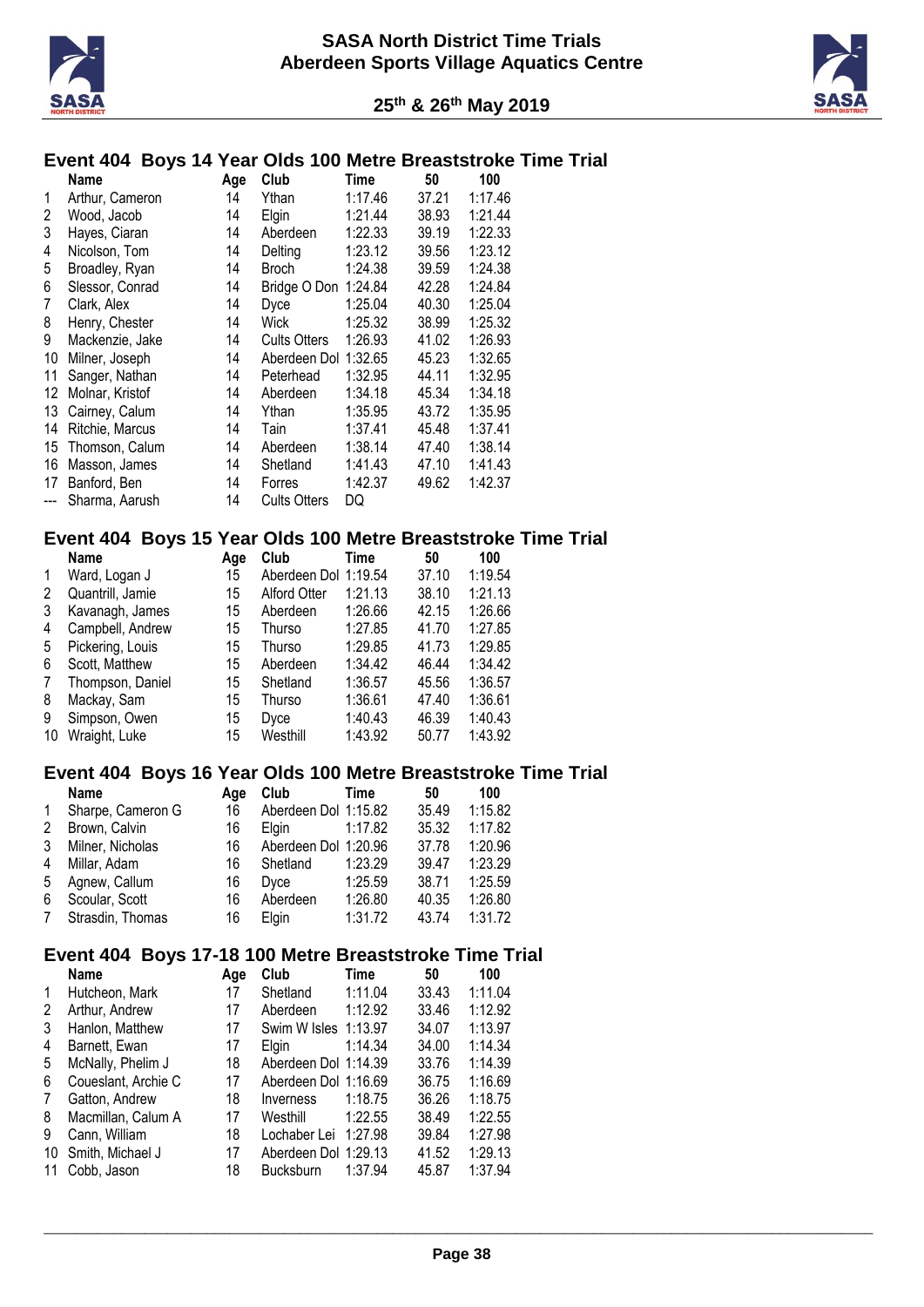



#### **Event 404 Boys 14 Year Olds 100 Metre Breaststroke Time Trial**

|    | Name                                                                                                 | Age | Club                | Time    | 50    | 100     |  |  |  |
|----|------------------------------------------------------------------------------------------------------|-----|---------------------|---------|-------|---------|--|--|--|
| 1  | Arthur, Cameron                                                                                      | 14  | Ythan               | 1:17.46 | 37.21 | 1:17.46 |  |  |  |
| 2  | Wood, Jacob                                                                                          | 14  | Elgin               | 1:21.44 | 38.93 | 1:21.44 |  |  |  |
| 3  | Hayes, Ciaran                                                                                        | 14  | Aberdeen            | 1:22.33 | 39.19 | 1:22.33 |  |  |  |
| 4  | Nicolson, Tom                                                                                        | 14  | Delting             | 1:23.12 | 39.56 | 1:23.12 |  |  |  |
| 5  | Broadley, Ryan                                                                                       | 14  | <b>Broch</b>        | 1:24.38 | 39.59 | 1:24.38 |  |  |  |
| 6  | Slessor, Conrad                                                                                      | 14  | Bridge O Don        | 1:24.84 | 42.28 | 1:24.84 |  |  |  |
| 7  | Clark, Alex                                                                                          | 14  | Dyce                | 1:25.04 | 40.30 | 1:25.04 |  |  |  |
| 8  | Henry, Chester                                                                                       | 14  | Wick                | 1:25.32 | 38.99 | 1:25.32 |  |  |  |
| 9  | Mackenzie, Jake                                                                                      | 14  | <b>Cults Otters</b> | 1:26.93 | 41.02 | 1:26.93 |  |  |  |
| 10 | Milner, Joseph                                                                                       | 14  | Aberdeen Dol        | 1:32.65 | 45.23 | 1:32.65 |  |  |  |
| 11 | Sanger, Nathan                                                                                       | 14  | Peterhead           | 1:32.95 | 44.11 | 1:32.95 |  |  |  |
| 12 | Molnar, Kristof                                                                                      | 14  | Aberdeen            | 1:34.18 | 45.34 | 1:34.18 |  |  |  |
| 13 | Cairney, Calum                                                                                       | 14  | Ythan               | 1:35.95 | 43.72 | 1:35.95 |  |  |  |
| 14 | Ritchie, Marcus                                                                                      | 14  | Tain                | 1:37.41 | 45.48 | 1:37.41 |  |  |  |
| 15 | Thomson, Calum                                                                                       | 14  | Aberdeen            | 1:38.14 | 47.40 | 1:38.14 |  |  |  |
| 16 | Masson, James                                                                                        | 14  | Shetland            | 1:41.43 | 47.10 | 1:41.43 |  |  |  |
| 17 | Banford, Ben                                                                                         | 14  | Forres              | 1:42.37 | 49.62 | 1:42.37 |  |  |  |
|    | Sharma, Aarush                                                                                       | 14  | <b>Cults Otters</b> | DQ      |       |         |  |  |  |
|    | Boys 15 Year Olds 100 Metre Breaststroke<br>Event 404<br>Nama<br>EN.<br>$\mathbf{A}$<br>т:….<br>100. |     |                     |         |       |         |  |  |  |

#### **Example 7 Example 10 Name Age Club Time 50 100**

|    | ivalite          | Aue | ⊍∪∪                  | пше     | ิมบ   | 1 U U   |
|----|------------------|-----|----------------------|---------|-------|---------|
| 1  | Ward, Logan J    | 15  | Aberdeen Dol 1:19.54 |         | 37.10 | 1:19.54 |
| 2  | Quantrill, Jamie | 15  | <b>Alford Otter</b>  | 1:21.13 | 38.10 | 1:21.13 |
| 3  | Kavanagh, James  | 15  | Aberdeen             | 1:26.66 | 42.15 | 1:26.66 |
| 4  | Campbell, Andrew | 15  | Thurso               | 1:27.85 | 41.70 | 1:27.85 |
| 5  | Pickering, Louis | 15  | Thurso               | 1:29.85 | 41.73 | 1:29.85 |
| 6  | Scott, Matthew   | 15  | Aberdeen             | 1:34.42 | 46.44 | 1:34.42 |
| 7  | Thompson, Daniel | 15  | Shetland             | 1:36.57 | 45.56 | 1:36.57 |
| 8  | Mackay, Sam      | 15  | Thurso               | 1:36.61 | 47.40 | 1:36.61 |
| 9  | Simpson, Owen    | 15  | <b>Dyce</b>          | 1:40.43 | 46.39 | 1:40.43 |
| 10 | Wraight, Luke    | 15  | Westhill             | 1:43.92 | 50.77 | 1:43.92 |

#### **Event 404 Boys 16 Year Olds 100 Metre Breaststroke Time Trial**

|              | <b>Name</b>       | Aae | Club                 | Time    | 50    | 100     |
|--------------|-------------------|-----|----------------------|---------|-------|---------|
| $\mathbf{1}$ | Sharpe, Cameron G | 16  | Aberdeen Dol 1:15.82 |         | 35.49 | 1:15.82 |
| 2            | Brown, Calvin     | 16  | <b>Elain</b>         | 1:17.82 | 35.32 | 1:17.82 |
| 3            | Milner, Nicholas  | 16  | Aberdeen Dol 1:20.96 |         | 37.78 | 1:20.96 |
| 4            | Millar, Adam      | 16  | Shetland             | 1:23.29 | 39.47 | 1:23.29 |
| 5            | Agnew, Callum     | 16  | Dyce                 | 1:25.59 | 38.71 | 1:25.59 |
| 6            | Scoular, Scott    | 16  | Aberdeen             | 1:26.80 | 40.35 | 1:26.80 |
| 7            | Strasdin, Thomas  | 16  | Elain                | 1:31.72 | 43.74 | 1:31.72 |

### **Event 404 Boys 17-18 100 Metre Breaststroke Time Trial**

|    | Name                | Age | Club                 | Time    | 50    | 100     |
|----|---------------------|-----|----------------------|---------|-------|---------|
| 1  | Hutcheon, Mark      | 17  | Shetland             | 1:11.04 | 33.43 | 1:11.04 |
| 2  | Arthur, Andrew      | 17  | Aberdeen             | 1:12.92 | 33.46 | 1:12.92 |
| 3  | Hanlon, Matthew     | 17  | Swim W Isles 1:13.97 |         | 34.07 | 1:13.97 |
| 4  | Barnett, Ewan       | 17  | Elgin                | 1:14.34 | 34.00 | 1:14.34 |
| 5  | McNally, Phelim J   | 18  | Aberdeen Dol 1:14.39 |         | 33.76 | 1:14.39 |
| 6  | Coueslant, Archie C | 17  | Aberdeen Dol 1:16.69 |         | 36.75 | 1:16.69 |
| 7  | Gatton, Andrew      | 18  | Inverness            | 1:18.75 | 36.26 | 1:18.75 |
| 8  | Macmillan, Calum A  | 17  | Westhill             | 1:22.55 | 38.49 | 1:22.55 |
| 9  | Cann, William       | 18  | Lochaber Lei 1:27.98 |         | 39.84 | 1:27.98 |
| 10 | Smith, Michael J    | 17  | Aberdeen Dol 1:29.13 |         | 41.52 | 1:29.13 |
| 11 | Cobb, Jason         | 18  | <b>Bucksburn</b>     | 1:37.94 | 45.87 | 1:37.94 |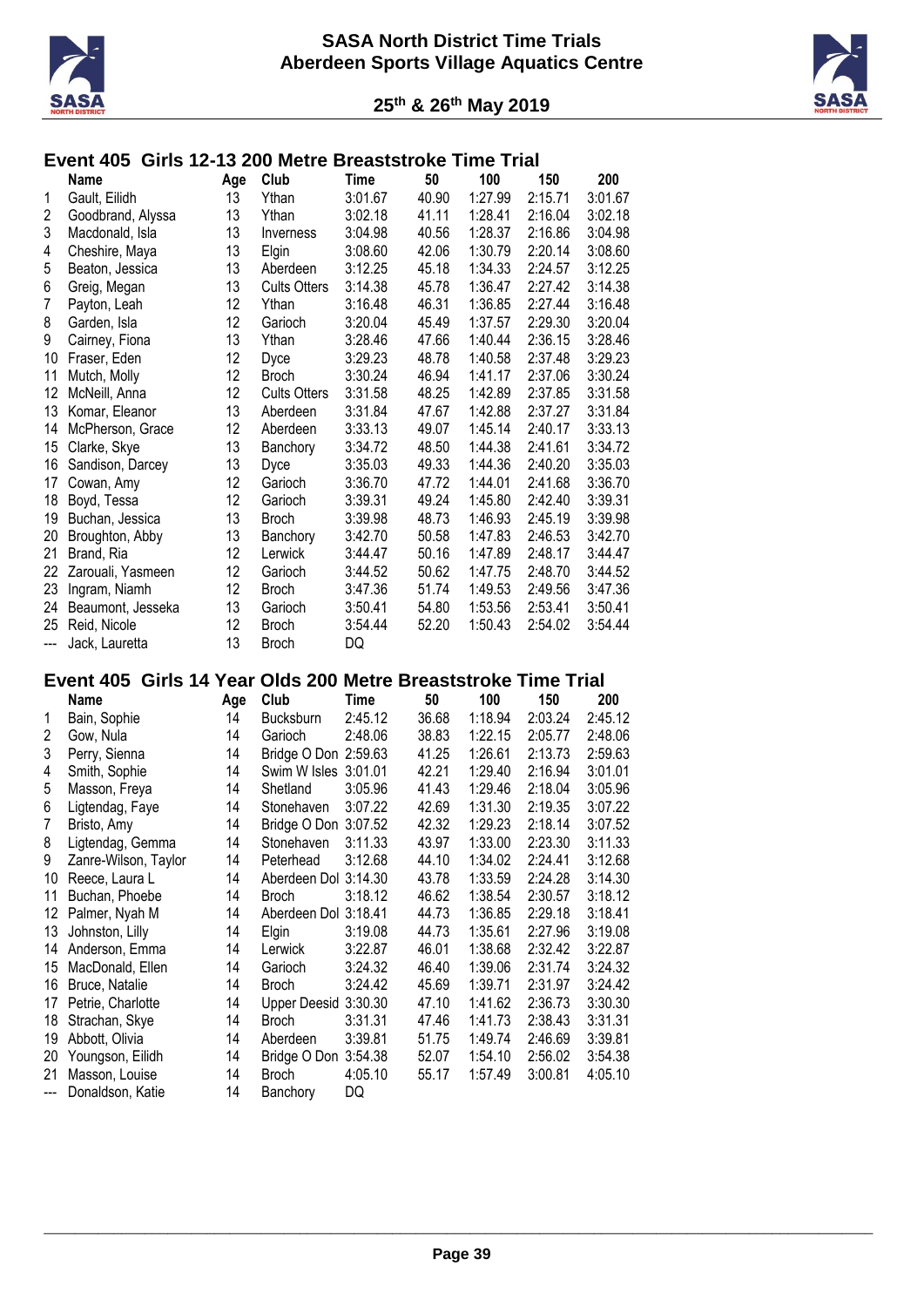



# **Event 405 Girls 12-13 200 Metre Breaststroke Time Trial**

|     | Name              | Age | Club                | Time    | 50    | 100     | 150     | 200     |
|-----|-------------------|-----|---------------------|---------|-------|---------|---------|---------|
| 1   | Gault, Eilidh     | 13  | Ythan               | 3:01.67 | 40.90 | 1:27.99 | 2:15.71 | 3:01.67 |
| 2   | Goodbrand, Alyssa | 13  | Ythan               | 3:02.18 | 41.11 | 1:28.41 | 2:16.04 | 3:02.18 |
| 3   | Macdonald, Isla   | 13  | Inverness           | 3:04.98 | 40.56 | 1:28.37 | 2:16.86 | 3:04.98 |
| 4   | Cheshire, Maya    | 13  | Elgin               | 3:08.60 | 42.06 | 1:30.79 | 2:20.14 | 3:08.60 |
| 5   | Beaton, Jessica   | 13  | Aberdeen            | 3:12.25 | 45.18 | 1:34.33 | 2:24.57 | 3:12.25 |
| 6   | Greig, Megan      | 13  | <b>Cults Otters</b> | 3:14.38 | 45.78 | 1:36.47 | 2:27.42 | 3:14.38 |
| 7   | Payton, Leah      | 12  | Ythan               | 3:16.48 | 46.31 | 1:36.85 | 2:27.44 | 3:16.48 |
| 8   | Garden, Isla      | 12  | Garioch             | 3:20.04 | 45.49 | 1:37.57 | 2:29.30 | 3:20.04 |
| 9   | Cairney, Fiona    | 13  | Ythan               | 3:28.46 | 47.66 | 1:40.44 | 2:36.15 | 3:28.46 |
| 10  | Fraser, Eden      | 12  | Dvce                | 3:29.23 | 48.78 | 1:40.58 | 2:37.48 | 3:29.23 |
| 11  | Mutch, Molly      | 12  | <b>Broch</b>        | 3:30.24 | 46.94 | 1:41.17 | 2:37.06 | 3:30.24 |
| 12  | McNeill, Anna     | 12  | <b>Cults Otters</b> | 3:31.58 | 48.25 | 1:42.89 | 2:37.85 | 3:31.58 |
| 13  | Komar, Eleanor    | 13  | Aberdeen            | 3:31.84 | 47.67 | 1:42.88 | 2:37.27 | 3:31.84 |
| 14  | McPherson, Grace  | 12  | Aberdeen            | 3:33.13 | 49.07 | 1:45.14 | 2:40.17 | 3:33.13 |
| 15  | Clarke, Skye      | 13  | Banchory            | 3:34.72 | 48.50 | 1:44.38 | 2:41.61 | 3:34.72 |
| 16  | Sandison, Darcey  | 13  | Dyce                | 3:35.03 | 49.33 | 1:44.36 | 2:40.20 | 3:35.03 |
| 17  | Cowan, Amy        | 12  | Garioch             | 3:36.70 | 47.72 | 1:44.01 | 2:41.68 | 3:36.70 |
| 18  | Boyd, Tessa       | 12  | Garioch             | 3:39.31 | 49.24 | 1:45.80 | 2:42.40 | 3:39.31 |
| 19  | Buchan, Jessica   | 13  | <b>Broch</b>        | 3:39.98 | 48.73 | 1:46.93 | 2:45.19 | 3:39.98 |
| 20  | Broughton, Abby   | 13  | Banchory            | 3:42.70 | 50.58 | 1:47.83 | 2:46.53 | 3:42.70 |
| 21  | Brand, Ria        | 12  | Lerwick             | 3:44.47 | 50.16 | 1:47.89 | 2:48.17 | 3:44.47 |
| 22  | Zarouali, Yasmeen | 12  | Garioch             | 3:44.52 | 50.62 | 1:47.75 | 2:48.70 | 3:44.52 |
| 23  | Ingram, Niamh     | 12  | <b>Broch</b>        | 3:47.36 | 51.74 | 1:49.53 | 2:49.56 | 3:47.36 |
| 24  | Beaumont, Jesseka | 13  | Garioch             | 3:50.41 | 54.80 | 1:53.56 | 2:53.41 | 3:50.41 |
| 25  | Reid, Nicole      | 12  | <b>Broch</b>        | 3:54.44 | 52.20 | 1:50.43 | 2:54.02 | 3:54.44 |
| --- | Jack, Lauretta    | 13  | <b>Broch</b>        | DQ      |       |         |         |         |

# **Event 405 Girls 14 Year Olds 200 Metre Breaststroke Time Trial**

|       | Name                 | Age | Club                 | Time    | 50    | 100     | 150     | 200     |
|-------|----------------------|-----|----------------------|---------|-------|---------|---------|---------|
| 1     | Bain, Sophie         | 14  | <b>Bucksburn</b>     | 2:45.12 | 36.68 | 1:18.94 | 2:03.24 | 2:45.12 |
| 2     | Gow, Nula            | 14  | Garioch              | 2:48.06 | 38.83 | 1:22.15 | 2:05.77 | 2:48.06 |
| 3     | Perry, Sienna        | 14  | Bridge O Don 2:59.63 |         | 41.25 | 1:26.61 | 2:13.73 | 2:59.63 |
| 4     | Smith, Sophie        | 14  | Swim W Isles 3:01.01 |         | 42.21 | 1:29.40 | 2:16.94 | 3:01.01 |
| 5     | Masson, Freya        | 14  | Shetland             | 3:05.96 | 41.43 | 1:29.46 | 2:18.04 | 3:05.96 |
| 6     | Ligtendag, Faye      | 14  | Stonehaven           | 3:07.22 | 42.69 | 1:31.30 | 2:19.35 | 3:07.22 |
| 7     | Bristo, Amy          | 14  | Bridge O Don         | 3:07.52 | 42.32 | 1:29.23 | 2:18.14 | 3:07.52 |
| 8     | Ligtendag, Gemma     | 14  | Stonehaven           | 3:11.33 | 43.97 | 1:33.00 | 2:23.30 | 3:11.33 |
| 9     | Zanre-Wilson, Taylor | 14  | Peterhead            | 3:12.68 | 44.10 | 1:34.02 | 2:24.41 | 3:12.68 |
| 10    | Reece, Laura L       | 14  | Aberdeen Dol 3:14.30 |         | 43.78 | 1:33.59 | 2:24.28 | 3:14.30 |
| 11    | Buchan, Phoebe       | 14  | Broch                | 3:18.12 | 46.62 | 1:38.54 | 2:30.57 | 3:18.12 |
| 12    | Palmer, Nyah M       | 14  | Aberdeen Dol 3:18.41 |         | 44.73 | 1:36.85 | 2:29.18 | 3:18.41 |
| 13    | Johnston, Lilly      | 14  | Elgin                | 3:19.08 | 44.73 | 1:35.61 | 2:27.96 | 3:19.08 |
| 14    | Anderson, Emma       | 14  | Lerwick              | 3:22.87 | 46.01 | 1:38.68 | 2:32.42 | 3:22.87 |
| 15    | MacDonald, Ellen     | 14  | Garioch              | 3:24.32 | 46.40 | 1:39.06 | 2:31.74 | 3:24.32 |
| 16    | Bruce, Natalie       | 14  | <b>Broch</b>         | 3:24.42 | 45.69 | 1:39.71 | 2:31.97 | 3:24.42 |
| 17    | Petrie, Charlotte    | 14  | Upper Deesid         | 3:30.30 | 47.10 | 1:41.62 | 2:36.73 | 3:30.30 |
| 18    | Strachan, Skye       | 14  | <b>Broch</b>         | 3:31.31 | 47.46 | 1:41.73 | 2:38.43 | 3:31.31 |
| 19    | Abbott, Olivia       | 14  | Aberdeen             | 3:39.81 | 51.75 | 1:49.74 | 2:46.69 | 3:39.81 |
| 20    | Youngson, Eilidh     | 14  | Bridge O Don         | 3:54.38 | 52.07 | 1:54.10 | 2:56.02 | 3:54.38 |
| 21    | Masson, Louise       | 14  | <b>Broch</b>         | 4:05.10 | 55.17 | 1:57.49 | 3:00.81 | 4:05.10 |
| $---$ | Donaldson, Katie     | 14  | Banchory             | DQ      |       |         |         |         |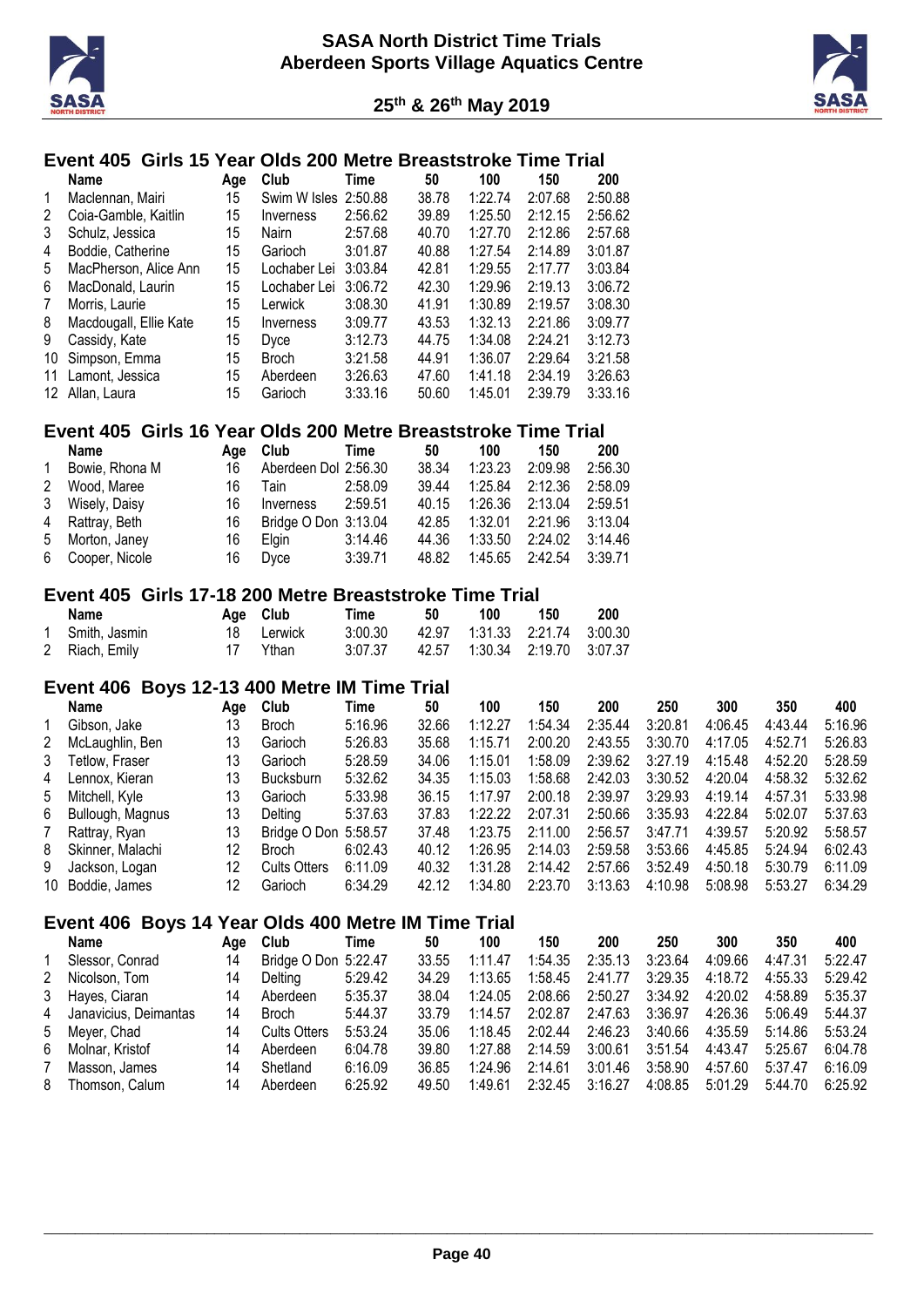



# **Event 405 Girls 15 Year Olds 200 Metre Breaststroke Time Trial**

|    | <b>Name</b>            | Age | <b>Club</b>          | Time    | 50    | 100     | 150     | 200     |
|----|------------------------|-----|----------------------|---------|-------|---------|---------|---------|
| 1  | Maclennan, Mairi       | 15  | Swim W Isles 2:50.88 |         | 38.78 | 1:22.74 | 2:07.68 | 2:50.88 |
| 2  | Coia-Gamble, Kaitlin   | 15  | Inverness            | 2:56.62 | 39.89 | 1:25.50 | 2:12.15 | 2:56.62 |
| 3  | Schulz, Jessica        | 15  | <b>Nairn</b>         | 2:57.68 | 40.70 | 1:27.70 | 2:12.86 | 2:57.68 |
| 4  | Boddie, Catherine      | 15  | Garioch              | 3:01.87 | 40.88 | 1:27.54 | 2:14.89 | 3:01.87 |
| 5  | MacPherson, Alice Ann  | 15  | Lochaber Lei         | 3:03.84 | 42.81 | 1:29.55 | 2:17.77 | 3:03.84 |
| 6  | MacDonald, Laurin      | 15  | Lochaber Lei         | 3:06.72 | 42.30 | 1:29.96 | 2:19.13 | 3:06.72 |
| 7  | Morris, Laurie         | 15  | Lerwick              | 3:08.30 | 41.91 | 1:30.89 | 2:19.57 | 3:08.30 |
| 8  | Macdougall, Ellie Kate | 15  | Inverness            | 3:09.77 | 43.53 | 1:32.13 | 2:21.86 | 3:09.77 |
| 9  | Cassidy, Kate          | 15  | <b>Dyce</b>          | 3:12.73 | 44.75 | 1:34.08 | 2:24.21 | 3:12.73 |
| 10 | Simpson, Emma          | 15  | Broch                | 3:21.58 | 44.91 | 1:36.07 | 2:29.64 | 3:21.58 |
| 11 | Lamont, Jessica        | 15  | Aberdeen             | 3:26.63 | 47.60 | 1:41.18 | 2:34.19 | 3:26.63 |
| 12 | Allan, Laura           | 15  | Garioch              | 3:33.16 | 50.60 | 1:45.01 | 2:39.79 | 3:33.16 |
|    |                        |     |                      |         |       |         |         |         |

#### **Event 405 Girls 16 Year Olds 200 Metre Breaststroke Time Trial**

|              | <b>Name</b>      | Aae | <b>Club</b>          | Time    | 50    | 100                 | 150     | 200     |
|--------------|------------------|-----|----------------------|---------|-------|---------------------|---------|---------|
| $\mathbf{1}$ | Bowie, Rhona M   | 16  | Aberdeen Dol 2:56.30 |         | 38.34 | 1:23.23             | 2:09.98 | 2:56.30 |
| 2            | Wood, Maree      | 16  | Tain                 | 2:58.09 | 39.44 | 1:25.84             | 2:12.36 | 2:58.09 |
| 3            | Wisely, Daisy    | 16  | Inverness            | 2:59.51 | 40.15 | $1:26.36$ $2:13.04$ |         | 2:59.51 |
|              | 4 Rattray, Beth  | 16  | Bridge O Don 3:13.04 |         | 42.85 | 1:32.01             | 2:21.96 | 3:13.04 |
|              | 5 Morton, Janey  | 16  | Elain                | 3:14.46 | 44.36 | 1:33.50             | 2:24.02 | 3:14.46 |
|              | 6 Cooper, Nicole | 16  | <b>Dyce</b>          | 3:39.71 | 48.82 | 1:45.65             | 2:42.54 | 3:39.71 |

#### **Event 405 Girls 17-18 200 Metre Breaststroke Time Trial**

| Name            | Age Club   | Time                                      | 50 | 100 | 150 | 200 |
|-----------------|------------|-------------------------------------------|----|-----|-----|-----|
| 1 Smith, Jasmin | 18 Lerwick | 3:00.30  42.97  1:31.33  2:21.74  3:00.30 |    |     |     |     |
| 2 Riach, Emily  | 17 Ythan   | 3:07.37                                   |    |     |     |     |

#### **Event 406 Boys 12-13 400 Metre IM Time Trial**

|   | Name               | Age | Club                 | Time    | 50    | 100     | 150     | 200     | 250     | 300     | 350     | 400     |
|---|--------------------|-----|----------------------|---------|-------|---------|---------|---------|---------|---------|---------|---------|
|   | Gibson, Jake       | 13  | <b>Broch</b>         | 5:16.96 | 32.66 | 1:12.27 | 1:54.34 | 2:35.44 | 3:20.81 | 4:06.45 | 4:43.44 | 5:16.96 |
|   | 2 McLaughlin, Ben  | 13  | Garioch              | 5:26.83 | 35.68 | 1:15.71 | 2:00.20 | 2:43.55 | 3:30.70 | 4:17.05 | 4:52.71 | 5:26.83 |
|   | 3 Tetlow, Fraser   | 13  | Garioch              | 5:28.59 | 34.06 | 1:15.01 | 1:58.09 | 2:39.62 | 3:27.19 | 4:15.48 | 4:52.20 | 5:28.59 |
| 4 | Lennox, Kieran     | 13  | <b>Bucksburn</b>     | 5:32.62 | 34.35 | 1:15.03 | 1:58.68 | 2:42.03 | 3:30.52 | 4:20.04 | 4:58.32 | 5:32.62 |
|   | 5 Mitchell, Kyle   | 13  | Garioch              | 5:33.98 | 36.15 | 1:17.97 | 2:00.18 | 2:39.97 | 3:29.93 | 4:19.14 | 4:57.31 | 5:33.98 |
|   | 6 Bullough, Magnus | 13  | Delting              | 5:37.63 | 37.83 | 1:22.22 | 2:07.31 | 2:50.66 | 3:35.93 | 4:22.84 | 5:02.07 | 5:37.63 |
|   | 7 Rattray, Ryan    | 13  | Bridge O Don 5:58.57 |         | 37.48 | 1:23.75 | 2:11.00 | 2:56.57 | 3:47.71 | 4:39.57 | 5:20.92 | 5:58.57 |
|   | 8 Skinner, Malachi | 12  | Broch                | 6:02.43 | 40.12 | 1:26.95 | 2:14.03 | 2:59.58 | 3:53.66 | 4:45.85 | 5:24.94 | 6:02.43 |
| 9 | Jackson, Logan     | 12  | Cults Otters         | 6:11.09 | 40.32 | 1:31.28 | 2:14.42 | 2:57.66 | 3:52.49 | 4:50.18 | 5:30.79 | 6:11.09 |
|   | 10 Boddie, James   | 12  | Garioch              | 6:34.29 | 42 12 | 1:34.80 | 2:23.70 | 3:13.63 | 4:10.98 | 5:08.98 | 5:53.27 | 6:34.29 |

#### **Event 406 Boys 14 Year Olds 400 Metre IM Time Trial**

|              | Name                    | Aae | Club                 | Time    | 50    | 100     | 150     | 200     | 250     | 300     | 350     | 400     |
|--------------|-------------------------|-----|----------------------|---------|-------|---------|---------|---------|---------|---------|---------|---------|
|              | Slessor, Conrad         | 14  | Bridge O Don 5:22.47 |         | 33.55 | 1:11.47 | 1:54.35 | 2:35.13 | 3:23.64 | 4:09.66 | 4:47.31 | 5:22.47 |
| $\mathbf{2}$ | Nicolson, Tom           | 14  | Delting              | 5:29.42 | 34.29 | 1:13.65 | 1:58.45 | 2:41.77 | 3:29.35 | 4:18.72 | 4:55.33 | 5:29.42 |
|              | 3 Hayes, Ciaran         | 14  | Aberdeen             | 5:35.37 | 38.04 | 1:24.05 | 2:08.66 | 2:50.27 | 3:34.92 | 4:20.02 | 4:58.89 | 5:35.37 |
|              | 4 Janavicius, Deimantas | 14  | <b>Broch</b>         | 5:44.37 | 33.79 | 1:14.57 | 2:02.87 | 2:47.63 | 3:36.97 | 4:26.36 | 5:06.49 | 5:44.37 |
|              | 5 Meyer, Chad           | 14  | <b>Cults Otters</b>  | 5:53.24 | 35.06 | 1:18.45 | 2:02.44 | 2:46.23 | 3:40.66 | 4:35.59 | 5:14.86 | 5:53.24 |
|              | 6 Molnar, Kristof       | 14  | Aberdeen             | 6:04.78 | 39.80 | 1:27.88 | 2:14.59 | 3:00.61 | 3:51.54 | 4:43.47 | 5:25.67 | 6:04.78 |
|              | Masson, James           | 14  | Shetland             | 6:16.09 | 36.85 | 1:24.96 | 2:14.61 | 3:01.46 | 3:58.90 | 4:57.60 | 5:37.47 | 6:16.09 |
| 8.           | Thomson, Calum          | 14  | Aberdeen             | 6:25.92 | 49.50 | 1:49.61 | 2:32.45 | 3:16.27 | 4:08.85 | 5:01.29 | 5:44.70 | 6:25.92 |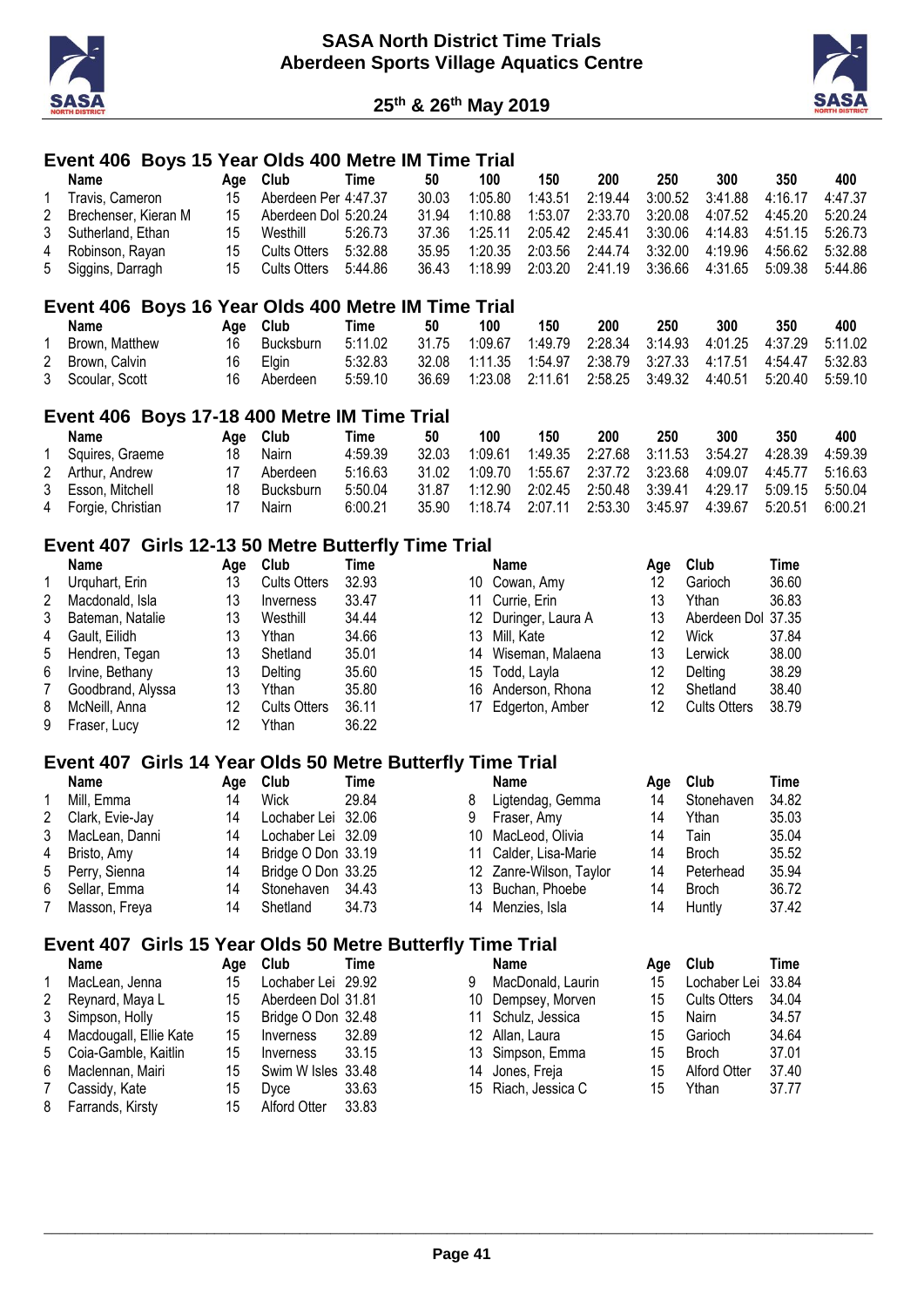



#### **Event 406 Boys 15 Year Olds 400 Metre IM Time Trial**

| Name                   | Aae | <b>Club</b>          | Time    | 50    | 100     | 150     | 200     | 250     | 300     | 350     | 400     |
|------------------------|-----|----------------------|---------|-------|---------|---------|---------|---------|---------|---------|---------|
| Travis, Cameron        | 15  | Aberdeen Per 4:47.37 |         | 30.03 | 1:05.80 | 1:43.51 | 2:19.44 | 3:00.52 | 3:41.88 | 4:16.17 | 4:47.37 |
| 2 Brechenser, Kieran M | 15  | Aberdeen Dol 5:20.24 |         | 31.94 | 1:10.88 | 1:53.07 | 2:33.70 | 3:20.08 | 4:07.52 | 4:45.20 | 5:20.24 |
| 3 Sutherland, Ethan    | 15  | Westhill             | 5:26.73 | 37.36 | 1:25.11 | 2:05.42 | 2:45.41 | 3:30.06 | 4:14.83 | 4:51.15 | 5:26.73 |
| 4 Robinson, Rayan      | 15  | Cults Otters         | 5:32.88 | 35.95 | 1:20.35 | 2:03.56 | 2:44.74 | 3:32.00 | 4:19.96 | 4:56.62 | 5:32.88 |
| 5 Siggins, Darragh     | 15. | Cults Otters         | 5:44.86 | 36.43 | 1:18.99 | 2:03.20 | 2:41.19 | 3:36.66 | 4:31.65 | 5:09.38 | 5:44.86 |

#### **Event 406 Boys 16 Year Olds 400 Metre IM Time Trial**

| Name             | Aae  | Club      | Time    | 50    | 100                                                                  | 150 | 200 | 250 | 300 | 350                                                  | 400 |
|------------------|------|-----------|---------|-------|----------------------------------------------------------------------|-----|-----|-----|-----|------------------------------------------------------|-----|
| Brown, Matthew   | 16   | Bucksburn | 5:11.02 | 31.75 | 1:09.67                                                              |     |     |     |     | 1:49.79  2:28.34  3:14.93  4:01.25  4:37.29  5:11.02 |     |
| 2 Brown, Calvin  | 16 - | Elain     | 5:32.83 |       | 32.08  1:11.35  1:54.97  2:38.79  3:27.33  4:17.51  4:54.47  5:32.83 |     |     |     |     |                                                      |     |
| 3 Scoular, Scott | 16.  | Aberdeen  | 5:59.10 | 36.69 | 1:23.08  2:11.61                                                     |     |     |     |     | 2:58.25 3:49.32 4:40.51 5:20.40 5:59.10              |     |

#### **Event 406 Boys 17-18 400 Metre IM Time Trial**

| Name                | Aae | Club             | Time    | 50    | 100     | 150             | 200                             | 250 | 300                                | 350             | 400     |
|---------------------|-----|------------------|---------|-------|---------|-----------------|---------------------------------|-----|------------------------------------|-----------------|---------|
| Squires, Graeme     | 18  | Nairn            | 4:59.39 | 32.03 | 1:09.61 |                 | 1:49.35 2:27.68 3:11.53 3:54.27 |     |                                    | 4:28.39         | 4:59.39 |
| 2 Arthur, Andrew    |     | Aberdeen         | 5:16.63 | 31.02 | 1:09.70 |                 |                                 |     | 4:09.07                            | 4:45.77 5:16.63 |         |
| 3 Esson, Mitchell   | 18  | <b>Bucksburn</b> | 5:50.04 | 31.87 | 1:12.90 |                 |                                 |     | 2:02.45  2:50.48  3:39.41  4:29.17 | 5:09.15 5:50.04 |         |
| 4 Forgie, Christian |     | Nairn            | 6:00.21 | 35.90 |         | 1:18.74 2:07.11 | 2:53.30 3:45.97                 |     | 4:39.67                            | 5:20.51         | 6:00.21 |

# **Event 407 Girls 12-13 50 Metre Butterfly Time Trial**

|   | Name              | Aae | Club                | Time  |    | Name                 | Aae | Club                | Time  |
|---|-------------------|-----|---------------------|-------|----|----------------------|-----|---------------------|-------|
|   | Urguhart, Erin    | 13  | <b>Cults Otters</b> | 32.93 |    | 10 Cowan, Amy        | 12  | Garioch             | 36.60 |
| 2 | Macdonald, Isla   | 13  | Inverness           | 33.47 |    | 11 Currie, Erin      | 13  | Ythan               | 36.83 |
| 3 | Bateman, Natalie  | 13  | Westhill            | 34.44 |    | 12 Duringer, Laura A | 13  | Aberdeen Dol 37.35  |       |
| 4 | Gault, Eilidh     | 13  | Ythan               | 34.66 |    | 13 Mill, Kate        | 12  | Wick                | 37.84 |
| 5 | Hendren, Tegan    | 13  | Shetland            | 35.01 | 14 | Wiseman, Malaena     | 13  | Lerwick             | 38.00 |
| 6 | Irvine, Bethany   | 13  | Delting             | 35.60 |    | 15 Todd, Layla       | 12  | Delting             | 38.29 |
|   | Goodbrand, Alyssa | 13  | Ythan               | 35.80 |    | 16 Anderson, Rhona   | 12  | Shetland            | 38.40 |
| 8 | McNeill, Anna     | 12  | <b>Cults Otters</b> | 36.11 |    | 17 Edgerton, Amber   | 12  | <b>Cults Otters</b> | 38.79 |
| 9 | Fraser, Lucy      | 12  | Ythan               | 36.22 |    |                      |     |                     |       |

#### **Event 407 Girls 14 Year Olds 50 Metre Butterfly Time Trial**

|   | Name            | Aae | Club               | Time  |   | <b>Name</b>             | Aae | Club         | Time  |
|---|-----------------|-----|--------------------|-------|---|-------------------------|-----|--------------|-------|
|   | Mill, Emma      | 14  | <b>Wick</b>        | 29.84 | 8 | Ligtendag, Gemma        | 14  | Stonehaven   | 34.82 |
| 2 | Clark, Evie-Jay | 14  | Lochaber Lei 32.06 |       | 9 | Fraser, Amy             | 14  | Ythan        | 35.03 |
| 3 | MacLean, Danni  | 14  | Lochaber Lei 32.09 |       |   | 10 MacLeod, Olivia      | 14  | Tain         | 35.04 |
| 4 | Bristo, Amy     | 14  | Bridge O Don 33.19 |       |   | 11 Calder, Lisa-Marie   | 14  | <b>Broch</b> | 35.52 |
|   | 5 Perry, Sienna | 14  | Bridge O Don 33.25 |       |   | 12 Zanre-Wilson, Taylor | 14  | Peterhead    | 35.94 |
| 6 | Sellar, Emma    | 14  | Stonehaven 34.43   |       |   | 13 Buchan, Phoebe       | 14  | <b>Broch</b> | 36.72 |
|   | Masson, Freya   |     | Shetland           | 34.73 |   | 14 Menzies, Isla        | 14  | Huntly       | 37.42 |

# **Event 407 Girls 15 Year Olds 50 Metre Butterfly Time Trial**

|              | <b>Name</b>              | Aae | Club               | Time  |   | <b>Name</b>         | Aae | <b>Club</b>         | Time  |
|--------------|--------------------------|-----|--------------------|-------|---|---------------------|-----|---------------------|-------|
| $\mathbf{1}$ | MacLean, Jenna           | 15  | Lochaber Lei 29.92 |       | 9 | MacDonald, Laurin   | 15  | Lochaber Lei 33.84  |       |
| 2            | Reynard, Maya L          | 15  | Aberdeen Dol 31.81 |       |   | 10 Dempsey, Morven  | 15  | <b>Cults Otters</b> | 34.04 |
|              | 3 Simpson, Holly         | 15  | Bridge O Don 32.48 |       |   | 11 Schulz, Jessica  | 15  | Nairn               | 34.57 |
|              | 4 Macdougall, Ellie Kate | 15  | Inverness          | 32.89 |   | 12 Allan, Laura     | 15  | Garioch             | 34.64 |
|              | 5 Coia-Gamble, Kaitlin   | 15  | Inverness          | 33.15 |   | 13 Simpson, Emma    | 15  | <b>Broch</b>        | 37.01 |
| 6            | Maclennan, Mairi         | 15  | Swim W Isles 33.48 |       |   | 14 Jones, Freja     | 15  | <b>Alford Otter</b> | 37.40 |
| 7            | Cassidy, Kate            | 15  | Dvce               | 33.63 |   | 15 Riach, Jessica C | 15  | Ythan               | 37.77 |
|              | 8 Farrands, Kirsty       | 15  | Alford Otter       | 33.83 |   |                     |     |                     |       |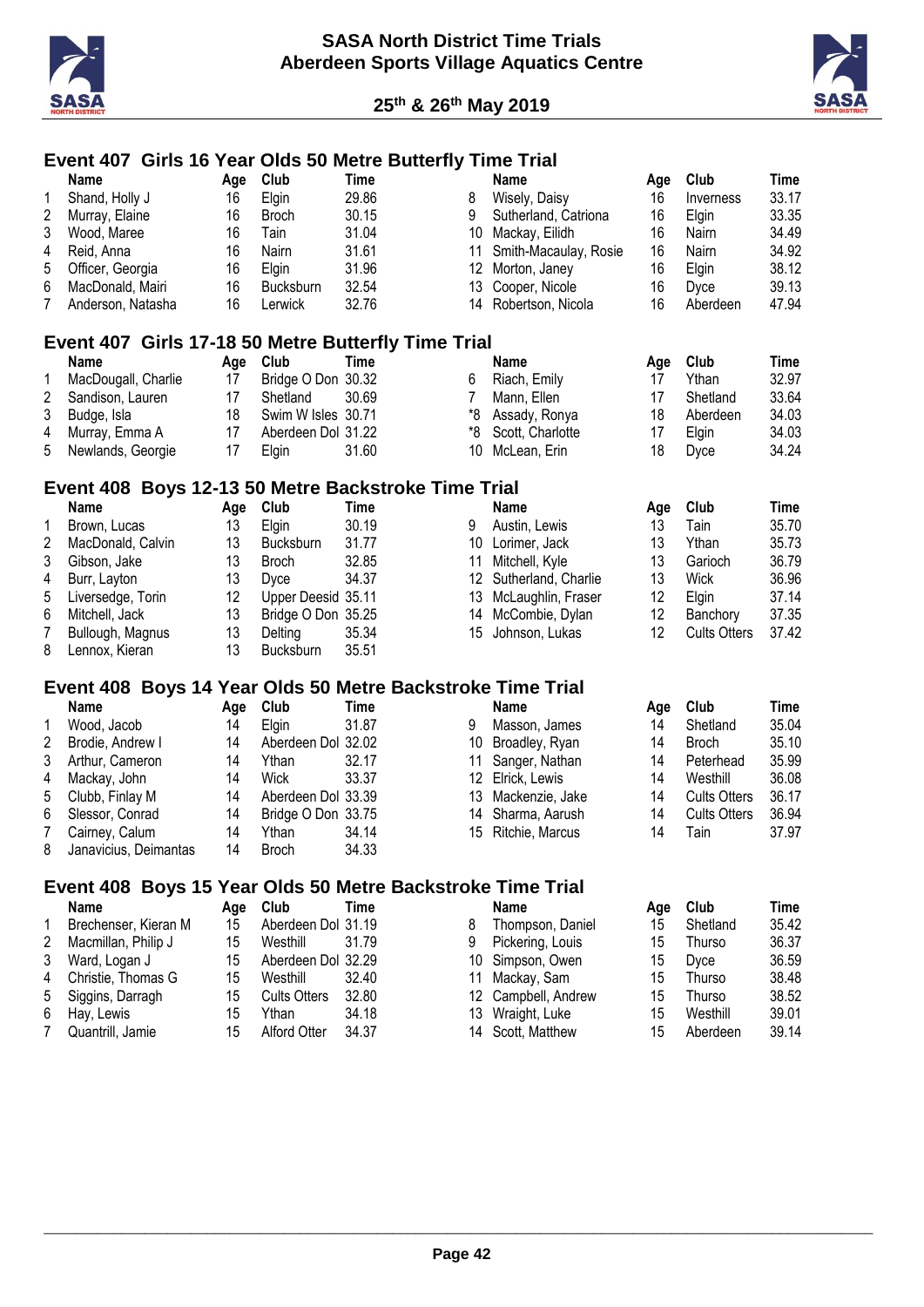



# **Event 407 Girls 16 Year Olds 50 Metre Butterfly Time Trial**

|                         | <b>Name</b>                                                | Age | Club                | <b>Time</b> |                 | Name                  | Age | Club                | <b>Time</b> |
|-------------------------|------------------------------------------------------------|-----|---------------------|-------------|-----------------|-----------------------|-----|---------------------|-------------|
| 1                       | Shand, Holly J                                             | 16  | Elgin               | 29.86       | 8               | Wisely, Daisy         | 16  | Inverness           | 33.17       |
| $\overline{c}$          | Murray, Elaine                                             | 16  | <b>Broch</b>        | 30.15       | 9               | Sutherland, Catriona  | 16  | Elgin               | 33.35       |
| 3                       | Wood, Maree                                                | 16  | Tain                | 31.04       | 10              | Mackay, Eilidh        | 16  | Nairn               | 34.49       |
| 4                       | Reid, Anna                                                 | 16  | Nairn               | 31.61       | 11              | Smith-Macaulay, Rosie | 16  | Nairn               | 34.92       |
| 5                       | Officer, Georgia                                           | 16  | Elgin               | 31.96       | 12              | Morton, Janey         | 16  | Elgin               | 38.12       |
| 6                       | MacDonald, Mairi                                           | 16  | Bucksburn           | 32.54       | 13              | Cooper, Nicole        | 16  | Dyce                | 39.13       |
|                         |                                                            |     |                     |             |                 |                       |     |                     |             |
| 7                       | Anderson, Natasha                                          | 16  | Lerwick             | 32.76       | 14              | Robertson, Nicola     | 16  | Aberdeen            | 47.94       |
|                         | Event 407 Girls 17-18 50 Metre Butterfly Time Trial        |     |                     |             |                 |                       |     |                     |             |
|                         | <b>Name</b>                                                | Age | Club                | <b>Time</b> |                 | <b>Name</b>           | Age | Club                | <b>Time</b> |
| 1                       | MacDougall, Charlie                                        | 17  | Bridge O Don 30.32  |             | 6               | Riach, Emily          | 17  | Ythan               | 32.97       |
| $\overline{\mathbf{c}}$ | Sandison, Lauren                                           | 17  | Shetland            | 30.69       | 7               | Mann, Ellen           | 17  | Shetland            | 33.64       |
| 3                       | Budge, Isla                                                | 18  | Swim W Isles 30.71  |             | *8              | Assady, Ronya         | 18  | Aberdeen            | 34.03       |
| 4                       | Murray, Emma A                                             | 17  | Aberdeen Dol 31.22  |             | *8              | Scott, Charlotte      | 17  | Elgin               | 34.03       |
| 5                       | Newlands, Georgie                                          | 17  | Elgin               | 31.60       | 10              | McLean, Erin          | 18  | Dyce                | 34.24       |
|                         |                                                            |     |                     |             |                 |                       |     |                     |             |
|                         | Event 408 Boys 12-13 50 Metre Backstroke Time Trial        |     |                     |             |                 |                       |     |                     |             |
|                         | <b>Name</b>                                                | Age | Club                | <b>Time</b> |                 | Name                  | Age | Club                | <b>Time</b> |
| 1                       | Brown, Lucas                                               | 13  | Elgin               | 30.19       | 9               | Austin, Lewis         | 13  | Tain                | 35.70       |
| $\overline{\mathbf{c}}$ | MacDonald, Calvin                                          | 13  | Bucksburn           | 31.77       | 10              | Lorimer, Jack         | 13  | Ythan               | 35.73       |
| 3                       | Gibson, Jake                                               | 13  | <b>Broch</b>        | 32.85       | 11              | Mitchell, Kyle        | 13  | Garioch             | 36.79       |
| 4                       | Burr, Layton                                               | 13  | Dyce                | 34.37       | 12 <sup>°</sup> | Sutherland, Charlie   | 13  | <b>Wick</b>         | 36.96       |
| 5                       | Liversedge, Torin                                          | 12  | Upper Deesid 35.11  |             | 13              | McLaughlin, Fraser    | 12  | Elgin               | 37.14       |
| 6                       | Mitchell, Jack                                             | 13  | Bridge O Don 35.25  |             | 14              | McCombie, Dylan       | 12  | Banchory            | 37.35       |
| $\overline{7}$          | Bullough, Magnus                                           | 13  | Delting             | 35.34       | 15              | Johnson, Lukas        | 12  | <b>Cults Otters</b> | 37.42       |
|                         |                                                            | 13  |                     | 35.51       |                 |                       |     |                     |             |
| 8                       | Lennox, Kieran                                             |     | Bucksburn           |             |                 |                       |     |                     |             |
|                         | Event 408 Boys 14 Year Olds 50 Metre Backstroke Time Trial |     |                     |             |                 |                       |     |                     |             |
|                         | <b>Name</b>                                                | Age | Club                | <b>Time</b> |                 | <b>Name</b>           | Age | Club                | <b>Time</b> |
| 1                       | Wood, Jacob                                                | 14  | Elgin               | 31.87       | 9               | Masson, James         | 14  | Shetland            | 35.04       |
| $\overline{2}$          | Brodie, Andrew I                                           | 14  | Aberdeen Dol 32.02  |             | 10              | Broadley, Ryan        | 14  | <b>Broch</b>        | 35.10       |
| 3                       | Arthur, Cameron                                            | 14  | Ythan               | 32.17       | 11              | Sanger, Nathan        | 14  | Peterhead           | 35.99       |
| 4                       | Mackay, John                                               | 14  | Wick                | 33.37       |                 | 12 Elrick, Lewis      | 14  | Westhill            | 36.08       |
| 5                       | Clubb, Finlay M                                            | 14  | Aberdeen Dol 33.39  |             | 13              | Mackenzie, Jake       | 14  | <b>Cults Otters</b> | 36.17       |
| 6                       | Slessor, Conrad                                            | 14  | Bridge O Don 33.75  |             | 14              | Sharma, Aarush        | 14  | <b>Cults Otters</b> | 36.94       |
| $\overline{7}$          | Cairney, Calum                                             | 14  | Ythan               | 34.14       | 15              | Ritchie, Marcus       | 14  | Tain                | 37.97       |
|                         |                                                            |     |                     |             |                 |                       |     |                     |             |
| 8                       | Janavicius, Deimantas                                      | 14  | <b>Broch</b>        | 34.33       |                 |                       |     |                     |             |
|                         | Event 408 Boys 15 Year Olds 50 Metre Backstroke Time Trial |     |                     |             |                 |                       |     |                     |             |
|                         | Name                                                       | Age | Club                | <b>Time</b> |                 | <b>Name</b>           | Age | Club                | <b>Time</b> |
| 1                       | Brechenser, Kieran M                                       | 15  | Aberdeen Dol 31.19  |             | 8               | Thompson, Daniel      | 15  | Shetland            | 35.42       |
| $\overline{2}$          | Macmillan, Philip J                                        | 15  | Westhill            | 31.79       | 9               | Pickering, Louis      | 15  | Thurso              | 36.37       |
| 3                       | Ward, Logan J                                              | 15  | Aberdeen Dol 32.29  |             | 10              | Simpson, Owen         | 15  | Dyce                | 36.59       |
| 4                       | Christie, Thomas G                                         | 15  | Westhill            | 32.40       | 11              | Mackay, Sam           | 15  | Thurso              | 38.48       |
| 5                       | Siggins, Darragh                                           | 15  | <b>Cults Otters</b> | 32.80       | 12              | Campbell, Andrew      | 15  | Thurso              | 38.52       |
| 6                       | Hay, Lewis                                                 | 15  | Ythan               | 34.18       | 13              | Wraight, Luke         | 15  | Westhill            | 39.01       |
| 7                       | Quantrill, Jamie                                           | 15  | Alford Otter        | 34.37       |                 | 14 Scott, Matthew     | 15  | Aberdeen            | 39.14       |
|                         |                                                            |     |                     |             |                 |                       |     |                     |             |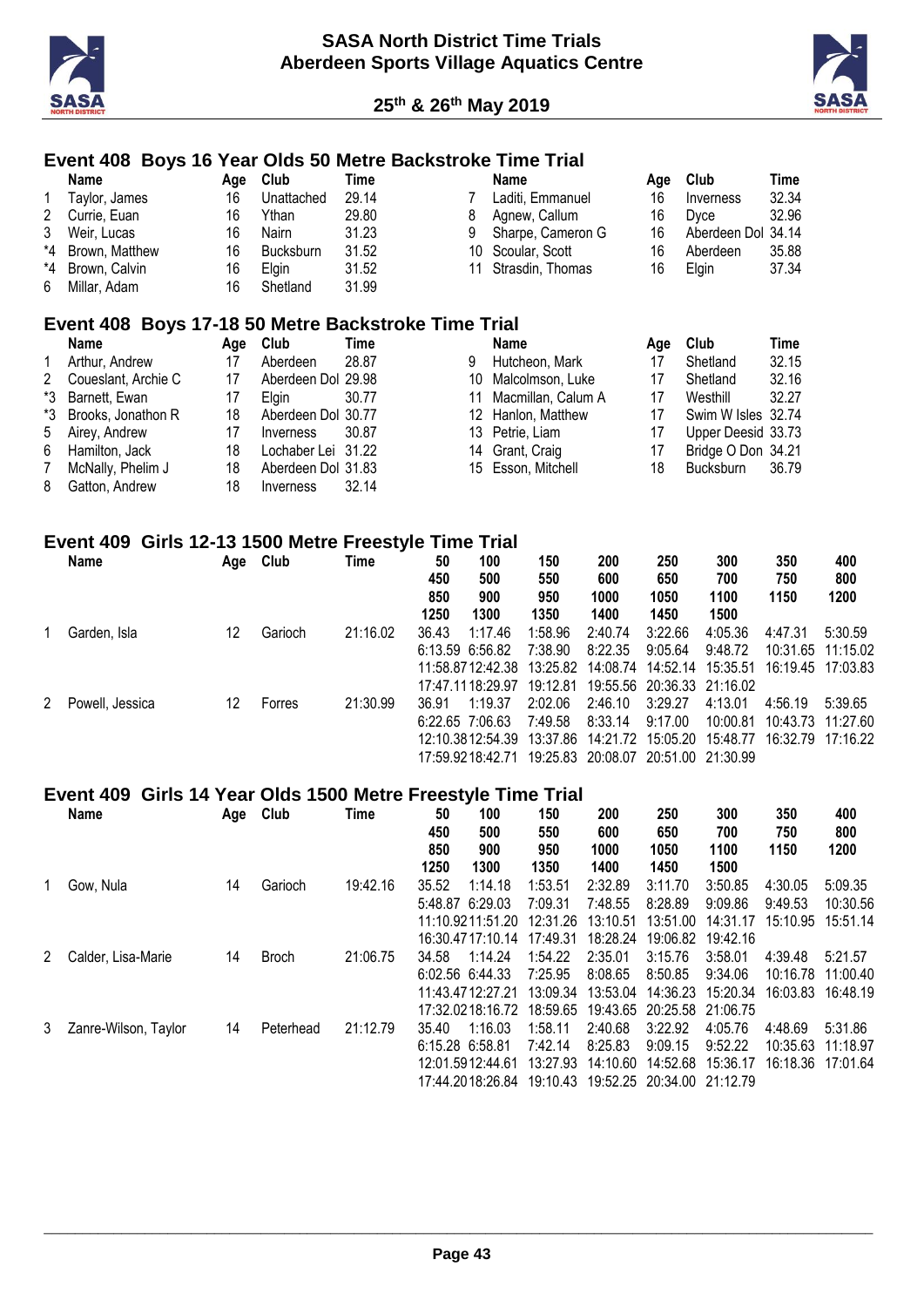

7 McNally, Phelim J<br>8 Gatton. Andrew



18 Bucksburn 36.79

#### **Event 408 Boys 16 Year Olds 50 Metre Backstroke Time Trial**

|    | <b>Name</b>                                         | Age | Club               | Time  |    | <b>Name</b>        | Age | Club               | Time  |
|----|-----------------------------------------------------|-----|--------------------|-------|----|--------------------|-----|--------------------|-------|
| 1  | Taylor, James                                       | 16  | Unattached         | 29.14 |    | Laditi, Emmanuel   | 16  | Inverness          | 32.34 |
| 2  | Currie, Euan                                        | 16  | Ythan              | 29.80 | 8  | Agnew, Callum      | 16  | Dyce               | 32.96 |
| 3  | Weir, Lucas                                         | 16  | Nairn              | 31.23 | 9  | Sharpe, Cameron G  | 16  | Aberdeen Dol 34.14 |       |
| *4 | Brown, Matthew                                      | 16  | <b>Bucksburn</b>   | 31.52 | 10 | Scoular, Scott     | 16  | Aberdeen           | 35.88 |
| *4 | Brown, Calvin                                       | 16  | Elgin              | 31.52 | 11 | Strasdin, Thomas   | 16  | Elgin              | 37.34 |
| 6  | Millar, Adam                                        | 16  | Shetland           | 31.99 |    |                    |     |                    |       |
|    | Event 408 Boys 17-18 50 Metre Backstroke Time Trial |     |                    |       |    |                    |     |                    |       |
|    | <b>Name</b>                                         | Age | Club               | Time  |    | Name               | Age | Club               | Time  |
|    | Arthur, Andrew                                      | 17  | Aberdeen           | 28.87 | 9  | Hutcheon, Mark     | 17  | Shetland           | 32.15 |
| 2  | Coueslant, Archie C                                 | 17  | Aberdeen Dol 29.98 |       | 10 | Malcolmson, Luke   | 17  | Shetland           | 32.16 |
| *3 | Barnett. Ewan                                       | 17  | Elgin              | 30.77 | 11 | Macmillan, Calum A | 17  | Westhill           | 32.27 |
| *3 | Brooks, Jonathon R                                  | 18  | Aberdeen Dol 30.77 |       | 12 | Hanlon, Matthew    | 17  | Swim W Isles 32.74 |       |
| 5  | Airey, Andrew                                       | 17  | Inverness          | 30.87 | 13 | Petrie, Liam       | 17  | Upper Deesid 33.73 |       |
| 6  | Hamilton, Jack                                      | 18  | Lochaber Lei       | 31.22 | 14 | Grant, Craig       | 17  | Bridge O Don 34.21 |       |
|    | McNally, Phelim J                                   | 18  | Aberdeen Dol 31.83 |       | 15 | Esson, Mitchell    | 18  | <b>Bucksburn</b>   | 36.79 |

#### **Event 409 Girls 12-13 1500 Metre Freestyle Time Trial**

18 Inverness 32.14

|   | <b>Name</b>     | Age | Club    | Time     | 50<br>450<br>850 | 100<br>500<br>900 | 150<br>550<br>950 | 200<br>600<br>1000                  | 250<br>650<br>1050         | 300<br>700<br>1100 | 350<br>750<br>1150 | 400<br>800<br>1200 |
|---|-----------------|-----|---------|----------|------------------|-------------------|-------------------|-------------------------------------|----------------------------|--------------------|--------------------|--------------------|
|   |                 |     |         |          | 1250             | 1300              | 1350              | 1400                                | 1450                       | 1500               |                    |                    |
|   | Garden, Isla    | 12  | Garioch | 21:16.02 | 36.43            | 1:17.46           | 1:58.96           | 2:40.74                             | 3:22.66                    | 4:05.36            | 4:47.31            | 5:30.59            |
|   |                 |     |         |          |                  | 6:13.59 6:56.82   | 7:38.90           | 8:22.35                             | 9:05.64                    | 9:48.72            |                    | 10:31.65 11:15.02  |
|   |                 |     |         |          |                  | 11:58.8712:42.38  | 13:25.82          | 14:08.74                            |                            |                    | 16:19.45 17:03.83  |                    |
|   |                 |     |         |          |                  | 17:47:1118:29.97  | 19:12.81          |                                     | 19:55.56 20:36.33 21:16.02 |                    |                    |                    |
| 2 | Powell, Jessica | 12  | Forres  | 21:30.99 | 36.91            | 1:19.37           | 2:02.06           | 2:46.10                             | 3:29.27                    | 4:13.01            | 4:56.19            | 5:39.65            |
|   |                 |     |         |          |                  | 6:22.65 7:06.63   | 7:49.58           | 8:33.14                             | 9:17.00                    | 10:00.81           | 10:43.73           | 11:27.60           |
|   |                 |     |         |          |                  | 12:10.3812:54.39  | 13:37.86          |                                     | 14:21.72 15:05.20          | 15:48.77           | 16:32.79 17:16.22  |                    |
|   |                 |     |         |          |                  | 17:59:9218:42.71  |                   | 19:25.83 20:08.07 20:51.00 21:30.99 |                            |                    |                    |                    |

#### **Event 409 Girls 14 Year Olds 1500 Metre Freestyle Time Trial**

|   | Name                 | Age | Club         | Time     | 50<br>450<br>850<br>1250 | 100<br>500<br>900<br>1300 | 150<br>550<br>950<br>1350 | 200<br>600<br>1000<br>1400 | 250<br>650<br>1050<br>1450 | 300<br>700<br>1100<br>1500 | 350<br>750<br>1150 | 400<br>800<br>1200 |
|---|----------------------|-----|--------------|----------|--------------------------|---------------------------|---------------------------|----------------------------|----------------------------|----------------------------|--------------------|--------------------|
|   | Gow, Nula            | 14  | Garioch      | 19:42.16 | 35.52                    | 1:14.18                   | 1:53.51                   | 2:32.89                    | 3:11.70                    | 3:50.85                    | 4:30.05            | 5:09.35            |
|   |                      |     |              |          | 5:48.87                  | 6:29.03                   | 7:09.31                   | 7:48.55                    | 8:28.89                    | 9:09.86                    | 9:49.53            | 10:30.56           |
|   |                      |     |              |          |                          | 11:10.9211:51.20          | 12:31.26                  | 13:10.51                   | 13:51.00                   | 14:31.17                   | 15:10.95           | 15:51.14           |
|   |                      |     |              |          |                          | 16:30.4717:10.14          | 17:49.31                  | 18:28.24                   | 19:06.82                   | 19:42.16                   |                    |                    |
| 2 | Calder, Lisa-Marie   | 14  | <b>Broch</b> | 21:06.75 | 34.58                    | 1:14.24                   | 1:54.22                   | 2:35.01                    | 3:15.76                    | 3:58.01                    | 4:39.48            | 5:21.57            |
|   |                      |     |              |          |                          | 6:02.56 6:44.33           | 7:25.95                   | 8:08.65                    | 8:50.85                    | 9:34.06                    | 10:16.78           | 11:00.40           |
|   |                      |     |              |          |                          | 11:43:47:12:27:21         | 13:09.34                  | 13:53.04                   | 14:36.23                   | 15:20.34                   | 16:03.83           | 16:48.19           |
|   |                      |     |              |          |                          | 17:32.0218:16.72          | 18:59.65                  |                            | 19:43.65 20:25.58 21:06.75 |                            |                    |                    |
| 3 | Zanre-Wilson, Taylor | 14  | Peterhead    | 21:12.79 | 35.40                    | 1:16.03                   | 1:58.11                   | 2:40.68                    | 3:22.92                    | 4:05.76                    | 4:48.69            | 5:31.86            |
|   |                      |     |              |          |                          | 6:15.28 6:58.81           | 7:42.14                   | 8:25.83                    | 9:09.15                    | 9:52.22                    | 10:35.63           | 11:18.97           |
|   |                      |     |              |          |                          | 12:01.5912:44.61          | 13:27.93                  | 14:10.60                   | 14:52.68                   | 15:36.17                   | 16:18.36 17:01.64  |                    |
|   |                      |     |              |          |                          | 17:44.2018:26.84          | 19:10.43                  |                            | 19:52.25 20:34.00 21:12.79 |                            |                    |                    |